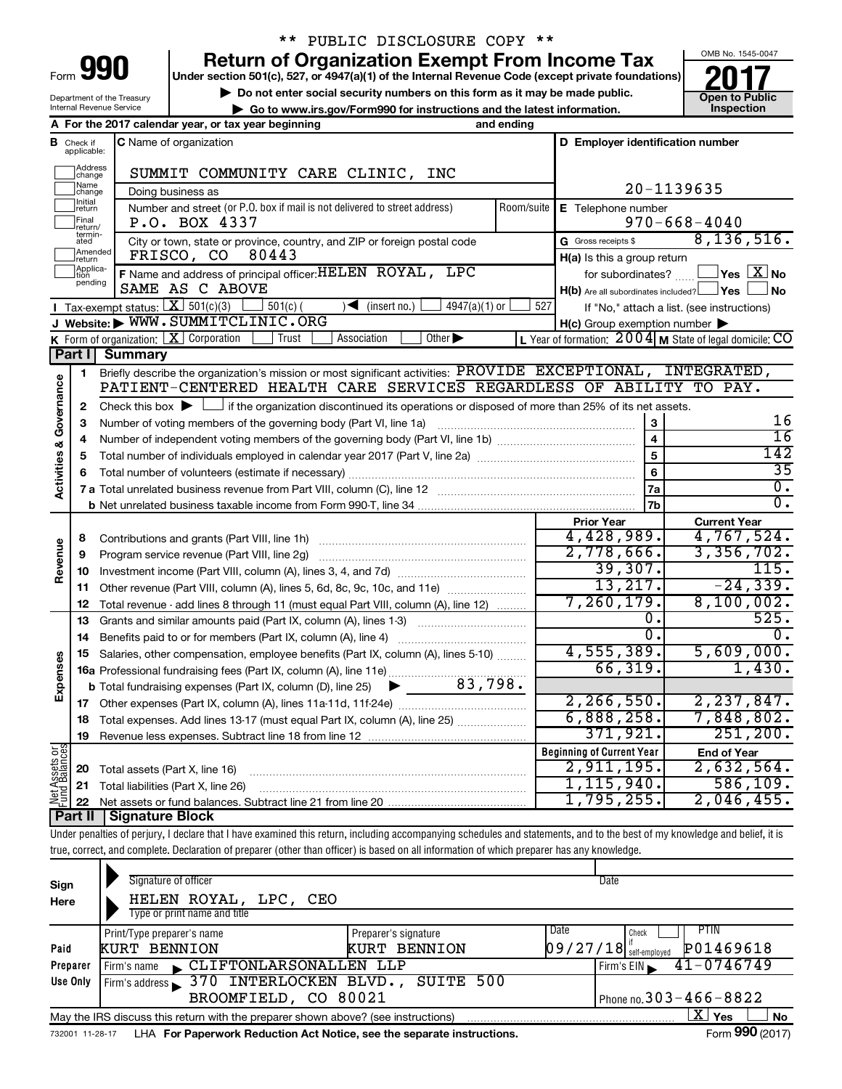| Form |  |
|------|--|

# \*\* PUBLIC DISCLOSURE COPY \*\*

**Under section 501(c), 527, or 4947(a)(1) of the Internal Revenue Code (except private foundations) 990 Return of Organization Exempt From Income Tax 1990 2017 Divide the section 501(c)**, 527, or 4947(a)(1) of the Internal Revenue Code (except private foundations) **2017** 

▶ Do not enter social security numbers on this form as it may be made public.<br>► Go to www.irs.gov/Form990 for instructions and the latest information. **Development of Public | Go to www.irs.gov/Form990 for instructions and the latest information. Inspection**



Department of the Treasury Internal Revenue Service

|                         |                                         | A For the 2017 calendar year, or tax year beginning                                                                                                                        | and ending                               |                                                     |                                                                   |  |  |
|-------------------------|-----------------------------------------|----------------------------------------------------------------------------------------------------------------------------------------------------------------------------|------------------------------------------|-----------------------------------------------------|-------------------------------------------------------------------|--|--|
|                         | <b>B</b> Check if applicable:           | <b>C</b> Name of organization                                                                                                                                              |                                          | D Employer identification number                    |                                                                   |  |  |
|                         | ]Address<br>]change                     | SUMMIT COMMUNITY CARE CLINIC, INC                                                                                                                                          |                                          |                                                     |                                                                   |  |  |
|                         | ]Name<br>]change                        | Doing business as                                                                                                                                                          |                                          | 20-1139635                                          |                                                                   |  |  |
|                         | ]Initial<br>]return<br>Final<br>return/ | Number and street (or P.O. box if mail is not delivered to street address)<br>Room/suite<br>P.O. BOX 4337                                                                  | E Telephone number<br>$970 - 668 - 4040$ |                                                     |                                                                   |  |  |
|                         | termin-<br>ated                         | City or town, state or province, country, and ZIP or foreign postal code                                                                                                   |                                          | G Gross receipts \$                                 | 8, 136, 516.                                                      |  |  |
|                         | ]Amended<br>]return                     | FRISCO, CO<br>80443                                                                                                                                                        |                                          | H(a) Is this a group return                         |                                                                   |  |  |
|                         | Applica-<br>Ition                       | F Name and address of principal officer: HELEN ROYAL, LPC                                                                                                                  |                                          | for subordinates?                                   | $\sqrt{}$ Yes $\left\lfloor \frac{X}{X} \right\rfloor$ No         |  |  |
|                         | pending                                 | SAME AS C ABOVE                                                                                                                                                            |                                          | $H(b)$ Are all subordinates included? $\Box$ Yes    | No                                                                |  |  |
|                         |                                         | Tax-exempt status: $X \overline{X}$ 501(c)(3)<br>$501(c)$ (<br>$\sqrt{\bullet}$ (insert no.)<br>$4947(a)(1)$ or                                                            | 527                                      |                                                     | If "No," attach a list. (see instructions)                        |  |  |
|                         |                                         | J Website: WWW.SUMMITCLINIC.ORG                                                                                                                                            |                                          | $H(c)$ Group exemption number $\blacktriangleright$ |                                                                   |  |  |
|                         |                                         | <b>K</b> Form of organization: $\boxed{\mathbf{X}}$ Corporation<br>Other $\blacktriangleright$<br>Trust<br>Association                                                     |                                          |                                                     | L Year of formation: $2004 \text{ m}$ State of legal domicile: CO |  |  |
|                         |                                         | Part I Summary                                                                                                                                                             |                                          |                                                     |                                                                   |  |  |
|                         | 1                                       | Briefly describe the organization's mission or most significant activities: PROVIDE EXCEPTIONAL, INTEGRATED,                                                               |                                          |                                                     |                                                                   |  |  |
| Governance              |                                         | PATIENT-CENTERED HEALTH CARE SERVICES REGARDLESS OF ABILITY TO PAY.                                                                                                        |                                          |                                                     |                                                                   |  |  |
|                         | 2                                       | Check this box $\blacktriangleright$ $\Box$ if the organization discontinued its operations or disposed of more than 25% of its net assets.                                |                                          |                                                     |                                                                   |  |  |
|                         | 3                                       |                                                                                                                                                                            |                                          | $\mathbf{3}$                                        | 16<br>$\overline{16}$                                             |  |  |
|                         | 4                                       |                                                                                                                                                                            |                                          | $\overline{4}$                                      | 142                                                               |  |  |
|                         | 5                                       |                                                                                                                                                                            |                                          | 5                                                   | $\overline{35}$                                                   |  |  |
| <b>Activities &amp;</b> | 6                                       |                                                                                                                                                                            |                                          | 6                                                   | $\overline{0}$ .                                                  |  |  |
|                         |                                         |                                                                                                                                                                            |                                          | 7a<br>7b                                            | $\overline{0}$ .                                                  |  |  |
|                         |                                         |                                                                                                                                                                            |                                          | <b>Prior Year</b>                                   | <b>Current Year</b>                                               |  |  |
|                         | 8                                       |                                                                                                                                                                            |                                          | 4,428,989.                                          | 4,767,524.                                                        |  |  |
|                         | 9                                       | Program service revenue (Part VIII, line 2g)                                                                                                                               |                                          | 2,778,666.                                          | 3,356,702.                                                        |  |  |
| Revenue                 | 10                                      |                                                                                                                                                                            | 39,307.                                  | 115.                                                |                                                                   |  |  |
|                         | 11                                      | Other revenue (Part VIII, column (A), lines 5, 6d, 8c, 9c, 10c, and 11e)                                                                                                   |                                          | 13,217.                                             | $-24, 339.$                                                       |  |  |
|                         | 12                                      | Total revenue - add lines 8 through 11 (must equal Part VIII, column (A), line 12)                                                                                         |                                          | 7, 260, 179.                                        | 8,100,002.                                                        |  |  |
|                         | 13                                      | Grants and similar amounts paid (Part IX, column (A), lines 1-3)                                                                                                           |                                          | о.                                                  | 525.                                                              |  |  |
|                         | 14                                      |                                                                                                                                                                            |                                          | σ.                                                  | $\overline{0}$ .                                                  |  |  |
|                         | 15                                      | Salaries, other compensation, employee benefits (Part IX, column (A), lines 5-10)                                                                                          |                                          | 4,555,389.                                          | 5,609,000.                                                        |  |  |
| Expenses                |                                         | 16a Professional fundraising fees (Part IX, column (A), line 11e)                                                                                                          |                                          | 66, 319.                                            | 1,430.                                                            |  |  |
|                         |                                         | 83,798.<br><b>b</b> Total fundraising expenses (Part IX, column (D), line 25) $\blacktriangleright$                                                                        |                                          |                                                     |                                                                   |  |  |
|                         |                                         |                                                                                                                                                                            |                                          | 2, 266, 550.                                        | 2, 237, 847.                                                      |  |  |
|                         |                                         | 18 Total expenses. Add lines 13-17 (must equal Part IX, column (A), line 25)                                                                                               |                                          | 6,888,258.                                          | 7,848,802.                                                        |  |  |
|                         |                                         | 19 Revenue less expenses. Subtract line 18 from line 12                                                                                                                    |                                          | 371,921.                                            | 251, 200.                                                         |  |  |
|                         |                                         |                                                                                                                                                                            |                                          | <b>Beginning of Current Year</b>                    | <b>End of Year</b>                                                |  |  |
| Net Assets or           | 20                                      | Total assets (Part X, line 16)                                                                                                                                             |                                          | 2,911,195.                                          | 2,632,564.                                                        |  |  |
|                         | 21                                      | Total liabilities (Part X, line 26)                                                                                                                                        |                                          | 1, 115, 940.                                        | 586, 109.                                                         |  |  |
|                         | 22                                      |                                                                                                                                                                            |                                          | 1,795,255.                                          | 2,046,455.                                                        |  |  |
|                         | <b>Part II</b>                          | Signature Block                                                                                                                                                            |                                          |                                                     |                                                                   |  |  |
|                         |                                         | Under penalties of perjury, I declare that I have examined this return, including accompanying schedules and statements, and to the best of my knowledge and belief, it is |                                          |                                                     |                                                                   |  |  |
|                         |                                         | true, correct, and complete. Declaration of preparer (other than officer) is based on all information of which preparer has any knowledge.                                 |                                          |                                                     |                                                                   |  |  |

| Sign<br>Here    | Signature of officer<br>HELEN ROYAL,<br>LPC, CEO<br>Type or print name and title  |                      | Date                                  |                        |
|-----------------|-----------------------------------------------------------------------------------|----------------------|---------------------------------------|------------------------|
|                 | Print/Type preparer's name                                                        | Preparer's signature | Date<br>Check                         | PTIN                   |
| Paid            | <b>KURT BENNION</b>                                                               | <b>KURT BENNION</b>  | $\left[09/27/18\right]$ self-employed | P01469618              |
| Preparer        | CLIFTONLARSONALLEN LLP<br>Firm's name                                             |                      | Firm's $EIN$                          | $41 - 0746749$         |
| Use Only        | Firm's address 370 INTERLOCKEN BLVD., SUITE 500                                   |                      |                                       |                        |
|                 | BROOMFIELD, CO 80021                                                              |                      | Phone no. $303 - 466 - 8822$          |                        |
|                 | May the IRS discuss this return with the preparer shown above? (see instructions) |                      |                                       | x.<br>Yes<br><b>No</b> |
| 732001 11-28-17 | LHA For Paperwork Reduction Act Notice, see the separate instructions.            |                      |                                       | Form 990 (2017)        |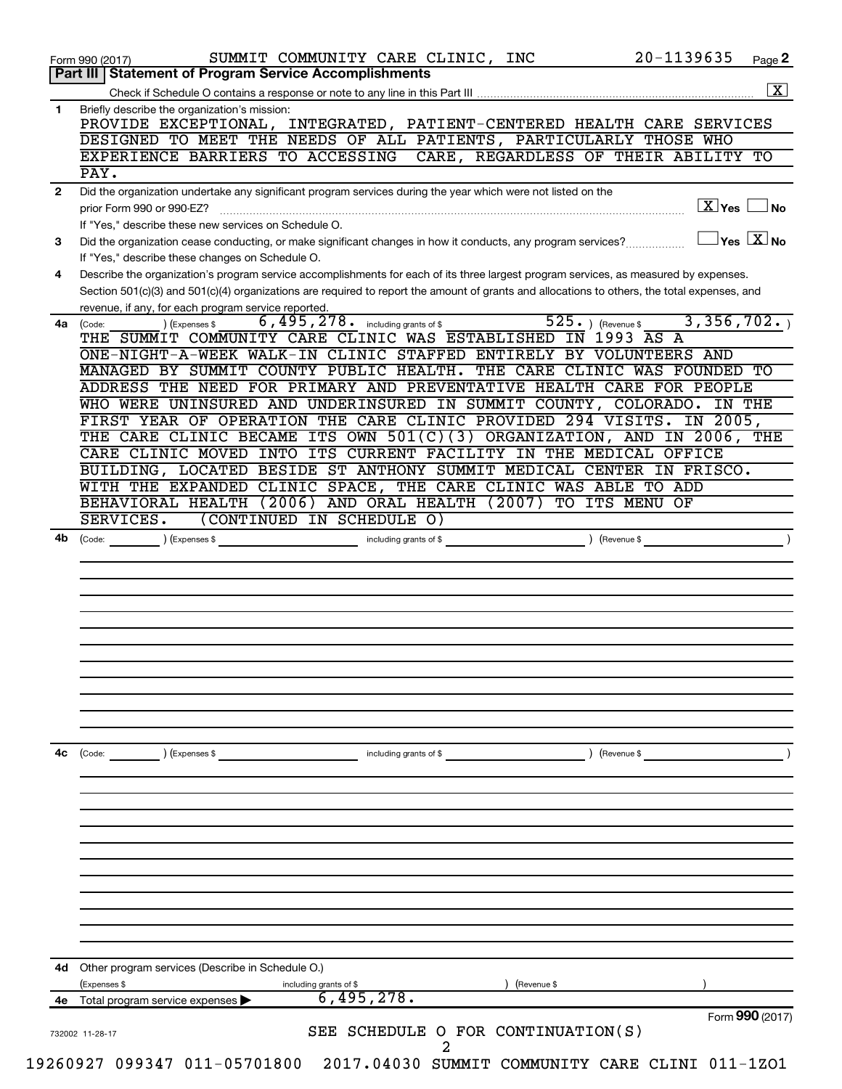| $\mathbf{1}$ | $\overline{\mathbf{x}}$<br>Briefly describe the organization's mission:                                                                                                                                     |
|--------------|-------------------------------------------------------------------------------------------------------------------------------------------------------------------------------------------------------------|
|              |                                                                                                                                                                                                             |
|              | PROVIDE EXCEPTIONAL, INTEGRATED, PATIENT-CENTERED HEALTH CARE SERVICES                                                                                                                                      |
|              | DESIGNED TO MEET THE NEEDS OF ALL PATIENTS, PARTICULARLY THOSE WHO                                                                                                                                          |
|              | EXPERIENCE BARRIERS TO ACCESSING<br>CARE, REGARDLESS OF THEIR ABILITY TO                                                                                                                                    |
|              | PAY.                                                                                                                                                                                                        |
| $\mathbf{2}$ | Did the organization undertake any significant program services during the year which were not listed on the<br>$\boxed{\text{X}}$ Yes<br>  No<br>prior Form 990 or 990-EZ?                                 |
| 3            | If "Yes," describe these new services on Schedule O.<br>$\overline{Y}$ es $\overline{X}$ No<br>Did the organization cease conducting, or make significant changes in how it conducts, any program services? |
|              | If "Yes," describe these changes on Schedule O.                                                                                                                                                             |
| 4            | Describe the organization's program service accomplishments for each of its three largest program services, as measured by expenses.                                                                        |
|              | Section 501(c)(3) and 501(c)(4) organizations are required to report the amount of grants and allocations to others, the total expenses, and                                                                |
|              | revenue, if any, for each program service reported<br>$525.$ ) (Revenue \$<br>3,356,702.<br>6,495,278. including grants of \$                                                                               |
| 4a           | ) (Expenses \$<br>(Code:<br>THE SUMMIT COMMUNITY CARE CLINIC WAS ESTABLISHED IN 1993 AS A                                                                                                                   |
|              | ONE-NIGHT-A-WEEK WALK-IN CLINIC STAFFED ENTIRELY BY VOLUNTEERS AND                                                                                                                                          |
|              | MANAGED BY SUMMIT COUNTY PUBLIC HEALTH.<br>THE CARE CLINIC WAS FOUNDED TO<br>ADDRESS THE NEED FOR PRIMARY AND PREVENTATIVE HEALTH CARE FOR PEOPLE                                                           |
|              |                                                                                                                                                                                                             |
|              | WHO WERE UNINSURED AND UNDERINSURED IN SUMMIT COUNTY, COLORADO.<br>IN THE<br>FIRST YEAR OF OPERATION THE CARE CLINIC PROVIDED 294 VISITS.<br>IN 2005,                                                       |
|              | THE CARE CLINIC BECAME ITS OWN $501(C)(3)$ ORGANIZATION, AND IN 2006, THE                                                                                                                                   |
|              | CARE CLINIC MOVED INTO ITS CURRENT FACILITY IN THE MEDICAL OFFICE                                                                                                                                           |
|              | BUILDING, LOCATED BESIDE ST ANTHONY SUMMIT MEDICAL CENTER IN FRISCO.                                                                                                                                        |
|              | WITH THE EXPANDED CLINIC SPACE, THE CARE CLINIC WAS ABLE TO ADD                                                                                                                                             |
|              | BEHAVIORAL HEALTH (2006) AND ORAL HEALTH (2007)<br>TO ITS MENU OF                                                                                                                                           |
|              | SERVICES.<br>(CONTINUED IN SCHEDULE O)                                                                                                                                                                      |
| 4b           | ) (Revenue \$<br>including grants of \$<br>$\left(\text{Code:}\right)$ $\left(\text{Expenses }$ \$                                                                                                          |
|              |                                                                                                                                                                                                             |
|              |                                                                                                                                                                                                             |
|              |                                                                                                                                                                                                             |
| 4с           | ) (Revenue \$<br>(Code:<br>) (Expenses \$<br>including grants of \$                                                                                                                                         |
|              |                                                                                                                                                                                                             |
|              |                                                                                                                                                                                                             |
|              |                                                                                                                                                                                                             |
|              |                                                                                                                                                                                                             |
| 4d           | Other program services (Describe in Schedule O.)                                                                                                                                                            |
|              | (Expenses \$<br>including grants of \$<br>(Revenue \$                                                                                                                                                       |
| 4е           | 6,495,278.<br>Total program service expenses                                                                                                                                                                |
|              | Form 990 (2017)<br>SEE SCHEDULE O FOR CONTINUATION(S)                                                                                                                                                       |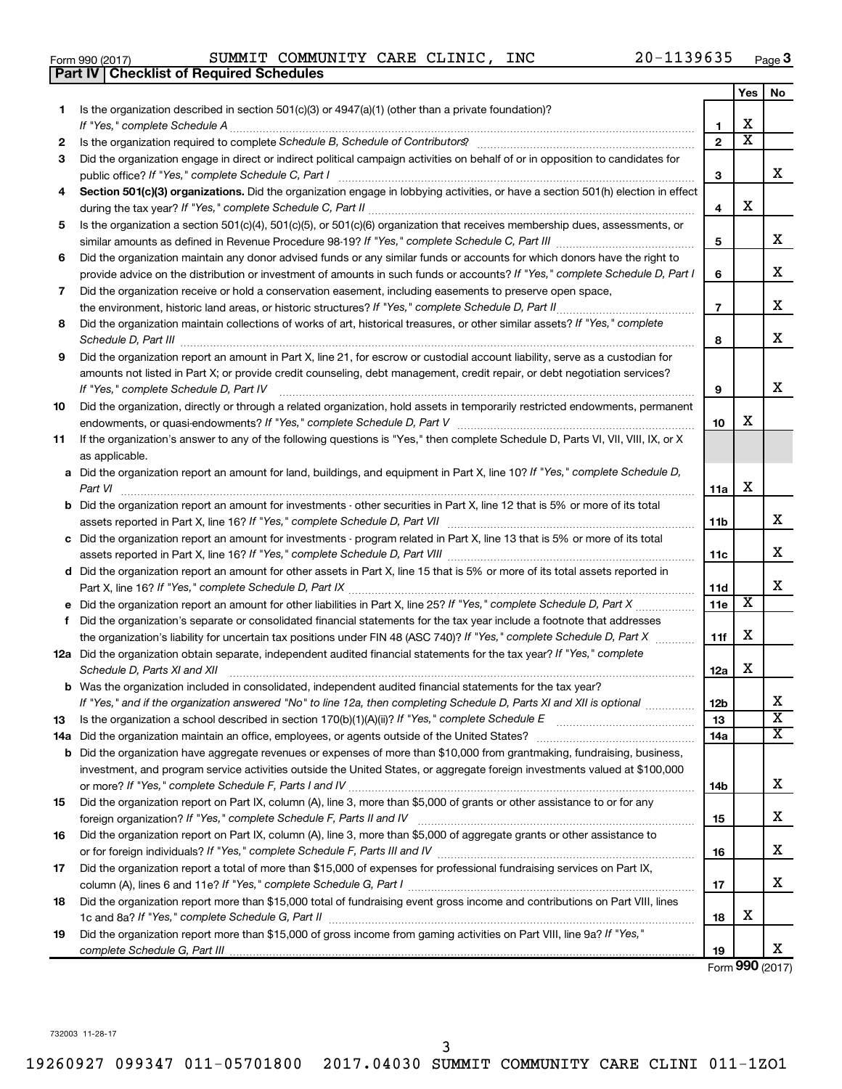|  | Form 990 (2017) |  |
|--|-----------------|--|
|  |                 |  |

|    | Part IV   Checklist of Required Schedules                                                                                                                       |                 |                       |                         |
|----|-----------------------------------------------------------------------------------------------------------------------------------------------------------------|-----------------|-----------------------|-------------------------|
|    |                                                                                                                                                                 |                 | Yes                   | No                      |
| 1. | Is the organization described in section $501(c)(3)$ or $4947(a)(1)$ (other than a private foundation)?                                                         |                 |                       |                         |
|    |                                                                                                                                                                 | 1               | х                     |                         |
| 2  | Is the organization required to complete Schedule B, Schedule of Contributors? [11] The organization required to complete Schedule B, Schedule of Contributors? | $\overline{2}$  | $\overline{\text{x}}$ |                         |
| 3  | Did the organization engage in direct or indirect political campaign activities on behalf of or in opposition to candidates for                                 |                 |                       |                         |
|    |                                                                                                                                                                 | 3               |                       | X                       |
| 4  | Section 501(c)(3) organizations. Did the organization engage in lobbying activities, or have a section 501(h) election in effect                                |                 |                       |                         |
|    |                                                                                                                                                                 | 4               | х                     |                         |
| 5  | Is the organization a section 501(c)(4), 501(c)(5), or 501(c)(6) organization that receives membership dues, assessments, or                                    |                 |                       |                         |
|    |                                                                                                                                                                 | 5               |                       | х                       |
| 6  | Did the organization maintain any donor advised funds or any similar funds or accounts for which donors have the right to                                       |                 |                       |                         |
|    | provide advice on the distribution or investment of amounts in such funds or accounts? If "Yes," complete Schedule D, Part I                                    | 6               |                       | х                       |
| 7  | Did the organization receive or hold a conservation easement, including easements to preserve open space,                                                       |                 |                       |                         |
|    | the environment, historic land areas, or historic structures? If "Yes," complete Schedule D, Part II                                                            | $\overline{7}$  |                       | х                       |
| 8  | Did the organization maintain collections of works of art, historical treasures, or other similar assets? If "Yes," complete                                    |                 |                       |                         |
|    |                                                                                                                                                                 | 8               |                       | х                       |
|    |                                                                                                                                                                 |                 |                       |                         |
| 9  | Did the organization report an amount in Part X, line 21, for escrow or custodial account liability, serve as a custodian for                                   |                 |                       |                         |
|    | amounts not listed in Part X; or provide credit counseling, debt management, credit repair, or debt negotiation services?                                       |                 |                       | х                       |
|    |                                                                                                                                                                 | 9               |                       |                         |
| 10 | Did the organization, directly or through a related organization, hold assets in temporarily restricted endowments, permanent                                   |                 | х                     |                         |
|    |                                                                                                                                                                 | 10              |                       |                         |
| 11 | If the organization's answer to any of the following questions is "Yes," then complete Schedule D, Parts VI, VII, VIII, IX, or X                                |                 |                       |                         |
|    | as applicable.                                                                                                                                                  |                 |                       |                         |
|    | a Did the organization report an amount for land, buildings, and equipment in Part X, line 10? If "Yes," complete Schedule D,                                   |                 |                       |                         |
|    | Part VI                                                                                                                                                         | 11a             | х                     |                         |
|    | <b>b</b> Did the organization report an amount for investments - other securities in Part X, line 12 that is 5% or more of its total                            |                 |                       |                         |
|    |                                                                                                                                                                 | <b>11b</b>      |                       | x                       |
|    | c Did the organization report an amount for investments - program related in Part X, line 13 that is 5% or more of its total                                    |                 |                       |                         |
|    |                                                                                                                                                                 | 11c             |                       | x                       |
|    | d Did the organization report an amount for other assets in Part X, line 15 that is 5% or more of its total assets reported in                                  |                 |                       |                         |
|    |                                                                                                                                                                 | <b>11d</b>      |                       | х                       |
|    |                                                                                                                                                                 | 11e             | х                     |                         |
| f  | Did the organization's separate or consolidated financial statements for the tax year include a footnote that addresses                                         |                 |                       |                         |
|    | the organization's liability for uncertain tax positions under FIN 48 (ASC 740)? If "Yes," complete Schedule D, Part X                                          | 11f             | х                     |                         |
|    | 12a Did the organization obtain separate, independent audited financial statements for the tax year? If "Yes," complete                                         |                 |                       |                         |
|    | Schedule D, Parts XI and XII                                                                                                                                    | 12a             | х                     |                         |
|    | <b>b</b> Was the organization included in consolidated, independent audited financial statements for the tax year?                                              |                 |                       |                         |
|    | If "Yes," and if the organization answered "No" to line 12a, then completing Schedule D, Parts XI and XII is optional <i>manimum</i>                            | 12 <sub>b</sub> |                       | х                       |
| 13 |                                                                                                                                                                 | 13              |                       | $\overline{\mathbf{X}}$ |
|    |                                                                                                                                                                 | 14a             |                       | $\overline{\mathbf{X}}$ |
|    | <b>b</b> Did the organization have aggregate revenues or expenses of more than \$10,000 from grantmaking, fundraising, business,                                |                 |                       |                         |
|    | investment, and program service activities outside the United States, or aggregate foreign investments valued at \$100,000                                      |                 |                       |                         |
|    |                                                                                                                                                                 | 14b             |                       | х                       |
| 15 | Did the organization report on Part IX, column (A), line 3, more than \$5,000 of grants or other assistance to or for any                                       |                 |                       |                         |
|    |                                                                                                                                                                 | 15              |                       | X                       |
| 16 | Did the organization report on Part IX, column (A), line 3, more than \$5,000 of aggregate grants or other assistance to                                        |                 |                       |                         |
|    |                                                                                                                                                                 | 16              |                       | х                       |
| 17 | Did the organization report a total of more than \$15,000 of expenses for professional fundraising services on Part IX,                                         |                 |                       |                         |
|    |                                                                                                                                                                 | 17              |                       | X                       |
| 18 | Did the organization report more than \$15,000 total of fundraising event gross income and contributions on Part VIII, lines                                    |                 |                       |                         |
|    |                                                                                                                                                                 | 18              | х                     |                         |
| 19 | Did the organization report more than \$15,000 of gross income from gaming activities on Part VIII, line 9a? If "Yes,"                                          |                 |                       |                         |
|    |                                                                                                                                                                 | 19              |                       | x                       |

Form (2017) **990**

732003 11-28-17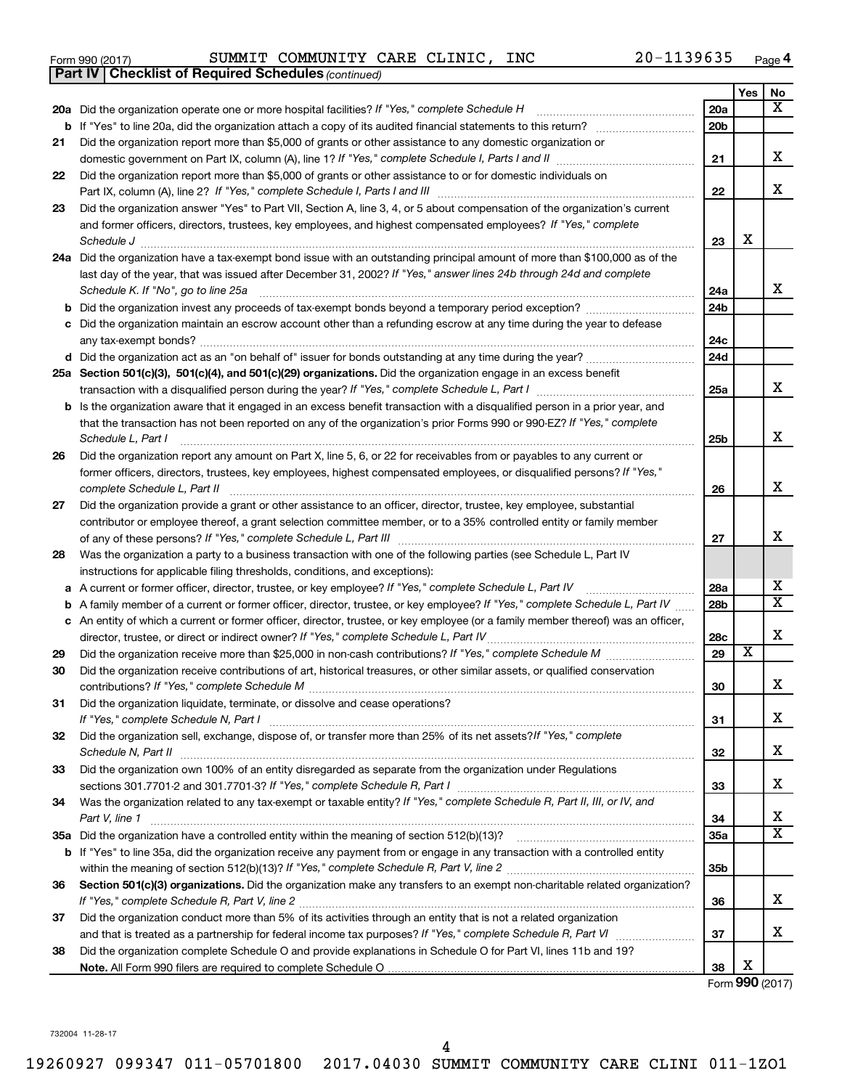|  | Form 990 (2017) |  |
|--|-----------------|--|
|  |                 |  |

*(continued)* **Part IV Checklist of Required Schedules**

Form 990 (2017) Page SUMMIT COMMUNITY CARE CLINIC, INC 20-1139635

|    |                                                                                                                                                                                                                                                                          |                 | Yes                     | No                      |
|----|--------------------------------------------------------------------------------------------------------------------------------------------------------------------------------------------------------------------------------------------------------------------------|-----------------|-------------------------|-------------------------|
|    | 20a Did the organization operate one or more hospital facilities? If "Yes," complete Schedule H                                                                                                                                                                          | 20a             |                         | x                       |
|    | <b>b</b> If "Yes" to line 20a, did the organization attach a copy of its audited financial statements to this return?                                                                                                                                                    | 20 <sub>b</sub> |                         |                         |
| 21 | Did the organization report more than \$5,000 of grants or other assistance to any domestic organization or                                                                                                                                                              |                 |                         |                         |
|    |                                                                                                                                                                                                                                                                          | 21              |                         | x                       |
| 22 | Did the organization report more than \$5,000 of grants or other assistance to or for domestic individuals on                                                                                                                                                            |                 |                         |                         |
|    |                                                                                                                                                                                                                                                                          | 22              |                         | X                       |
| 23 | Did the organization answer "Yes" to Part VII, Section A, line 3, 4, or 5 about compensation of the organization's current                                                                                                                                               |                 |                         |                         |
|    | and former officers, directors, trustees, key employees, and highest compensated employees? If "Yes," complete                                                                                                                                                           |                 |                         |                         |
|    | Schedule J <b>Martin Communication Communication</b> Contract of Technical Communication Communication Communication                                                                                                                                                     | 23              | X                       |                         |
|    | 24a Did the organization have a tax-exempt bond issue with an outstanding principal amount of more than \$100,000 as of the                                                                                                                                              |                 |                         |                         |
|    | last day of the year, that was issued after December 31, 2002? If "Yes," answer lines 24b through 24d and complete                                                                                                                                                       |                 |                         | x                       |
|    | Schedule K. If "No", go to line 25a<br><b>b</b> Did the organization invest any proceeds of tax-exempt bonds beyond a temporary period exception?                                                                                                                        | 24a<br>24b      |                         |                         |
|    | c Did the organization maintain an escrow account other than a refunding escrow at any time during the year to defease                                                                                                                                                   |                 |                         |                         |
|    |                                                                                                                                                                                                                                                                          | 24c             |                         |                         |
|    | d Did the organization act as an "on behalf of" issuer for bonds outstanding at any time during the year?                                                                                                                                                                | 24d             |                         |                         |
|    | 25a Section 501(c)(3), 501(c)(4), and 501(c)(29) organizations. Did the organization engage in an excess benefit                                                                                                                                                         |                 |                         |                         |
|    |                                                                                                                                                                                                                                                                          | 25a             |                         | x                       |
|    | <b>b</b> Is the organization aware that it engaged in an excess benefit transaction with a disqualified person in a prior year, and                                                                                                                                      |                 |                         |                         |
|    | that the transaction has not been reported on any of the organization's prior Forms 990 or 990-EZ? If "Yes," complete                                                                                                                                                    |                 |                         | X                       |
|    | Schedule L, Part I                                                                                                                                                                                                                                                       | 25b             |                         |                         |
| 26 | Did the organization report any amount on Part X, line 5, 6, or 22 for receivables from or payables to any current or<br>former officers, directors, trustees, key employees, highest compensated employees, or disqualified persons? If "Yes,"                          |                 |                         |                         |
|    |                                                                                                                                                                                                                                                                          | 26              |                         | x                       |
| 27 | Did the organization provide a grant or other assistance to an officer, director, trustee, key employee, substantial                                                                                                                                                     |                 |                         |                         |
|    | contributor or employee thereof, a grant selection committee member, or to a 35% controlled entity or family member                                                                                                                                                      |                 |                         |                         |
|    |                                                                                                                                                                                                                                                                          | 27              |                         | x                       |
| 28 | Was the organization a party to a business transaction with one of the following parties (see Schedule L, Part IV                                                                                                                                                        |                 |                         |                         |
|    | instructions for applicable filing thresholds, conditions, and exceptions):                                                                                                                                                                                              |                 |                         | х                       |
|    | a A current or former officer, director, trustee, or key employee? If "Yes," complete Schedule L, Part IV                                                                                                                                                                | 28a             |                         | $\overline{\mathtt{x}}$ |
|    | <b>b</b> A family member of a current or former officer, director, trustee, or key employee? If "Yes," complete Schedule L, Part IV<br>c An entity of which a current or former officer, director, trustee, or key employee (or a family member thereof) was an officer, | 28 <sub>b</sub> |                         |                         |
|    | director, trustee, or direct or indirect owner? If "Yes," complete Schedule L, Part IV                                                                                                                                                                                   | 28c             |                         | X                       |
| 29 |                                                                                                                                                                                                                                                                          | 29              | $\overline{\textbf{x}}$ |                         |
| 30 | Did the organization receive contributions of art, historical treasures, or other similar assets, or qualified conservation                                                                                                                                              |                 |                         |                         |
|    |                                                                                                                                                                                                                                                                          | 30              |                         | x                       |
| 31 | Did the organization liquidate, terminate, or dissolve and cease operations?                                                                                                                                                                                             |                 |                         |                         |
|    |                                                                                                                                                                                                                                                                          | 31              |                         | x                       |
| 32 | Did the organization sell, exchange, dispose of, or transfer more than 25% of its net assets? If "Yes," complete                                                                                                                                                         |                 |                         |                         |
|    | Schedule N, Part II                                                                                                                                                                                                                                                      | 32              |                         | x                       |
| 33 | Did the organization own 100% of an entity disregarded as separate from the organization under Regulations                                                                                                                                                               |                 |                         | х                       |
|    | Was the organization related to any tax-exempt or taxable entity? If "Yes," complete Schedule R, Part II, III, or IV, and                                                                                                                                                | 33              |                         |                         |
| 34 | Part V, line 1                                                                                                                                                                                                                                                           | 34              |                         | х                       |
|    |                                                                                                                                                                                                                                                                          | 35a             |                         | $\overline{\texttt{x}}$ |
|    | b If "Yes" to line 35a, did the organization receive any payment from or engage in any transaction with a controlled entity                                                                                                                                              |                 |                         |                         |
|    |                                                                                                                                                                                                                                                                          | 35 <sub>b</sub> |                         |                         |
| 36 | Section 501(c)(3) organizations. Did the organization make any transfers to an exempt non-charitable related organization?                                                                                                                                               |                 |                         |                         |
|    |                                                                                                                                                                                                                                                                          | 36              |                         | x                       |
| 37 | Did the organization conduct more than 5% of its activities through an entity that is not a related organization                                                                                                                                                         |                 |                         |                         |
|    |                                                                                                                                                                                                                                                                          | 37              |                         | x                       |
| 38 | Did the organization complete Schedule O and provide explanations in Schedule O for Part VI, lines 11b and 19?                                                                                                                                                           |                 |                         |                         |
|    |                                                                                                                                                                                                                                                                          | 38              | х                       |                         |

Form (2017) **990**

732004 11-28-17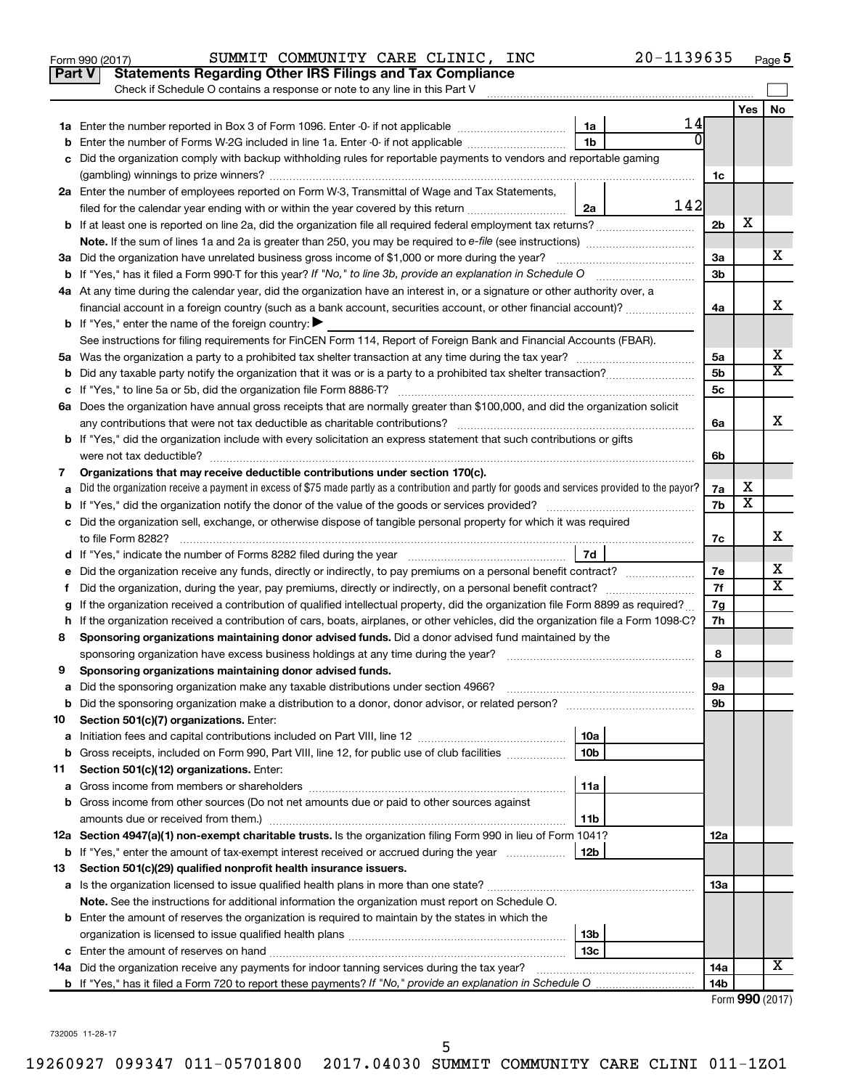|    | 20-1139635<br>SUMMIT COMMUNITY CARE CLINIC, INC<br>Form 990 (2017)                                                                              |                |                         | Page 5                  |
|----|-------------------------------------------------------------------------------------------------------------------------------------------------|----------------|-------------------------|-------------------------|
|    | <b>Statements Regarding Other IRS Filings and Tax Compliance</b><br>Part V                                                                      |                |                         |                         |
|    | Check if Schedule O contains a response or note to any line in this Part V                                                                      |                |                         |                         |
|    |                                                                                                                                                 |                | Yes                     | No                      |
|    | 14<br>1a                                                                                                                                        |                |                         |                         |
|    | 1 <sub>b</sub><br>Enter the number of Forms W-2G included in line 1a. Enter -0- if not applicable                                               |                |                         |                         |
| c  | Did the organization comply with backup withholding rules for reportable payments to vendors and reportable gaming                              |                |                         |                         |
|    |                                                                                                                                                 | 1c             |                         |                         |
|    | 2a Enter the number of employees reported on Form W-3, Transmittal of Wage and Tax Statements,                                                  |                |                         |                         |
|    | 142<br>filed for the calendar year ending with or within the year covered by this return<br>2a                                                  |                |                         |                         |
|    |                                                                                                                                                 | 2 <sub>b</sub> | х                       |                         |
|    |                                                                                                                                                 |                |                         |                         |
|    | 3a Did the organization have unrelated business gross income of \$1,000 or more during the year?                                                | За             |                         | x                       |
|    |                                                                                                                                                 | 3b             |                         |                         |
|    | 4a At any time during the calendar year, did the organization have an interest in, or a signature or other authority over, a                    |                |                         |                         |
|    | financial account in a foreign country (such as a bank account, securities account, or other financial account)?                                | 4a             |                         | х                       |
|    | <b>b</b> If "Yes," enter the name of the foreign country: $\blacktriangleright$                                                                 |                |                         |                         |
|    | See instructions for filing requirements for FinCEN Form 114, Report of Foreign Bank and Financial Accounts (FBAR).                             |                |                         |                         |
|    |                                                                                                                                                 | 5a             |                         | х                       |
|    |                                                                                                                                                 | 5 <sub>b</sub> |                         | $\overline{\text{x}}$   |
|    |                                                                                                                                                 | 5c             |                         |                         |
|    | 6a Does the organization have annual gross receipts that are normally greater than \$100,000, and did the organization solicit                  |                |                         |                         |
|    |                                                                                                                                                 | 6a             |                         | х                       |
|    | b If "Yes," did the organization include with every solicitation an express statement that such contributions or gifts                          |                |                         |                         |
|    | were not tax deductible?                                                                                                                        | 6b             |                         |                         |
| 7  | Organizations that may receive deductible contributions under section 170(c).                                                                   |                |                         |                         |
|    | Did the organization receive a payment in excess of \$75 made partly as a contribution and partly for goods and services provided to the payor? | 7а             | x                       |                         |
|    |                                                                                                                                                 | 7b             | $\overline{\textbf{x}}$ |                         |
|    | c Did the organization sell, exchange, or otherwise dispose of tangible personal property for which it was required                             |                |                         |                         |
|    | to file Form 8282?                                                                                                                              | 7c             |                         | x                       |
|    | 7d                                                                                                                                              |                |                         |                         |
|    |                                                                                                                                                 | 7е             |                         | x                       |
| Ť. | Did the organization, during the year, pay premiums, directly or indirectly, on a personal benefit contract?                                    | 7f             |                         | $\overline{\texttt{x}}$ |
|    | If the organization received a contribution of qualified intellectual property, did the organization file Form 8899 as required?                | 7g             |                         |                         |
|    | h If the organization received a contribution of cars, boats, airplanes, or other vehicles, did the organization file a Form 1098-C?            | 7h             |                         |                         |
| 8  | Sponsoring organizations maintaining donor advised funds. Did a donor advised fund maintained by the                                            |                |                         |                         |
|    | sponsoring organization have excess business holdings at any time during the year?                                                              | 8              |                         |                         |
| 9  | Sponsoring organizations maintaining donor advised funds.                                                                                       |                |                         |                         |
| а  | Did the sponsoring organization make any taxable distributions under section 4966?                                                              | 9а             |                         |                         |
| b  |                                                                                                                                                 | 9b             |                         |                         |
| 10 | Section 501(c)(7) organizations. Enter:                                                                                                         |                |                         |                         |
| а  | 10a                                                                                                                                             |                |                         |                         |
| b  | Gross receipts, included on Form 990, Part VIII, line 12, for public use of club facilities<br>10 <sub>b</sub>                                  |                |                         |                         |
| 11 | Section 501(c)(12) organizations. Enter:                                                                                                        |                |                         |                         |
| а  | 11a                                                                                                                                             |                |                         |                         |
| b  | Gross income from other sources (Do not net amounts due or paid to other sources against                                                        |                |                         |                         |
|    | amounts due or received from them.)<br>11b                                                                                                      |                |                         |                         |
|    | 12a Section 4947(a)(1) non-exempt charitable trusts. Is the organization filing Form 990 in lieu of Form 1041?                                  | 12a            |                         |                         |
|    | 12b<br><b>b</b> If "Yes," enter the amount of tax-exempt interest received or accrued during the year                                           |                |                         |                         |
| 13 | Section 501(c)(29) qualified nonprofit health insurance issuers.                                                                                |                |                         |                         |
|    | a Is the organization licensed to issue qualified health plans in more than one state?                                                          | 13a            |                         |                         |
|    | Note. See the instructions for additional information the organization must report on Schedule O.                                               |                |                         |                         |
|    | <b>b</b> Enter the amount of reserves the organization is required to maintain by the states in which the                                       |                |                         |                         |
|    | 13b                                                                                                                                             |                |                         |                         |
|    | 13с                                                                                                                                             |                |                         |                         |
|    | 14a Did the organization receive any payments for indoor tanning services during the tax year?                                                  | 14a            |                         | X                       |
|    |                                                                                                                                                 | 14b            |                         |                         |
|    |                                                                                                                                                 |                |                         | Form 990 (2017)         |

732005 11-28-17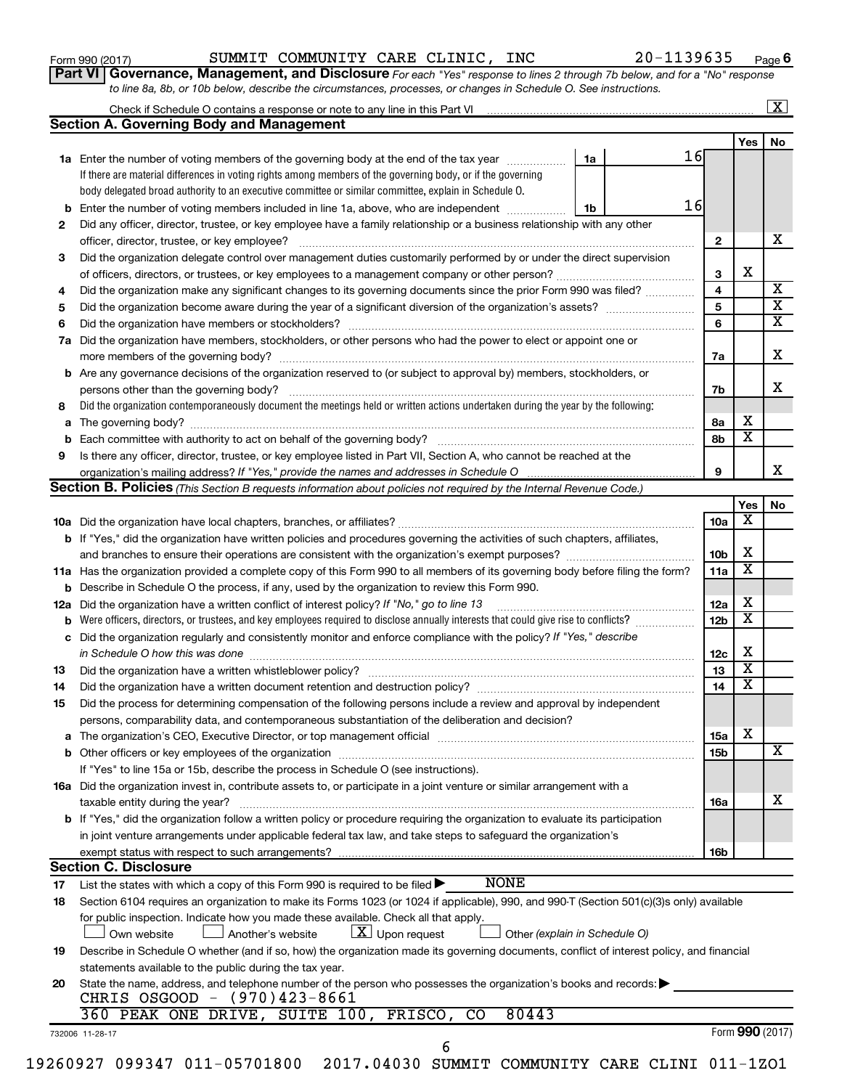| Form 990 (2017) |  |  |
|-----------------|--|--|
|-----------------|--|--|

**Part VI** Governance, Management, and Disclosure For each "Yes" response to lines 2 through 7b below, and for a "No" response *to line 8a, 8b, or 10b below, describe the circumstances, processes, or changes in Schedule O. See instructions.*

| Yes<br>16<br>1a<br>1a Enter the number of voting members of the governing body at the end of the tax year<br>If there are material differences in voting rights among members of the governing body, or if the governing<br>body delegated broad authority to an executive committee or similar committee, explain in Schedule O.<br>16<br><b>b</b> Enter the number of voting members included in line 1a, above, who are independent <i>manumum</i><br>1b<br>Did any officer, director, trustee, or key employee have a family relationship or a business relationship with any other<br>$\mathbf{2}$<br>Did the organization delegate control over management duties customarily performed by or under the direct supervision<br>X<br>3<br>4<br>Did the organization make any significant changes to its governing documents since the prior Form 990 was filed?<br>5<br>6<br>Did the organization have members, stockholders, or other persons who had the power to elect or appoint one or<br>7a<br><b>b</b> Are any governance decisions of the organization reserved to (or subject to approval by) members, stockholders, or<br>persons other than the governing body?<br>7b<br>Did the organization contemporaneously document the meetings held or written actions undertaken during the year by the following:<br>х<br>8a<br>$\overline{\textbf{x}}$<br>8b<br>Is there any officer, director, trustee, or key employee listed in Part VII, Section A, who cannot be reached at the<br>organization's mailing address? If "Yes," provide the names and addresses in Schedule O multimarrow multimarrow<br>9<br>Section B. Policies (This Section B requests information about policies not required by the Internal Revenue Code.)<br>Yes<br>х<br>10a<br><b>b</b> If "Yes," did the organization have written policies and procedures governing the activities of such chapters, affiliates,<br>х<br>10b<br>$\overline{\textbf{x}}$<br>11a Has the organization provided a complete copy of this Form 990 to all members of its governing body before filing the form?<br>11a<br><b>b</b> Describe in Schedule O the process, if any, used by the organization to review this Form 990.<br>х<br>12a<br>Did the organization have a written conflict of interest policy? If "No," go to line 13<br>$\overline{\textbf{x}}$<br>12 <sub>b</sub><br>b<br>c Did the organization regularly and consistently monitor and enforce compliance with the policy? If "Yes," describe<br>х<br>in Schedule O how this was done <i>manufacture contract to the set of the set of the set of the set of the set of t</i><br>12c<br>$\overline{\mathbf{x}}$<br>13<br>$\overline{\mathbf{x}}$<br>14<br>Did the organization have a written document retention and destruction policy? [11] manufaction manufaction in<br>Did the process for determining compensation of the following persons include a review and approval by independent<br>persons, comparability data, and contemporaneous substantiation of the deliberation and decision?<br>х<br><b>15a</b><br>15b<br>If "Yes" to line 15a or 15b, describe the process in Schedule O (see instructions).<br>16a Did the organization invest in, contribute assets to, or participate in a joint venture or similar arrangement with a<br>taxable entity during the year?<br>16a<br>b If "Yes," did the organization follow a written policy or procedure requiring the organization to evaluate its participation<br>in joint venture arrangements under applicable federal tax law, and take steps to safeguard the organization's<br>exempt status with respect to such arrangements?<br>16b<br><b>Section C. Disclosure</b><br><b>NONE</b><br>List the states with which a copy of this Form 990 is required to be filed ><br>17<br>Section 6104 requires an organization to make its Forms 1023 (or 1024 if applicable), 990, and 990-T (Section 501(c)(3)s only) available<br>18<br>for public inspection. Indicate how you made these available. Check all that apply.<br>$\lfloor x \rfloor$ Upon request<br>Own website<br>Another's website<br>Other (explain in Schedule O)<br>Describe in Schedule O whether (and if so, how) the organization made its governing documents, conflict of interest policy, and financial<br>19<br>statements available to the public during the tax year.<br>State the name, address, and telephone number of the person who possesses the organization's books and records:<br>CHRIS OSGOOD - (970)423-8661<br>360 PEAK ONE DRIVE, SUITE 100, FRISCO, CO<br>80443<br>Form 990 (2017)<br>732006 11-28-17<br>6<br>19260927 099347 011-05701800 2017.04030 SUMMIT COMMUNITY CARE CLINI 011-1ZO1 |     |                                                 |  |  | $\overline{\mathbf{x}}$ |
|-------------------------------------------------------------------------------------------------------------------------------------------------------------------------------------------------------------------------------------------------------------------------------------------------------------------------------------------------------------------------------------------------------------------------------------------------------------------------------------------------------------------------------------------------------------------------------------------------------------------------------------------------------------------------------------------------------------------------------------------------------------------------------------------------------------------------------------------------------------------------------------------------------------------------------------------------------------------------------------------------------------------------------------------------------------------------------------------------------------------------------------------------------------------------------------------------------------------------------------------------------------------------------------------------------------------------------------------------------------------------------------------------------------------------------------------------------------------------------------------------------------------------------------------------------------------------------------------------------------------------------------------------------------------------------------------------------------------------------------------------------------------------------------------------------------------------------------------------------------------------------------------------------------------------------------------------------------------------------------------------------------------------------------------------------------------------------------------------------------------------------------------------------------------------------------------------------------------------------------------------------------------------------------------------------------------------------------------------------------------------------------------------------------------------------------------------------------------------------------------------------------------------------------------------------------------------------------------------------------------------------------------------------------------------------------------------------------------------------------------------------------------------------------------------------------------------------------------------------------------------------------------------------------------------------------------------------------------------------------------------------------------------------------------------------------------------------------------------------------------------------------------------------------------------------------------------------------------------------------------------------------------------------------------------------------------------------------------------------------------------------------------------------------------------------------------------------------------------------------------------------------------------------------------------------------------------------------------------------------------------------------------------------------------------------------------------------------------------------------------------------------------------------------------------------------------------------------------------------------------------------------------------------------------------------------------------------------------------------------------------------------------------------------------------------------------------------------------------------------------------------------------------------------------------------------------------------------------------------------------------------------------------------------------------------------------------------------------------------------------------------------------------------------------------------------------------------------------------------------------------------------------------------------------------------------------------------------------------------------------------------------------------------------------------------------------|-----|-------------------------------------------------|--|--|-------------------------|
|                                                                                                                                                                                                                                                                                                                                                                                                                                                                                                                                                                                                                                                                                                                                                                                                                                                                                                                                                                                                                                                                                                                                                                                                                                                                                                                                                                                                                                                                                                                                                                                                                                                                                                                                                                                                                                                                                                                                                                                                                                                                                                                                                                                                                                                                                                                                                                                                                                                                                                                                                                                                                                                                                                                                                                                                                                                                                                                                                                                                                                                                                                                                                                                                                                                                                                                                                                                                                                                                                                                                                                                                                                                                                                                                                                                                                                                                                                                                                                                                                                                                                                                                                                                                                                                                                                                                                                                                                                                                                                                                                                                                                                                                                           |     | <b>Section A. Governing Body and Management</b> |  |  |                         |
|                                                                                                                                                                                                                                                                                                                                                                                                                                                                                                                                                                                                                                                                                                                                                                                                                                                                                                                                                                                                                                                                                                                                                                                                                                                                                                                                                                                                                                                                                                                                                                                                                                                                                                                                                                                                                                                                                                                                                                                                                                                                                                                                                                                                                                                                                                                                                                                                                                                                                                                                                                                                                                                                                                                                                                                                                                                                                                                                                                                                                                                                                                                                                                                                                                                                                                                                                                                                                                                                                                                                                                                                                                                                                                                                                                                                                                                                                                                                                                                                                                                                                                                                                                                                                                                                                                                                                                                                                                                                                                                                                                                                                                                                                           |     |                                                 |  |  | No                      |
|                                                                                                                                                                                                                                                                                                                                                                                                                                                                                                                                                                                                                                                                                                                                                                                                                                                                                                                                                                                                                                                                                                                                                                                                                                                                                                                                                                                                                                                                                                                                                                                                                                                                                                                                                                                                                                                                                                                                                                                                                                                                                                                                                                                                                                                                                                                                                                                                                                                                                                                                                                                                                                                                                                                                                                                                                                                                                                                                                                                                                                                                                                                                                                                                                                                                                                                                                                                                                                                                                                                                                                                                                                                                                                                                                                                                                                                                                                                                                                                                                                                                                                                                                                                                                                                                                                                                                                                                                                                                                                                                                                                                                                                                                           |     |                                                 |  |  |                         |
|                                                                                                                                                                                                                                                                                                                                                                                                                                                                                                                                                                                                                                                                                                                                                                                                                                                                                                                                                                                                                                                                                                                                                                                                                                                                                                                                                                                                                                                                                                                                                                                                                                                                                                                                                                                                                                                                                                                                                                                                                                                                                                                                                                                                                                                                                                                                                                                                                                                                                                                                                                                                                                                                                                                                                                                                                                                                                                                                                                                                                                                                                                                                                                                                                                                                                                                                                                                                                                                                                                                                                                                                                                                                                                                                                                                                                                                                                                                                                                                                                                                                                                                                                                                                                                                                                                                                                                                                                                                                                                                                                                                                                                                                                           |     |                                                 |  |  |                         |
|                                                                                                                                                                                                                                                                                                                                                                                                                                                                                                                                                                                                                                                                                                                                                                                                                                                                                                                                                                                                                                                                                                                                                                                                                                                                                                                                                                                                                                                                                                                                                                                                                                                                                                                                                                                                                                                                                                                                                                                                                                                                                                                                                                                                                                                                                                                                                                                                                                                                                                                                                                                                                                                                                                                                                                                                                                                                                                                                                                                                                                                                                                                                                                                                                                                                                                                                                                                                                                                                                                                                                                                                                                                                                                                                                                                                                                                                                                                                                                                                                                                                                                                                                                                                                                                                                                                                                                                                                                                                                                                                                                                                                                                                                           |     |                                                 |  |  |                         |
|                                                                                                                                                                                                                                                                                                                                                                                                                                                                                                                                                                                                                                                                                                                                                                                                                                                                                                                                                                                                                                                                                                                                                                                                                                                                                                                                                                                                                                                                                                                                                                                                                                                                                                                                                                                                                                                                                                                                                                                                                                                                                                                                                                                                                                                                                                                                                                                                                                                                                                                                                                                                                                                                                                                                                                                                                                                                                                                                                                                                                                                                                                                                                                                                                                                                                                                                                                                                                                                                                                                                                                                                                                                                                                                                                                                                                                                                                                                                                                                                                                                                                                                                                                                                                                                                                                                                                                                                                                                                                                                                                                                                                                                                                           |     |                                                 |  |  |                         |
|                                                                                                                                                                                                                                                                                                                                                                                                                                                                                                                                                                                                                                                                                                                                                                                                                                                                                                                                                                                                                                                                                                                                                                                                                                                                                                                                                                                                                                                                                                                                                                                                                                                                                                                                                                                                                                                                                                                                                                                                                                                                                                                                                                                                                                                                                                                                                                                                                                                                                                                                                                                                                                                                                                                                                                                                                                                                                                                                                                                                                                                                                                                                                                                                                                                                                                                                                                                                                                                                                                                                                                                                                                                                                                                                                                                                                                                                                                                                                                                                                                                                                                                                                                                                                                                                                                                                                                                                                                                                                                                                                                                                                                                                                           | 2   |                                                 |  |  | x                       |
|                                                                                                                                                                                                                                                                                                                                                                                                                                                                                                                                                                                                                                                                                                                                                                                                                                                                                                                                                                                                                                                                                                                                                                                                                                                                                                                                                                                                                                                                                                                                                                                                                                                                                                                                                                                                                                                                                                                                                                                                                                                                                                                                                                                                                                                                                                                                                                                                                                                                                                                                                                                                                                                                                                                                                                                                                                                                                                                                                                                                                                                                                                                                                                                                                                                                                                                                                                                                                                                                                                                                                                                                                                                                                                                                                                                                                                                                                                                                                                                                                                                                                                                                                                                                                                                                                                                                                                                                                                                                                                                                                                                                                                                                                           |     |                                                 |  |  |                         |
|                                                                                                                                                                                                                                                                                                                                                                                                                                                                                                                                                                                                                                                                                                                                                                                                                                                                                                                                                                                                                                                                                                                                                                                                                                                                                                                                                                                                                                                                                                                                                                                                                                                                                                                                                                                                                                                                                                                                                                                                                                                                                                                                                                                                                                                                                                                                                                                                                                                                                                                                                                                                                                                                                                                                                                                                                                                                                                                                                                                                                                                                                                                                                                                                                                                                                                                                                                                                                                                                                                                                                                                                                                                                                                                                                                                                                                                                                                                                                                                                                                                                                                                                                                                                                                                                                                                                                                                                                                                                                                                                                                                                                                                                                           | 3   |                                                 |  |  |                         |
|                                                                                                                                                                                                                                                                                                                                                                                                                                                                                                                                                                                                                                                                                                                                                                                                                                                                                                                                                                                                                                                                                                                                                                                                                                                                                                                                                                                                                                                                                                                                                                                                                                                                                                                                                                                                                                                                                                                                                                                                                                                                                                                                                                                                                                                                                                                                                                                                                                                                                                                                                                                                                                                                                                                                                                                                                                                                                                                                                                                                                                                                                                                                                                                                                                                                                                                                                                                                                                                                                                                                                                                                                                                                                                                                                                                                                                                                                                                                                                                                                                                                                                                                                                                                                                                                                                                                                                                                                                                                                                                                                                                                                                                                                           |     |                                                 |  |  | $\overline{\mathbf{X}}$ |
|                                                                                                                                                                                                                                                                                                                                                                                                                                                                                                                                                                                                                                                                                                                                                                                                                                                                                                                                                                                                                                                                                                                                                                                                                                                                                                                                                                                                                                                                                                                                                                                                                                                                                                                                                                                                                                                                                                                                                                                                                                                                                                                                                                                                                                                                                                                                                                                                                                                                                                                                                                                                                                                                                                                                                                                                                                                                                                                                                                                                                                                                                                                                                                                                                                                                                                                                                                                                                                                                                                                                                                                                                                                                                                                                                                                                                                                                                                                                                                                                                                                                                                                                                                                                                                                                                                                                                                                                                                                                                                                                                                                                                                                                                           | 4   |                                                 |  |  |                         |
|                                                                                                                                                                                                                                                                                                                                                                                                                                                                                                                                                                                                                                                                                                                                                                                                                                                                                                                                                                                                                                                                                                                                                                                                                                                                                                                                                                                                                                                                                                                                                                                                                                                                                                                                                                                                                                                                                                                                                                                                                                                                                                                                                                                                                                                                                                                                                                                                                                                                                                                                                                                                                                                                                                                                                                                                                                                                                                                                                                                                                                                                                                                                                                                                                                                                                                                                                                                                                                                                                                                                                                                                                                                                                                                                                                                                                                                                                                                                                                                                                                                                                                                                                                                                                                                                                                                                                                                                                                                                                                                                                                                                                                                                                           | 5   |                                                 |  |  |                         |
|                                                                                                                                                                                                                                                                                                                                                                                                                                                                                                                                                                                                                                                                                                                                                                                                                                                                                                                                                                                                                                                                                                                                                                                                                                                                                                                                                                                                                                                                                                                                                                                                                                                                                                                                                                                                                                                                                                                                                                                                                                                                                                                                                                                                                                                                                                                                                                                                                                                                                                                                                                                                                                                                                                                                                                                                                                                                                                                                                                                                                                                                                                                                                                                                                                                                                                                                                                                                                                                                                                                                                                                                                                                                                                                                                                                                                                                                                                                                                                                                                                                                                                                                                                                                                                                                                                                                                                                                                                                                                                                                                                                                                                                                                           | 6   |                                                 |  |  |                         |
|                                                                                                                                                                                                                                                                                                                                                                                                                                                                                                                                                                                                                                                                                                                                                                                                                                                                                                                                                                                                                                                                                                                                                                                                                                                                                                                                                                                                                                                                                                                                                                                                                                                                                                                                                                                                                                                                                                                                                                                                                                                                                                                                                                                                                                                                                                                                                                                                                                                                                                                                                                                                                                                                                                                                                                                                                                                                                                                                                                                                                                                                                                                                                                                                                                                                                                                                                                                                                                                                                                                                                                                                                                                                                                                                                                                                                                                                                                                                                                                                                                                                                                                                                                                                                                                                                                                                                                                                                                                                                                                                                                                                                                                                                           | 7a  |                                                 |  |  |                         |
|                                                                                                                                                                                                                                                                                                                                                                                                                                                                                                                                                                                                                                                                                                                                                                                                                                                                                                                                                                                                                                                                                                                                                                                                                                                                                                                                                                                                                                                                                                                                                                                                                                                                                                                                                                                                                                                                                                                                                                                                                                                                                                                                                                                                                                                                                                                                                                                                                                                                                                                                                                                                                                                                                                                                                                                                                                                                                                                                                                                                                                                                                                                                                                                                                                                                                                                                                                                                                                                                                                                                                                                                                                                                                                                                                                                                                                                                                                                                                                                                                                                                                                                                                                                                                                                                                                                                                                                                                                                                                                                                                                                                                                                                                           |     |                                                 |  |  |                         |
|                                                                                                                                                                                                                                                                                                                                                                                                                                                                                                                                                                                                                                                                                                                                                                                                                                                                                                                                                                                                                                                                                                                                                                                                                                                                                                                                                                                                                                                                                                                                                                                                                                                                                                                                                                                                                                                                                                                                                                                                                                                                                                                                                                                                                                                                                                                                                                                                                                                                                                                                                                                                                                                                                                                                                                                                                                                                                                                                                                                                                                                                                                                                                                                                                                                                                                                                                                                                                                                                                                                                                                                                                                                                                                                                                                                                                                                                                                                                                                                                                                                                                                                                                                                                                                                                                                                                                                                                                                                                                                                                                                                                                                                                                           |     |                                                 |  |  |                         |
|                                                                                                                                                                                                                                                                                                                                                                                                                                                                                                                                                                                                                                                                                                                                                                                                                                                                                                                                                                                                                                                                                                                                                                                                                                                                                                                                                                                                                                                                                                                                                                                                                                                                                                                                                                                                                                                                                                                                                                                                                                                                                                                                                                                                                                                                                                                                                                                                                                                                                                                                                                                                                                                                                                                                                                                                                                                                                                                                                                                                                                                                                                                                                                                                                                                                                                                                                                                                                                                                                                                                                                                                                                                                                                                                                                                                                                                                                                                                                                                                                                                                                                                                                                                                                                                                                                                                                                                                                                                                                                                                                                                                                                                                                           |     |                                                 |  |  |                         |
|                                                                                                                                                                                                                                                                                                                                                                                                                                                                                                                                                                                                                                                                                                                                                                                                                                                                                                                                                                                                                                                                                                                                                                                                                                                                                                                                                                                                                                                                                                                                                                                                                                                                                                                                                                                                                                                                                                                                                                                                                                                                                                                                                                                                                                                                                                                                                                                                                                                                                                                                                                                                                                                                                                                                                                                                                                                                                                                                                                                                                                                                                                                                                                                                                                                                                                                                                                                                                                                                                                                                                                                                                                                                                                                                                                                                                                                                                                                                                                                                                                                                                                                                                                                                                                                                                                                                                                                                                                                                                                                                                                                                                                                                                           | 8   |                                                 |  |  |                         |
|                                                                                                                                                                                                                                                                                                                                                                                                                                                                                                                                                                                                                                                                                                                                                                                                                                                                                                                                                                                                                                                                                                                                                                                                                                                                                                                                                                                                                                                                                                                                                                                                                                                                                                                                                                                                                                                                                                                                                                                                                                                                                                                                                                                                                                                                                                                                                                                                                                                                                                                                                                                                                                                                                                                                                                                                                                                                                                                                                                                                                                                                                                                                                                                                                                                                                                                                                                                                                                                                                                                                                                                                                                                                                                                                                                                                                                                                                                                                                                                                                                                                                                                                                                                                                                                                                                                                                                                                                                                                                                                                                                                                                                                                                           |     |                                                 |  |  |                         |
|                                                                                                                                                                                                                                                                                                                                                                                                                                                                                                                                                                                                                                                                                                                                                                                                                                                                                                                                                                                                                                                                                                                                                                                                                                                                                                                                                                                                                                                                                                                                                                                                                                                                                                                                                                                                                                                                                                                                                                                                                                                                                                                                                                                                                                                                                                                                                                                                                                                                                                                                                                                                                                                                                                                                                                                                                                                                                                                                                                                                                                                                                                                                                                                                                                                                                                                                                                                                                                                                                                                                                                                                                                                                                                                                                                                                                                                                                                                                                                                                                                                                                                                                                                                                                                                                                                                                                                                                                                                                                                                                                                                                                                                                                           |     |                                                 |  |  |                         |
|                                                                                                                                                                                                                                                                                                                                                                                                                                                                                                                                                                                                                                                                                                                                                                                                                                                                                                                                                                                                                                                                                                                                                                                                                                                                                                                                                                                                                                                                                                                                                                                                                                                                                                                                                                                                                                                                                                                                                                                                                                                                                                                                                                                                                                                                                                                                                                                                                                                                                                                                                                                                                                                                                                                                                                                                                                                                                                                                                                                                                                                                                                                                                                                                                                                                                                                                                                                                                                                                                                                                                                                                                                                                                                                                                                                                                                                                                                                                                                                                                                                                                                                                                                                                                                                                                                                                                                                                                                                                                                                                                                                                                                                                                           | 9   |                                                 |  |  |                         |
|                                                                                                                                                                                                                                                                                                                                                                                                                                                                                                                                                                                                                                                                                                                                                                                                                                                                                                                                                                                                                                                                                                                                                                                                                                                                                                                                                                                                                                                                                                                                                                                                                                                                                                                                                                                                                                                                                                                                                                                                                                                                                                                                                                                                                                                                                                                                                                                                                                                                                                                                                                                                                                                                                                                                                                                                                                                                                                                                                                                                                                                                                                                                                                                                                                                                                                                                                                                                                                                                                                                                                                                                                                                                                                                                                                                                                                                                                                                                                                                                                                                                                                                                                                                                                                                                                                                                                                                                                                                                                                                                                                                                                                                                                           |     |                                                 |  |  |                         |
|                                                                                                                                                                                                                                                                                                                                                                                                                                                                                                                                                                                                                                                                                                                                                                                                                                                                                                                                                                                                                                                                                                                                                                                                                                                                                                                                                                                                                                                                                                                                                                                                                                                                                                                                                                                                                                                                                                                                                                                                                                                                                                                                                                                                                                                                                                                                                                                                                                                                                                                                                                                                                                                                                                                                                                                                                                                                                                                                                                                                                                                                                                                                                                                                                                                                                                                                                                                                                                                                                                                                                                                                                                                                                                                                                                                                                                                                                                                                                                                                                                                                                                                                                                                                                                                                                                                                                                                                                                                                                                                                                                                                                                                                                           |     |                                                 |  |  |                         |
|                                                                                                                                                                                                                                                                                                                                                                                                                                                                                                                                                                                                                                                                                                                                                                                                                                                                                                                                                                                                                                                                                                                                                                                                                                                                                                                                                                                                                                                                                                                                                                                                                                                                                                                                                                                                                                                                                                                                                                                                                                                                                                                                                                                                                                                                                                                                                                                                                                                                                                                                                                                                                                                                                                                                                                                                                                                                                                                                                                                                                                                                                                                                                                                                                                                                                                                                                                                                                                                                                                                                                                                                                                                                                                                                                                                                                                                                                                                                                                                                                                                                                                                                                                                                                                                                                                                                                                                                                                                                                                                                                                                                                                                                                           |     |                                                 |  |  |                         |
|                                                                                                                                                                                                                                                                                                                                                                                                                                                                                                                                                                                                                                                                                                                                                                                                                                                                                                                                                                                                                                                                                                                                                                                                                                                                                                                                                                                                                                                                                                                                                                                                                                                                                                                                                                                                                                                                                                                                                                                                                                                                                                                                                                                                                                                                                                                                                                                                                                                                                                                                                                                                                                                                                                                                                                                                                                                                                                                                                                                                                                                                                                                                                                                                                                                                                                                                                                                                                                                                                                                                                                                                                                                                                                                                                                                                                                                                                                                                                                                                                                                                                                                                                                                                                                                                                                                                                                                                                                                                                                                                                                                                                                                                                           |     |                                                 |  |  |                         |
|                                                                                                                                                                                                                                                                                                                                                                                                                                                                                                                                                                                                                                                                                                                                                                                                                                                                                                                                                                                                                                                                                                                                                                                                                                                                                                                                                                                                                                                                                                                                                                                                                                                                                                                                                                                                                                                                                                                                                                                                                                                                                                                                                                                                                                                                                                                                                                                                                                                                                                                                                                                                                                                                                                                                                                                                                                                                                                                                                                                                                                                                                                                                                                                                                                                                                                                                                                                                                                                                                                                                                                                                                                                                                                                                                                                                                                                                                                                                                                                                                                                                                                                                                                                                                                                                                                                                                                                                                                                                                                                                                                                                                                                                                           |     |                                                 |  |  |                         |
|                                                                                                                                                                                                                                                                                                                                                                                                                                                                                                                                                                                                                                                                                                                                                                                                                                                                                                                                                                                                                                                                                                                                                                                                                                                                                                                                                                                                                                                                                                                                                                                                                                                                                                                                                                                                                                                                                                                                                                                                                                                                                                                                                                                                                                                                                                                                                                                                                                                                                                                                                                                                                                                                                                                                                                                                                                                                                                                                                                                                                                                                                                                                                                                                                                                                                                                                                                                                                                                                                                                                                                                                                                                                                                                                                                                                                                                                                                                                                                                                                                                                                                                                                                                                                                                                                                                                                                                                                                                                                                                                                                                                                                                                                           |     |                                                 |  |  |                         |
|                                                                                                                                                                                                                                                                                                                                                                                                                                                                                                                                                                                                                                                                                                                                                                                                                                                                                                                                                                                                                                                                                                                                                                                                                                                                                                                                                                                                                                                                                                                                                                                                                                                                                                                                                                                                                                                                                                                                                                                                                                                                                                                                                                                                                                                                                                                                                                                                                                                                                                                                                                                                                                                                                                                                                                                                                                                                                                                                                                                                                                                                                                                                                                                                                                                                                                                                                                                                                                                                                                                                                                                                                                                                                                                                                                                                                                                                                                                                                                                                                                                                                                                                                                                                                                                                                                                                                                                                                                                                                                                                                                                                                                                                                           |     |                                                 |  |  |                         |
|                                                                                                                                                                                                                                                                                                                                                                                                                                                                                                                                                                                                                                                                                                                                                                                                                                                                                                                                                                                                                                                                                                                                                                                                                                                                                                                                                                                                                                                                                                                                                                                                                                                                                                                                                                                                                                                                                                                                                                                                                                                                                                                                                                                                                                                                                                                                                                                                                                                                                                                                                                                                                                                                                                                                                                                                                                                                                                                                                                                                                                                                                                                                                                                                                                                                                                                                                                                                                                                                                                                                                                                                                                                                                                                                                                                                                                                                                                                                                                                                                                                                                                                                                                                                                                                                                                                                                                                                                                                                                                                                                                                                                                                                                           |     |                                                 |  |  |                         |
|                                                                                                                                                                                                                                                                                                                                                                                                                                                                                                                                                                                                                                                                                                                                                                                                                                                                                                                                                                                                                                                                                                                                                                                                                                                                                                                                                                                                                                                                                                                                                                                                                                                                                                                                                                                                                                                                                                                                                                                                                                                                                                                                                                                                                                                                                                                                                                                                                                                                                                                                                                                                                                                                                                                                                                                                                                                                                                                                                                                                                                                                                                                                                                                                                                                                                                                                                                                                                                                                                                                                                                                                                                                                                                                                                                                                                                                                                                                                                                                                                                                                                                                                                                                                                                                                                                                                                                                                                                                                                                                                                                                                                                                                                           | 12a |                                                 |  |  |                         |
|                                                                                                                                                                                                                                                                                                                                                                                                                                                                                                                                                                                                                                                                                                                                                                                                                                                                                                                                                                                                                                                                                                                                                                                                                                                                                                                                                                                                                                                                                                                                                                                                                                                                                                                                                                                                                                                                                                                                                                                                                                                                                                                                                                                                                                                                                                                                                                                                                                                                                                                                                                                                                                                                                                                                                                                                                                                                                                                                                                                                                                                                                                                                                                                                                                                                                                                                                                                                                                                                                                                                                                                                                                                                                                                                                                                                                                                                                                                                                                                                                                                                                                                                                                                                                                                                                                                                                                                                                                                                                                                                                                                                                                                                                           |     |                                                 |  |  |                         |
|                                                                                                                                                                                                                                                                                                                                                                                                                                                                                                                                                                                                                                                                                                                                                                                                                                                                                                                                                                                                                                                                                                                                                                                                                                                                                                                                                                                                                                                                                                                                                                                                                                                                                                                                                                                                                                                                                                                                                                                                                                                                                                                                                                                                                                                                                                                                                                                                                                                                                                                                                                                                                                                                                                                                                                                                                                                                                                                                                                                                                                                                                                                                                                                                                                                                                                                                                                                                                                                                                                                                                                                                                                                                                                                                                                                                                                                                                                                                                                                                                                                                                                                                                                                                                                                                                                                                                                                                                                                                                                                                                                                                                                                                                           |     |                                                 |  |  |                         |
|                                                                                                                                                                                                                                                                                                                                                                                                                                                                                                                                                                                                                                                                                                                                                                                                                                                                                                                                                                                                                                                                                                                                                                                                                                                                                                                                                                                                                                                                                                                                                                                                                                                                                                                                                                                                                                                                                                                                                                                                                                                                                                                                                                                                                                                                                                                                                                                                                                                                                                                                                                                                                                                                                                                                                                                                                                                                                                                                                                                                                                                                                                                                                                                                                                                                                                                                                                                                                                                                                                                                                                                                                                                                                                                                                                                                                                                                                                                                                                                                                                                                                                                                                                                                                                                                                                                                                                                                                                                                                                                                                                                                                                                                                           |     |                                                 |  |  |                         |
|                                                                                                                                                                                                                                                                                                                                                                                                                                                                                                                                                                                                                                                                                                                                                                                                                                                                                                                                                                                                                                                                                                                                                                                                                                                                                                                                                                                                                                                                                                                                                                                                                                                                                                                                                                                                                                                                                                                                                                                                                                                                                                                                                                                                                                                                                                                                                                                                                                                                                                                                                                                                                                                                                                                                                                                                                                                                                                                                                                                                                                                                                                                                                                                                                                                                                                                                                                                                                                                                                                                                                                                                                                                                                                                                                                                                                                                                                                                                                                                                                                                                                                                                                                                                                                                                                                                                                                                                                                                                                                                                                                                                                                                                                           | 13  |                                                 |  |  |                         |
|                                                                                                                                                                                                                                                                                                                                                                                                                                                                                                                                                                                                                                                                                                                                                                                                                                                                                                                                                                                                                                                                                                                                                                                                                                                                                                                                                                                                                                                                                                                                                                                                                                                                                                                                                                                                                                                                                                                                                                                                                                                                                                                                                                                                                                                                                                                                                                                                                                                                                                                                                                                                                                                                                                                                                                                                                                                                                                                                                                                                                                                                                                                                                                                                                                                                                                                                                                                                                                                                                                                                                                                                                                                                                                                                                                                                                                                                                                                                                                                                                                                                                                                                                                                                                                                                                                                                                                                                                                                                                                                                                                                                                                                                                           | 14  |                                                 |  |  |                         |
|                                                                                                                                                                                                                                                                                                                                                                                                                                                                                                                                                                                                                                                                                                                                                                                                                                                                                                                                                                                                                                                                                                                                                                                                                                                                                                                                                                                                                                                                                                                                                                                                                                                                                                                                                                                                                                                                                                                                                                                                                                                                                                                                                                                                                                                                                                                                                                                                                                                                                                                                                                                                                                                                                                                                                                                                                                                                                                                                                                                                                                                                                                                                                                                                                                                                                                                                                                                                                                                                                                                                                                                                                                                                                                                                                                                                                                                                                                                                                                                                                                                                                                                                                                                                                                                                                                                                                                                                                                                                                                                                                                                                                                                                                           | 15  |                                                 |  |  |                         |
|                                                                                                                                                                                                                                                                                                                                                                                                                                                                                                                                                                                                                                                                                                                                                                                                                                                                                                                                                                                                                                                                                                                                                                                                                                                                                                                                                                                                                                                                                                                                                                                                                                                                                                                                                                                                                                                                                                                                                                                                                                                                                                                                                                                                                                                                                                                                                                                                                                                                                                                                                                                                                                                                                                                                                                                                                                                                                                                                                                                                                                                                                                                                                                                                                                                                                                                                                                                                                                                                                                                                                                                                                                                                                                                                                                                                                                                                                                                                                                                                                                                                                                                                                                                                                                                                                                                                                                                                                                                                                                                                                                                                                                                                                           |     |                                                 |  |  |                         |
|                                                                                                                                                                                                                                                                                                                                                                                                                                                                                                                                                                                                                                                                                                                                                                                                                                                                                                                                                                                                                                                                                                                                                                                                                                                                                                                                                                                                                                                                                                                                                                                                                                                                                                                                                                                                                                                                                                                                                                                                                                                                                                                                                                                                                                                                                                                                                                                                                                                                                                                                                                                                                                                                                                                                                                                                                                                                                                                                                                                                                                                                                                                                                                                                                                                                                                                                                                                                                                                                                                                                                                                                                                                                                                                                                                                                                                                                                                                                                                                                                                                                                                                                                                                                                                                                                                                                                                                                                                                                                                                                                                                                                                                                                           |     |                                                 |  |  |                         |
|                                                                                                                                                                                                                                                                                                                                                                                                                                                                                                                                                                                                                                                                                                                                                                                                                                                                                                                                                                                                                                                                                                                                                                                                                                                                                                                                                                                                                                                                                                                                                                                                                                                                                                                                                                                                                                                                                                                                                                                                                                                                                                                                                                                                                                                                                                                                                                                                                                                                                                                                                                                                                                                                                                                                                                                                                                                                                                                                                                                                                                                                                                                                                                                                                                                                                                                                                                                                                                                                                                                                                                                                                                                                                                                                                                                                                                                                                                                                                                                                                                                                                                                                                                                                                                                                                                                                                                                                                                                                                                                                                                                                                                                                                           |     |                                                 |  |  |                         |
|                                                                                                                                                                                                                                                                                                                                                                                                                                                                                                                                                                                                                                                                                                                                                                                                                                                                                                                                                                                                                                                                                                                                                                                                                                                                                                                                                                                                                                                                                                                                                                                                                                                                                                                                                                                                                                                                                                                                                                                                                                                                                                                                                                                                                                                                                                                                                                                                                                                                                                                                                                                                                                                                                                                                                                                                                                                                                                                                                                                                                                                                                                                                                                                                                                                                                                                                                                                                                                                                                                                                                                                                                                                                                                                                                                                                                                                                                                                                                                                                                                                                                                                                                                                                                                                                                                                                                                                                                                                                                                                                                                                                                                                                                           |     |                                                 |  |  |                         |
|                                                                                                                                                                                                                                                                                                                                                                                                                                                                                                                                                                                                                                                                                                                                                                                                                                                                                                                                                                                                                                                                                                                                                                                                                                                                                                                                                                                                                                                                                                                                                                                                                                                                                                                                                                                                                                                                                                                                                                                                                                                                                                                                                                                                                                                                                                                                                                                                                                                                                                                                                                                                                                                                                                                                                                                                                                                                                                                                                                                                                                                                                                                                                                                                                                                                                                                                                                                                                                                                                                                                                                                                                                                                                                                                                                                                                                                                                                                                                                                                                                                                                                                                                                                                                                                                                                                                                                                                                                                                                                                                                                                                                                                                                           |     |                                                 |  |  |                         |
|                                                                                                                                                                                                                                                                                                                                                                                                                                                                                                                                                                                                                                                                                                                                                                                                                                                                                                                                                                                                                                                                                                                                                                                                                                                                                                                                                                                                                                                                                                                                                                                                                                                                                                                                                                                                                                                                                                                                                                                                                                                                                                                                                                                                                                                                                                                                                                                                                                                                                                                                                                                                                                                                                                                                                                                                                                                                                                                                                                                                                                                                                                                                                                                                                                                                                                                                                                                                                                                                                                                                                                                                                                                                                                                                                                                                                                                                                                                                                                                                                                                                                                                                                                                                                                                                                                                                                                                                                                                                                                                                                                                                                                                                                           |     |                                                 |  |  |                         |
|                                                                                                                                                                                                                                                                                                                                                                                                                                                                                                                                                                                                                                                                                                                                                                                                                                                                                                                                                                                                                                                                                                                                                                                                                                                                                                                                                                                                                                                                                                                                                                                                                                                                                                                                                                                                                                                                                                                                                                                                                                                                                                                                                                                                                                                                                                                                                                                                                                                                                                                                                                                                                                                                                                                                                                                                                                                                                                                                                                                                                                                                                                                                                                                                                                                                                                                                                                                                                                                                                                                                                                                                                                                                                                                                                                                                                                                                                                                                                                                                                                                                                                                                                                                                                                                                                                                                                                                                                                                                                                                                                                                                                                                                                           |     |                                                 |  |  |                         |
|                                                                                                                                                                                                                                                                                                                                                                                                                                                                                                                                                                                                                                                                                                                                                                                                                                                                                                                                                                                                                                                                                                                                                                                                                                                                                                                                                                                                                                                                                                                                                                                                                                                                                                                                                                                                                                                                                                                                                                                                                                                                                                                                                                                                                                                                                                                                                                                                                                                                                                                                                                                                                                                                                                                                                                                                                                                                                                                                                                                                                                                                                                                                                                                                                                                                                                                                                                                                                                                                                                                                                                                                                                                                                                                                                                                                                                                                                                                                                                                                                                                                                                                                                                                                                                                                                                                                                                                                                                                                                                                                                                                                                                                                                           |     |                                                 |  |  |                         |
|                                                                                                                                                                                                                                                                                                                                                                                                                                                                                                                                                                                                                                                                                                                                                                                                                                                                                                                                                                                                                                                                                                                                                                                                                                                                                                                                                                                                                                                                                                                                                                                                                                                                                                                                                                                                                                                                                                                                                                                                                                                                                                                                                                                                                                                                                                                                                                                                                                                                                                                                                                                                                                                                                                                                                                                                                                                                                                                                                                                                                                                                                                                                                                                                                                                                                                                                                                                                                                                                                                                                                                                                                                                                                                                                                                                                                                                                                                                                                                                                                                                                                                                                                                                                                                                                                                                                                                                                                                                                                                                                                                                                                                                                                           |     |                                                 |  |  |                         |
|                                                                                                                                                                                                                                                                                                                                                                                                                                                                                                                                                                                                                                                                                                                                                                                                                                                                                                                                                                                                                                                                                                                                                                                                                                                                                                                                                                                                                                                                                                                                                                                                                                                                                                                                                                                                                                                                                                                                                                                                                                                                                                                                                                                                                                                                                                                                                                                                                                                                                                                                                                                                                                                                                                                                                                                                                                                                                                                                                                                                                                                                                                                                                                                                                                                                                                                                                                                                                                                                                                                                                                                                                                                                                                                                                                                                                                                                                                                                                                                                                                                                                                                                                                                                                                                                                                                                                                                                                                                                                                                                                                                                                                                                                           |     |                                                 |  |  |                         |
|                                                                                                                                                                                                                                                                                                                                                                                                                                                                                                                                                                                                                                                                                                                                                                                                                                                                                                                                                                                                                                                                                                                                                                                                                                                                                                                                                                                                                                                                                                                                                                                                                                                                                                                                                                                                                                                                                                                                                                                                                                                                                                                                                                                                                                                                                                                                                                                                                                                                                                                                                                                                                                                                                                                                                                                                                                                                                                                                                                                                                                                                                                                                                                                                                                                                                                                                                                                                                                                                                                                                                                                                                                                                                                                                                                                                                                                                                                                                                                                                                                                                                                                                                                                                                                                                                                                                                                                                                                                                                                                                                                                                                                                                                           |     |                                                 |  |  |                         |
|                                                                                                                                                                                                                                                                                                                                                                                                                                                                                                                                                                                                                                                                                                                                                                                                                                                                                                                                                                                                                                                                                                                                                                                                                                                                                                                                                                                                                                                                                                                                                                                                                                                                                                                                                                                                                                                                                                                                                                                                                                                                                                                                                                                                                                                                                                                                                                                                                                                                                                                                                                                                                                                                                                                                                                                                                                                                                                                                                                                                                                                                                                                                                                                                                                                                                                                                                                                                                                                                                                                                                                                                                                                                                                                                                                                                                                                                                                                                                                                                                                                                                                                                                                                                                                                                                                                                                                                                                                                                                                                                                                                                                                                                                           |     |                                                 |  |  |                         |
|                                                                                                                                                                                                                                                                                                                                                                                                                                                                                                                                                                                                                                                                                                                                                                                                                                                                                                                                                                                                                                                                                                                                                                                                                                                                                                                                                                                                                                                                                                                                                                                                                                                                                                                                                                                                                                                                                                                                                                                                                                                                                                                                                                                                                                                                                                                                                                                                                                                                                                                                                                                                                                                                                                                                                                                                                                                                                                                                                                                                                                                                                                                                                                                                                                                                                                                                                                                                                                                                                                                                                                                                                                                                                                                                                                                                                                                                                                                                                                                                                                                                                                                                                                                                                                                                                                                                                                                                                                                                                                                                                                                                                                                                                           |     |                                                 |  |  |                         |
|                                                                                                                                                                                                                                                                                                                                                                                                                                                                                                                                                                                                                                                                                                                                                                                                                                                                                                                                                                                                                                                                                                                                                                                                                                                                                                                                                                                                                                                                                                                                                                                                                                                                                                                                                                                                                                                                                                                                                                                                                                                                                                                                                                                                                                                                                                                                                                                                                                                                                                                                                                                                                                                                                                                                                                                                                                                                                                                                                                                                                                                                                                                                                                                                                                                                                                                                                                                                                                                                                                                                                                                                                                                                                                                                                                                                                                                                                                                                                                                                                                                                                                                                                                                                                                                                                                                                                                                                                                                                                                                                                                                                                                                                                           |     |                                                 |  |  |                         |
|                                                                                                                                                                                                                                                                                                                                                                                                                                                                                                                                                                                                                                                                                                                                                                                                                                                                                                                                                                                                                                                                                                                                                                                                                                                                                                                                                                                                                                                                                                                                                                                                                                                                                                                                                                                                                                                                                                                                                                                                                                                                                                                                                                                                                                                                                                                                                                                                                                                                                                                                                                                                                                                                                                                                                                                                                                                                                                                                                                                                                                                                                                                                                                                                                                                                                                                                                                                                                                                                                                                                                                                                                                                                                                                                                                                                                                                                                                                                                                                                                                                                                                                                                                                                                                                                                                                                                                                                                                                                                                                                                                                                                                                                                           |     |                                                 |  |  |                         |
|                                                                                                                                                                                                                                                                                                                                                                                                                                                                                                                                                                                                                                                                                                                                                                                                                                                                                                                                                                                                                                                                                                                                                                                                                                                                                                                                                                                                                                                                                                                                                                                                                                                                                                                                                                                                                                                                                                                                                                                                                                                                                                                                                                                                                                                                                                                                                                                                                                                                                                                                                                                                                                                                                                                                                                                                                                                                                                                                                                                                                                                                                                                                                                                                                                                                                                                                                                                                                                                                                                                                                                                                                                                                                                                                                                                                                                                                                                                                                                                                                                                                                                                                                                                                                                                                                                                                                                                                                                                                                                                                                                                                                                                                                           |     |                                                 |  |  |                         |
|                                                                                                                                                                                                                                                                                                                                                                                                                                                                                                                                                                                                                                                                                                                                                                                                                                                                                                                                                                                                                                                                                                                                                                                                                                                                                                                                                                                                                                                                                                                                                                                                                                                                                                                                                                                                                                                                                                                                                                                                                                                                                                                                                                                                                                                                                                                                                                                                                                                                                                                                                                                                                                                                                                                                                                                                                                                                                                                                                                                                                                                                                                                                                                                                                                                                                                                                                                                                                                                                                                                                                                                                                                                                                                                                                                                                                                                                                                                                                                                                                                                                                                                                                                                                                                                                                                                                                                                                                                                                                                                                                                                                                                                                                           |     |                                                 |  |  |                         |
|                                                                                                                                                                                                                                                                                                                                                                                                                                                                                                                                                                                                                                                                                                                                                                                                                                                                                                                                                                                                                                                                                                                                                                                                                                                                                                                                                                                                                                                                                                                                                                                                                                                                                                                                                                                                                                                                                                                                                                                                                                                                                                                                                                                                                                                                                                                                                                                                                                                                                                                                                                                                                                                                                                                                                                                                                                                                                                                                                                                                                                                                                                                                                                                                                                                                                                                                                                                                                                                                                                                                                                                                                                                                                                                                                                                                                                                                                                                                                                                                                                                                                                                                                                                                                                                                                                                                                                                                                                                                                                                                                                                                                                                                                           | 20  |                                                 |  |  |                         |
|                                                                                                                                                                                                                                                                                                                                                                                                                                                                                                                                                                                                                                                                                                                                                                                                                                                                                                                                                                                                                                                                                                                                                                                                                                                                                                                                                                                                                                                                                                                                                                                                                                                                                                                                                                                                                                                                                                                                                                                                                                                                                                                                                                                                                                                                                                                                                                                                                                                                                                                                                                                                                                                                                                                                                                                                                                                                                                                                                                                                                                                                                                                                                                                                                                                                                                                                                                                                                                                                                                                                                                                                                                                                                                                                                                                                                                                                                                                                                                                                                                                                                                                                                                                                                                                                                                                                                                                                                                                                                                                                                                                                                                                                                           |     |                                                 |  |  |                         |
|                                                                                                                                                                                                                                                                                                                                                                                                                                                                                                                                                                                                                                                                                                                                                                                                                                                                                                                                                                                                                                                                                                                                                                                                                                                                                                                                                                                                                                                                                                                                                                                                                                                                                                                                                                                                                                                                                                                                                                                                                                                                                                                                                                                                                                                                                                                                                                                                                                                                                                                                                                                                                                                                                                                                                                                                                                                                                                                                                                                                                                                                                                                                                                                                                                                                                                                                                                                                                                                                                                                                                                                                                                                                                                                                                                                                                                                                                                                                                                                                                                                                                                                                                                                                                                                                                                                                                                                                                                                                                                                                                                                                                                                                                           |     |                                                 |  |  |                         |
|                                                                                                                                                                                                                                                                                                                                                                                                                                                                                                                                                                                                                                                                                                                                                                                                                                                                                                                                                                                                                                                                                                                                                                                                                                                                                                                                                                                                                                                                                                                                                                                                                                                                                                                                                                                                                                                                                                                                                                                                                                                                                                                                                                                                                                                                                                                                                                                                                                                                                                                                                                                                                                                                                                                                                                                                                                                                                                                                                                                                                                                                                                                                                                                                                                                                                                                                                                                                                                                                                                                                                                                                                                                                                                                                                                                                                                                                                                                                                                                                                                                                                                                                                                                                                                                                                                                                                                                                                                                                                                                                                                                                                                                                                           |     |                                                 |  |  |                         |
|                                                                                                                                                                                                                                                                                                                                                                                                                                                                                                                                                                                                                                                                                                                                                                                                                                                                                                                                                                                                                                                                                                                                                                                                                                                                                                                                                                                                                                                                                                                                                                                                                                                                                                                                                                                                                                                                                                                                                                                                                                                                                                                                                                                                                                                                                                                                                                                                                                                                                                                                                                                                                                                                                                                                                                                                                                                                                                                                                                                                                                                                                                                                                                                                                                                                                                                                                                                                                                                                                                                                                                                                                                                                                                                                                                                                                                                                                                                                                                                                                                                                                                                                                                                                                                                                                                                                                                                                                                                                                                                                                                                                                                                                                           |     |                                                 |  |  |                         |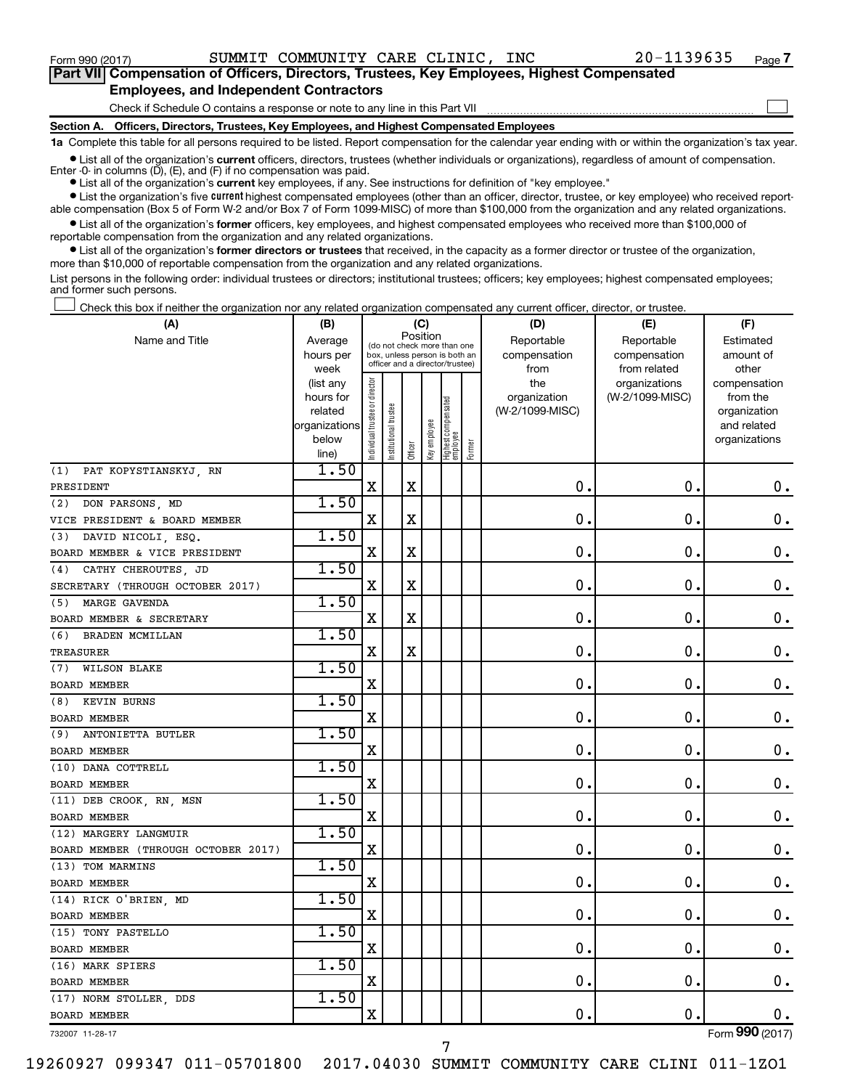$\Box$ 

| Part VII Compensation of Officers, Directors, Trustees, Key Employees, Highest Compensated |  |  |  |
|--------------------------------------------------------------------------------------------|--|--|--|
| <b>Employees, and Independent Contractors</b>                                              |  |  |  |

Check if Schedule O contains a response or note to any line in this Part VII

**Section A. Officers, Directors, Trustees, Key Employees, and Highest Compensated Employees**

**1a**  Complete this table for all persons required to be listed. Report compensation for the calendar year ending with or within the organization's tax year.

**•** List all of the organization's current officers, directors, trustees (whether individuals or organizations), regardless of amount of compensation. Enter -0- in columns  $(D)$ ,  $(E)$ , and  $(F)$  if no compensation was paid.

**•** List all of the organization's **current** key employees, if any. See instructions for definition of "key employee."

**•** List the organization's five current highest compensated employees (other than an officer, director, trustee, or key employee) who received reportable compensation (Box 5 of Form W-2 and/or Box 7 of Form 1099-MISC) of more than \$100,000 from the organization and any related organizations.

**•** List all of the organization's former officers, key employees, and highest compensated employees who received more than \$100,000 of reportable compensation from the organization and any related organizations.

**•** List all of the organization's former directors or trustees that received, in the capacity as a former director or trustee of the organization, more than \$10,000 of reportable compensation from the organization and any related organizations.

List persons in the following order: individual trustees or directors; institutional trustees; officers; key employees; highest compensated employees; and former such persons.

Check this box if neither the organization nor any related organization compensated any current officer, director, or trustee.  $\Box$ 

| (A)                                 | (B)               |                                |                                                                  | (C)         |              |                                 |        | (D)                  | (E)                          | (F)                |
|-------------------------------------|-------------------|--------------------------------|------------------------------------------------------------------|-------------|--------------|---------------------------------|--------|----------------------|------------------------------|--------------------|
| Name and Title                      | Average           |                                | (do not check more than one                                      | Position    |              |                                 |        | Reportable           | Reportable                   | Estimated          |
|                                     | hours per<br>week |                                | box, unless person is both an<br>officer and a director/trustee) |             |              |                                 |        | compensation<br>from | compensation<br>from related | amount of<br>other |
|                                     | (list any         |                                |                                                                  |             |              |                                 |        | the                  | organizations                | compensation       |
|                                     | hours for         |                                |                                                                  |             |              |                                 |        | organization         | (W-2/1099-MISC)              | from the           |
|                                     | related           |                                | trustee                                                          |             |              |                                 |        | (W-2/1099-MISC)      |                              | organization       |
|                                     | organizations     |                                |                                                                  |             |              |                                 |        |                      |                              | and related        |
|                                     | below             | Individual trustee or director | Institutional t                                                  | Officer     | Key employee | Highest compensated<br>employee | Former |                      |                              | organizations      |
| (1)<br>PAT KOPYSTIANSKYJ, RN        | line)<br>1.50     |                                |                                                                  |             |              |                                 |        |                      |                              |                    |
| PRESIDENT                           |                   | $\mathbf X$                    |                                                                  | $\mathbf X$ |              |                                 |        | 0.                   | $\mathbf 0$ .                | $\mathbf 0$ .      |
| (2)<br>DON PARSONS, MD              | 1.50              |                                |                                                                  |             |              |                                 |        |                      |                              |                    |
| VICE PRESIDENT & BOARD MEMBER       |                   | $\mathbf X$                    |                                                                  | X           |              |                                 |        | $\mathbf 0$ .        | $\mathbf 0$ .                | $\mathbf 0$ .      |
| (3) DAVID NICOLI, ESQ.              | 1.50              |                                |                                                                  |             |              |                                 |        |                      |                              |                    |
| BOARD MEMBER & VICE PRESIDENT       |                   | X                              |                                                                  | $\mathbf X$ |              |                                 |        | $\mathbf 0$ .        | $\mathbf 0$ .                | $\boldsymbol{0}$ . |
| (4) CATHY CHEROUTES, JD             | 1.50              |                                |                                                                  |             |              |                                 |        |                      |                              |                    |
| SECRETARY (THROUGH OCTOBER 2017)    |                   | $\mathbf X$                    |                                                                  | X           |              |                                 |        | $\mathbf 0$ .        | $\mathbf 0$ .                | $\boldsymbol{0}$ . |
| (5) MARGE GAVENDA                   | 1.50              |                                |                                                                  |             |              |                                 |        |                      |                              |                    |
| BOARD MEMBER & SECRETARY            |                   | X                              |                                                                  | X           |              |                                 |        | $\mathbf 0$ .        | $\mathbf 0$ .                | $\boldsymbol{0}$ . |
| (6) BRADEN MCMILLAN                 | 1.50              |                                |                                                                  |             |              |                                 |        |                      |                              |                    |
| TREASURER                           |                   | $\mathbf X$                    |                                                                  | X           |              |                                 |        | 0.                   | $\mathbf 0$ .                | $\mathbf 0$ .      |
| (7) WILSON BLAKE                    | 1.50              |                                |                                                                  |             |              |                                 |        |                      |                              |                    |
| <b>BOARD MEMBER</b>                 |                   | $\mathbf X$                    |                                                                  |             |              |                                 |        | $\mathbf 0$ .        | $\mathbf 0$ .                | $\mathbf 0$ .      |
| (8) KEVIN BURNS                     | 1.50              |                                |                                                                  |             |              |                                 |        |                      |                              |                    |
| <b>BOARD MEMBER</b>                 |                   | X                              |                                                                  |             |              |                                 |        | $\mathbf 0$ .        | $\mathbf 0$ .                | $\mathbf 0$ .      |
| (9) ANTONIETTA BUTLER               | 1.50              |                                |                                                                  |             |              |                                 |        |                      |                              |                    |
| <b>BOARD MEMBER</b>                 |                   | X                              |                                                                  |             |              |                                 |        | 0.                   | 0.                           | 0.                 |
| (10) DANA COTTRELL                  | 1.50              |                                |                                                                  |             |              |                                 |        |                      |                              |                    |
| <b>BOARD MEMBER</b>                 |                   | X                              |                                                                  |             |              |                                 |        | 0                    | $\mathbf 0$                  | 0.                 |
| (11) DEB CROOK, RN, MSN             | 1.50              |                                |                                                                  |             |              |                                 |        |                      |                              |                    |
| <b>BOARD MEMBER</b>                 |                   | $\mathbf X$                    |                                                                  |             |              |                                 |        | $\mathbf 0$ .        | 0.                           | $\mathbf 0$ .      |
| (12) MARGERY LANGMUIR               | 1.50              |                                |                                                                  |             |              |                                 |        |                      |                              |                    |
| BOARD MEMBER (THROUGH OCTOBER 2017) |                   | $\mathbf X$                    |                                                                  |             |              |                                 |        | $\mathbf 0$ .        | $\mathbf 0$ .                | $\mathbf 0$ .      |
| (13) TOM MARMINS                    | 1.50              |                                |                                                                  |             |              |                                 |        |                      |                              |                    |
| <b>BOARD MEMBER</b>                 |                   | $\mathbf X$                    |                                                                  |             |              |                                 |        | $\mathbf 0$ .        | $\mathbf 0$ .                | $\mathbf 0$ .      |
| (14) RICK O'BRIEN, MD               | 1.50              |                                |                                                                  |             |              |                                 |        |                      |                              |                    |
| <b>BOARD MEMBER</b>                 |                   | X                              |                                                                  |             |              |                                 |        | $\mathbf 0$ .        | О.                           | $0$ .              |
| (15) TONY PASTELLO                  | 1.50              |                                |                                                                  |             |              |                                 |        |                      |                              |                    |
| <b>BOARD MEMBER</b>                 |                   | $\overline{\mathbf{X}}$        |                                                                  |             |              |                                 |        | 0.                   | О.                           | $\mathbf 0$ .      |
| (16) MARK SPIERS                    | 1.50              |                                |                                                                  |             |              |                                 |        |                      |                              |                    |
| <b>BOARD MEMBER</b>                 |                   | $\mathbf X$                    |                                                                  |             |              |                                 |        | 0.                   | $\mathbf 0$ .                | $0$ .              |
| (17) NORM STOLLER, DDS              | 1.50              |                                |                                                                  |             |              |                                 |        |                      |                              |                    |
| <b>BOARD MEMBER</b>                 |                   | X                              |                                                                  |             |              |                                 |        | 0.                   | О.                           | 0.                 |

732007 11-28-17

19260927 099347 011-05701800 2017.04030 SUMMIT COMMUNITY CARE CLINI 011-1ZO1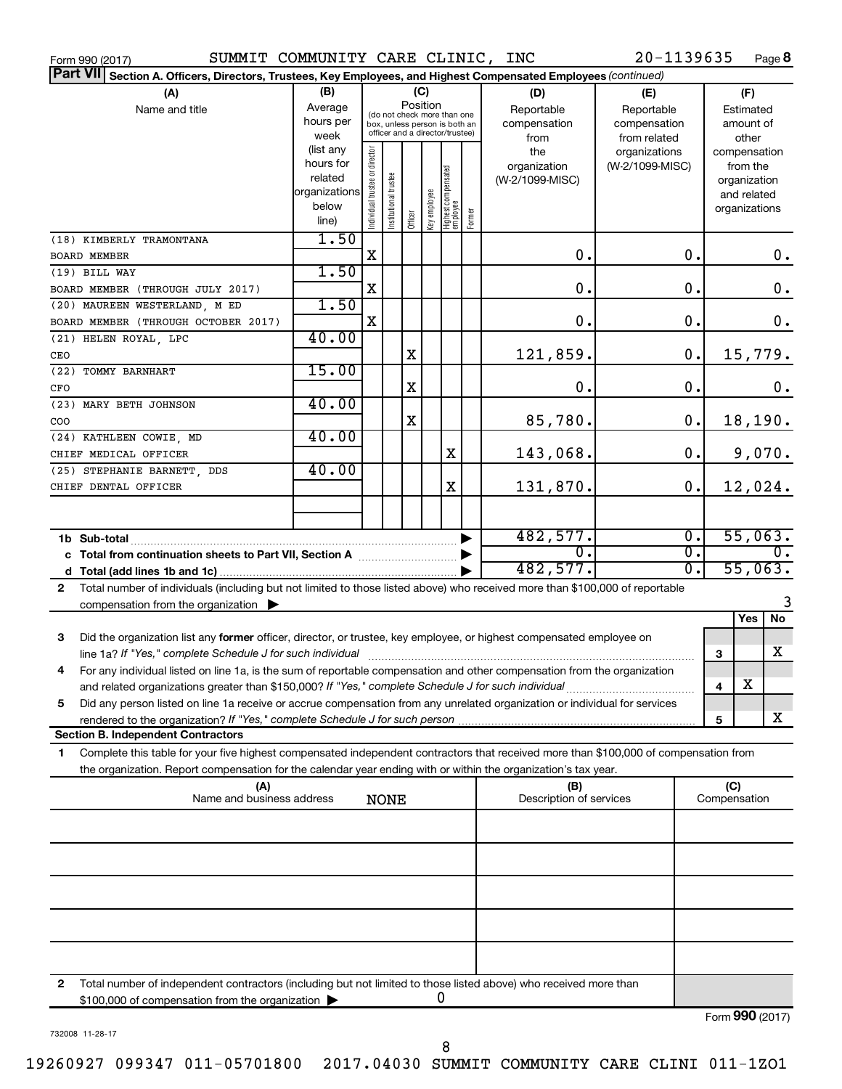| SUMMIT COMMUNITY CARE CLINIC, INC<br>Form 990 (2017)                                                                                                                                                                                                                                                                             |                      |                                |                                 |         |              |                                 |        |                         | 20-1139635      |                  |              | Page 8                       |
|----------------------------------------------------------------------------------------------------------------------------------------------------------------------------------------------------------------------------------------------------------------------------------------------------------------------------------|----------------------|--------------------------------|---------------------------------|---------|--------------|---------------------------------|--------|-------------------------|-----------------|------------------|--------------|------------------------------|
| Part VII Section A. Officers, Directors, Trustees, Key Employees, and Highest Compensated Employees (continued)                                                                                                                                                                                                                  |                      |                                |                                 |         |              |                                 |        |                         |                 |                  |              |                              |
| (A)                                                                                                                                                                                                                                                                                                                              | (B)                  |                                |                                 |         | (C)          |                                 |        | (D)                     | (E)             |                  |              | (F)                          |
| Name and title                                                                                                                                                                                                                                                                                                                   | Average              |                                | (do not check more than one     |         | Position     |                                 |        | Reportable              | Reportable      |                  |              | Estimated                    |
|                                                                                                                                                                                                                                                                                                                                  | hours per            |                                | box, unless person is both an   |         |              |                                 |        | compensation            | compensation    |                  |              | amount of                    |
|                                                                                                                                                                                                                                                                                                                                  | week                 |                                | officer and a director/trustee) |         |              |                                 |        | from                    | from related    |                  |              | other                        |
|                                                                                                                                                                                                                                                                                                                                  | (list any            |                                |                                 |         |              |                                 |        | the                     | organizations   |                  |              | compensation                 |
|                                                                                                                                                                                                                                                                                                                                  | hours for<br>related |                                |                                 |         |              |                                 |        | organization            | (W-2/1099-MISC) |                  |              | from the                     |
|                                                                                                                                                                                                                                                                                                                                  | organizations        |                                |                                 |         |              |                                 |        | (W-2/1099-MISC)         |                 |                  |              | organization<br>and related  |
|                                                                                                                                                                                                                                                                                                                                  | below                |                                |                                 |         |              |                                 |        |                         |                 |                  |              | organizations                |
|                                                                                                                                                                                                                                                                                                                                  | line)                | Individual trustee or director | Institutional trustee           | Officer | key employee | Highest compensated<br>employee | Former |                         |                 |                  |              |                              |
| (18) KIMBERLY TRAMONTANA                                                                                                                                                                                                                                                                                                         | 1.50                 |                                |                                 |         |              |                                 |        |                         |                 |                  |              |                              |
| <b>BOARD MEMBER</b>                                                                                                                                                                                                                                                                                                              |                      | X                              |                                 |         |              |                                 |        | 0.                      |                 | 0.               |              | 0.                           |
| (19) BILL WAY                                                                                                                                                                                                                                                                                                                    | 1.50                 |                                |                                 |         |              |                                 |        |                         |                 |                  |              |                              |
| BOARD MEMBER (THROUGH JULY 2017)                                                                                                                                                                                                                                                                                                 |                      | X                              |                                 |         |              |                                 |        | 0.                      |                 | 0.               |              | 0.                           |
| (20) MAUREEN WESTERLAND, M ED                                                                                                                                                                                                                                                                                                    | 1.50                 |                                |                                 |         |              |                                 |        |                         |                 |                  |              |                              |
| BOARD MEMBER (THROUGH OCTOBER 2017)                                                                                                                                                                                                                                                                                              |                      | X                              |                                 |         |              |                                 |        | 0.                      |                 | $\mathbf 0$ .    |              | 0.                           |
| (21) HELEN ROYAL, LPC                                                                                                                                                                                                                                                                                                            | 40.00                |                                |                                 |         |              |                                 |        |                         |                 |                  |              |                              |
| CEO<br>(22) TOMMY BARNHART                                                                                                                                                                                                                                                                                                       | 15.00                |                                |                                 | X       |              |                                 |        | 121,859.                |                 | 0.               |              | 15,779.                      |
| CFO                                                                                                                                                                                                                                                                                                                              |                      |                                |                                 | X       |              |                                 |        | 0.                      |                 | $\mathbf 0$ .    |              | 0.                           |
| (23) MARY BETH JOHNSON                                                                                                                                                                                                                                                                                                           | 40.00                |                                |                                 |         |              |                                 |        |                         |                 |                  |              |                              |
| COO                                                                                                                                                                                                                                                                                                                              |                      |                                |                                 | X       |              |                                 |        | 85,780.                 |                 | 0.               |              | 18,190.                      |
| (24) KATHLEEN COWIE, MD                                                                                                                                                                                                                                                                                                          | 40.00                |                                |                                 |         |              |                                 |        |                         |                 |                  |              |                              |
| CHIEF MEDICAL OFFICER                                                                                                                                                                                                                                                                                                            |                      |                                |                                 |         |              | X                               |        | 143,068.                |                 | 0.               |              | 9,070.                       |
| (25) STEPHANIE BARNETT, DDS                                                                                                                                                                                                                                                                                                      | 40.00                |                                |                                 |         |              |                                 |        |                         |                 |                  |              |                              |
| CHIEF DENTAL OFFICER                                                                                                                                                                                                                                                                                                             |                      |                                |                                 |         |              | X                               |        | 131,870.                |                 | 0.               |              | 12,024.                      |
|                                                                                                                                                                                                                                                                                                                                  |                      |                                |                                 |         |              |                                 |        |                         |                 |                  |              |                              |
| 1b Sub-total                                                                                                                                                                                                                                                                                                                     |                      |                                |                                 |         |              |                                 |        | 482,577.                |                 | $\overline{0}$ . |              | 55,063.                      |
|                                                                                                                                                                                                                                                                                                                                  |                      |                                |                                 |         |              |                                 |        | $\overline{0}$ .        |                 | $\overline{0}$ . |              | 0.                           |
| d                                                                                                                                                                                                                                                                                                                                |                      |                                |                                 |         |              |                                 |        | 482,577.                |                 | σ.               |              | 55,063.                      |
| Total number of individuals (including but not limited to those listed above) who received more than \$100,000 of reportable<br>$\mathbf{2}$                                                                                                                                                                                     |                      |                                |                                 |         |              |                                 |        |                         |                 |                  |              |                              |
| compensation from the organization $\blacktriangleright$                                                                                                                                                                                                                                                                         |                      |                                |                                 |         |              |                                 |        |                         |                 |                  |              | 3                            |
|                                                                                                                                                                                                                                                                                                                                  |                      |                                |                                 |         |              |                                 |        |                         |                 |                  |              | $\overline{N}$<br><b>Yes</b> |
| Did the organization list any former officer, director, or trustee, key employee, or highest compensated employee on<br>3                                                                                                                                                                                                        |                      |                                |                                 |         |              |                                 |        |                         |                 |                  |              |                              |
|                                                                                                                                                                                                                                                                                                                                  |                      |                                |                                 |         |              |                                 |        |                         |                 |                  | 3            | x                            |
| 4<br>For any individual listed on line 1a, is the sum of reportable compensation and other compensation from the organization                                                                                                                                                                                                    |                      |                                |                                 |         |              |                                 |        |                         |                 |                  |              |                              |
| and related organizations greater than \$150,000? If "Yes," complete Schedule J for such individual                                                                                                                                                                                                                              |                      |                                |                                 |         |              |                                 |        |                         |                 |                  | 4            | х                            |
| Did any person listed on line 1a receive or accrue compensation from any unrelated organization or individual for services<br>5<br>rendered to the organization? If "Yes," complete Schedule J for such person manufactured to the organization? If "Yes," complete Schedule J for such person manufactured to the organization? |                      |                                |                                 |         |              |                                 |        |                         |                 |                  | 5            | x                            |
| <b>Section B. Independent Contractors</b>                                                                                                                                                                                                                                                                                        |                      |                                |                                 |         |              |                                 |        |                         |                 |                  |              |                              |
| Complete this table for your five highest compensated independent contractors that received more than \$100,000 of compensation from<br>1                                                                                                                                                                                        |                      |                                |                                 |         |              |                                 |        |                         |                 |                  |              |                              |
| the organization. Report compensation for the calendar year ending with or within the organization's tax year.                                                                                                                                                                                                                   |                      |                                |                                 |         |              |                                 |        |                         |                 |                  |              |                              |
| (A)                                                                                                                                                                                                                                                                                                                              |                      |                                |                                 |         |              |                                 |        | (B)                     |                 |                  | (C)          |                              |
| Name and business address                                                                                                                                                                                                                                                                                                        |                      |                                | <b>NONE</b>                     |         |              |                                 |        | Description of services |                 |                  | Compensation |                              |
|                                                                                                                                                                                                                                                                                                                                  |                      |                                |                                 |         |              |                                 |        |                         |                 |                  |              |                              |
|                                                                                                                                                                                                                                                                                                                                  |                      |                                |                                 |         |              |                                 |        |                         |                 |                  |              |                              |
|                                                                                                                                                                                                                                                                                                                                  |                      |                                |                                 |         |              |                                 |        |                         |                 |                  |              |                              |
|                                                                                                                                                                                                                                                                                                                                  |                      |                                |                                 |         |              |                                 |        |                         |                 |                  |              |                              |
|                                                                                                                                                                                                                                                                                                                                  |                      |                                |                                 |         |              |                                 |        |                         |                 |                  |              |                              |
|                                                                                                                                                                                                                                                                                                                                  |                      |                                |                                 |         |              |                                 |        |                         |                 |                  |              |                              |
|                                                                                                                                                                                                                                                                                                                                  |                      |                                |                                 |         |              |                                 |        |                         |                 |                  |              |                              |
|                                                                                                                                                                                                                                                                                                                                  |                      |                                |                                 |         |              |                                 |        |                         |                 |                  |              |                              |
| Total number of independent contractors (including but not limited to those listed above) who received more than<br>2<br>\$100,000 of compensation from the organization                                                                                                                                                         |                      |                                |                                 |         |              | U                               |        |                         |                 |                  |              |                              |

732008 11-28-17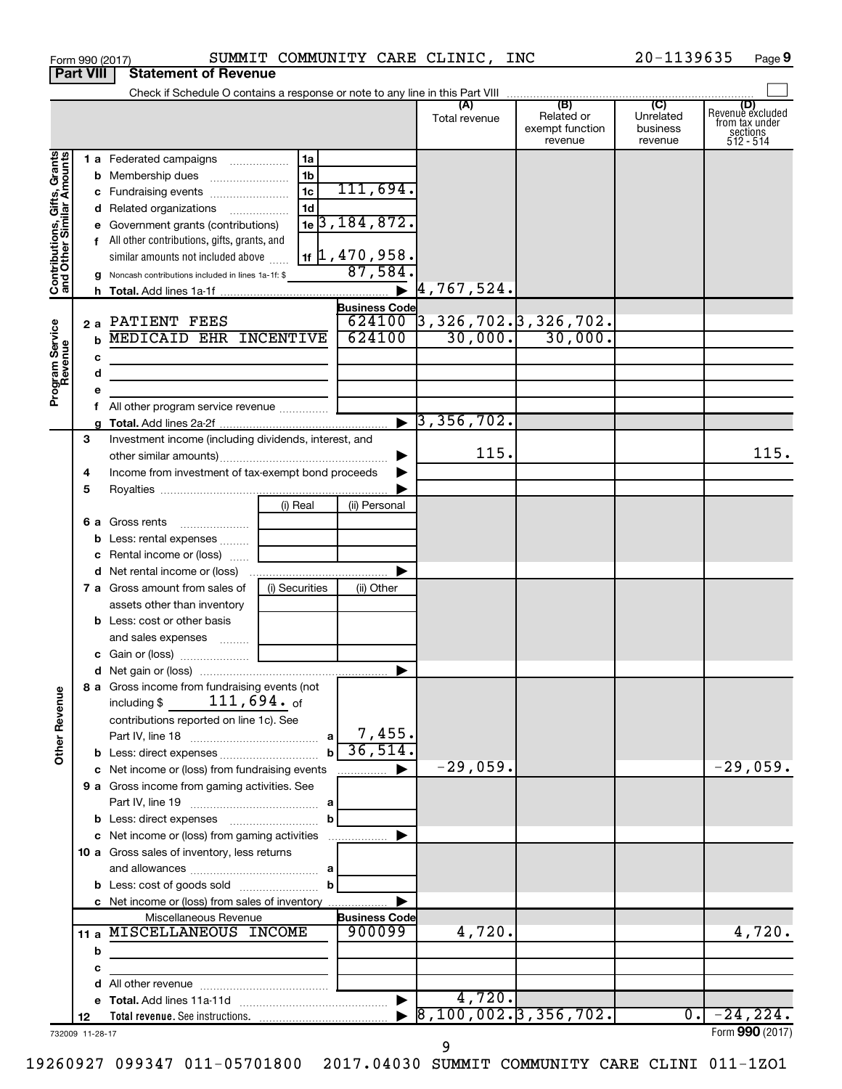| <b>Part VIII</b>                                                                        |        |                       | <b>Statement of Revenue</b>                                                                                                                                                                                                                                                                                                                                                                                                                                       |                                                          |                                                                                                                       |                                                                                              |                                                 |                                         |                                                                    |
|-----------------------------------------------------------------------------------------|--------|-----------------------|-------------------------------------------------------------------------------------------------------------------------------------------------------------------------------------------------------------------------------------------------------------------------------------------------------------------------------------------------------------------------------------------------------------------------------------------------------------------|----------------------------------------------------------|-----------------------------------------------------------------------------------------------------------------------|----------------------------------------------------------------------------------------------|-------------------------------------------------|-----------------------------------------|--------------------------------------------------------------------|
|                                                                                         |        |                       |                                                                                                                                                                                                                                                                                                                                                                                                                                                                   |                                                          |                                                                                                                       |                                                                                              |                                                 |                                         |                                                                    |
|                                                                                         |        |                       |                                                                                                                                                                                                                                                                                                                                                                                                                                                                   |                                                          |                                                                                                                       | (A)<br>Total revenue                                                                         | (B)<br>Related or<br>exempt function<br>revenue | (C)<br>Unrelated<br>business<br>revenue | (D)<br>Revenue excluded<br>from tax under<br>sections<br>512 - 514 |
| Contributions, Gifts, Grants<br>and Other Similar Amounts<br>Program Service<br>Revenue |        | $\mathbf b$<br>с<br>d | 1 a Federated campaigns<br>c Fundraising events<br>d Related organizations<br>e Government grants (contributions)<br>f All other contributions, gifts, grants, and<br>similar amounts not included above<br>g Noncash contributions included in lines 1a-1f: \$<br>2 a PATIENT FEES<br><b>MEDICAID EHR INCENTIVE</b><br>the control of the control of the control of the control of<br>the control of the control of the control of the control of the control of | 1a<br>1 <sub>b</sub><br>1 <sub>c</sub><br>1 <sub>d</sub> | 111,694.<br>$1e$ 3, 184, 872.<br>1f 1, 470, 958.<br>87,584<br>$\blacktriangleright$<br><b>Business Code</b><br>624100 | 4, 767, 524.<br>$624100$ 3, 326, 702. 3, 326, 702.<br>30,000.<br>$\triangleright$ 3,356,702. | 30,000.                                         |                                         |                                                                    |
|                                                                                         | 3      |                       | Investment income (including dividends, interest, and                                                                                                                                                                                                                                                                                                                                                                                                             |                                                          |                                                                                                                       |                                                                                              |                                                 |                                         |                                                                    |
|                                                                                         | 4<br>5 |                       | Income from investment of tax-exempt bond proceeds                                                                                                                                                                                                                                                                                                                                                                                                                |                                                          |                                                                                                                       | 115.                                                                                         |                                                 |                                         | 115.                                                               |
|                                                                                         |        | b                     | 6 a Gross rents<br>Less: rental expenses<br>c Rental income or (loss)                                                                                                                                                                                                                                                                                                                                                                                             | (i) Real                                                 | (ii) Personal                                                                                                         |                                                                                              |                                                 |                                         |                                                                    |
|                                                                                         |        |                       | <b>7 a</b> Gross amount from sales of<br>assets other than inventory<br><b>b</b> Less: cost or other basis                                                                                                                                                                                                                                                                                                                                                        | (i) Securities                                           | ▶<br>(ii) Other                                                                                                       |                                                                                              |                                                 |                                         |                                                                    |
|                                                                                         |        |                       | and sales expenses<br>8 a Gross income from fundraising events (not                                                                                                                                                                                                                                                                                                                                                                                               |                                                          | ▶                                                                                                                     |                                                                                              |                                                 |                                         |                                                                    |
| <b>Other Revenue</b>                                                                    |        |                       | $111$ ,694. $_{\rm of}$<br>including \$<br>contributions reported on line 1c). See                                                                                                                                                                                                                                                                                                                                                                                |                                                          | 7,455.<br>36,514.                                                                                                     |                                                                                              |                                                 |                                         |                                                                    |
|                                                                                         |        |                       | c Net income or (loss) from fundraising events<br>9 a Gross income from gaming activities. See                                                                                                                                                                                                                                                                                                                                                                    |                                                          |                                                                                                                       | $-29,059.$                                                                                   |                                                 |                                         | $-29,059.$                                                         |
|                                                                                         |        |                       | c Net income or (loss) from gaming activities<br>10 a Gross sales of inventory, less returns                                                                                                                                                                                                                                                                                                                                                                      | b<br>b                                                   |                                                                                                                       |                                                                                              |                                                 |                                         |                                                                    |
|                                                                                         | 11 a   | b                     | c Net income or (loss) from sales of inventory<br>Miscellaneous Revenue<br>MISCELLANEOUS INCOME                                                                                                                                                                                                                                                                                                                                                                   |                                                          | <b>Business Code</b><br>900099                                                                                        | 4,720.                                                                                       |                                                 |                                         | 4,720.                                                             |
|                                                                                         |        | с                     | the control of the control of the control of the control of the control of                                                                                                                                                                                                                                                                                                                                                                                        |                                                          | $\blacktriangleright$                                                                                                 | 4,720.                                                                                       |                                                 |                                         |                                                                    |
|                                                                                         | 12     |                       |                                                                                                                                                                                                                                                                                                                                                                                                                                                                   |                                                          |                                                                                                                       | $8, 100, 002.$ 3, 356, 702.                                                                  |                                                 | $\overline{0}$ .                        | $-24, 224.$<br>$Form$ 990 (2017)                                   |

Form 990 (2017) SUMMIT COMMUNITY CARE CLINIC, INC 20-1139635 Page

732009 11-28-17

Form (2017) **990**

**9**

19260927 099347 011-05701800 2017.04030 SUMMIT COMMUNITY CARE CLINI 011-1ZO1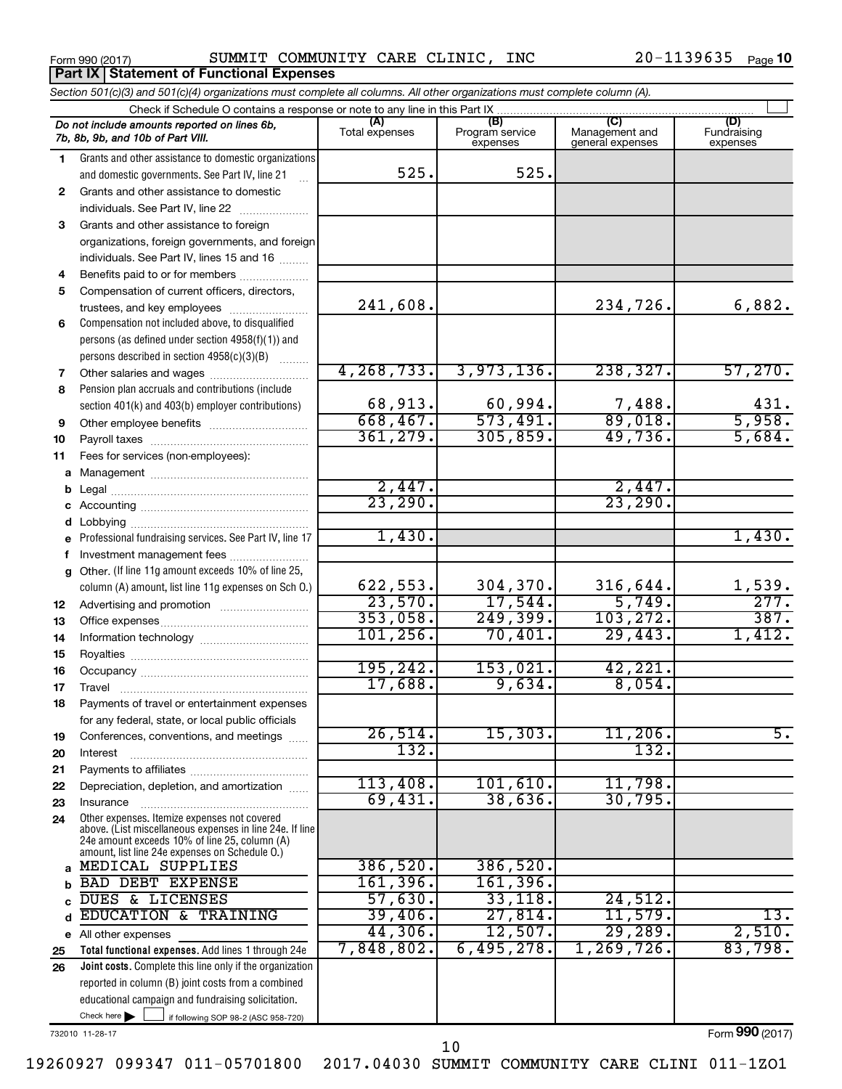**Part IX Statement of Functional Expenses**

Form 990 (2017)  $\,$  SUMMIT COMMUNITY CARE CLINIC, INC  $\,$  20-1139635  $\,$  Page

| Section 501(c)(3) and 501(c)(4) organizations must complete all columns. All other organizations must complete column (A). |                                                                                                                                                                                                             |                        |                                    |                                           |                                |  |  |  |  |  |
|----------------------------------------------------------------------------------------------------------------------------|-------------------------------------------------------------------------------------------------------------------------------------------------------------------------------------------------------------|------------------------|------------------------------------|-------------------------------------------|--------------------------------|--|--|--|--|--|
|                                                                                                                            | Check if Schedule O contains a response or note to any line in this Part IX                                                                                                                                 |                        |                                    |                                           |                                |  |  |  |  |  |
|                                                                                                                            | Do not include amounts reported on lines 6b,<br>7b, 8b, 9b, and 10b of Part VIII.                                                                                                                           | (A)<br>Total expenses  | (B)<br>Program service<br>expenses | (C)<br>Management and<br>general expenses | (D)<br>Fundraising<br>expenses |  |  |  |  |  |
| 1.                                                                                                                         | Grants and other assistance to domestic organizations                                                                                                                                                       |                        |                                    |                                           |                                |  |  |  |  |  |
|                                                                                                                            | and domestic governments. See Part IV, line 21                                                                                                                                                              | 525.                   | 525.                               |                                           |                                |  |  |  |  |  |
| 2                                                                                                                          | Grants and other assistance to domestic                                                                                                                                                                     |                        |                                    |                                           |                                |  |  |  |  |  |
|                                                                                                                            | individuals. See Part IV, line 22                                                                                                                                                                           |                        |                                    |                                           |                                |  |  |  |  |  |
| 3                                                                                                                          | Grants and other assistance to foreign                                                                                                                                                                      |                        |                                    |                                           |                                |  |  |  |  |  |
|                                                                                                                            | organizations, foreign governments, and foreign                                                                                                                                                             |                        |                                    |                                           |                                |  |  |  |  |  |
|                                                                                                                            | individuals. See Part IV, lines 15 and 16                                                                                                                                                                   |                        |                                    |                                           |                                |  |  |  |  |  |
| 4                                                                                                                          | Benefits paid to or for members                                                                                                                                                                             |                        |                                    |                                           |                                |  |  |  |  |  |
| 5                                                                                                                          | Compensation of current officers, directors,                                                                                                                                                                |                        |                                    |                                           |                                |  |  |  |  |  |
|                                                                                                                            | trustees, and key employees                                                                                                                                                                                 | 241,608.               |                                    | 234,726.                                  | 6,882.                         |  |  |  |  |  |
| 6                                                                                                                          | Compensation not included above, to disqualified                                                                                                                                                            |                        |                                    |                                           |                                |  |  |  |  |  |
|                                                                                                                            | persons (as defined under section 4958(f)(1)) and                                                                                                                                                           |                        |                                    |                                           |                                |  |  |  |  |  |
|                                                                                                                            | persons described in section 4958(c)(3)(B)                                                                                                                                                                  |                        |                                    |                                           |                                |  |  |  |  |  |
| 7                                                                                                                          |                                                                                                                                                                                                             | 4, 268, 733.           | 3,973,136.                         | 238, 327.                                 | 57,270.                        |  |  |  |  |  |
| 8                                                                                                                          | Pension plan accruals and contributions (include                                                                                                                                                            | 68,913.                |                                    |                                           |                                |  |  |  |  |  |
|                                                                                                                            | section 401(k) and 403(b) employer contributions)                                                                                                                                                           | 668,467.               | $\frac{60,994}{573,491}$           | $\frac{7,488}{89,018}$                    | $\frac{431}{5,958}$            |  |  |  |  |  |
| 9                                                                                                                          |                                                                                                                                                                                                             | 361, 279.              | 305, 859.                          | 49,736.                                   | 5,684.                         |  |  |  |  |  |
| 10                                                                                                                         |                                                                                                                                                                                                             |                        |                                    |                                           |                                |  |  |  |  |  |
| 11                                                                                                                         | Fees for services (non-employees):                                                                                                                                                                          |                        |                                    |                                           |                                |  |  |  |  |  |
| a                                                                                                                          |                                                                                                                                                                                                             |                        |                                    | 2,447.                                    |                                |  |  |  |  |  |
| b                                                                                                                          |                                                                                                                                                                                                             | $\frac{2,447}{23,290}$ |                                    | 23,290.                                   |                                |  |  |  |  |  |
|                                                                                                                            |                                                                                                                                                                                                             |                        |                                    |                                           |                                |  |  |  |  |  |
| d                                                                                                                          | Professional fundraising services. See Part IV, line 17                                                                                                                                                     | 1,430.                 |                                    |                                           | 1,430.                         |  |  |  |  |  |
| f                                                                                                                          | Investment management fees                                                                                                                                                                                  |                        |                                    |                                           |                                |  |  |  |  |  |
| g                                                                                                                          | Other. (If line 11g amount exceeds 10% of line 25,                                                                                                                                                          |                        |                                    |                                           |                                |  |  |  |  |  |
|                                                                                                                            | column (A) amount, list line 11g expenses on Sch O.)                                                                                                                                                        | 622,553.               | 304,370.                           | 316,644.                                  | 1,539.                         |  |  |  |  |  |
| 12                                                                                                                         |                                                                                                                                                                                                             | 23,570.                | 17,544.                            | 5,749.                                    | 277.                           |  |  |  |  |  |
| 13                                                                                                                         |                                                                                                                                                                                                             | 353,058.               | 249,399.                           | 103, 272.                                 | 387.                           |  |  |  |  |  |
| 14                                                                                                                         |                                                                                                                                                                                                             | 101, 256.              | 70,401.                            | 29,443.                                   | 1,412.                         |  |  |  |  |  |
| 15                                                                                                                         |                                                                                                                                                                                                             |                        |                                    |                                           |                                |  |  |  |  |  |
| 16                                                                                                                         |                                                                                                                                                                                                             | 195, 242.              | 153,021.                           | 42,221                                    |                                |  |  |  |  |  |
| 17                                                                                                                         |                                                                                                                                                                                                             | 17,688.                | 9,634.                             | 8,054.                                    |                                |  |  |  |  |  |
| 18                                                                                                                         | Payments of travel or entertainment expenses                                                                                                                                                                |                        |                                    |                                           |                                |  |  |  |  |  |
|                                                                                                                            | for any federal, state, or local public officials                                                                                                                                                           |                        |                                    |                                           |                                |  |  |  |  |  |
| 19                                                                                                                         | Conferences, conventions, and meetings                                                                                                                                                                      | 26,514.                | 15,303.                            | $11,206$ .                                | 5.                             |  |  |  |  |  |
| 20                                                                                                                         | Interest                                                                                                                                                                                                    | 132.                   |                                    | 132.                                      |                                |  |  |  |  |  |
| 21                                                                                                                         |                                                                                                                                                                                                             |                        |                                    |                                           |                                |  |  |  |  |  |
| 22                                                                                                                         | Depreciation, depletion, and amortization                                                                                                                                                                   | 113,408.               | 101,610.                           | 11,798.                                   |                                |  |  |  |  |  |
| 23                                                                                                                         | Insurance                                                                                                                                                                                                   | 69,431.                | 38,636.                            | 30,795.                                   |                                |  |  |  |  |  |
| 24                                                                                                                         | Other expenses. Itemize expenses not covered<br>above. (List miscellaneous expenses in line 24e. If line<br>24e amount exceeds 10% of line 25, column (A)<br>amount, list line 24e expenses on Schedule O.) |                        |                                    |                                           |                                |  |  |  |  |  |
| a                                                                                                                          | MEDICAL SUPPLIES                                                                                                                                                                                            | 386, 520.              | 386,520.                           |                                           |                                |  |  |  |  |  |
| b                                                                                                                          | <b>BAD DEBT EXPENSE</b>                                                                                                                                                                                     | 161, 396.              | 161, 396.                          |                                           |                                |  |  |  |  |  |
| C                                                                                                                          | DUES & LICENSES                                                                                                                                                                                             | 57,630.                | 33,118.                            | 24,512.                                   |                                |  |  |  |  |  |
| d                                                                                                                          | <b>EDUCATION &amp; TRAINING</b>                                                                                                                                                                             | 39,406.                | 27,814.                            | 11,579.                                   | 13.                            |  |  |  |  |  |
|                                                                                                                            | e All other expenses                                                                                                                                                                                        | 44,306.                | 12,507.                            | 29, 289.                                  | 2,510.                         |  |  |  |  |  |
| 25                                                                                                                         | Total functional expenses. Add lines 1 through 24e                                                                                                                                                          | 7,848,802.             | 6,495,278.                         | 1, 269, 726.                              | 83,798.                        |  |  |  |  |  |
| 26                                                                                                                         | Joint costs. Complete this line only if the organization                                                                                                                                                    |                        |                                    |                                           |                                |  |  |  |  |  |
|                                                                                                                            | reported in column (B) joint costs from a combined                                                                                                                                                          |                        |                                    |                                           |                                |  |  |  |  |  |
|                                                                                                                            | educational campaign and fundraising solicitation.                                                                                                                                                          |                        |                                    |                                           |                                |  |  |  |  |  |
|                                                                                                                            | Check here $\blacktriangleright$<br>if following SOP 98-2 (ASC 958-720)                                                                                                                                     |                        |                                    |                                           |                                |  |  |  |  |  |

732010 11-28-17

Form (2017) **990**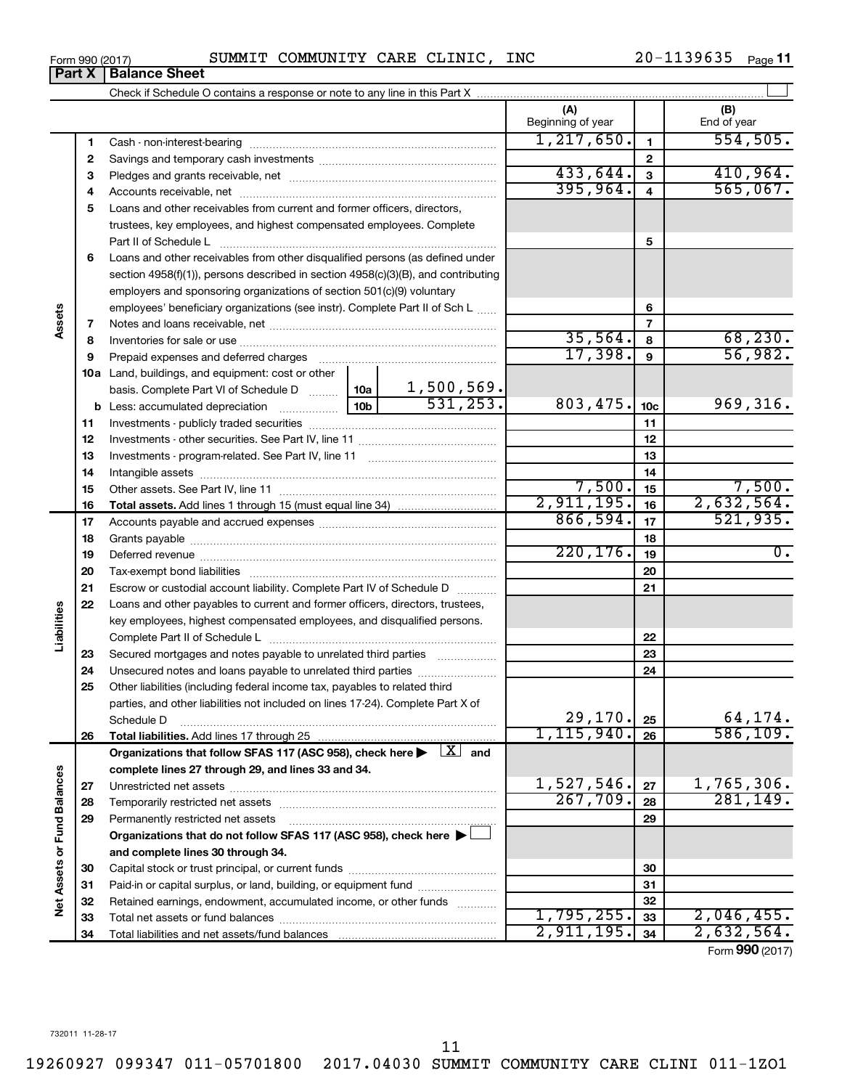**Part X Balance Sheet**

| Form 990 (2017) |  | SUMMIT COMMUNITY CARE CLINIC, |  |  | INC | 20-1139635 | Page 11 |  |
|-----------------|--|-------------------------------|--|--|-----|------------|---------|--|
|-----------------|--|-------------------------------|--|--|-----|------------|---------|--|

|                             |    |                                                                                                                                                                                                                                |                 |            | (A)<br>Beginning of year |                         | (B)<br>End of year |
|-----------------------------|----|--------------------------------------------------------------------------------------------------------------------------------------------------------------------------------------------------------------------------------|-----------------|------------|--------------------------|-------------------------|--------------------|
|                             | 1  |                                                                                                                                                                                                                                |                 |            | 1, 217, 650.             | $\mathbf{1}$            | 554,505.           |
|                             | 2  |                                                                                                                                                                                                                                |                 |            |                          | $\overline{2}$          |                    |
|                             | 3  |                                                                                                                                                                                                                                |                 |            | 433,644.                 | $\overline{\mathbf{3}}$ | 410,964.           |
|                             | 4  |                                                                                                                                                                                                                                |                 |            | 395,964.                 | 4                       | 565,067.           |
|                             | 5  | Loans and other receivables from current and former officers, directors,                                                                                                                                                       |                 |            |                          |                         |                    |
|                             |    | trustees, key employees, and highest compensated employees. Complete                                                                                                                                                           |                 |            |                          |                         |                    |
|                             |    | Part II of Schedule Latin minimum and all the Schedule Latin minimum and all the Marian minimum and the Schedule                                                                                                               |                 |            |                          | 5                       |                    |
|                             | 6  | Loans and other receivables from other disqualified persons (as defined under                                                                                                                                                  |                 |            |                          |                         |                    |
|                             |    | section 4958(f)(1)), persons described in section 4958(c)(3)(B), and contributing                                                                                                                                              |                 |            |                          |                         |                    |
|                             |    | employers and sponsoring organizations of section 501(c)(9) voluntary                                                                                                                                                          |                 |            |                          |                         |                    |
|                             |    | employees' beneficiary organizations (see instr). Complete Part II of Sch L                                                                                                                                                    |                 |            |                          | 6                       |                    |
| Assets                      | 7  |                                                                                                                                                                                                                                |                 |            |                          | 7                       |                    |
|                             | 8  |                                                                                                                                                                                                                                |                 |            | 35,564.                  | 8                       | 68, 230.           |
|                             | 9  | Prepaid expenses and deferred charges                                                                                                                                                                                          |                 |            | 17,398.                  | 9                       | 56,982.            |
|                             |    | <b>10a</b> Land, buildings, and equipment: cost or other                                                                                                                                                                       |                 |            |                          |                         |                    |
|                             |    | basis. Complete Part VI of Schedule D  10a                                                                                                                                                                                     |                 | 1,500,569. |                          |                         |                    |
|                             |    | <b>b</b> Less: accumulated depreciation <i>mimimimining</i>                                                                                                                                                                    | 10 <sub>b</sub> | 531,253.   | 803,475.                 | 10 <sub>c</sub>         | 969, 316.          |
|                             | 11 |                                                                                                                                                                                                                                |                 |            | 11                       |                         |                    |
|                             | 12 |                                                                                                                                                                                                                                |                 |            | 12                       |                         |                    |
|                             | 13 |                                                                                                                                                                                                                                |                 |            | 13                       |                         |                    |
|                             | 14 |                                                                                                                                                                                                                                |                 |            | 14                       |                         |                    |
|                             | 15 |                                                                                                                                                                                                                                |                 | 7,500.     | 15                       | 7,500.                  |                    |
|                             | 16 |                                                                                                                                                                                                                                |                 |            | 2,911,195.               | 16                      | 2,632,564.         |
|                             | 17 |                                                                                                                                                                                                                                |                 | 866,594.   | 17                       | 521,935.                |                    |
|                             | 18 |                                                                                                                                                                                                                                |                 | 18         |                          |                         |                    |
|                             | 19 | Deferred revenue manual contracts and contracts are all the contracts and contracts are contracted and contracts are contracted and contract are contracted and contract are contracted and contract are contracted and contra |                 |            | 220, 176.                | 19                      | $\overline{0}$ .   |
|                             | 20 |                                                                                                                                                                                                                                |                 |            |                          | 20                      |                    |
|                             | 21 | Escrow or custodial account liability. Complete Part IV of Schedule D                                                                                                                                                          |                 |            |                          | 21                      |                    |
|                             | 22 | Loans and other payables to current and former officers, directors, trustees,                                                                                                                                                  |                 |            |                          |                         |                    |
| Liabilities                 |    | key employees, highest compensated employees, and disqualified persons.                                                                                                                                                        |                 |            |                          |                         |                    |
|                             |    |                                                                                                                                                                                                                                |                 |            |                          | 22                      |                    |
|                             | 23 | Secured mortgages and notes payable to unrelated third parties                                                                                                                                                                 |                 |            |                          | 23                      |                    |
|                             | 24 | Unsecured notes and loans payable to unrelated third parties                                                                                                                                                                   |                 |            |                          | 24                      |                    |
|                             | 25 | Other liabilities (including federal income tax, payables to related third                                                                                                                                                     |                 |            |                          |                         |                    |
|                             |    | parties, and other liabilities not included on lines 17-24). Complete Part X of                                                                                                                                                |                 |            |                          |                         |                    |
|                             |    | Schedule D                                                                                                                                                                                                                     |                 |            | 29,170.                  | 25                      | 64,174.            |
|                             | 26 |                                                                                                                                                                                                                                |                 |            | 1, 115, 940.             | 26                      | 586, 109.          |
|                             |    | Organizations that follow SFAS 117 (ASC 958), check here $\blacktriangleright \begin{array}{c} \perp X \end{array}$ and                                                                                                        |                 |            |                          |                         |                    |
|                             |    | complete lines 27 through 29, and lines 33 and 34.                                                                                                                                                                             |                 |            |                          |                         |                    |
|                             | 27 |                                                                                                                                                                                                                                |                 |            | 1,527,546.               | 27                      | 1,765,306.         |
|                             | 28 |                                                                                                                                                                                                                                |                 |            | 267,709.                 | 28                      | 281, 149.          |
|                             | 29 | Permanently restricted net assets                                                                                                                                                                                              |                 |            |                          | 29                      |                    |
|                             |    | Organizations that do not follow SFAS 117 (ASC 958), check here $\blacktriangleright\Box$                                                                                                                                      |                 |            |                          |                         |                    |
|                             |    | and complete lines 30 through 34.                                                                                                                                                                                              |                 |            |                          |                         |                    |
| Net Assets or Fund Balances | 30 |                                                                                                                                                                                                                                |                 |            | 30                       |                         |                    |
|                             | 31 | Paid-in or capital surplus, or land, building, or equipment fund                                                                                                                                                               |                 |            | 31                       |                         |                    |
|                             | 32 | Retained earnings, endowment, accumulated income, or other funds                                                                                                                                                               |                 |            |                          | 32                      |                    |
|                             | 33 |                                                                                                                                                                                                                                |                 |            | 1,795,255.               | 33                      | 2,046,455.         |
|                             | 34 |                                                                                                                                                                                                                                |                 |            | 2,911,195.               | 34                      | 2,632,564.         |

Form (2017) **990**

11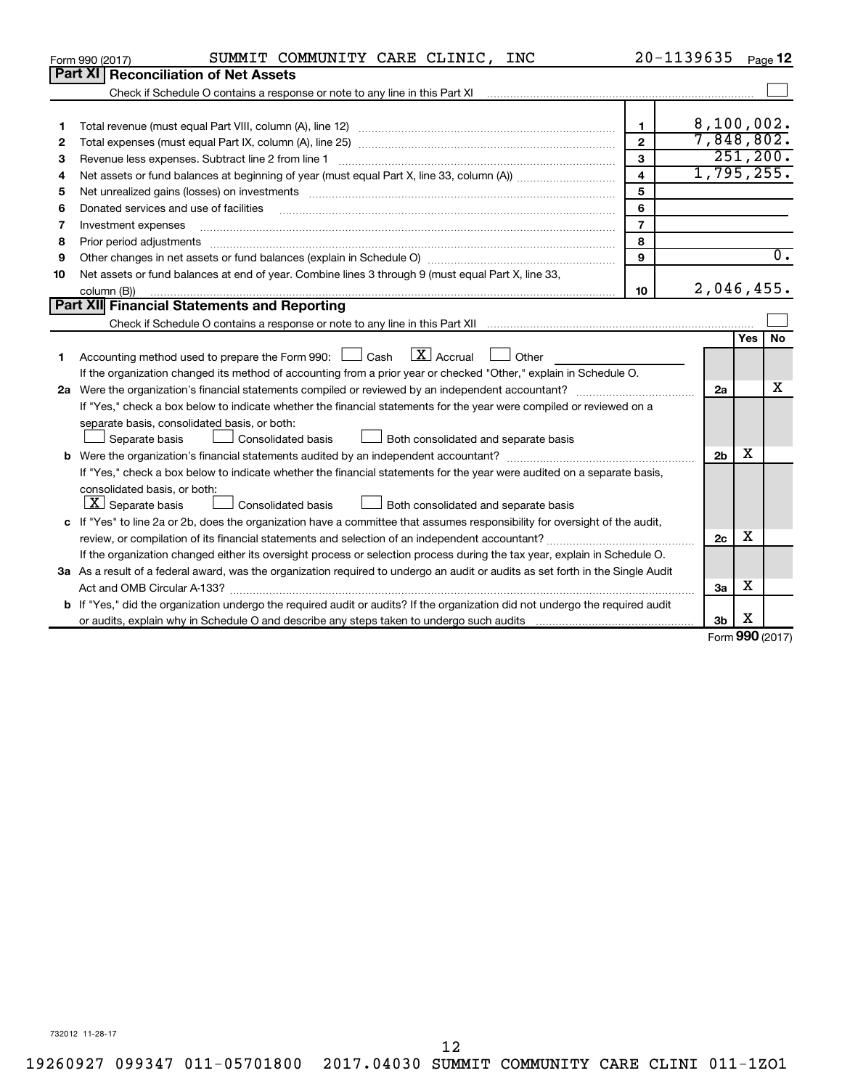|    | SUMMIT COMMUNITY CARE CLINIC, INC<br>Form 990 (2017)                                                                                                              | 20-1139635              |                |            | Page 12                     |
|----|-------------------------------------------------------------------------------------------------------------------------------------------------------------------|-------------------------|----------------|------------|-----------------------------|
|    | <b>Part XI Reconciliation of Net Assets</b>                                                                                                                       |                         |                |            |                             |
|    | Check if Schedule O contains a response or note to any line in this Part XI [11] [12] Check if Schedule O contains a response or note to any line in this Part XI |                         |                |            |                             |
|    |                                                                                                                                                                   |                         |                |            |                             |
| 1  |                                                                                                                                                                   | $\mathbf{1}$            | 8,100,002.     |            |                             |
| 2  |                                                                                                                                                                   | $\mathbf{2}$            | 7,848,802.     |            |                             |
| 3  |                                                                                                                                                                   | $\mathbf{3}$            |                |            | 251, 200.                   |
| 4  |                                                                                                                                                                   | $\overline{\mathbf{A}}$ | 1,795,255.     |            |                             |
| 5  |                                                                                                                                                                   | 5                       |                |            |                             |
| 6  | Donated services and use of facilities                                                                                                                            | 6                       |                |            |                             |
| 7  | Investment expenses                                                                                                                                               | $\overline{7}$          |                |            |                             |
| 8  | Prior period adjustments                                                                                                                                          | 8                       |                |            |                             |
| 9  |                                                                                                                                                                   | 9                       |                |            | $\overline{0}$ .            |
| 10 | Net assets or fund balances at end of year. Combine lines 3 through 9 (must equal Part X, line 33,                                                                |                         |                |            |                             |
|    | column (B))                                                                                                                                                       | 10                      | 2,046,455.     |            |                             |
|    | Part XII Financial Statements and Reporting                                                                                                                       |                         |                |            |                             |
|    |                                                                                                                                                                   |                         |                |            |                             |
|    |                                                                                                                                                                   |                         |                | <b>Yes</b> | <b>No</b>                   |
| 1  | $\mathbf{X}$ Accrual<br>Accounting method used to prepare the Form 990: [130] Cash<br>Other                                                                       |                         |                |            |                             |
|    | If the organization changed its method of accounting from a prior year or checked "Other," explain in Schedule O.                                                 |                         |                |            |                             |
|    |                                                                                                                                                                   |                         | 2a             |            | х                           |
|    | If "Yes," check a box below to indicate whether the financial statements for the year were compiled or reviewed on a                                              |                         |                |            |                             |
|    | separate basis, consolidated basis, or both:                                                                                                                      |                         |                |            |                             |
|    | Separate basis<br>Consolidated basis<br>Both consolidated and separate basis                                                                                      |                         |                |            |                             |
|    |                                                                                                                                                                   |                         | 2 <sub>b</sub> | X          |                             |
|    | If "Yes," check a box below to indicate whether the financial statements for the year were audited on a separate basis,                                           |                         |                |            |                             |
|    | consolidated basis, or both:                                                                                                                                      |                         |                |            |                             |
|    | $\boxed{\mathbf{X}}$ Separate basis<br>Consolidated basis<br>Both consolidated and separate basis                                                                 |                         |                |            |                             |
|    | c If "Yes" to line 2a or 2b, does the organization have a committee that assumes responsibility for oversight of the audit,                                       |                         |                |            |                             |
|    |                                                                                                                                                                   |                         | 2c             | х          |                             |
|    | If the organization changed either its oversight process or selection process during the tax year, explain in Schedule O.                                         |                         |                |            |                             |
|    | 3a As a result of a federal award, was the organization required to undergo an audit or audits as set forth in the Single Audit                                   |                         |                |            |                             |
|    |                                                                                                                                                                   |                         | За             | х          |                             |
|    | <b>b</b> If "Yes," did the organization undergo the required audit or audits? If the organization did not undergo the required audit                              |                         |                | х          |                             |
|    |                                                                                                                                                                   |                         | 3b             |            | $F_{\text{orm}}$ 990 (2017) |
|    |                                                                                                                                                                   |                         |                |            |                             |

Form (2017) **990**

732012 11-28-17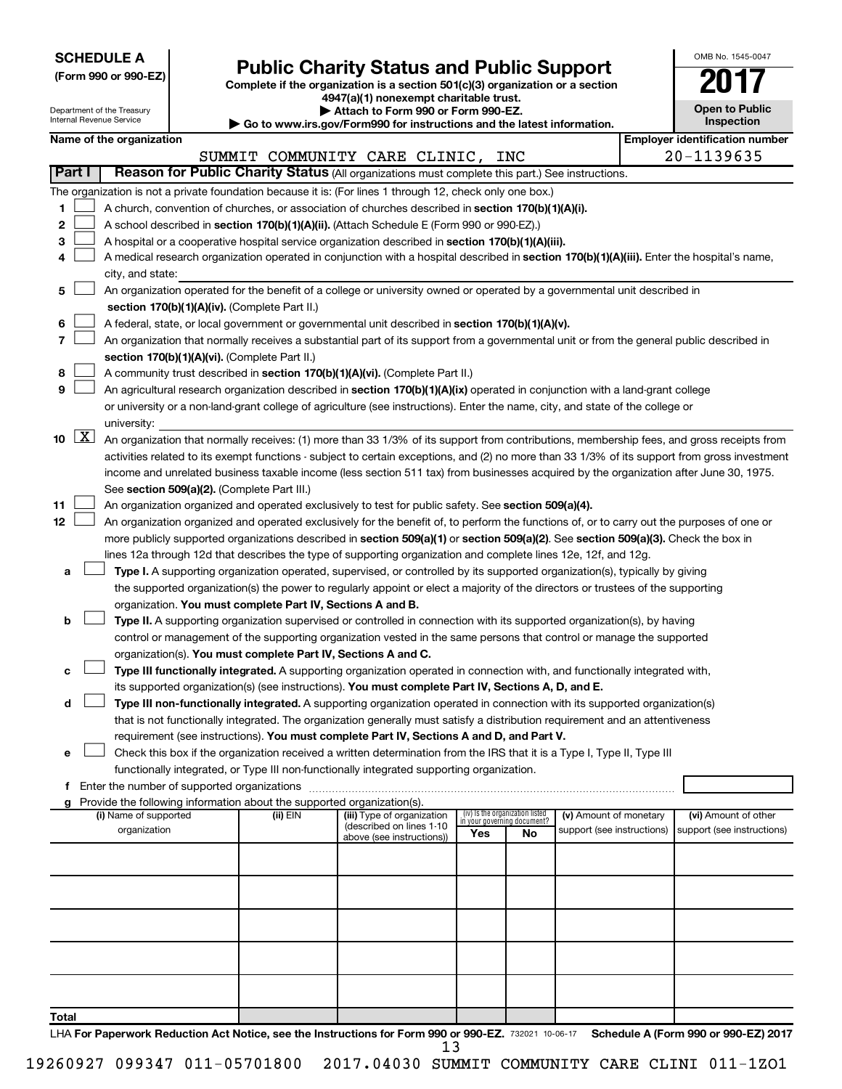| <b>SCHEDULE A</b> |  |
|-------------------|--|
|-------------------|--|

|  |  | (Form 990 or 990-EZ) |
|--|--|----------------------|
|  |  |                      |

# Form 990 or 990-EZ)<br>
Complete if the organization is a section 501(c)(3) organization or a section<br> **Public Charity Status and Public Support**

**4947(a)(1) nonexempt charitable trust.**

| OMB No 1545-0047                    |
|-------------------------------------|
|                                     |
| <b>Open to Public</b><br>Inspection |

|       |                     | Department of the Treasury<br>Internal Revenue Service |  |                                                                        | Attach to Form 990 or Form 990-EZ.                                                                                                                                                                                                                        |     |                                                                |                            |  | <b>Open to Public</b><br>Inspection   |  |  |
|-------|---------------------|--------------------------------------------------------|--|------------------------------------------------------------------------|-----------------------------------------------------------------------------------------------------------------------------------------------------------------------------------------------------------------------------------------------------------|-----|----------------------------------------------------------------|----------------------------|--|---------------------------------------|--|--|
|       |                     | Name of the organization                               |  |                                                                        | Go to www.irs.gov/Form990 for instructions and the latest information.                                                                                                                                                                                    |     |                                                                |                            |  | <b>Employer identification number</b> |  |  |
|       |                     |                                                        |  |                                                                        | SUMMIT COMMUNITY CARE CLINIC, INC                                                                                                                                                                                                                         |     |                                                                |                            |  | 20-1139635                            |  |  |
|       | Part I              |                                                        |  |                                                                        | Reason for Public Charity Status (All organizations must complete this part.) See instructions.                                                                                                                                                           |     |                                                                |                            |  |                                       |  |  |
|       |                     |                                                        |  |                                                                        | The organization is not a private foundation because it is: (For lines 1 through 12, check only one box.)                                                                                                                                                 |     |                                                                |                            |  |                                       |  |  |
| 1     |                     |                                                        |  |                                                                        | A church, convention of churches, or association of churches described in section 170(b)(1)(A)(i).                                                                                                                                                        |     |                                                                |                            |  |                                       |  |  |
| 2     |                     |                                                        |  |                                                                        | A school described in section 170(b)(1)(A)(ii). (Attach Schedule E (Form 990 or 990-EZ).)                                                                                                                                                                 |     |                                                                |                            |  |                                       |  |  |
| 3     |                     |                                                        |  |                                                                        | A hospital or a cooperative hospital service organization described in section 170(b)(1)(A)(iii).                                                                                                                                                         |     |                                                                |                            |  |                                       |  |  |
| 4     |                     |                                                        |  |                                                                        | A medical research organization operated in conjunction with a hospital described in section 170(b)(1)(A)(iii). Enter the hospital's name,                                                                                                                |     |                                                                |                            |  |                                       |  |  |
|       |                     | city, and state:                                       |  |                                                                        |                                                                                                                                                                                                                                                           |     |                                                                |                            |  |                                       |  |  |
| 5     |                     |                                                        |  |                                                                        | An organization operated for the benefit of a college or university owned or operated by a governmental unit described in                                                                                                                                 |     |                                                                |                            |  |                                       |  |  |
|       |                     | section 170(b)(1)(A)(iv). (Complete Part II.)          |  |                                                                        |                                                                                                                                                                                                                                                           |     |                                                                |                            |  |                                       |  |  |
| 6     |                     |                                                        |  |                                                                        | A federal, state, or local government or governmental unit described in section 170(b)(1)(A)(v).                                                                                                                                                          |     |                                                                |                            |  |                                       |  |  |
| 7     |                     |                                                        |  |                                                                        | An organization that normally receives a substantial part of its support from a governmental unit or from the general public described in                                                                                                                 |     |                                                                |                            |  |                                       |  |  |
|       |                     |                                                        |  | section 170(b)(1)(A)(vi). (Complete Part II.)                          |                                                                                                                                                                                                                                                           |     |                                                                |                            |  |                                       |  |  |
| 8     |                     |                                                        |  |                                                                        | A community trust described in section 170(b)(1)(A)(vi). (Complete Part II.)                                                                                                                                                                              |     |                                                                |                            |  |                                       |  |  |
| 9     |                     |                                                        |  |                                                                        | An agricultural research organization described in section 170(b)(1)(A)(ix) operated in conjunction with a land-grant college                                                                                                                             |     |                                                                |                            |  |                                       |  |  |
|       |                     |                                                        |  |                                                                        | or university or a non-land-grant college of agriculture (see instructions). Enter the name, city, and state of the college or                                                                                                                            |     |                                                                |                            |  |                                       |  |  |
|       |                     | university:                                            |  |                                                                        |                                                                                                                                                                                                                                                           |     |                                                                |                            |  |                                       |  |  |
| 10    | $\lfloor x \rfloor$ |                                                        |  |                                                                        | An organization that normally receives: (1) more than 33 1/3% of its support from contributions, membership fees, and gross receipts from                                                                                                                 |     |                                                                |                            |  |                                       |  |  |
|       |                     |                                                        |  |                                                                        | activities related to its exempt functions - subject to certain exceptions, and (2) no more than 33 1/3% of its support from gross investment                                                                                                             |     |                                                                |                            |  |                                       |  |  |
|       |                     |                                                        |  |                                                                        | income and unrelated business taxable income (less section 511 tax) from businesses acquired by the organization after June 30, 1975.                                                                                                                     |     |                                                                |                            |  |                                       |  |  |
|       |                     |                                                        |  | See section 509(a)(2). (Complete Part III.)                            |                                                                                                                                                                                                                                                           |     |                                                                |                            |  |                                       |  |  |
| 11    |                     |                                                        |  |                                                                        | An organization organized and operated exclusively to test for public safety. See section 509(a)(4).                                                                                                                                                      |     |                                                                |                            |  |                                       |  |  |
| 12    |                     |                                                        |  |                                                                        | An organization organized and operated exclusively for the benefit of, to perform the functions of, or to carry out the purposes of one or                                                                                                                |     |                                                                |                            |  |                                       |  |  |
|       |                     |                                                        |  |                                                                        | more publicly supported organizations described in section 509(a)(1) or section 509(a)(2). See section 509(a)(3). Check the box in                                                                                                                        |     |                                                                |                            |  |                                       |  |  |
|       |                     |                                                        |  |                                                                        | lines 12a through 12d that describes the type of supporting organization and complete lines 12e, 12f, and 12g.                                                                                                                                            |     |                                                                |                            |  |                                       |  |  |
| а     |                     |                                                        |  |                                                                        | Type I. A supporting organization operated, supervised, or controlled by its supported organization(s), typically by giving                                                                                                                               |     |                                                                |                            |  |                                       |  |  |
|       |                     |                                                        |  |                                                                        | the supported organization(s) the power to regularly appoint or elect a majority of the directors or trustees of the supporting                                                                                                                           |     |                                                                |                            |  |                                       |  |  |
|       |                     |                                                        |  | organization. You must complete Part IV, Sections A and B.             |                                                                                                                                                                                                                                                           |     |                                                                |                            |  |                                       |  |  |
| b     |                     |                                                        |  |                                                                        | Type II. A supporting organization supervised or controlled in connection with its supported organization(s), by having                                                                                                                                   |     |                                                                |                            |  |                                       |  |  |
|       |                     |                                                        |  |                                                                        | control or management of the supporting organization vested in the same persons that control or manage the supported                                                                                                                                      |     |                                                                |                            |  |                                       |  |  |
|       |                     |                                                        |  | organization(s). You must complete Part IV, Sections A and C.          |                                                                                                                                                                                                                                                           |     |                                                                |                            |  |                                       |  |  |
| с     |                     |                                                        |  |                                                                        | Type III functionally integrated. A supporting organization operated in connection with, and functionally integrated with,                                                                                                                                |     |                                                                |                            |  |                                       |  |  |
| d     |                     |                                                        |  |                                                                        | its supported organization(s) (see instructions). You must complete Part IV, Sections A, D, and E.                                                                                                                                                        |     |                                                                |                            |  |                                       |  |  |
|       |                     |                                                        |  |                                                                        | Type III non-functionally integrated. A supporting organization operated in connection with its supported organization(s)<br>that is not functionally integrated. The organization generally must satisfy a distribution requirement and an attentiveness |     |                                                                |                            |  |                                       |  |  |
|       |                     |                                                        |  |                                                                        | requirement (see instructions). You must complete Part IV, Sections A and D, and Part V.                                                                                                                                                                  |     |                                                                |                            |  |                                       |  |  |
|       |                     |                                                        |  |                                                                        | Check this box if the organization received a written determination from the IRS that it is a Type I, Type II, Type III                                                                                                                                   |     |                                                                |                            |  |                                       |  |  |
|       |                     |                                                        |  |                                                                        | functionally integrated, or Type III non-functionally integrated supporting organization.                                                                                                                                                                 |     |                                                                |                            |  |                                       |  |  |
|       |                     |                                                        |  |                                                                        |                                                                                                                                                                                                                                                           |     |                                                                |                            |  |                                       |  |  |
|       |                     |                                                        |  | Provide the following information about the supported organization(s). |                                                                                                                                                                                                                                                           |     |                                                                |                            |  |                                       |  |  |
|       |                     | (i) Name of supported                                  |  | $(ii)$ EIN                                                             | (iii) Type of organization                                                                                                                                                                                                                                |     | (iv) Is the organization listed<br>in vour governing document? | (v) Amount of monetary     |  | (vi) Amount of other                  |  |  |
|       |                     | organization                                           |  |                                                                        | (described on lines 1-10<br>above (see instructions))                                                                                                                                                                                                     | Yes | No                                                             | support (see instructions) |  | support (see instructions)            |  |  |
|       |                     |                                                        |  |                                                                        |                                                                                                                                                                                                                                                           |     |                                                                |                            |  |                                       |  |  |
|       |                     |                                                        |  |                                                                        |                                                                                                                                                                                                                                                           |     |                                                                |                            |  |                                       |  |  |
|       |                     |                                                        |  |                                                                        |                                                                                                                                                                                                                                                           |     |                                                                |                            |  |                                       |  |  |
|       |                     |                                                        |  |                                                                        |                                                                                                                                                                                                                                                           |     |                                                                |                            |  |                                       |  |  |
|       |                     |                                                        |  |                                                                        |                                                                                                                                                                                                                                                           |     |                                                                |                            |  |                                       |  |  |
|       |                     |                                                        |  |                                                                        |                                                                                                                                                                                                                                                           |     |                                                                |                            |  |                                       |  |  |
|       |                     |                                                        |  |                                                                        |                                                                                                                                                                                                                                                           |     |                                                                |                            |  |                                       |  |  |
|       |                     |                                                        |  |                                                                        |                                                                                                                                                                                                                                                           |     |                                                                |                            |  |                                       |  |  |
|       |                     |                                                        |  |                                                                        |                                                                                                                                                                                                                                                           |     |                                                                |                            |  |                                       |  |  |
| Total |                     |                                                        |  |                                                                        |                                                                                                                                                                                                                                                           |     |                                                                |                            |  |                                       |  |  |

LHA For Paperwork Reduction Act Notice, see the Instructions for Form 990 or 990-EZ. 732021 10-06-17 Schedule A (Form 990 or 990-EZ) 2017 13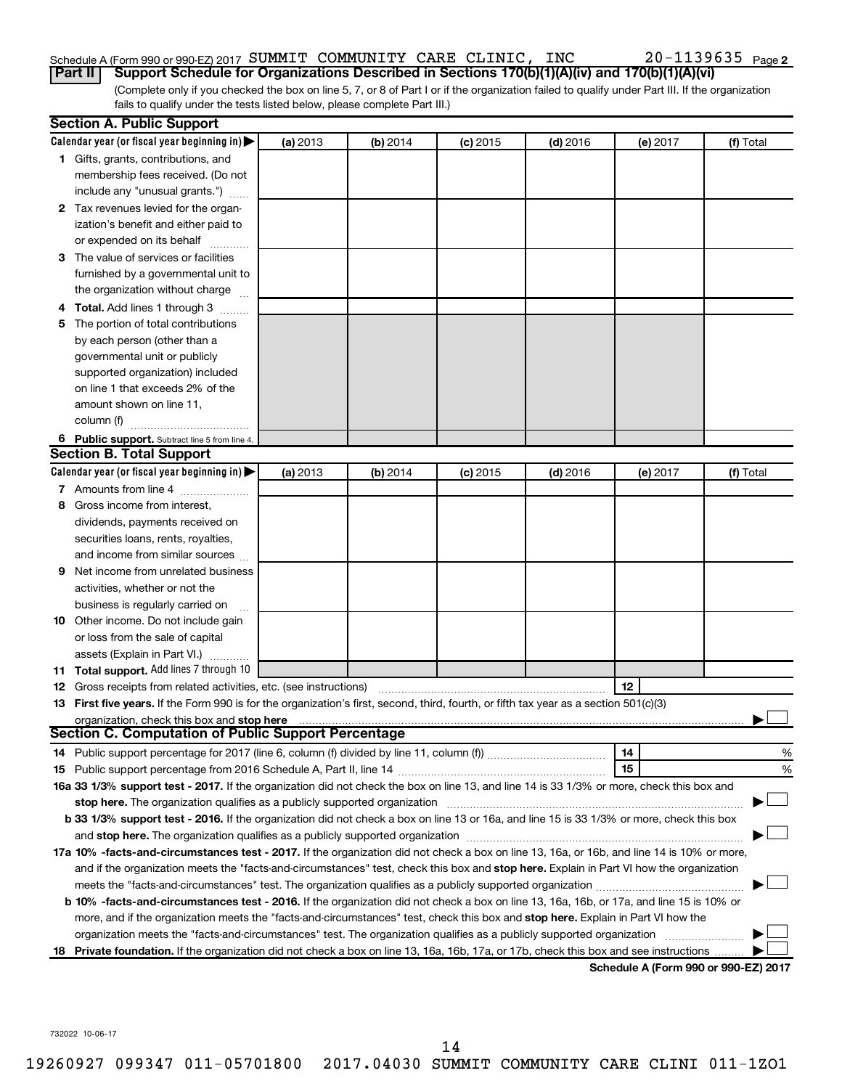# Schedule A (Form 990 or 990-EZ) 2017 Page SUMMIT COMMUNITY CARE CLINIC, INC 20-1139635

(Complete only if you checked the box on line 5, 7, or 8 of Part I or if the organization failed to qualify under Part III. If the organization fails to qualify under the tests listed below, please complete Part III.) **Part II Support Schedule for Organizations Described in Sections 170(b)(1)(A)(iv) and 170(b)(1)(A)(vi)**

|   | <b>Section A. Public Support</b>                                                                                                                                                                                               |          |          |            |            |          |                                      |
|---|--------------------------------------------------------------------------------------------------------------------------------------------------------------------------------------------------------------------------------|----------|----------|------------|------------|----------|--------------------------------------|
|   | Calendar year (or fiscal year beginning in)                                                                                                                                                                                    | (a) 2013 | (b) 2014 | $(c)$ 2015 | $(d)$ 2016 | (e) 2017 | (f) Total                            |
|   | 1 Gifts, grants, contributions, and                                                                                                                                                                                            |          |          |            |            |          |                                      |
|   | membership fees received. (Do not                                                                                                                                                                                              |          |          |            |            |          |                                      |
|   | include any "unusual grants.")                                                                                                                                                                                                 |          |          |            |            |          |                                      |
|   | 2 Tax revenues levied for the organ-                                                                                                                                                                                           |          |          |            |            |          |                                      |
|   | ization's benefit and either paid to                                                                                                                                                                                           |          |          |            |            |          |                                      |
|   | or expended on its behalf                                                                                                                                                                                                      |          |          |            |            |          |                                      |
|   | 3 The value of services or facilities                                                                                                                                                                                          |          |          |            |            |          |                                      |
|   | furnished by a governmental unit to                                                                                                                                                                                            |          |          |            |            |          |                                      |
|   | the organization without charge                                                                                                                                                                                                |          |          |            |            |          |                                      |
|   | 4 Total. Add lines 1 through 3                                                                                                                                                                                                 |          |          |            |            |          |                                      |
|   | 5 The portion of total contributions                                                                                                                                                                                           |          |          |            |            |          |                                      |
|   | by each person (other than a                                                                                                                                                                                                   |          |          |            |            |          |                                      |
|   | governmental unit or publicly                                                                                                                                                                                                  |          |          |            |            |          |                                      |
|   | supported organization) included                                                                                                                                                                                               |          |          |            |            |          |                                      |
|   | on line 1 that exceeds 2% of the                                                                                                                                                                                               |          |          |            |            |          |                                      |
|   | amount shown on line 11,                                                                                                                                                                                                       |          |          |            |            |          |                                      |
|   | column (f)                                                                                                                                                                                                                     |          |          |            |            |          |                                      |
|   | 6 Public support. Subtract line 5 from line 4.                                                                                                                                                                                 |          |          |            |            |          |                                      |
|   | <b>Section B. Total Support</b>                                                                                                                                                                                                |          |          |            |            |          |                                      |
|   | Calendar year (or fiscal year beginning in)                                                                                                                                                                                    | (a) 2013 | (b) 2014 | $(c)$ 2015 | $(d)$ 2016 | (e) 2017 | (f) Total                            |
|   | 7 Amounts from line 4                                                                                                                                                                                                          |          |          |            |            |          |                                      |
|   | 8 Gross income from interest.                                                                                                                                                                                                  |          |          |            |            |          |                                      |
|   | dividends, payments received on                                                                                                                                                                                                |          |          |            |            |          |                                      |
|   | securities loans, rents, royalties,                                                                                                                                                                                            |          |          |            |            |          |                                      |
|   | and income from similar sources                                                                                                                                                                                                |          |          |            |            |          |                                      |
| 9 | Net income from unrelated business                                                                                                                                                                                             |          |          |            |            |          |                                      |
|   | activities, whether or not the                                                                                                                                                                                                 |          |          |            |            |          |                                      |
|   | business is regularly carried on                                                                                                                                                                                               |          |          |            |            |          |                                      |
|   | 10 Other income. Do not include gain                                                                                                                                                                                           |          |          |            |            |          |                                      |
|   | or loss from the sale of capital                                                                                                                                                                                               |          |          |            |            |          |                                      |
|   | assets (Explain in Part VI.)                                                                                                                                                                                                   |          |          |            |            |          |                                      |
|   | 11 Total support. Add lines 7 through 10                                                                                                                                                                                       |          |          |            |            |          |                                      |
|   | <b>12</b> Gross receipts from related activities, etc. (see instructions)                                                                                                                                                      |          |          |            |            | 12       |                                      |
|   | 13 First five years. If the Form 990 is for the organization's first, second, third, fourth, or fifth tax year as a section 501(c)(3)                                                                                          |          |          |            |            |          |                                      |
|   | organization, check this box and stop here                                                                                                                                                                                     |          |          |            |            |          |                                      |
|   | Section C. Computation of Public Support Percentage                                                                                                                                                                            |          |          |            |            |          |                                      |
|   |                                                                                                                                                                                                                                |          |          |            |            | 14       | %                                    |
|   |                                                                                                                                                                                                                                |          |          |            |            | 15       | %                                    |
|   | 16a 33 1/3% support test - 2017. If the organization did not check the box on line 13, and line 14 is 33 1/3% or more, check this box and                                                                                      |          |          |            |            |          |                                      |
|   | stop here. The organization qualifies as a publicly supported organization [11] manuscription [11] manuscription [11] manuscription [11] manuscription [11] manuscription [11] manuscription [11] manuscription [11] manuscrip |          |          |            |            |          |                                      |
|   | b 33 1/3% support test - 2016. If the organization did not check a box on line 13 or 16a, and line 15 is 33 1/3% or more, check this box                                                                                       |          |          |            |            |          |                                      |
|   |                                                                                                                                                                                                                                |          |          |            |            |          |                                      |
|   | 17a 10% -facts-and-circumstances test - 2017. If the organization did not check a box on line 13, 16a, or 16b, and line 14 is 10% or more,                                                                                     |          |          |            |            |          |                                      |
|   | and if the organization meets the "facts-and-circumstances" test, check this box and stop here. Explain in Part VI how the organization                                                                                        |          |          |            |            |          |                                      |
|   | meets the "facts-and-circumstances" test. The organization qualifies as a publicly supported organization <i>manumumumumum</i>                                                                                                 |          |          |            |            |          |                                      |
|   | b 10% -facts-and-circumstances test - 2016. If the organization did not check a box on line 13, 16a, 16b, or 17a, and line 15 is 10% or                                                                                        |          |          |            |            |          |                                      |
|   | more, and if the organization meets the "facts-and-circumstances" test, check this box and stop here. Explain in Part VI how the                                                                                               |          |          |            |            |          |                                      |
|   | organization meets the "facts-and-circumstances" test. The organization qualifies as a publicly supported organization                                                                                                         |          |          |            |            |          |                                      |
|   | 18 Private foundation. If the organization did not check a box on line 13, 16a, 16b, 17a, or 17b, check this box and see instructions                                                                                          |          |          |            |            |          |                                      |
|   |                                                                                                                                                                                                                                |          |          |            |            |          | Schodule A (Form 000 or 000 F7) 2017 |

**Schedule A (Form 990 or 990-EZ) 2017**

732022 10-06-17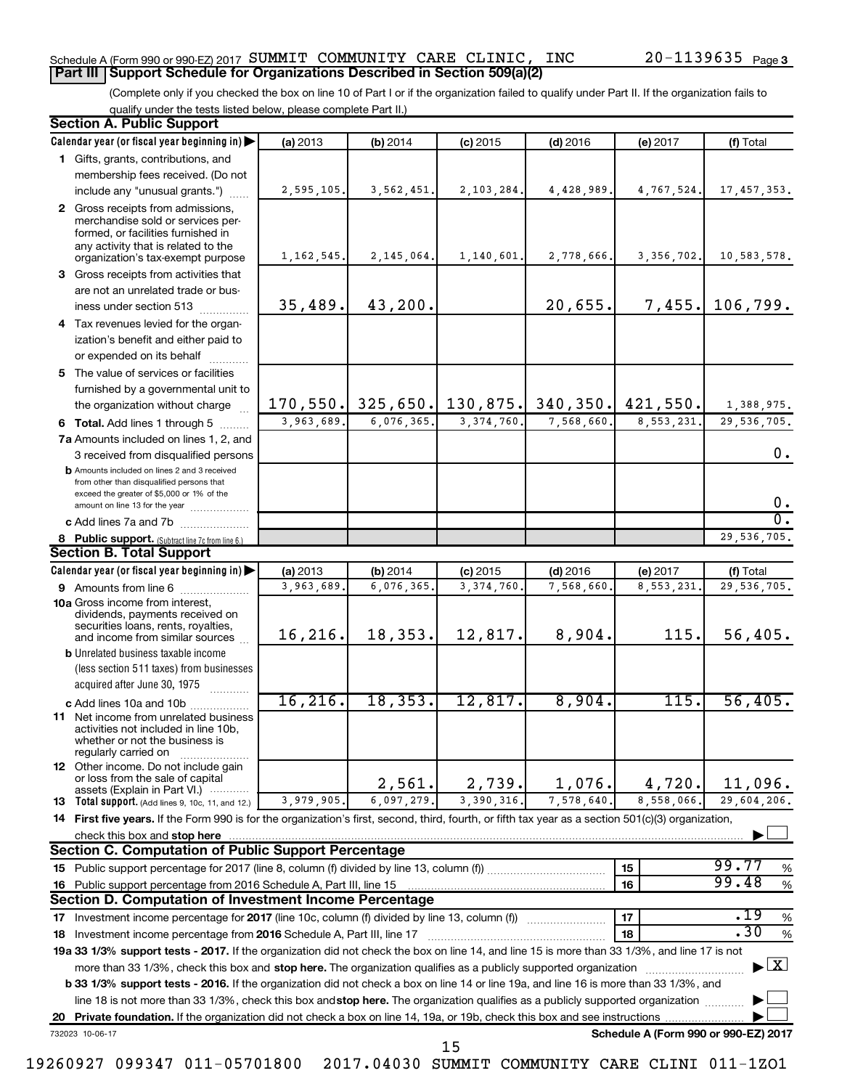#### Schedule A (Form 990 or 990-EZ) 2017 Page SUMMIT COMMUNITY CARE CLINIC, INC 20-1139635 **Part III Support Schedule for Organizations Described in Section 509(a)(2)**

(Complete only if you checked the box on line 10 of Part I or if the organization failed to qualify under Part II. If the organization fails to qualify under the tests listed below, please complete Part II.)

|    | <b>Section A. Public Support</b>                                                                                                                                                         |              |            |                     |            |                                      |                                          |
|----|------------------------------------------------------------------------------------------------------------------------------------------------------------------------------------------|--------------|------------|---------------------|------------|--------------------------------------|------------------------------------------|
|    | Calendar year (or fiscal year beginning in)                                                                                                                                              | (a) 2013     | (b) 2014   | $(c)$ 2015          | $(d)$ 2016 | (e) 2017                             | (f) Total                                |
|    | 1 Gifts, grants, contributions, and                                                                                                                                                      |              |            |                     |            |                                      |                                          |
|    | membership fees received. (Do not                                                                                                                                                        |              |            |                     |            |                                      |                                          |
|    | include any "unusual grants.")                                                                                                                                                           | 2,595,105.   | 3,562,451  | 2,103,284.          | 4,428,989. | 4,767,524.                           | 17, 457, 353.                            |
|    | 2 Gross receipts from admissions,<br>merchandise sold or services per-<br>formed, or facilities furnished in<br>any activity that is related to the<br>organization's tax-exempt purpose | 1, 162, 545. | 2,145,064. | 1,140,601.          | 2,778,666. | 3, 356, 702.                         | 10,583,578.                              |
|    | 3 Gross receipts from activities that                                                                                                                                                    |              |            |                     |            |                                      |                                          |
|    | are not an unrelated trade or bus-                                                                                                                                                       |              |            |                     |            |                                      |                                          |
|    | iness under section 513                                                                                                                                                                  | 35,489.      | 43,200.    |                     | 20,655.    | 7,455.                               | 106,799.                                 |
|    | 4 Tax revenues levied for the organ-                                                                                                                                                     |              |            |                     |            |                                      |                                          |
|    | ization's benefit and either paid to<br>or expended on its behalf                                                                                                                        |              |            |                     |            |                                      |                                          |
|    | 5 The value of services or facilities                                                                                                                                                    |              |            |                     |            |                                      |                                          |
|    | furnished by a governmental unit to                                                                                                                                                      |              |            |                     |            |                                      |                                          |
|    | the organization without charge                                                                                                                                                          | 170, 550.    |            | $325,650.$ 130,875. |            | $340, 350$ . $421, 550$ .            | 1,388,975.                               |
|    | 6 Total. Add lines 1 through 5                                                                                                                                                           | 3,963,689.   | 6,076,365. | 3, 374, 760         | 7,568,660. | 8,553,231                            | 29,536,705.                              |
|    | 7a Amounts included on lines 1, 2, and                                                                                                                                                   |              |            |                     |            |                                      |                                          |
|    | 3 received from disqualified persons                                                                                                                                                     |              |            |                     |            |                                      | 0.                                       |
|    | <b>b</b> Amounts included on lines 2 and 3 received<br>from other than disqualified persons that<br>exceed the greater of \$5,000 or 1% of the<br>amount on line 13 for the year         |              |            |                     |            |                                      | 0.                                       |
|    | c Add lines 7a and 7b                                                                                                                                                                    |              |            |                     |            |                                      | σ.                                       |
|    | 8 Public support. (Subtract line 7c from line 6.)                                                                                                                                        |              |            |                     |            |                                      | 29,536,705.                              |
|    | <b>Section B. Total Support</b>                                                                                                                                                          |              |            |                     |            |                                      |                                          |
|    | Calendar year (or fiscal year beginning in)                                                                                                                                              | (a) 2013     | (b) 2014   | $(c)$ 2015          | $(d)$ 2016 | (e) 2017                             | (f) Total                                |
|    | <b>9</b> Amounts from line 6                                                                                                                                                             | 3,963,689    | 6,076,365  | 3, 374, 760         | 7,568,660. | 8,553,231                            | 29,536,705.                              |
|    | <b>10a</b> Gross income from interest,<br>dividends, payments received on<br>securities loans, rents, royalties,<br>and income from similar sources                                      | 16, 216.     | 18,353.    | 12,817.             | 8,904.     | 115.                                 | 56,405.                                  |
|    | <b>b</b> Unrelated business taxable income                                                                                                                                               |              |            |                     |            |                                      |                                          |
|    | (less section 511 taxes) from businesses<br>acquired after June 30, 1975                                                                                                                 |              |            |                     |            |                                      |                                          |
|    | c Add lines 10a and 10b                                                                                                                                                                  | 16, 216.     | 18, 353.   | 12,817.             | 8,904.     | 115.                                 | 56,405.                                  |
|    | 11 Net income from unrelated business<br>activities not included in line 10b,<br>whether or not the business is<br>regularly carried on                                                  |              |            |                     |            |                                      |                                          |
|    | <b>12</b> Other income. Do not include gain<br>or loss from the sale of capital<br>assets (Explain in Part VI.)                                                                          |              | 2,561.     | 2,739.              | 1,076.     | 4,720.                               | 11,096.                                  |
|    | <b>13</b> Total support. (Add lines 9, 10c, 11, and 12.)                                                                                                                                 | 3,979,905    | 6,097,279  | 3,390,316           | 7,578,640. | 8,558,066.                           | 29,604,206.                              |
|    | 14 First five years. If the Form 990 is for the organization's first, second, third, fourth, or fifth tax year as a section 501(c)(3) organization,                                      |              |            |                     |            |                                      |                                          |
|    | check this box and stop here                                                                                                                                                             |              |            |                     |            |                                      |                                          |
|    | <b>Section C. Computation of Public Support Percentage</b>                                                                                                                               |              |            |                     |            |                                      |                                          |
|    |                                                                                                                                                                                          |              |            |                     |            | 15                                   | 99.77<br>%                               |
|    | 16 Public support percentage from 2016 Schedule A, Part III, line 15                                                                                                                     |              |            |                     |            | 16                                   | 99.48<br>$\%$                            |
|    | <b>Section D. Computation of Investment Income Percentage</b>                                                                                                                            |              |            |                     |            |                                      |                                          |
|    |                                                                                                                                                                                          |              |            |                     |            | 17                                   | .19<br>%                                 |
|    | .30<br>$\%$<br>18<br>18 Investment income percentage from 2016 Schedule A, Part III, line 17                                                                                             |              |            |                     |            |                                      |                                          |
|    | 19a 33 1/3% support tests - 2017. If the organization did not check the box on line 14, and line 15 is more than 33 1/3%, and line 17 is not                                             |              |            |                     |            |                                      |                                          |
|    | more than 33 1/3%, check this box and stop here. The organization qualifies as a publicly supported organization                                                                         |              |            |                     |            |                                      | $\blacktriangleright$ $\boxed{\text{X}}$ |
|    | <b>b 33 1/3% support tests - 2016.</b> If the organization did not check a box on line 14 or line 19a, and line 16 is more than 33 1/3%, and                                             |              |            |                     |            |                                      |                                          |
|    | line 18 is not more than 33 1/3%, check this box and stop here. The organization qualifies as a publicly supported organization                                                          |              |            |                     |            |                                      |                                          |
| 20 | Private foundation. If the organization did not check a box on line 14, 19a, or 19b, check this box and see instructions                                                                 |              |            |                     |            |                                      |                                          |
|    | 732023 10-06-17                                                                                                                                                                          |              |            | 15                  |            | Schedule A (Form 990 or 990-EZ) 2017 |                                          |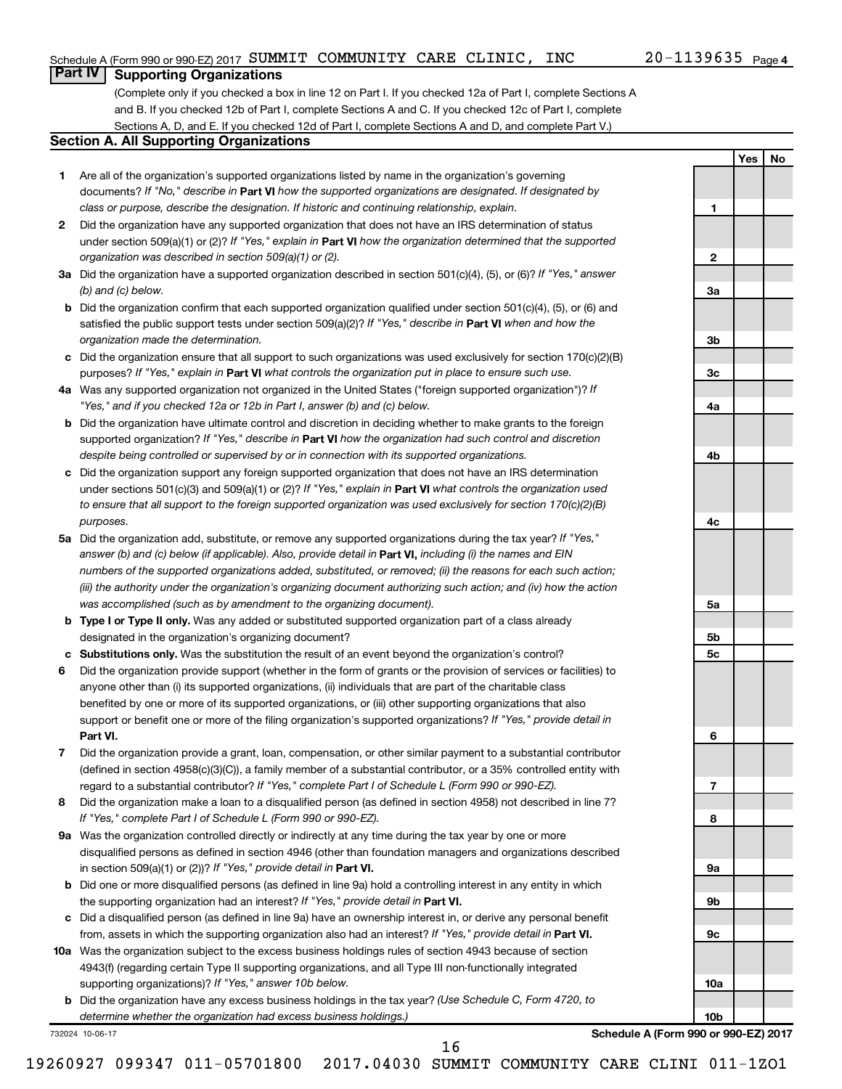**1**

**2**

**3a**

**3b**

**3c**

**4a**

**4b**

**4c**

**5a**

**5b 5c**

**6**

**7**

**8**

**9a**

**9b**

**9c**

**10a**

**10b**

**Yes No**

### **Part IV Supporting Organizations**

(Complete only if you checked a box in line 12 on Part I. If you checked 12a of Part I, complete Sections A and B. If you checked 12b of Part I, complete Sections A and C. If you checked 12c of Part I, complete Sections A, D, and E. If you checked 12d of Part I, complete Sections A and D, and complete Part V.)

#### **Section A. All Supporting Organizations**

- **1** Are all of the organization's supported organizations listed by name in the organization's governing documents? If "No," describe in Part VI how the supported organizations are designated. If designated by *class or purpose, describe the designation. If historic and continuing relationship, explain.*
- **2** Did the organization have any supported organization that does not have an IRS determination of status under section 509(a)(1) or (2)? If "Yes," explain in Part **VI** how the organization determined that the supported *organization was described in section 509(a)(1) or (2).*
- **3a** Did the organization have a supported organization described in section 501(c)(4), (5), or (6)? If "Yes," answer *(b) and (c) below.*
- **b** Did the organization confirm that each supported organization qualified under section 501(c)(4), (5), or (6) and satisfied the public support tests under section 509(a)(2)? If "Yes," describe in Part VI when and how the *organization made the determination.*
- **c** Did the organization ensure that all support to such organizations was used exclusively for section 170(c)(2)(B) purposes? If "Yes," explain in Part VI what controls the organization put in place to ensure such use.
- **4 a** *If* Was any supported organization not organized in the United States ("foreign supported organization")? *"Yes," and if you checked 12a or 12b in Part I, answer (b) and (c) below.*
- **b** Did the organization have ultimate control and discretion in deciding whether to make grants to the foreign supported organization? If "Yes," describe in Part VI how the organization had such control and discretion *despite being controlled or supervised by or in connection with its supported organizations.*
- **c** Did the organization support any foreign supported organization that does not have an IRS determination under sections 501(c)(3) and 509(a)(1) or (2)? If "Yes," explain in Part VI what controls the organization used *to ensure that all support to the foreign supported organization was used exclusively for section 170(c)(2)(B) purposes.*
- **5a** Did the organization add, substitute, or remove any supported organizations during the tax year? If "Yes," answer (b) and (c) below (if applicable). Also, provide detail in **Part VI,** including (i) the names and EIN *numbers of the supported organizations added, substituted, or removed; (ii) the reasons for each such action; (iii) the authority under the organization's organizing document authorizing such action; and (iv) how the action was accomplished (such as by amendment to the organizing document).*
- **b Type I or Type II only.** Was any added or substituted supported organization part of a class already designated in the organization's organizing document?
- **c Substitutions only.**  Was the substitution the result of an event beyond the organization's control?
- **6** Did the organization provide support (whether in the form of grants or the provision of services or facilities) to **Part VI.** support or benefit one or more of the filing organization's supported organizations? If "Yes," provide detail in anyone other than (i) its supported organizations, (ii) individuals that are part of the charitable class benefited by one or more of its supported organizations, or (iii) other supporting organizations that also
- **7** Did the organization provide a grant, loan, compensation, or other similar payment to a substantial contributor regard to a substantial contributor? If "Yes," complete Part I of Schedule L (Form 990 or 990-EZ). (defined in section 4958(c)(3)(C)), a family member of a substantial contributor, or a 35% controlled entity with
- **8** Did the organization make a loan to a disqualified person (as defined in section 4958) not described in line 7? *If "Yes," complete Part I of Schedule L (Form 990 or 990-EZ).*
- **9 a** Was the organization controlled directly or indirectly at any time during the tax year by one or more in section 509(a)(1) or (2))? If "Yes," provide detail in **Part VI.** disqualified persons as defined in section 4946 (other than foundation managers and organizations described
- **b** Did one or more disqualified persons (as defined in line 9a) hold a controlling interest in any entity in which the supporting organization had an interest? If "Yes," provide detail in Part VI.
- **c** Did a disqualified person (as defined in line 9a) have an ownership interest in, or derive any personal benefit from, assets in which the supporting organization also had an interest? If "Yes," provide detail in Part VI.
- **10 a** Was the organization subject to the excess business holdings rules of section 4943 because of section supporting organizations)? If "Yes," answer 10b below. 4943(f) (regarding certain Type II supporting organizations, and all Type III non-functionally integrated
	- **b** Did the organization have any excess business holdings in the tax year? (Use Schedule C, Form 4720, to *determine whether the organization had excess business holdings.)*

732024 10-06-17

**Schedule A (Form 990 or 990-EZ) 2017**

19260927 099347 011-05701800 2017.04030 SUMMIT COMMUNITY CARE CLINI 011-1ZO1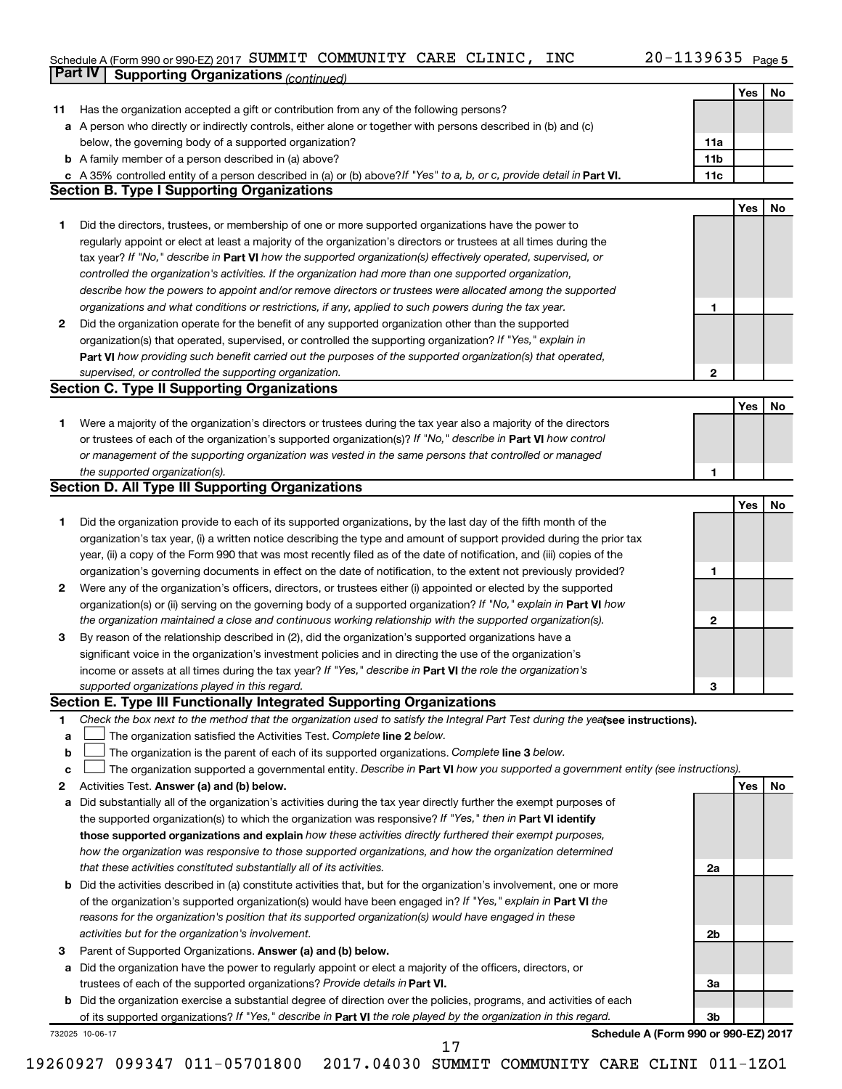#### Schedule A (Form 990 or 990-EZ) 2017 SUMMIT COMMUNITY CARE CLINIC, INC  $ZU-1139635$  Page SUMMIT COMMUNITY CARE CLINIC, INC 20-1139635

|             | Part IV<br><b>Supporting Organizations (continued)</b>                                                                          |                 |     |    |
|-------------|---------------------------------------------------------------------------------------------------------------------------------|-----------------|-----|----|
|             |                                                                                                                                 |                 | Yes | No |
| 11          | Has the organization accepted a gift or contribution from any of the following persons?                                         |                 |     |    |
|             | a A person who directly or indirectly controls, either alone or together with persons described in (b) and (c)                  |                 |     |    |
|             | below, the governing body of a supported organization?                                                                          | 11a             |     |    |
|             | <b>b</b> A family member of a person described in (a) above?                                                                    | 11 <sub>b</sub> |     |    |
|             | c A 35% controlled entity of a person described in (a) or (b) above? If "Yes" to a, b, or c, provide detail in Part VI.         | 11c             |     |    |
|             | <b>Section B. Type I Supporting Organizations</b>                                                                               |                 |     |    |
|             |                                                                                                                                 |                 | Yes | No |
|             |                                                                                                                                 |                 |     |    |
| 1           | Did the directors, trustees, or membership of one or more supported organizations have the power to                             |                 |     |    |
|             | regularly appoint or elect at least a majority of the organization's directors or trustees at all times during the              |                 |     |    |
|             | tax year? If "No," describe in Part VI how the supported organization(s) effectively operated, supervised, or                   |                 |     |    |
|             | controlled the organization's activities. If the organization had more than one supported organization,                         |                 |     |    |
|             | describe how the powers to appoint and/or remove directors or trustees were allocated among the supported                       |                 |     |    |
|             | organizations and what conditions or restrictions, if any, applied to such powers during the tax year.                          | 1               |     |    |
| 2           | Did the organization operate for the benefit of any supported organization other than the supported                             |                 |     |    |
|             | organization(s) that operated, supervised, or controlled the supporting organization? If "Yes," explain in                      |                 |     |    |
|             | Part VI how providing such benefit carried out the purposes of the supported organization(s) that operated,                     |                 |     |    |
|             | supervised, or controlled the supporting organization.                                                                          | $\mathbf{2}$    |     |    |
|             | <b>Section C. Type II Supporting Organizations</b>                                                                              |                 |     |    |
|             |                                                                                                                                 |                 | Yes | No |
| 1           | Were a majority of the organization's directors or trustees during the tax year also a majority of the directors                |                 |     |    |
|             | or trustees of each of the organization's supported organization(s)? If "No," describe in Part VI how control                   |                 |     |    |
|             | or management of the supporting organization was vested in the same persons that controlled or managed                          |                 |     |    |
|             | the supported organization(s).                                                                                                  | 1               |     |    |
|             | <b>Section D. All Type III Supporting Organizations</b>                                                                         |                 |     |    |
|             |                                                                                                                                 |                 | Yes | No |
| 1           | Did the organization provide to each of its supported organizations, by the last day of the fifth month of the                  |                 |     |    |
|             | organization's tax year, (i) a written notice describing the type and amount of support provided during the prior tax           |                 |     |    |
|             | year, (ii) a copy of the Form 990 that was most recently filed as of the date of notification, and (iii) copies of the          |                 |     |    |
|             | organization's governing documents in effect on the date of notification, to the extent not previously provided?                | 1               |     |    |
| 2           | Were any of the organization's officers, directors, or trustees either (i) appointed or elected by the supported                |                 |     |    |
|             | organization(s) or (ii) serving on the governing body of a supported organization? If "No," explain in Part VI how              |                 |     |    |
|             | the organization maintained a close and continuous working relationship with the supported organization(s).                     | 2               |     |    |
| 3           | By reason of the relationship described in (2), did the organization's supported organizations have a                           |                 |     |    |
|             |                                                                                                                                 |                 |     |    |
|             | significant voice in the organization's investment policies and in directing the use of the organization's                      |                 |     |    |
|             | income or assets at all times during the tax year? If "Yes," describe in Part VI the role the organization's                    |                 |     |    |
|             | supported organizations played in this regard.                                                                                  | з               |     |    |
|             | Section E. Type III Functionally Integrated Supporting Organizations                                                            |                 |     |    |
| 1           | Check the box next to the method that the organization used to satisfy the Integral Part Test during the yealsee instructions). |                 |     |    |
| a           | The organization satisfied the Activities Test. Complete line 2 below.                                                          |                 |     |    |
| $\mathbf b$ | The organization is the parent of each of its supported organizations. Complete line 3 below.                                   |                 |     |    |
| c           | The organization supported a governmental entity. Describe in Part VI how you supported a government entity (see instructions). |                 |     |    |
| 2           | Activities Test. Answer (a) and (b) below.                                                                                      |                 | Yes | No |
| а           | Did substantially all of the organization's activities during the tax year directly further the exempt purposes of              |                 |     |    |
|             | the supported organization(s) to which the organization was responsive? If "Yes," then in Part VI identify                      |                 |     |    |
|             | those supported organizations and explain how these activities directly furthered their exempt purposes,                        |                 |     |    |
|             | how the organization was responsive to those supported organizations, and how the organization determined                       |                 |     |    |
|             | that these activities constituted substantially all of its activities.                                                          | 2a              |     |    |
|             | <b>b</b> Did the activities described in (a) constitute activities that, but for the organization's involvement, one or more    |                 |     |    |
|             | of the organization's supported organization(s) would have been engaged in? If "Yes," explain in Part VI the                    |                 |     |    |
|             | reasons for the organization's position that its supported organization(s) would have engaged in these                          |                 |     |    |
|             | activities but for the organization's involvement.                                                                              | 2b              |     |    |
| з           | Parent of Supported Organizations. Answer (a) and (b) below.                                                                    |                 |     |    |
| а           | Did the organization have the power to regularly appoint or elect a majority of the officers, directors, or                     |                 |     |    |
|             | trustees of each of the supported organizations? Provide details in Part VI.                                                    | За              |     |    |
|             | <b>b</b> Did the organization exercise a substantial degree of direction over the policies, programs, and activities of each    |                 |     |    |
|             | of its supported organizations? If "Yes," describe in Part VI the role played by the organization in this regard.               | 3b              |     |    |
|             | Schedule A (Form 990 or 990-EZ) 2017<br>732025 10-06-17                                                                         |                 |     |    |
|             | 17                                                                                                                              |                 |     |    |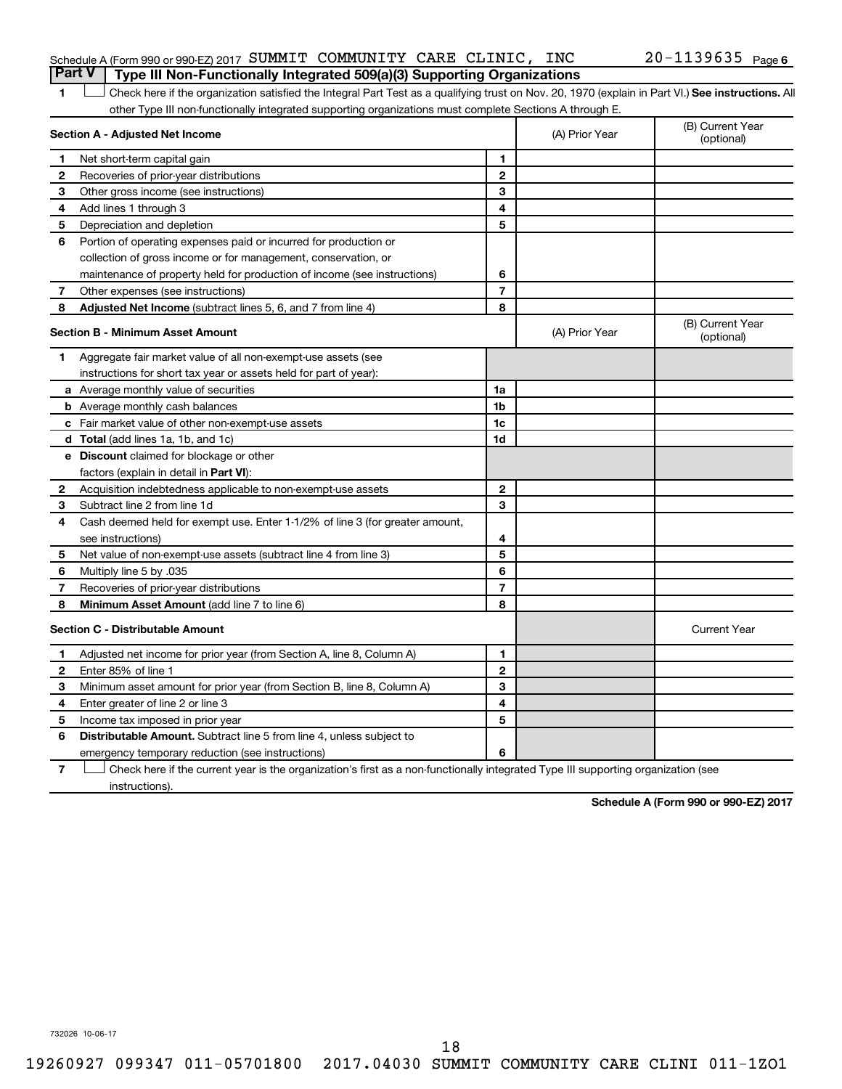#### Schedule A (Form 990 or 990-EZ) 2017 Page SUMMIT COMMUNITY CARE CLINIC, INC 20-1139635 **Part V Type III Non-Functionally Integrated 509(a)(3) Supporting Organizations**

1 **Letter See instructions.** All Check here if the organization satisfied the Integral Part Test as a qualifying trust on Nov. 20, 1970 (explain in Part VI.) See instructions. All other Type III non-functionally integrated supporting organizations must complete Sections A through E.

|              | Section A - Adjusted Net Income                                              |                | (A) Prior Year | (B) Current Year<br>(optional) |
|--------------|------------------------------------------------------------------------------|----------------|----------------|--------------------------------|
| 1            | Net short-term capital gain                                                  | 1              |                |                                |
| 2            | Recoveries of prior-year distributions                                       | $\overline{2}$ |                |                                |
| 3            | Other gross income (see instructions)                                        | 3              |                |                                |
| 4            | Add lines 1 through 3                                                        | 4              |                |                                |
| 5            | Depreciation and depletion                                                   | 5              |                |                                |
| 6            | Portion of operating expenses paid or incurred for production or             |                |                |                                |
|              | collection of gross income or for management, conservation, or               |                |                |                                |
|              | maintenance of property held for production of income (see instructions)     | 6              |                |                                |
| 7            | Other expenses (see instructions)                                            | $\overline{7}$ |                |                                |
| 8            | <b>Adjusted Net Income</b> (subtract lines 5, 6, and 7 from line 4)          | 8              |                |                                |
|              | <b>Section B - Minimum Asset Amount</b>                                      |                | (A) Prior Year | (B) Current Year<br>(optional) |
| 1.           | Aggregate fair market value of all non-exempt-use assets (see                |                |                |                                |
|              | instructions for short tax year or assets held for part of year):            |                |                |                                |
|              | a Average monthly value of securities                                        | 1a             |                |                                |
|              | <b>b</b> Average monthly cash balances                                       | 1 <sub>b</sub> |                |                                |
|              | c Fair market value of other non-exempt-use assets                           | 1c             |                |                                |
|              | d Total (add lines 1a, 1b, and 1c)                                           | 1 <sub>d</sub> |                |                                |
|              | e Discount claimed for blockage or other                                     |                |                |                                |
|              | factors (explain in detail in <b>Part VI</b> ):                              |                |                |                                |
| 2            | Acquisition indebtedness applicable to non-exempt-use assets                 | $\mathbf{2}$   |                |                                |
| 3            | Subtract line 2 from line 1d                                                 | 3              |                |                                |
| 4            | Cash deemed held for exempt use. Enter 1-1/2% of line 3 (for greater amount, |                |                |                                |
|              | see instructions)                                                            | 4              |                |                                |
| 5            | Net value of non-exempt-use assets (subtract line 4 from line 3)             | 5              |                |                                |
| 6            | Multiply line 5 by .035                                                      | 6              |                |                                |
| 7            | Recoveries of prior-year distributions                                       | 7              |                |                                |
| 8            | Minimum Asset Amount (add line 7 to line 6)                                  | 8              |                |                                |
|              | <b>Section C - Distributable Amount</b>                                      |                |                | <b>Current Year</b>            |
| 1            | Adjusted net income for prior year (from Section A, line 8, Column A)        | 1              |                |                                |
| $\mathbf{2}$ | Enter 85% of line 1                                                          | $\overline{2}$ |                |                                |
| з            | Minimum asset amount for prior year (from Section B, line 8, Column A)       | 3              |                |                                |
| 4            | Enter greater of line 2 or line 3                                            | 4              |                |                                |
| 5            | Income tax imposed in prior year                                             | 5              |                |                                |
| 6            | Distributable Amount. Subtract line 5 from line 4, unless subject to         |                |                |                                |
|              | emergency temporary reduction (see instructions)                             | 6              |                |                                |
|              |                                                                              |                |                |                                |

**7** Check here if the current year is the organization's first as a non-functionally integrated Type III supporting organization (see † instructions).

**Schedule A (Form 990 or 990-EZ) 2017**

732026 10-06-17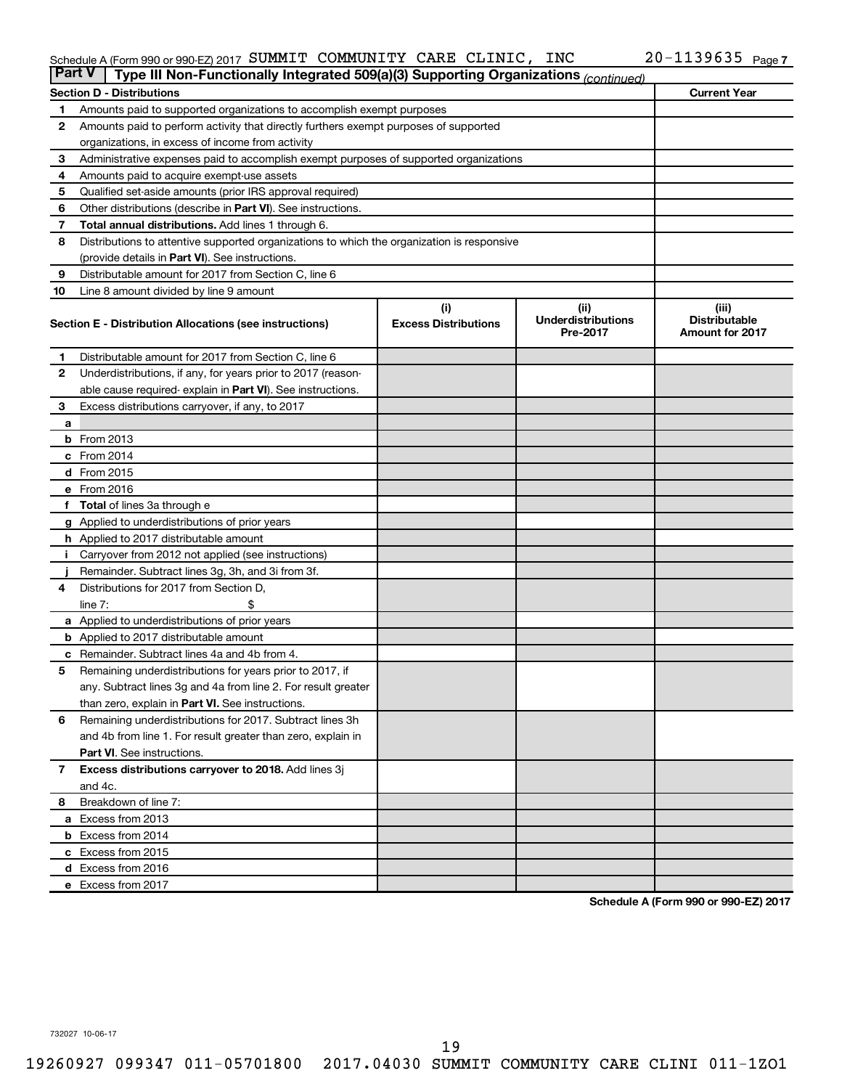#### Schedule A (Form 990 or 990-EZ) 2017 SUMMIT COMMUNITY CARE CLINIC, INC  $ZU-1139635$  Page SUMMIT COMMUNITY CARE CLINIC, INC 20-1139635

| <b>Part V</b><br>Type III Non-Functionally Integrated 509(a)(3) Supporting Organizations (continued) |                                                                                            |                             |                                       |                                                |  |  |  |  |
|------------------------------------------------------------------------------------------------------|--------------------------------------------------------------------------------------------|-----------------------------|---------------------------------------|------------------------------------------------|--|--|--|--|
|                                                                                                      | <b>Current Year</b><br><b>Section D - Distributions</b>                                    |                             |                                       |                                                |  |  |  |  |
| 1                                                                                                    | Amounts paid to supported organizations to accomplish exempt purposes                      |                             |                                       |                                                |  |  |  |  |
| $\mathbf{2}$                                                                                         | Amounts paid to perform activity that directly furthers exempt purposes of supported       |                             |                                       |                                                |  |  |  |  |
|                                                                                                      | organizations, in excess of income from activity                                           |                             |                                       |                                                |  |  |  |  |
| 3                                                                                                    | Administrative expenses paid to accomplish exempt purposes of supported organizations      |                             |                                       |                                                |  |  |  |  |
| 4                                                                                                    | Amounts paid to acquire exempt-use assets                                                  |                             |                                       |                                                |  |  |  |  |
| 5                                                                                                    | Qualified set-aside amounts (prior IRS approval required)                                  |                             |                                       |                                                |  |  |  |  |
| 6                                                                                                    | Other distributions (describe in <b>Part VI</b> ). See instructions.                       |                             |                                       |                                                |  |  |  |  |
| 7                                                                                                    | Total annual distributions. Add lines 1 through 6.                                         |                             |                                       |                                                |  |  |  |  |
| 8                                                                                                    | Distributions to attentive supported organizations to which the organization is responsive |                             |                                       |                                                |  |  |  |  |
|                                                                                                      | (provide details in Part VI). See instructions.                                            |                             |                                       |                                                |  |  |  |  |
| 9                                                                                                    | Distributable amount for 2017 from Section C, line 6                                       |                             |                                       |                                                |  |  |  |  |
| 10                                                                                                   | Line 8 amount divided by line 9 amount                                                     |                             |                                       |                                                |  |  |  |  |
|                                                                                                      |                                                                                            | (i)                         | (ii)                                  | (iii)                                          |  |  |  |  |
|                                                                                                      | Section E - Distribution Allocations (see instructions)                                    | <b>Excess Distributions</b> | <b>Underdistributions</b><br>Pre-2017 | <b>Distributable</b><br><b>Amount for 2017</b> |  |  |  |  |
| 1                                                                                                    | Distributable amount for 2017 from Section C, line 6                                       |                             |                                       |                                                |  |  |  |  |
| $\mathbf{2}$                                                                                         | Underdistributions, if any, for years prior to 2017 (reason-                               |                             |                                       |                                                |  |  |  |  |
|                                                                                                      | able cause required- explain in Part VI). See instructions.                                |                             |                                       |                                                |  |  |  |  |
| 3                                                                                                    | Excess distributions carryover, if any, to 2017                                            |                             |                                       |                                                |  |  |  |  |
| a                                                                                                    |                                                                                            |                             |                                       |                                                |  |  |  |  |
|                                                                                                      | <b>b</b> From 2013                                                                         |                             |                                       |                                                |  |  |  |  |
|                                                                                                      | c From 2014                                                                                |                             |                                       |                                                |  |  |  |  |
|                                                                                                      | d From 2015                                                                                |                             |                                       |                                                |  |  |  |  |
|                                                                                                      | e From 2016                                                                                |                             |                                       |                                                |  |  |  |  |
|                                                                                                      | f Total of lines 3a through e                                                              |                             |                                       |                                                |  |  |  |  |
|                                                                                                      | <b>g</b> Applied to underdistributions of prior years                                      |                             |                                       |                                                |  |  |  |  |
|                                                                                                      | h Applied to 2017 distributable amount                                                     |                             |                                       |                                                |  |  |  |  |
| Ť.                                                                                                   | Carryover from 2012 not applied (see instructions)                                         |                             |                                       |                                                |  |  |  |  |
|                                                                                                      | Remainder. Subtract lines 3g, 3h, and 3i from 3f.                                          |                             |                                       |                                                |  |  |  |  |
| 4                                                                                                    | Distributions for 2017 from Section D,                                                     |                             |                                       |                                                |  |  |  |  |
|                                                                                                      | line $7:$                                                                                  |                             |                                       |                                                |  |  |  |  |
|                                                                                                      | a Applied to underdistributions of prior years                                             |                             |                                       |                                                |  |  |  |  |
|                                                                                                      | <b>b</b> Applied to 2017 distributable amount                                              |                             |                                       |                                                |  |  |  |  |
| с                                                                                                    | Remainder. Subtract lines 4a and 4b from 4.                                                |                             |                                       |                                                |  |  |  |  |
| 5                                                                                                    | Remaining underdistributions for years prior to 2017, if                                   |                             |                                       |                                                |  |  |  |  |
|                                                                                                      | any. Subtract lines 3g and 4a from line 2. For result greater                              |                             |                                       |                                                |  |  |  |  |
|                                                                                                      | than zero, explain in Part VI. See instructions.                                           |                             |                                       |                                                |  |  |  |  |
| 6                                                                                                    | Remaining underdistributions for 2017. Subtract lines 3h                                   |                             |                                       |                                                |  |  |  |  |
|                                                                                                      | and 4b from line 1. For result greater than zero, explain in                               |                             |                                       |                                                |  |  |  |  |
|                                                                                                      | <b>Part VI.</b> See instructions.                                                          |                             |                                       |                                                |  |  |  |  |
| $\mathbf{7}$                                                                                         | Excess distributions carryover to 2018. Add lines 3j                                       |                             |                                       |                                                |  |  |  |  |
|                                                                                                      | and 4c.                                                                                    |                             |                                       |                                                |  |  |  |  |
| 8                                                                                                    | Breakdown of line 7:                                                                       |                             |                                       |                                                |  |  |  |  |
|                                                                                                      | a Excess from 2013                                                                         |                             |                                       |                                                |  |  |  |  |
|                                                                                                      | <b>b</b> Excess from 2014                                                                  |                             |                                       |                                                |  |  |  |  |
|                                                                                                      | c Excess from 2015                                                                         |                             |                                       |                                                |  |  |  |  |
|                                                                                                      | d Excess from 2016                                                                         |                             |                                       |                                                |  |  |  |  |
|                                                                                                      | e Excess from 2017                                                                         |                             |                                       |                                                |  |  |  |  |

**Schedule A (Form 990 or 990-EZ) 2017**

732027 10-06-17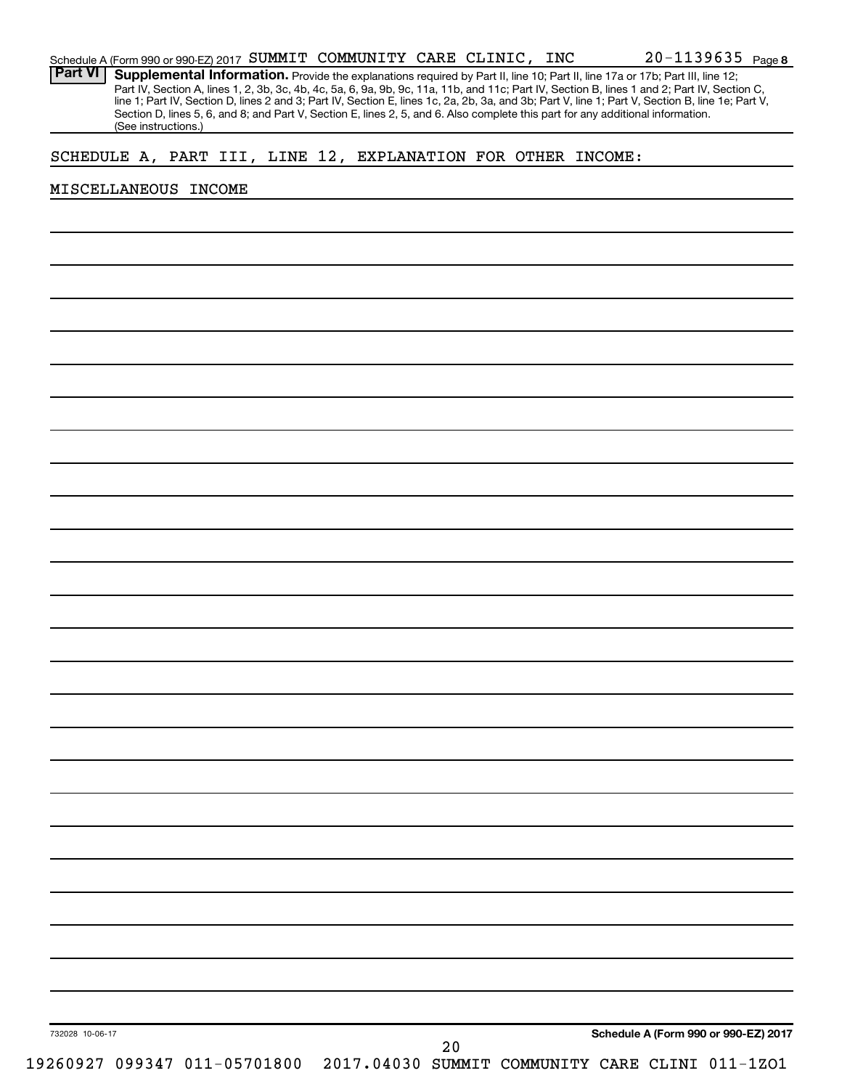| Part VI         |                      |  |                              |  |    |  |                                                              | Supplemental Information. Provide the explanations required by Part II, line 10; Part II, line 17a or 17b; Part III, line 12;<br>Part IV, Section A, lines 1, 2, 3b, 3c, 4b, 4c, 5a, 6, 9a, 9b, 9c, 11a, 11b, and 11c; Part IV, Section B, lines 1 and 2; Part IV, Section C,       |  |
|-----------------|----------------------|--|------------------------------|--|----|--|--------------------------------------------------------------|-------------------------------------------------------------------------------------------------------------------------------------------------------------------------------------------------------------------------------------------------------------------------------------|--|
|                 | (See instructions.)  |  |                              |  |    |  |                                                              | line 1; Part IV, Section D, lines 2 and 3; Part IV, Section E, lines 1c, 2a, 2b, 3a, and 3b; Part V, line 1; Part V, Section B, line 1e; Part V,<br>Section D, lines 5, 6, and 8; and Part V, Section E, lines 2, 5, and 6. Also complete this part for any additional information. |  |
|                 |                      |  |                              |  |    |  | SCHEDULE A, PART III, LINE 12, EXPLANATION FOR OTHER INCOME: |                                                                                                                                                                                                                                                                                     |  |
|                 |                      |  |                              |  |    |  |                                                              |                                                                                                                                                                                                                                                                                     |  |
|                 | MISCELLANEOUS INCOME |  |                              |  |    |  |                                                              |                                                                                                                                                                                                                                                                                     |  |
|                 |                      |  |                              |  |    |  |                                                              |                                                                                                                                                                                                                                                                                     |  |
|                 |                      |  |                              |  |    |  |                                                              |                                                                                                                                                                                                                                                                                     |  |
|                 |                      |  |                              |  |    |  |                                                              |                                                                                                                                                                                                                                                                                     |  |
|                 |                      |  |                              |  |    |  |                                                              |                                                                                                                                                                                                                                                                                     |  |
|                 |                      |  |                              |  |    |  |                                                              |                                                                                                                                                                                                                                                                                     |  |
|                 |                      |  |                              |  |    |  |                                                              |                                                                                                                                                                                                                                                                                     |  |
|                 |                      |  |                              |  |    |  |                                                              |                                                                                                                                                                                                                                                                                     |  |
|                 |                      |  |                              |  |    |  |                                                              |                                                                                                                                                                                                                                                                                     |  |
|                 |                      |  |                              |  |    |  |                                                              |                                                                                                                                                                                                                                                                                     |  |
|                 |                      |  |                              |  |    |  |                                                              |                                                                                                                                                                                                                                                                                     |  |
|                 |                      |  |                              |  |    |  |                                                              |                                                                                                                                                                                                                                                                                     |  |
|                 |                      |  |                              |  |    |  |                                                              |                                                                                                                                                                                                                                                                                     |  |
|                 |                      |  |                              |  |    |  |                                                              |                                                                                                                                                                                                                                                                                     |  |
|                 |                      |  |                              |  |    |  |                                                              |                                                                                                                                                                                                                                                                                     |  |
|                 |                      |  |                              |  |    |  |                                                              |                                                                                                                                                                                                                                                                                     |  |
|                 |                      |  |                              |  |    |  |                                                              |                                                                                                                                                                                                                                                                                     |  |
|                 |                      |  |                              |  |    |  |                                                              |                                                                                                                                                                                                                                                                                     |  |
|                 |                      |  |                              |  |    |  |                                                              |                                                                                                                                                                                                                                                                                     |  |
|                 |                      |  |                              |  |    |  |                                                              |                                                                                                                                                                                                                                                                                     |  |
|                 |                      |  |                              |  |    |  |                                                              |                                                                                                                                                                                                                                                                                     |  |
|                 |                      |  |                              |  |    |  |                                                              |                                                                                                                                                                                                                                                                                     |  |
|                 |                      |  |                              |  |    |  |                                                              |                                                                                                                                                                                                                                                                                     |  |
|                 |                      |  |                              |  |    |  |                                                              |                                                                                                                                                                                                                                                                                     |  |
|                 |                      |  |                              |  |    |  |                                                              |                                                                                                                                                                                                                                                                                     |  |
|                 |                      |  |                              |  |    |  |                                                              |                                                                                                                                                                                                                                                                                     |  |
|                 |                      |  |                              |  |    |  |                                                              |                                                                                                                                                                                                                                                                                     |  |
|                 |                      |  |                              |  |    |  |                                                              |                                                                                                                                                                                                                                                                                     |  |
|                 |                      |  |                              |  |    |  |                                                              |                                                                                                                                                                                                                                                                                     |  |
|                 |                      |  |                              |  |    |  |                                                              |                                                                                                                                                                                                                                                                                     |  |
|                 |                      |  |                              |  |    |  |                                                              |                                                                                                                                                                                                                                                                                     |  |
|                 |                      |  |                              |  |    |  |                                                              |                                                                                                                                                                                                                                                                                     |  |
|                 |                      |  |                              |  |    |  |                                                              |                                                                                                                                                                                                                                                                                     |  |
|                 |                      |  |                              |  |    |  |                                                              |                                                                                                                                                                                                                                                                                     |  |
|                 |                      |  |                              |  |    |  |                                                              |                                                                                                                                                                                                                                                                                     |  |
| 732028 10-06-17 |                      |  |                              |  |    |  |                                                              | Schedule A (Form 990 or 990-EZ) 2017                                                                                                                                                                                                                                                |  |
|                 |                      |  | 19260927 099347 011-05701800 |  | 20 |  |                                                              | 2017.04030 SUMMIT COMMUNITY CARE CLINI 011-1ZO1                                                                                                                                                                                                                                     |  |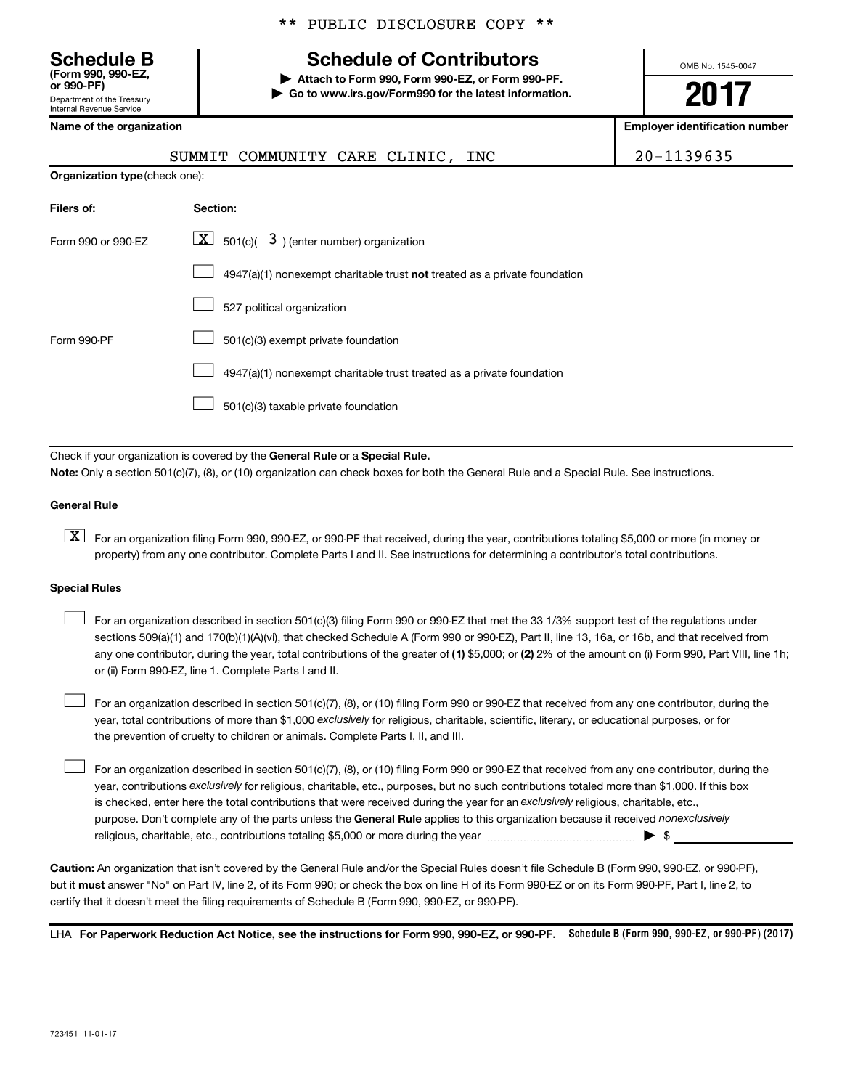Department of the Treasury Internal Revenue Service **(Form 990, 990-EZ,**

|  |  | ** PUBLIC DISCLOSURE COPY ** |  |  |
|--|--|------------------------------|--|--|
|--|--|------------------------------|--|--|

# **Schedule B Schedule of Contributors**

**or 990-PF) | Attach to Form 990, Form 990-EZ, or Form 990-PF. | Go to www.irs.gov/Form990 for the latest information.** OMB No. 1545-0047

# **2017**

**Name of the organization Employer identification number**

|                                       | SUMMIT COMMUNITY CARE CLINIC, INC                                         | 20-1139635 |
|---------------------------------------|---------------------------------------------------------------------------|------------|
| <b>Organization type (check one):</b> |                                                                           |            |
| Filers of:                            | Section:                                                                  |            |
| Form 990 or 990-EZ                    | $\lfloor x \rfloor$ 501(c)( 3) (enter number) organization                |            |
|                                       | 4947(a)(1) nonexempt charitable trust not treated as a private foundation |            |
|                                       | 527 political organization                                                |            |
| Form 990-PF                           | 501(c)(3) exempt private foundation                                       |            |
|                                       | 4947(a)(1) nonexempt charitable trust treated as a private foundation     |            |
|                                       | 501(c)(3) taxable private foundation                                      |            |

Check if your organization is covered by the General Rule or a Special Rule. **Note:**  Only a section 501(c)(7), (8), or (10) organization can check boxes for both the General Rule and a Special Rule. See instructions.

#### **General Rule**

**K** For an organization filing Form 990, 990-EZ, or 990-PF that received, during the year, contributions totaling \$5,000 or more (in money or property) from any one contributor. Complete Parts I and II. See instructions for determining a contributor's total contributions.

#### **Special Rules**

 $\Box$ 

any one contributor, during the year, total contributions of the greater of (1) \$5,000; or (2) 2% of the amount on (i) Form 990, Part VIII, line 1h; For an organization described in section 501(c)(3) filing Form 990 or 990-EZ that met the 33 1/3% support test of the regulations under sections 509(a)(1) and 170(b)(1)(A)(vi), that checked Schedule A (Form 990 or 990-EZ), Part II, line 13, 16a, or 16b, and that received from or (ii) Form 990-EZ, line 1. Complete Parts I and II.  $\Box$ 

year, total contributions of more than \$1,000 *exclusively* for religious, charitable, scientific, literary, or educational purposes, or for For an organization described in section 501(c)(7), (8), or (10) filing Form 990 or 990-EZ that received from any one contributor, during the the prevention of cruelty to children or animals. Complete Parts I, II, and III.  $\Box$ 

purpose. Don't complete any of the parts unless the General Rule applies to this organization because it received nonexclusively year, contributions exclusively for religious, charitable, etc., purposes, but no such contributions totaled more than \$1,000. If this box is checked, enter here the total contributions that were received during the year for an exclusively religious, charitable, etc., For an organization described in section 501(c)(7), (8), or (10) filing Form 990 or 990-EZ that received from any one contributor, during the religious, charitable, etc., contributions totaling \$5,000 or more during the year  $\ldots$  $\ldots$  $\ldots$  $\ldots$  $\ldots$  $\ldots$ 

**Caution:**  An organization that isn't covered by the General Rule and/or the Special Rules doesn't file Schedule B (Form 990, 990-EZ, or 990-PF),  **must** but it answer "No" on Part IV, line 2, of its Form 990; or check the box on line H of its Form 990-EZ or on its Form 990-PF, Part I, line 2, to certify that it doesn't meet the filing requirements of Schedule B (Form 990, 990-EZ, or 990-PF).

LHA For Paperwork Reduction Act Notice, see the instructions for Form 990, 990-EZ, or 990-PF. Schedule B (Form 990, 990-EZ, or 990-PF) (2017)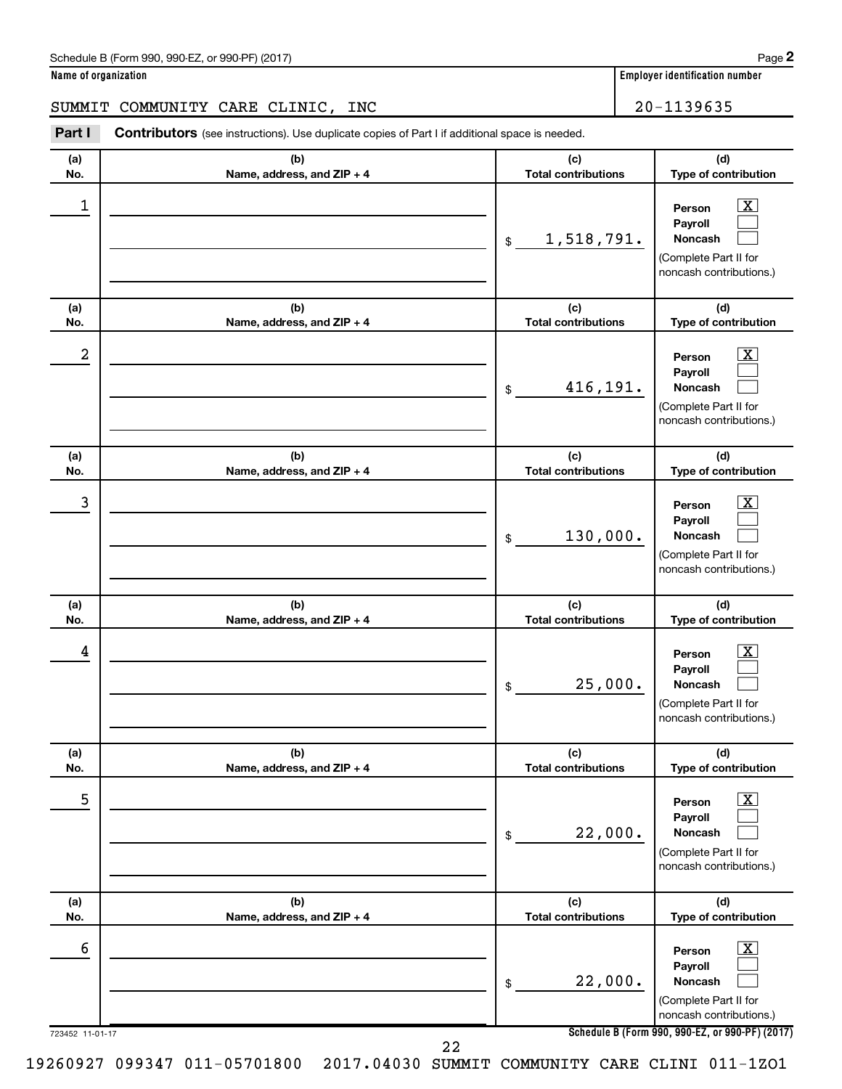| Schedule B (Form 990, 990-EZ, or 990-PF) (2017) | Page |
|-------------------------------------------------|------|
|-------------------------------------------------|------|

**Name of organization Employer identification number**

#### SUMMIT COMMUNITY CARE CLINIC, INC  $\vert$  20-1139635

723452 11-01-17 **Schedule B (Form 990, 990-EZ, or 990-PF) (2017) (a) No. (b) Name, address, and ZIP + 4 (c) Total contributions (d) Type of contribution Person Payroll Noncash (a) No. (b) Name, address, and ZIP + 4 (c) Total contributions (d) Type of contribution Person Payroll Noncash (a) No. (b) Name, address, and ZIP + 4 (c) Total contributions (d) Type of contribution Person Payroll Noncash (a) No. (b) Name, address, and ZIP + 4 (c) Total contributions (d) Type of contribution Person Payroll Noncash (a) No. (b) Name, address, and ZIP + 4 (c) Total contributions (d) Type of contribution Person Payroll Noncash (a) No. (b) Name, address, and ZIP + 4 (c) Total contributions (d) Type of contribution Person Payroll Noncash Part I** Contributors (see instructions). Use duplicate copies of Part I if additional space is needed. \$ (Complete Part II for noncash contributions.) \$ (Complete Part II for noncash contributions.) \$ (Complete Part II for noncash contributions.) \$ (Complete Part II for noncash contributions.) \$ (Complete Part II for noncash contributions.) \$ (Complete Part II for noncash contributions.)  $\lfloor x \rfloor$  $\Box$  $\Box$  $\overline{\mathbf{X}}$  $\Box$  $\Box$  $\boxed{\textbf{X}}$  $\Box$  $\Box$  $\boxed{\textbf{X}}$  $\Box$  $\Box$  $\boxed{\text{X}}$  $\Box$  $\Box$  $\boxed{\text{X}}$  $\Box$  $\Box$  $\begin{array}{|c|c|c|c|c|}\hline \ \text{1} & \text{Person} & \text{X} \ \hline \end{array}$ 1,518,791.  $2$  Person  $\overline{\text{X}}$ 416,191.  $\begin{array}{|c|c|c|c|c|c|}\hline \text{3} & \text{Person} & \text{X} \ \hline \end{array}$ 130,000.  $\begin{array}{|c|c|c|c|c|}\hline \text{4} & \text{Person} & \text{\textbf{X}}\ \hline \end{array}$ 25,000. 5 X 22,000.  $\overline{6}$  Person  $\overline{X}$ 22,000. 22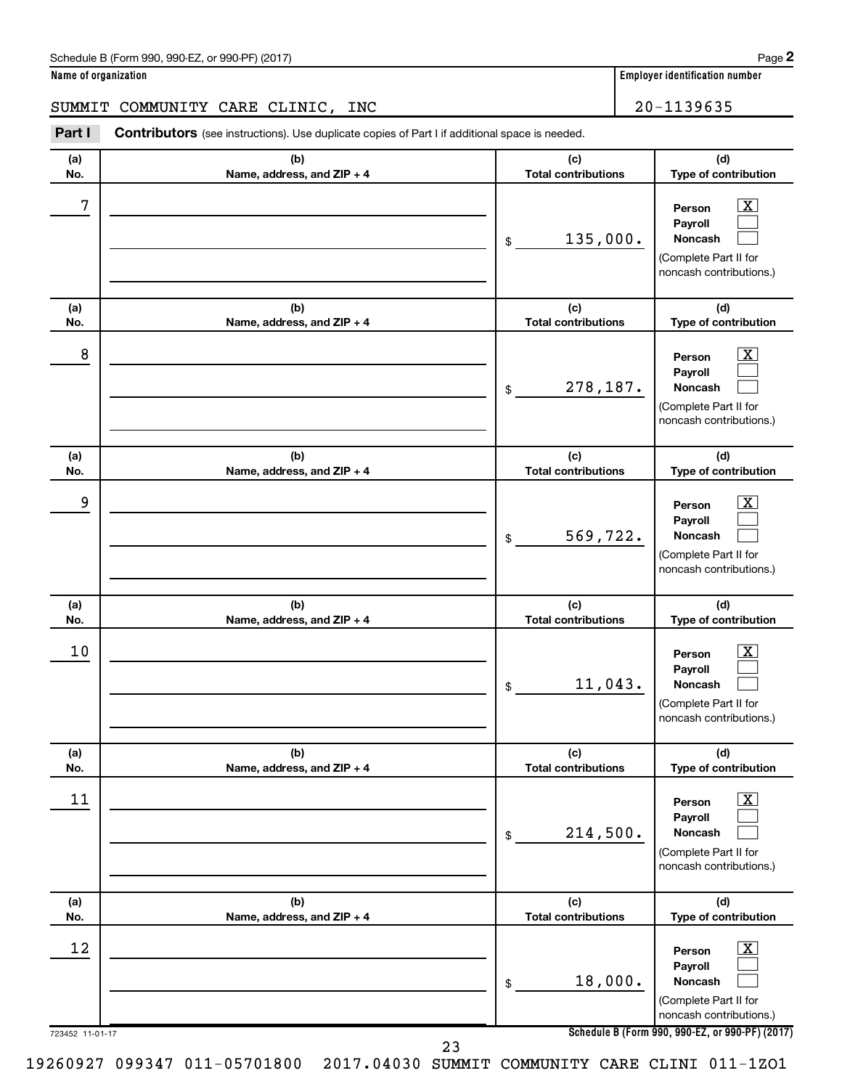**(d)**

 $\boxed{\text{X}}$  $\Box$  $\Box$ 

**(d)**

**(a) No. (b) Name, address, and ZIP + 4 (c) Total contributions Type of contribution Person Payroll Noncash (a) No. (b) Name, address, and ZIP + 4 (c) Total contributions Type of contribution (a) No. (b) Name, address, and ZIP + 4 (c) Total contributions Part I** Contributors (see instructions). Use duplicate copies of Part I if additional space is needed. \$ (Complete Part II for noncash contributions.) \$ SUMMIT COMMUNITY CARE CLINIC, INC | 20-1139635  $7$   $|$  Person  $\overline{\text{X}}$ 135,000. 278,187.

| 8               |                                                                                 | 278,187.<br>\$                    | $\overline{\mathbf{X}}$<br>Person<br>Payroll<br>Noncash<br>(Complete Part II for<br>noncash contributions.)   |
|-----------------|---------------------------------------------------------------------------------|-----------------------------------|---------------------------------------------------------------------------------------------------------------|
| (a)<br>No.      | (b)<br>Name, address, and ZIP + 4                                               | (c)<br><b>Total contributions</b> | (d)<br>Type of contribution                                                                                   |
| 9               |                                                                                 | 569,722.<br>\$                    | $\overline{\mathbf{x}}$<br>Person<br>Payroll<br>Noncash<br>(Complete Part II for<br>noncash contributions.)   |
| (a)<br>No.      | (b)<br>Name, address, and ZIP + 4                                               | (c)<br><b>Total contributions</b> | (d)<br>Type of contribution                                                                                   |
| 10              |                                                                                 | 11,043.<br>\$                     | $\boxed{\text{X}}$<br>Person<br>Payroll<br><b>Noncash</b><br>(Complete Part II for<br>noncash contributions.) |
| (a)<br>No.      | (b)<br>Name, address, and ZIP + 4                                               | (c)<br><b>Total contributions</b> | (d)<br>Type of contribution                                                                                   |
| 11              |                                                                                 | 214,500.<br>\$                    | $\overline{\mathbf{x}}$<br>Person<br>Payroll<br>Noncash<br>(Complete Part II for<br>noncash contributions.)   |
| (a)<br>No.      | (b)<br>Name, address, and ZIP + 4                                               | (c)<br><b>Total contributions</b> | (d)<br>Type of contribution                                                                                   |
| 12              |                                                                                 | 18,000.<br>\$                     | $\boxed{\text{X}}$<br>Person<br>Payroll<br><b>Noncash</b><br>(Complete Part II for<br>noncash contributions.) |
| 723452 11-01-17 | 23                                                                              |                                   | Schedule B (Form 990, 990-EZ, or 990-PF) (2017)                                                               |
|                 | 2017.04030 SUMMIT COMMUNITY CARE CLINI 011-1Z01<br>19260927 099347 011-05701800 |                                   |                                                                                                               |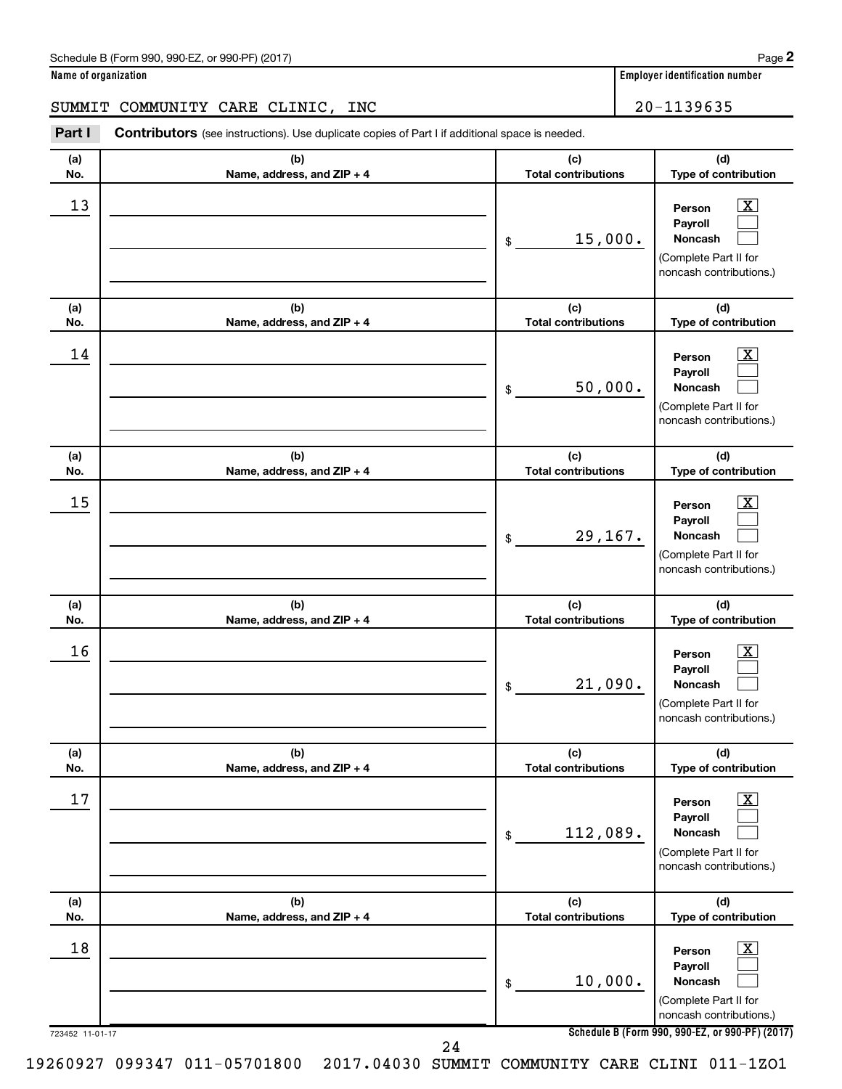**Name of organization Employer identification number**

#### SUMMIT COMMUNITY CARE CLINIC, INC | 20-1139635

723452 11-01-17 **Schedule B (Form 990, 990-EZ, or 990-PF) (2017) (a) No. (b) Name, address, and ZIP + 4 (c) Total contributions (d) Type of contribution Person Payroll Noncash (a) No. (b) Name, address, and ZIP + 4 (c) Total contributions (d) Type of contribution Person Payroll Noncash (a) No. (b) Name, address, and ZIP + 4 (c) Total contributions (d) Type of contribution Person Payroll Noncash (a) No. (b) Name, address, and ZIP + 4 (c) Total contributions (d) Type of contribution Person Payroll Noncash (a) No. (b) Name, address, and ZIP + 4 (c) Total contributions (d) Type of contribution Person Payroll Noncash (a) No. (b) Name, address, and ZIP + 4 (c) Total contributions (d) Type of contribution Person Payroll Noncash Part I** Contributors (see instructions). Use duplicate copies of Part I if additional space is needed. \$ (Complete Part II for noncash contributions.) \$ (Complete Part II for noncash contributions.) \$ (Complete Part II for noncash contributions.) \$ (Complete Part II for noncash contributions.) \$ (Complete Part II for noncash contributions.) \$ (Complete Part II for noncash contributions.)  $\lfloor x \rfloor$  $\Box$  $\Box$  $\overline{\mathbf{X}}$  $\Box$  $\Box$  $\boxed{\textbf{X}}$  $\Box$  $\Box$  $\boxed{\textbf{X}}$  $\Box$  $\Box$  $\boxed{\text{X}}$  $\Box$  $\Box$  $\boxed{\textbf{X}}$  $\Box$  $\Box$  $\begin{array}{|c|c|c|c|c|}\hline \text{13} & \text{Person} & \text{X} \\\hline \end{array}$ 15,000.  $\begin{array}{|c|c|c|c|c|}\hline \text{14} & \text{Person} & \text{X} \\\hline \end{array}$ 50,000.  $15$  Person  $\overline{\text{X}}$ 29,167.  $16$  Person  $\overline{\text{X}}$ 21,090.  $17$  Person  $\overline{\text{X}}$ 112,089.  $\begin{array}{|c|c|c|c|c|c|}\hline \text{18} & \text{Person} & \text{X} \\\hline \end{array}$ 10,000. 24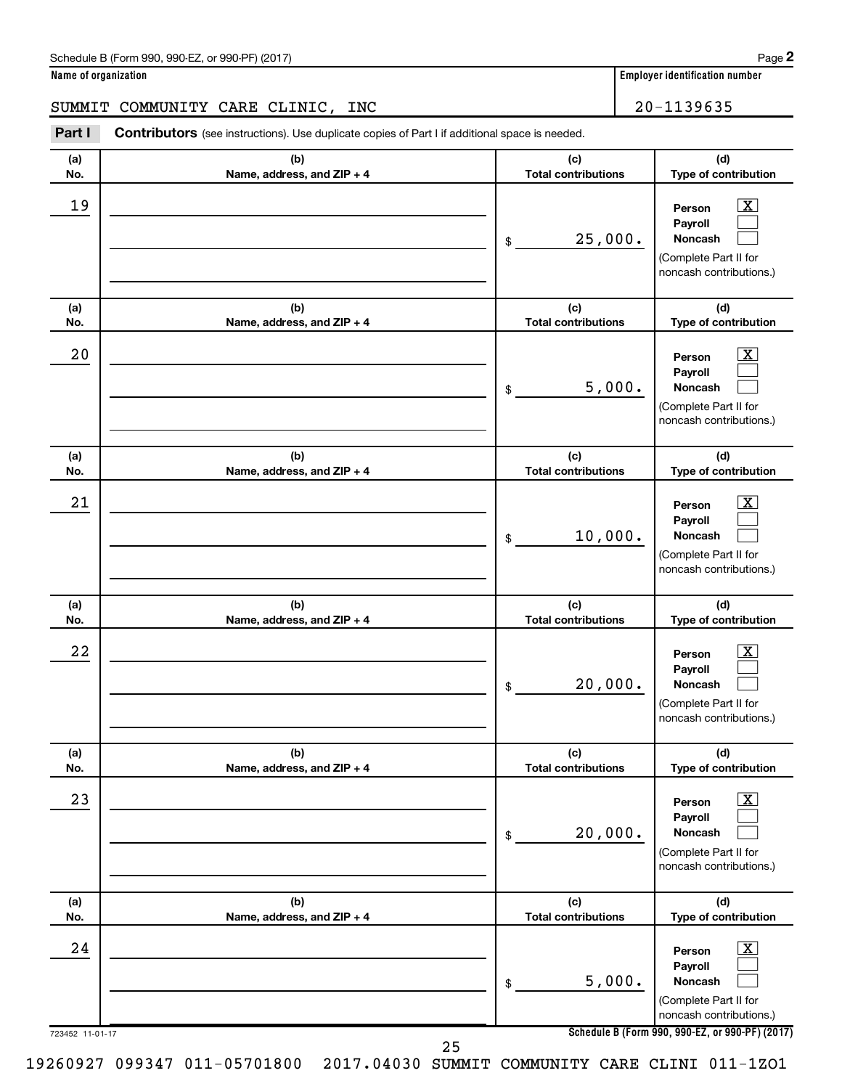| Schedule B (Form 990, 990-EZ, or 990-PF) (2017) | Page |
|-------------------------------------------------|------|
|-------------------------------------------------|------|

# SUMMIT COMMUNITY CARE CLINIC, INC 20-1139635

| Part I                | <b>Contributors</b> (see instructions). Use duplicate copies of Part I if additional space is needed. |                                   |                                                                                                                                                                |
|-----------------------|-------------------------------------------------------------------------------------------------------|-----------------------------------|----------------------------------------------------------------------------------------------------------------------------------------------------------------|
| (a)<br>No.            | (b)<br>Name, address, and ZIP + 4                                                                     | (c)<br><b>Total contributions</b> | (d)<br>Type of contribution                                                                                                                                    |
| 19                    |                                                                                                       | 25,000.<br>\$                     | $\overline{\mathbf{X}}$<br>Person<br>Payroll<br><b>Noncash</b><br>(Complete Part II for<br>noncash contributions.)                                             |
| (a)<br>No.            | (b)<br>Name, address, and ZIP + 4                                                                     | (c)<br><b>Total contributions</b> | (d)<br>Type of contribution                                                                                                                                    |
| 20                    |                                                                                                       | 5,000.<br>\$                      | $\overline{\mathbf{X}}$<br>Person<br>Payroll<br><b>Noncash</b><br>(Complete Part II for<br>noncash contributions.)                                             |
| (a)<br>No.            | (b)<br>Name, address, and ZIP + 4                                                                     | (c)<br><b>Total contributions</b> | (d)<br>Type of contribution                                                                                                                                    |
| 21                    |                                                                                                       | 10,000.<br>\$                     | $\overline{\mathbf{X}}$<br>Person<br>Payroll<br><b>Noncash</b><br>(Complete Part II for<br>noncash contributions.)                                             |
| (a)<br>No.            | (b)<br>Name, address, and ZIP + 4                                                                     | (c)<br><b>Total contributions</b> | (d)<br>Type of contribution                                                                                                                                    |
| 22                    |                                                                                                       | 20,000.<br>\$                     | $\overline{\mathbf{X}}$<br>Person<br>Payroll<br><b>Noncash</b><br>(Complete Part II for<br>noncash contributions.)                                             |
| (a)<br>No.            | (b)<br>Name, address, and ZIP + 4                                                                     | (c)<br><b>Total contributions</b> | (d)<br>Type of contribution                                                                                                                                    |
| 23                    |                                                                                                       | 20,000.<br>\$                     | $\overline{\mathbf{X}}$<br>Person<br>Payroll<br>Noncash<br>(Complete Part II for<br>noncash contributions.)                                                    |
| (a)<br>No.            | (b)<br>Name, address, and ZIP + 4                                                                     | (c)<br><b>Total contributions</b> | (d)<br>Type of contribution                                                                                                                                    |
| 24<br>723452 11-01-17 |                                                                                                       | 5,000.<br>\$                      | $\overline{\mathbf{X}}$<br>Person<br>Payroll<br>Noncash<br>(Complete Part II for<br>noncash contributions.)<br>Schedule B (Form 990, 990-EZ, or 990-PF) (2017) |
|                       |                                                                                                       | 25                                |                                                                                                                                                                |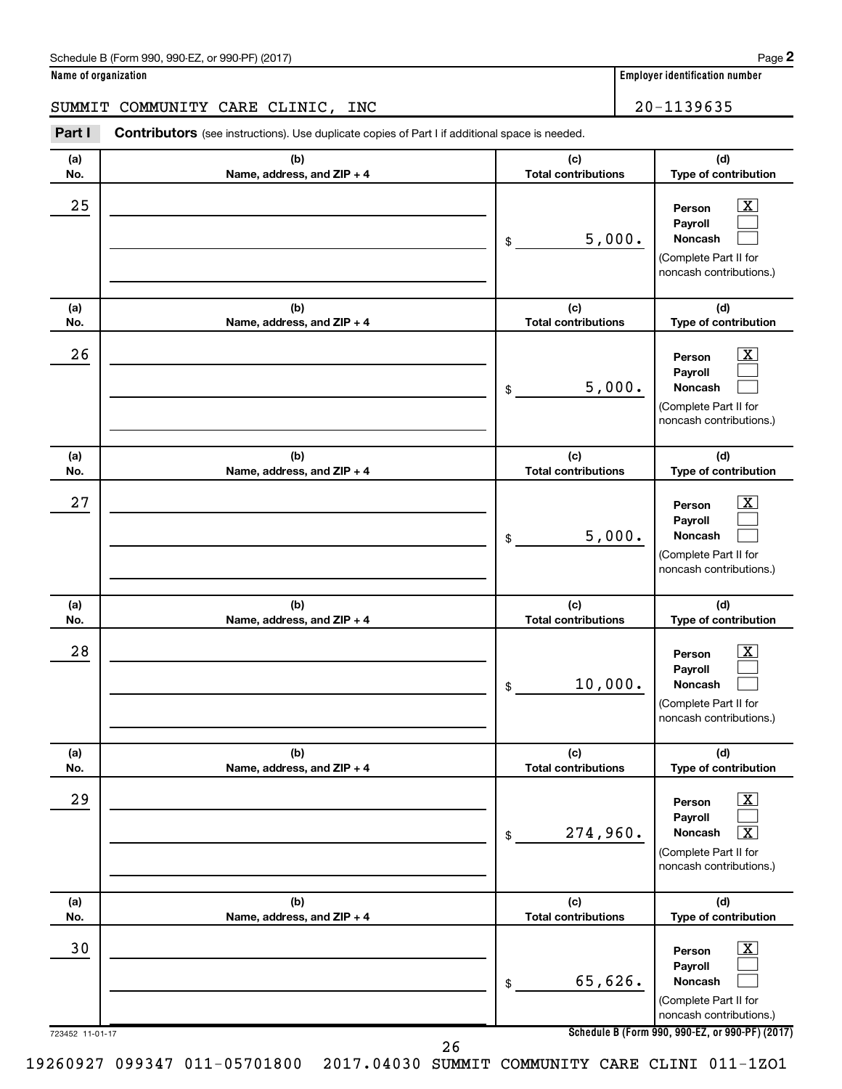| Schedule B (Form 990, 990-EZ, or 990-PF) (2017) | Page |
|-------------------------------------------------|------|
|-------------------------------------------------|------|

#### SUMMIT COMMUNITY CARE CLINIC, INC  $\vert$  20-1139635

723452 11-01-17 **Schedule B (Form 990, 990-EZ, or 990-PF) (2017) (a) No. (b) Name, address, and ZIP + 4 (c) Total contributions (d) Type of contribution Person Payroll Noncash (a) No. (b) Name, address, and ZIP + 4 (c) Total contributions (d) Type of contribution Person Payroll Noncash (a) No. (b) Name, address, and ZIP + 4 (c) Total contributions (d) Type of contribution Person Payroll Noncash (a) No. (b) Name, address, and ZIP + 4 (c) Total contributions (d) Type of contribution Person Payroll Noncash (a) No. (b) Name, address, and ZIP + 4 (c) Total contributions (d) Type of contribution Person Payroll Noncash (a) No. (b) Name, address, and ZIP + 4 (c) Total contributions (d) Type of contribution Person Payroll Noncash Part I** Contributors (see instructions). Use duplicate copies of Part I if additional space is needed. \$ (Complete Part II for noncash contributions.) \$ (Complete Part II for noncash contributions.) \$ (Complete Part II for noncash contributions.) \$ (Complete Part II for noncash contributions.) \$ (Complete Part II for noncash contributions.) \$ (Complete Part II for noncash contributions.)  $\lfloor x \rfloor$  $\Box$  $\Box$  $\boxed{\textbf{X}}$  $\Box$  $\Box$  $\boxed{\textbf{X}}$  $\Box$  $\Box$  $\boxed{\text{X}}$  $\Box$  $\Box$  $\boxed{\text{X}}$  $\Box$  $\boxed{\text{X}}$  $\boxed{\text{X}}$  $\Box$  $\Box$  $25$  Person  $\overline{\text{X}}$ 5,000.  $26$  Person  $\overline{\text{X}}$ 5,000.  $27$  Person  $\overline{\text{X}}$ 5,000.  $28$  Person  $\overline{\text{X}}$ 10,000.  $29$  Person  $\overline{\text{X}}$  $274,960$ .  $\overline{30}$  Person  $\overline{\text{X}}$ 65,626. 26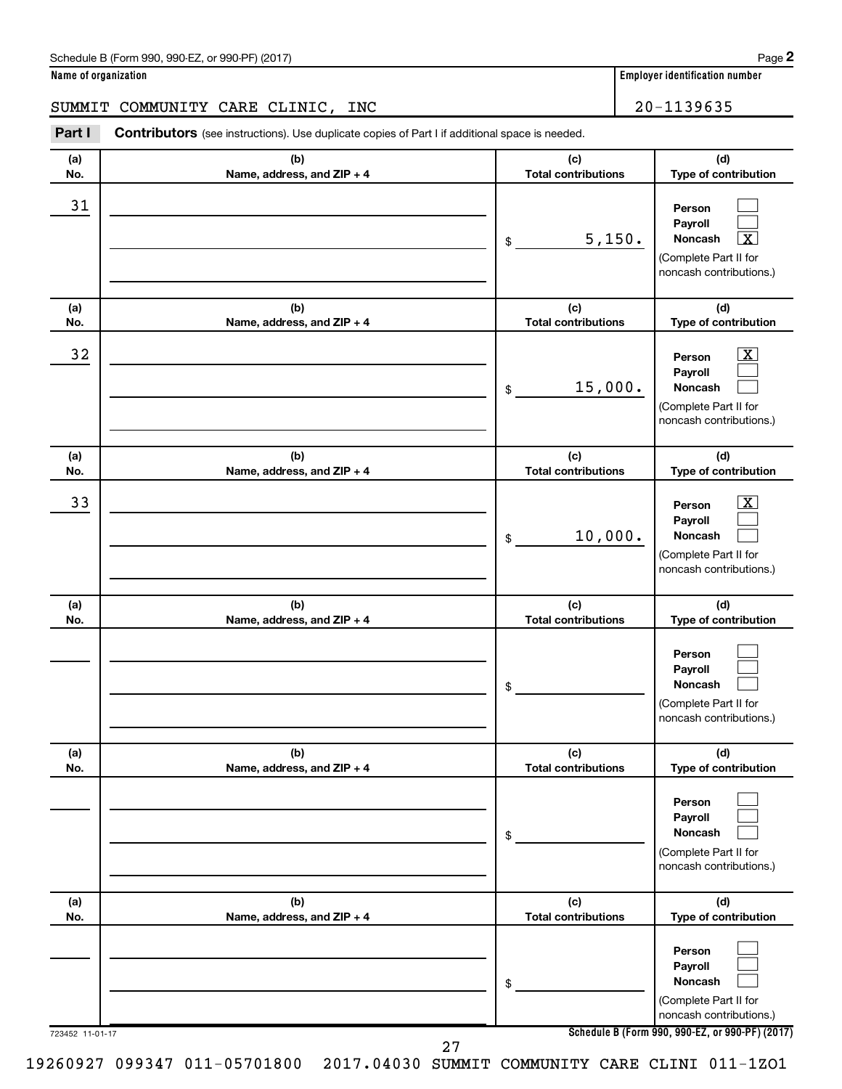**Name of organization Employer identification number**

#### SUMMIT COMMUNITY CARE CLINIC, INC  $\vert$  20-1139635

723452 11-01-17 **Schedule B (Form 990, 990-EZ, or 990-PF) (2017) (a) No. (b) Name, address, and ZIP + 4 (c) Total contributions (d) Type of contribution Person Payroll Noncash (a) No. (b) Name, address, and ZIP + 4 (c) Total contributions (d) Type of contribution Person Payroll Noncash (a) No. (b) Name, address, and ZIP + 4 (c) Total contributions (d) Type of contribution Person Payroll Noncash (a) No. (b) Name, address, and ZIP + 4 (c) Total contributions (d) Type of contribution Person Payroll Noncash (a) No. (b) Name, address, and ZIP + 4 (c) Total contributions (d) Type of contribution Person Payroll Noncash (a) No. (b) Name, address, and ZIP + 4 (c) Total contributions (d) Type of contribution Person Payroll Noncash Part I** Contributors (see instructions). Use duplicate copies of Part I if additional space is needed. \$ (Complete Part II for noncash contributions.) \$ (Complete Part II for noncash contributions.) \$ (Complete Part II for noncash contributions.) \$ (Complete Part II for noncash contributions.) \$ (Complete Part II for noncash contributions.) \$ (Complete Part II for noncash contributions.)  $\Box$  $\Box$ †  $\overline{\mathbf{X}}$  $\Box$  $\Box$  $\boxed{\textbf{X}}$  $\Box$  $\Box$  $\Box$  $\Box$  $\Box$  $\Box$  $\Box$  $\Box$  $\Box$  $\Box$  $\Box$ 31  $5,150.$  $\begin{array}{|c|c|c|c|c|}\hline \text{32} & \text{Person} & \text{X} \ \hline \end{array}$ 15,000.  $\overline{33}$  Person  $\overline{\text{X}}$ 10,000. 27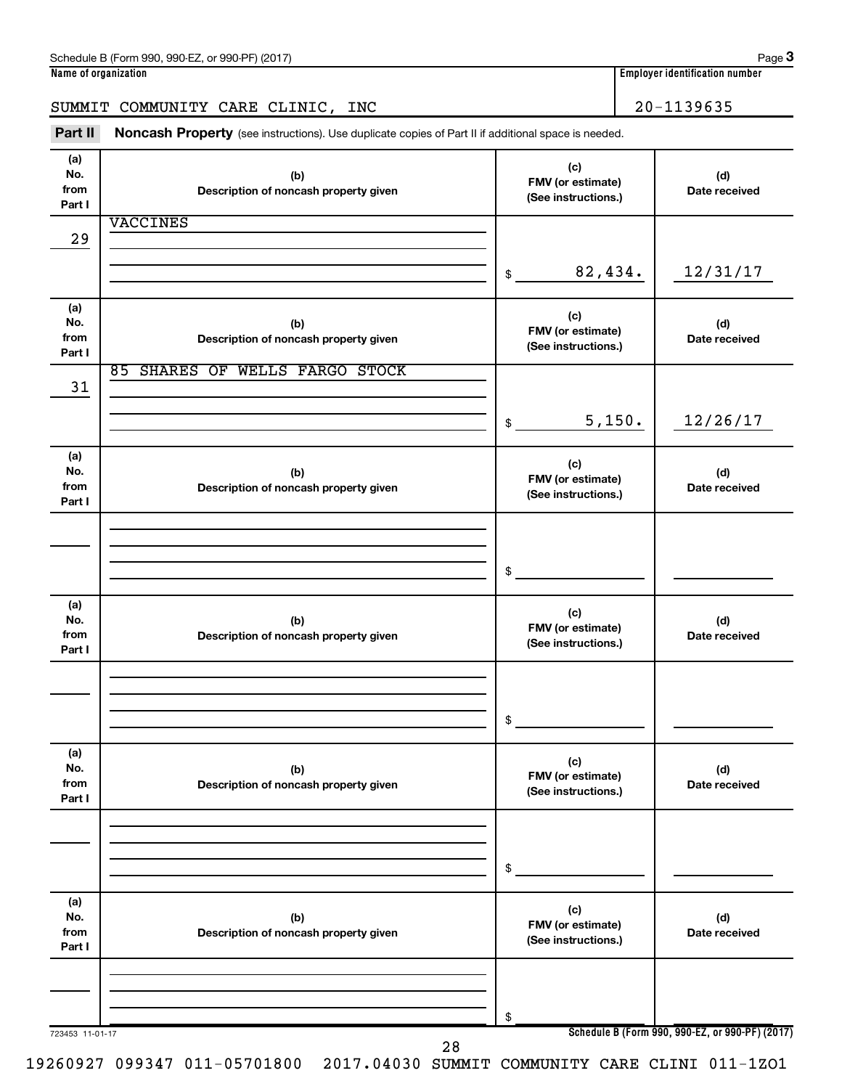# SUMMIT COMMUNITY CARE CLINIC, INC 20-1139635

Part II Noncash Property (see instructions). Use duplicate copies of Part II if additional space is needed.

| (a)<br>No.<br>from<br>Part I | (b)<br>Description of noncash property given | (c)<br>FMV (or estimate)<br>(See instructions.) | (d)<br>Date received                            |
|------------------------------|----------------------------------------------|-------------------------------------------------|-------------------------------------------------|
|                              | <b>VACCINES</b>                              |                                                 |                                                 |
| 29                           |                                              |                                                 |                                                 |
|                              |                                              |                                                 |                                                 |
|                              |                                              | 82,434.<br>\$                                   | 12/31/17                                        |
|                              |                                              |                                                 |                                                 |
| (a)                          |                                              | (c)                                             |                                                 |
| No.<br>from                  | (b)                                          | FMV (or estimate)                               | (d)<br>Date received                            |
| Part I                       | Description of noncash property given        | (See instructions.)                             |                                                 |
|                              | 85 SHARES OF WELLS FARGO STOCK               |                                                 |                                                 |
| 31                           |                                              |                                                 |                                                 |
|                              |                                              |                                                 |                                                 |
|                              |                                              | 5,150.<br>$\frac{1}{2}$                         | 12/26/17                                        |
|                              |                                              |                                                 |                                                 |
| (a)                          |                                              | (c)                                             |                                                 |
| No.                          | (b)                                          | FMV (or estimate)                               | (d)                                             |
| from                         | Description of noncash property given        | (See instructions.)                             | Date received                                   |
| Part I                       |                                              |                                                 |                                                 |
|                              |                                              |                                                 |                                                 |
|                              |                                              |                                                 |                                                 |
|                              |                                              | \$                                              |                                                 |
|                              |                                              |                                                 |                                                 |
| (a)                          |                                              |                                                 |                                                 |
| No.                          | (b)                                          | (c)<br>FMV (or estimate)                        | (d)                                             |
| from                         | Description of noncash property given        | (See instructions.)                             | Date received                                   |
| Part I                       |                                              |                                                 |                                                 |
|                              |                                              |                                                 |                                                 |
|                              |                                              |                                                 |                                                 |
|                              |                                              | \$                                              |                                                 |
|                              |                                              |                                                 |                                                 |
| (a)                          |                                              |                                                 |                                                 |
| No.                          | (b)                                          | (c)                                             | (d)                                             |
| from                         | Description of noncash property given        | FMV (or estimate)<br>(See instructions.)        | Date received                                   |
| Part I                       |                                              |                                                 |                                                 |
|                              |                                              |                                                 |                                                 |
|                              |                                              |                                                 |                                                 |
|                              |                                              |                                                 |                                                 |
|                              |                                              | \$                                              |                                                 |
|                              |                                              |                                                 |                                                 |
| (a)<br>No.                   | (b)                                          | (c)                                             | (d)                                             |
| from                         | Description of noncash property given        | FMV (or estimate)                               | Date received                                   |
| Part I                       |                                              | (See instructions.)                             |                                                 |
|                              |                                              |                                                 |                                                 |
|                              |                                              |                                                 |                                                 |
|                              |                                              |                                                 |                                                 |
|                              |                                              | \$                                              |                                                 |
| 723453 11-01-17              | 28                                           |                                                 | Schedule B (Form 990, 990-EZ, or 990-PF) (2017) |
|                              |                                              |                                                 |                                                 |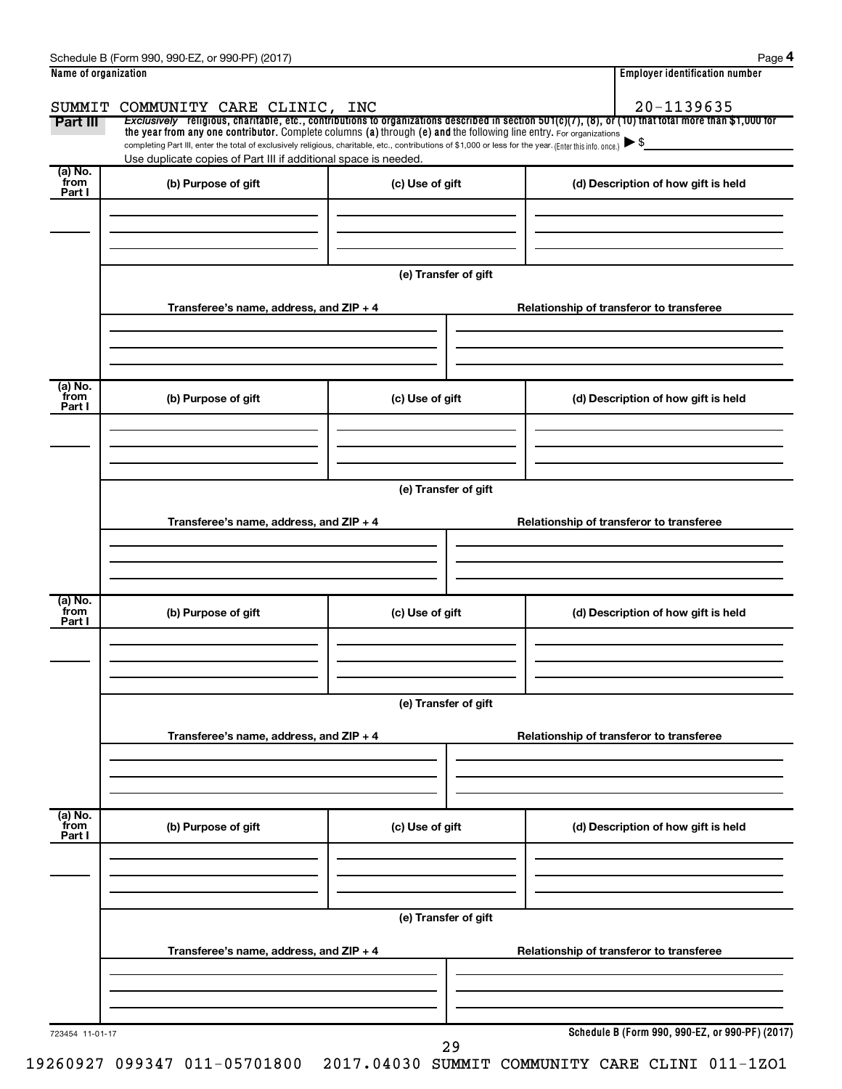| Schedule<br>990-EZ<br>2017) (<br>990-PF<br>m 990<br>or<br>-orm<br>н.<br>◡ | Page                                     |
|---------------------------------------------------------------------------|------------------------------------------|
| Name of organization                                                      | <br>r identification number.<br>-mnlover |

| Name of organization                    |                                            | <b>Employer identification number</b>                                                                                                                                                                                                                                                                                                                                                                                                                                                                                                                                     |
|-----------------------------------------|--------------------------------------------|---------------------------------------------------------------------------------------------------------------------------------------------------------------------------------------------------------------------------------------------------------------------------------------------------------------------------------------------------------------------------------------------------------------------------------------------------------------------------------------------------------------------------------------------------------------------------|
| SUMMIT COMMUNITY CARE CLINIC, INC       |                                            | 20-1139635                                                                                                                                                                                                                                                                                                                                                                                                                                                                                                                                                                |
|                                         |                                            | Exclusively religious, charitable, etc., contributions to organizations described in section 501(c)(7), (8), or (10) that total more than \$1,000 for                                                                                                                                                                                                                                                                                                                                                                                                                     |
|                                         |                                            | $\blacktriangleright$ \$                                                                                                                                                                                                                                                                                                                                                                                                                                                                                                                                                  |
|                                         |                                            |                                                                                                                                                                                                                                                                                                                                                                                                                                                                                                                                                                           |
| (b) Purpose of gift                     | (c) Use of gift                            | (d) Description of how gift is held                                                                                                                                                                                                                                                                                                                                                                                                                                                                                                                                       |
|                                         |                                            |                                                                                                                                                                                                                                                                                                                                                                                                                                                                                                                                                                           |
|                                         |                                            |                                                                                                                                                                                                                                                                                                                                                                                                                                                                                                                                                                           |
|                                         |                                            |                                                                                                                                                                                                                                                                                                                                                                                                                                                                                                                                                                           |
|                                         |                                            |                                                                                                                                                                                                                                                                                                                                                                                                                                                                                                                                                                           |
|                                         |                                            |                                                                                                                                                                                                                                                                                                                                                                                                                                                                                                                                                                           |
|                                         |                                            | Relationship of transferor to transferee                                                                                                                                                                                                                                                                                                                                                                                                                                                                                                                                  |
|                                         |                                            |                                                                                                                                                                                                                                                                                                                                                                                                                                                                                                                                                                           |
|                                         |                                            |                                                                                                                                                                                                                                                                                                                                                                                                                                                                                                                                                                           |
|                                         |                                            |                                                                                                                                                                                                                                                                                                                                                                                                                                                                                                                                                                           |
| (b) Purpose of gift                     | (c) Use of gift                            | (d) Description of how gift is held                                                                                                                                                                                                                                                                                                                                                                                                                                                                                                                                       |
|                                         |                                            |                                                                                                                                                                                                                                                                                                                                                                                                                                                                                                                                                                           |
|                                         |                                            |                                                                                                                                                                                                                                                                                                                                                                                                                                                                                                                                                                           |
|                                         |                                            |                                                                                                                                                                                                                                                                                                                                                                                                                                                                                                                                                                           |
|                                         |                                            |                                                                                                                                                                                                                                                                                                                                                                                                                                                                                                                                                                           |
|                                         |                                            |                                                                                                                                                                                                                                                                                                                                                                                                                                                                                                                                                                           |
|                                         |                                            | Relationship of transferor to transferee                                                                                                                                                                                                                                                                                                                                                                                                                                                                                                                                  |
|                                         |                                            |                                                                                                                                                                                                                                                                                                                                                                                                                                                                                                                                                                           |
|                                         |                                            |                                                                                                                                                                                                                                                                                                                                                                                                                                                                                                                                                                           |
|                                         |                                            |                                                                                                                                                                                                                                                                                                                                                                                                                                                                                                                                                                           |
|                                         |                                            | (d) Description of how gift is held                                                                                                                                                                                                                                                                                                                                                                                                                                                                                                                                       |
|                                         |                                            |                                                                                                                                                                                                                                                                                                                                                                                                                                                                                                                                                                           |
|                                         |                                            |                                                                                                                                                                                                                                                                                                                                                                                                                                                                                                                                                                           |
|                                         |                                            |                                                                                                                                                                                                                                                                                                                                                                                                                                                                                                                                                                           |
|                                         |                                            |                                                                                                                                                                                                                                                                                                                                                                                                                                                                                                                                                                           |
|                                         | (e) Transfer of gift                       |                                                                                                                                                                                                                                                                                                                                                                                                                                                                                                                                                                           |
|                                         |                                            |                                                                                                                                                                                                                                                                                                                                                                                                                                                                                                                                                                           |
|                                         |                                            | Relationship of transferor to transferee                                                                                                                                                                                                                                                                                                                                                                                                                                                                                                                                  |
|                                         |                                            |                                                                                                                                                                                                                                                                                                                                                                                                                                                                                                                                                                           |
|                                         |                                            |                                                                                                                                                                                                                                                                                                                                                                                                                                                                                                                                                                           |
|                                         |                                            |                                                                                                                                                                                                                                                                                                                                                                                                                                                                                                                                                                           |
|                                         |                                            | (d) Description of how gift is held                                                                                                                                                                                                                                                                                                                                                                                                                                                                                                                                       |
|                                         |                                            |                                                                                                                                                                                                                                                                                                                                                                                                                                                                                                                                                                           |
|                                         |                                            |                                                                                                                                                                                                                                                                                                                                                                                                                                                                                                                                                                           |
|                                         |                                            |                                                                                                                                                                                                                                                                                                                                                                                                                                                                                                                                                                           |
|                                         |                                            |                                                                                                                                                                                                                                                                                                                                                                                                                                                                                                                                                                           |
|                                         | (e) Transfer of gift                       |                                                                                                                                                                                                                                                                                                                                                                                                                                                                                                                                                                           |
|                                         |                                            |                                                                                                                                                                                                                                                                                                                                                                                                                                                                                                                                                                           |
| Transferee's name, address, and ZIP + 4 |                                            | Relationship of transferor to transferee                                                                                                                                                                                                                                                                                                                                                                                                                                                                                                                                  |
|                                         |                                            |                                                                                                                                                                                                                                                                                                                                                                                                                                                                                                                                                                           |
|                                         |                                            |                                                                                                                                                                                                                                                                                                                                                                                                                                                                                                                                                                           |
|                                         | (b) Purpose of gift<br>(b) Purpose of gift | the year from any one contributor. Complete columns (a) through (e) and the following line entry. For organizations<br>completing Part III, enter the total of exclusively religious, charitable, etc., contributions of \$1,000 or less for the year. (Enter this info. once.)<br>Use duplicate copies of Part III if additional space is needed.<br>(e) Transfer of gift<br>Transferee's name, address, and ZIP + 4<br>(e) Transfer of gift<br>Transferee's name, address, and ZIP + 4<br>(c) Use of gift<br>Transferee's name, address, and ZIP + 4<br>(c) Use of gift |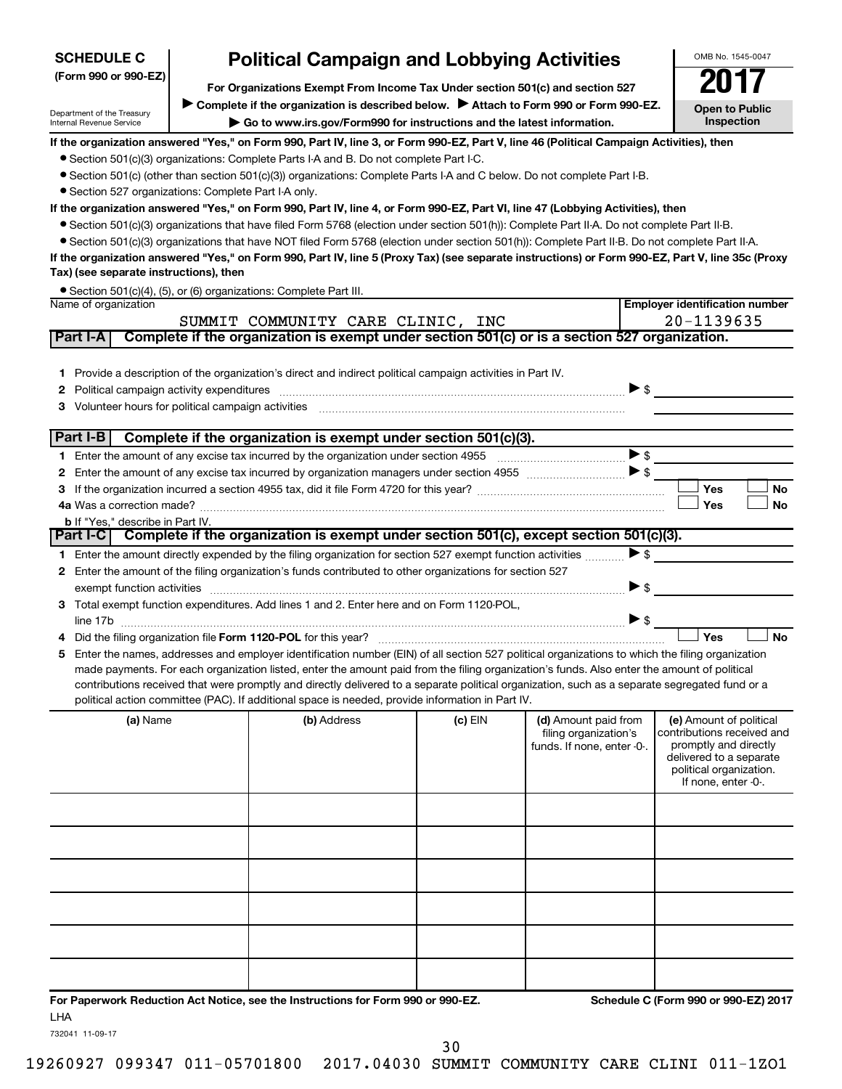| <b>SCHEDULE C</b>                                      | <b>Political Campaign and Lobbying Activities</b>                                                                                                                                                                                                                                             |         |                            | OMB No. 1545-0047                                |
|--------------------------------------------------------|-----------------------------------------------------------------------------------------------------------------------------------------------------------------------------------------------------------------------------------------------------------------------------------------------|---------|----------------------------|--------------------------------------------------|
| (Form 990 or 990-EZ)                                   |                                                                                                                                                                                                                                                                                               |         |                            |                                                  |
|                                                        | For Organizations Exempt From Income Tax Under section 501(c) and section 527<br>Complete if the organization is described below.<br>Attach to Form 990 or Form 990-EZ.                                                                                                                       |         |                            |                                                  |
| Department of the Treasury<br>Internal Revenue Service | Go to www.irs.gov/Form990 for instructions and the latest information.                                                                                                                                                                                                                        |         |                            | <b>Open to Public</b><br><b>Inspection</b>       |
|                                                        | If the organization answered "Yes," on Form 990, Part IV, line 3, or Form 990-EZ, Part V, line 46 (Political Campaign Activities), then                                                                                                                                                       |         |                            |                                                  |
|                                                        | • Section 501(c)(3) organizations: Complete Parts I-A and B. Do not complete Part I-C.                                                                                                                                                                                                        |         |                            |                                                  |
|                                                        | • Section 501(c) (other than section 501(c)(3)) organizations: Complete Parts I-A and C below. Do not complete Part I-B.                                                                                                                                                                      |         |                            |                                                  |
| • Section 527 organizations: Complete Part I-A only.   |                                                                                                                                                                                                                                                                                               |         |                            |                                                  |
|                                                        | If the organization answered "Yes," on Form 990, Part IV, line 4, or Form 990-EZ, Part VI, line 47 (Lobbying Activities), then<br>• Section 501(c)(3) organizations that have filed Form 5768 (election under section 501(h)): Complete Part II-A. Do not complete Part II-B.                 |         |                            |                                                  |
|                                                        | • Section 501(c)(3) organizations that have NOT filed Form 5768 (election under section 501(h)): Complete Part II-B. Do not complete Part II-A.                                                                                                                                               |         |                            |                                                  |
|                                                        | If the organization answered "Yes," on Form 990, Part IV, line 5 (Proxy Tax) (see separate instructions) or Form 990-EZ, Part V, line 35c (Proxy                                                                                                                                              |         |                            |                                                  |
| Tax) (see separate instructions), then                 |                                                                                                                                                                                                                                                                                               |         |                            |                                                  |
|                                                        | • Section 501(c)(4), (5), or (6) organizations: Complete Part III.                                                                                                                                                                                                                            |         |                            |                                                  |
| Name of organization                                   |                                                                                                                                                                                                                                                                                               |         |                            | <b>Employer identification number</b>            |
| Part I-A                                               | SUMMIT COMMUNITY CARE CLINIC, INC<br>Complete if the organization is exempt under section 501(c) or is a section 527 organization.                                                                                                                                                            |         |                            | 20-1139635                                       |
|                                                        |                                                                                                                                                                                                                                                                                               |         |                            |                                                  |
|                                                        | 1 Provide a description of the organization's direct and indirect political campaign activities in Part IV.                                                                                                                                                                                   |         |                            |                                                  |
| 2                                                      | Political campaign activity expenditures [11] matter than the control of the control of the control of the control of the control of the control of the control of the control of the control of the control of the control of                                                                |         |                            | $\triangleright$ s                               |
| 3                                                      |                                                                                                                                                                                                                                                                                               |         |                            |                                                  |
|                                                        |                                                                                                                                                                                                                                                                                               |         |                            |                                                  |
| Part I-B                                               | Complete if the organization is exempt under section 501(c)(3).                                                                                                                                                                                                                               |         |                            |                                                  |
|                                                        |                                                                                                                                                                                                                                                                                               |         |                            | $\blacktriangleright$ \$                         |
| 2                                                      |                                                                                                                                                                                                                                                                                               |         |                            |                                                  |
| 3                                                      |                                                                                                                                                                                                                                                                                               |         |                            | Yes<br><b>No</b>                                 |
|                                                        |                                                                                                                                                                                                                                                                                               |         |                            | Yes<br><b>No</b>                                 |
| <b>b</b> If "Yes," describe in Part IV.                | Part I-C Complete if the organization is exempt under section 501(c), except section 501(c)(3).                                                                                                                                                                                               |         |                            |                                                  |
|                                                        | 1 Enter the amount directly expended by the filing organization for section 527 exempt function activities                                                                                                                                                                                    |         |                            | $\blacktriangleright$ \$                         |
|                                                        | 2 Enter the amount of the filing organization's funds contributed to other organizations for section 527                                                                                                                                                                                      |         |                            |                                                  |
| exempt function activities                             |                                                                                                                                                                                                                                                                                               |         |                            | $\blacktriangleright$ \$                         |
|                                                        | 3 Total exempt function expenditures. Add lines 1 and 2. Enter here and on Form 1120-POL,                                                                                                                                                                                                     |         |                            |                                                  |
|                                                        |                                                                                                                                                                                                                                                                                               |         |                            | $\triangleright$ \$                              |
|                                                        | Did the filing organization file Form 1120-POL for this year?                                                                                                                                                                                                                                 |         |                            | Yes<br><b>No</b>                                 |
| 5.                                                     | Enter the names, addresses and employer identification number (EIN) of all section 527 political organizations to which the filing organization                                                                                                                                               |         |                            |                                                  |
|                                                        | made payments. For each organization listed, enter the amount paid from the filing organization's funds. Also enter the amount of political<br>contributions received that were promptly and directly delivered to a separate political organization, such as a separate segregated fund or a |         |                            |                                                  |
|                                                        | political action committee (PAC). If additional space is needed, provide information in Part IV.                                                                                                                                                                                              |         |                            |                                                  |
| (a) Name                                               | (b) Address                                                                                                                                                                                                                                                                                   | (c) EIN | (d) Amount paid from       | (e) Amount of political                          |
|                                                        |                                                                                                                                                                                                                                                                                               |         | filing organization's      | contributions received and                       |
|                                                        |                                                                                                                                                                                                                                                                                               |         | funds. If none, enter -0-. | promptly and directly<br>delivered to a separate |
|                                                        |                                                                                                                                                                                                                                                                                               |         |                            | political organization.                          |
|                                                        |                                                                                                                                                                                                                                                                                               |         |                            | If none, enter -0-.                              |
|                                                        |                                                                                                                                                                                                                                                                                               |         |                            |                                                  |
|                                                        |                                                                                                                                                                                                                                                                                               |         |                            |                                                  |
|                                                        |                                                                                                                                                                                                                                                                                               |         |                            |                                                  |
|                                                        |                                                                                                                                                                                                                                                                                               |         |                            |                                                  |
|                                                        |                                                                                                                                                                                                                                                                                               |         |                            |                                                  |
|                                                        |                                                                                                                                                                                                                                                                                               |         |                            |                                                  |
|                                                        |                                                                                                                                                                                                                                                                                               |         |                            |                                                  |
|                                                        |                                                                                                                                                                                                                                                                                               |         |                            |                                                  |
|                                                        |                                                                                                                                                                                                                                                                                               |         |                            |                                                  |
|                                                        |                                                                                                                                                                                                                                                                                               |         |                            |                                                  |

**For Paperwork Reduction Act Notice, see the Instructions for Form 990 or 990-EZ. Schedule C (Form 990 or 990-EZ) 2017** LHA

732041 11-09-17

30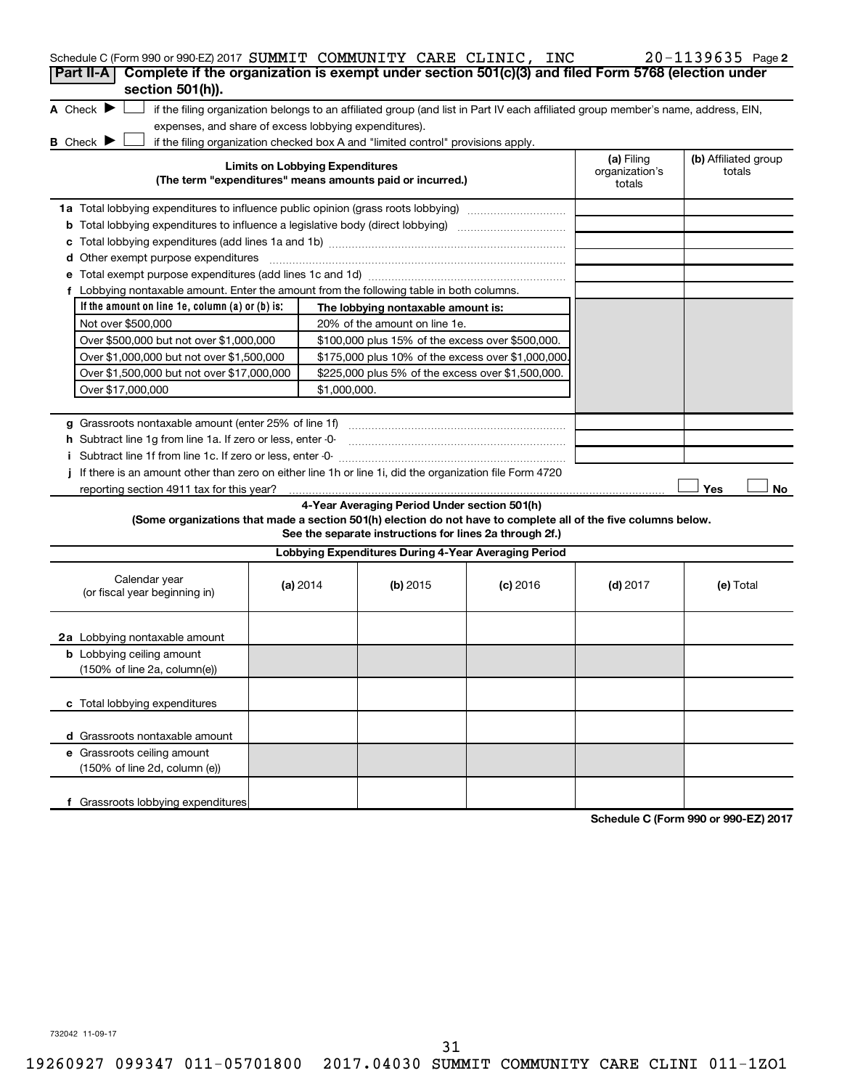| Schedule C (Form 990 or 990-EZ) 2017 SUMMIT COMMUNITY CARE CLINIC, INC                                          |                                        |                                                                                                                                   |            |                                        | $20 - 1139635$ Page 2          |
|-----------------------------------------------------------------------------------------------------------------|----------------------------------------|-----------------------------------------------------------------------------------------------------------------------------------|------------|----------------------------------------|--------------------------------|
| Complete if the organization is exempt under section 501(c)(3) and filed Form 5768 (election under<br>Part II-A |                                        |                                                                                                                                   |            |                                        |                                |
| section 501(h)).<br>A Check $\blacktriangleright$<br>expenses, and share of excess lobbying expenditures).      |                                        | if the filing organization belongs to an affiliated group (and list in Part IV each affiliated group member's name, address, EIN, |            |                                        |                                |
| B Check P                                                                                                       |                                        | if the filing organization checked box A and "limited control" provisions apply.                                                  |            |                                        |                                |
|                                                                                                                 | <b>Limits on Lobbying Expenditures</b> | (The term "expenditures" means amounts paid or incurred.)                                                                         |            | (a) Filing<br>organization's<br>totals | (b) Affiliated group<br>totals |
| 1a Total lobbying expenditures to influence public opinion (grass roots lobbying)                               |                                        |                                                                                                                                   |            |                                        |                                |
| <b>b</b> Total lobbying expenditures to influence a legislative body (direct lobbying) <i>manumumumum</i>       |                                        |                                                                                                                                   |            |                                        |                                |
| c                                                                                                               |                                        |                                                                                                                                   |            |                                        |                                |
| d Other exempt purpose expenditures                                                                             |                                        |                                                                                                                                   |            |                                        |                                |
|                                                                                                                 |                                        |                                                                                                                                   |            |                                        |                                |
| f Lobbying nontaxable amount. Enter the amount from the following table in both columns.                        |                                        |                                                                                                                                   |            |                                        |                                |
| If the amount on line 1e, column (a) or (b) is:                                                                 |                                        | The lobbying nontaxable amount is:                                                                                                |            |                                        |                                |
| Not over \$500,000                                                                                              |                                        | 20% of the amount on line 1e.                                                                                                     |            |                                        |                                |
| Over \$500,000 but not over \$1,000,000                                                                         |                                        | \$100,000 plus 15% of the excess over \$500,000.                                                                                  |            |                                        |                                |
| Over \$1,000,000 but not over \$1,500,000                                                                       |                                        | \$175,000 plus 10% of the excess over \$1,000,000                                                                                 |            |                                        |                                |
| Over \$1,500,000 but not over \$17,000,000                                                                      |                                        | \$225,000 plus 5% of the excess over \$1,500,000.                                                                                 |            |                                        |                                |
| Over \$17,000,000                                                                                               |                                        | \$1,000,000.                                                                                                                      |            |                                        |                                |
|                                                                                                                 |                                        |                                                                                                                                   |            |                                        |                                |
|                                                                                                                 |                                        |                                                                                                                                   |            |                                        |                                |
| h Subtract line 1g from line 1a. If zero or less, enter -0-                                                     |                                        |                                                                                                                                   |            |                                        |                                |
| i Subtract line 1f from line 1c. If zero or less, enter -0-                                                     |                                        |                                                                                                                                   |            |                                        |                                |
| If there is an amount other than zero on either line 1h or line 1i, did the organization file Form 4720         |                                        |                                                                                                                                   |            |                                        |                                |
|                                                                                                                 |                                        |                                                                                                                                   |            |                                        | Yes<br>No                      |
|                                                                                                                 |                                        | 4-Year Averaging Period Under section 501(h)                                                                                      |            |                                        |                                |
| (Some organizations that made a section 501(h) election do not have to complete all of the five columns below.  |                                        | See the separate instructions for lines 2a through 2f.)                                                                           |            |                                        |                                |
|                                                                                                                 |                                        | Lobbying Expenditures During 4-Year Averaging Period                                                                              |            |                                        |                                |
| Calendar year<br>(or fiscal year beginning in)                                                                  | (a) 2014                               | (b) 2015                                                                                                                          | $(c)$ 2016 | $(d)$ 2017                             | (e) Total                      |
| 2a Lobbying nontaxable amount                                                                                   |                                        |                                                                                                                                   |            |                                        |                                |
| <b>b</b> Lobbying ceiling amount<br>(150% of line 2a, column(e))                                                |                                        |                                                                                                                                   |            |                                        |                                |
| c Total lobbying expenditures                                                                                   |                                        |                                                                                                                                   |            |                                        |                                |
| d Grassroots nontaxable amount                                                                                  |                                        |                                                                                                                                   |            |                                        |                                |
| e Grassroots ceiling amount<br>(150% of line 2d, column (e))                                                    |                                        |                                                                                                                                   |            |                                        |                                |
| f Grassroots lobbying expenditures                                                                              |                                        |                                                                                                                                   |            |                                        |                                |

**Schedule C (Form 990 or 990-EZ) 2017**

732042 11-09-17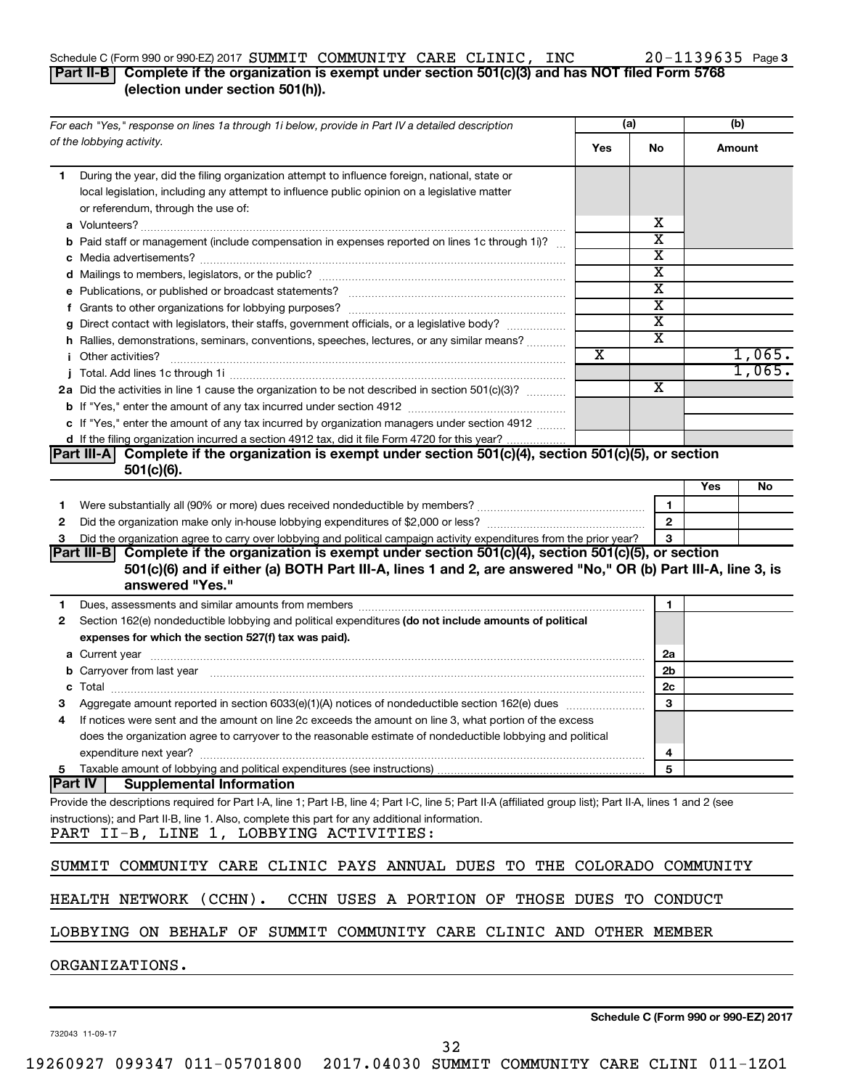#### Schedule C (Form 990 or 990-EZ) 2017  $\bf{SUMMIT~COMMIVITY~CARE~CLINIC,~INC ~20-1139635~Page~CALS/2000~C)$

### 20-1139635 Page 3

### **Part II-B Complete if the organization is exempt under section 501(c)(3) and has NOT filed Form 5768 (election under section 501(h)).**

| For each "Yes," response on lines 1a through 1i below, provide in Part IV a detailed description                                                                                                                                    |                       | (a)                     |     | (b)    |
|-------------------------------------------------------------------------------------------------------------------------------------------------------------------------------------------------------------------------------------|-----------------------|-------------------------|-----|--------|
| of the lobbying activity.                                                                                                                                                                                                           | Yes                   | No.                     |     | Amount |
| During the year, did the filing organization attempt to influence foreign, national, state or<br>1.                                                                                                                                 |                       |                         |     |        |
| local legislation, including any attempt to influence public opinion on a legislative matter                                                                                                                                        |                       |                         |     |        |
| or referendum, through the use of:                                                                                                                                                                                                  |                       | х                       |     |        |
|                                                                                                                                                                                                                                     |                       | $\overline{\text{x}}$   |     |        |
| b Paid staff or management (include compensation in expenses reported on lines 1c through 1i)?                                                                                                                                      |                       | $\overline{\textbf{x}}$ |     |        |
|                                                                                                                                                                                                                                     |                       | $\overline{\text{x}}$   |     |        |
|                                                                                                                                                                                                                                     |                       | $\overline{\text{x}}$   |     |        |
|                                                                                                                                                                                                                                     |                       | $\overline{\text{x}}$   |     |        |
| g Direct contact with legislators, their staffs, government officials, or a legislative body?                                                                                                                                       |                       | $\overline{\text{x}}$   |     |        |
| h Rallies, demonstrations, seminars, conventions, speeches, lectures, or any similar means?                                                                                                                                         |                       | X                       |     |        |
| <i>i</i> Other activities?                                                                                                                                                                                                          | $\overline{\text{x}}$ |                         |     | 1,065. |
|                                                                                                                                                                                                                                     |                       |                         |     | 1,065. |
| 2a Did the activities in line 1 cause the organization to be not described in section 501(c)(3)?                                                                                                                                    |                       | $\overline{\text{x}}$   |     |        |
|                                                                                                                                                                                                                                     |                       |                         |     |        |
| c If "Yes," enter the amount of any tax incurred by organization managers under section 4912                                                                                                                                        |                       |                         |     |        |
| d If the filing organization incurred a section 4912 tax, did it file Form 4720 for this year?                                                                                                                                      |                       |                         |     |        |
| Part III-A Complete if the organization is exempt under section 501(c)(4), section 501(c)(5), or section                                                                                                                            |                       |                         |     |        |
| $501(c)(6)$ .                                                                                                                                                                                                                       |                       |                         |     |        |
|                                                                                                                                                                                                                                     |                       |                         | Yes | No     |
| Were substantially all (90% or more) dues received nondeductible by members? www.communition.communition.<br>1                                                                                                                      |                       | 1                       |     |        |
| 2                                                                                                                                                                                                                                   |                       | $\overline{2}$          |     |        |
| Did the organization agree to carry over lobbying and political campaign activity expenditures from the prior year?<br>з                                                                                                            |                       | 3                       |     |        |
| Part III-B Complete if the organization is exempt under section 501(c)(4), section 501(c)(5), or section                                                                                                                            |                       |                         |     |        |
| 501(c)(6) and if either (a) BOTH Part III-A, lines 1 and 2, are answered "No," OR (b) Part III-A, line 3, is                                                                                                                        |                       |                         |     |        |
| answered "Yes."                                                                                                                                                                                                                     |                       |                         |     |        |
| Dues, assessments and similar amounts from members [11] matter contracts are assessments and similar amounts from members [11] matter contracts and similar amounts from members [11] matter contracts and similar amounts fro<br>1 |                       | 1                       |     |        |
| Section 162(e) nondeductible lobbying and political expenditures (do not include amounts of political<br>2                                                                                                                          |                       |                         |     |        |
| expenses for which the section 527(f) tax was paid).                                                                                                                                                                                |                       |                         |     |        |
|                                                                                                                                                                                                                                     |                       | 2a                      |     |        |
| b Carryover from last year manufactured and content to content the content of the content of the content of the content of the content of the content of the content of the content of the content of the content of the conte      |                       | 2b                      |     |        |
| c                                                                                                                                                                                                                                   |                       | 2 <sub>c</sub>          |     |        |
| Aggregate amount reported in section 6033(e)(1)(A) notices of nondeductible section 162(e) dues manufactured                                                                                                                        |                       | 3                       |     |        |
| If notices were sent and the amount on line 2c exceeds the amount on line 3, what portion of the excess                                                                                                                             |                       |                         |     |        |
| does the organization agree to carryover to the reasonable estimate of nondeductible lobbying and political                                                                                                                         |                       |                         |     |        |
| expenditure next year?<br>5 Taxable amount of lobbying and political expenditures (see instructions)                                                                                                                                |                       | 4<br>5                  |     |        |
| <b>Part IV</b><br><b>Supplemental Information</b>                                                                                                                                                                                   |                       |                         |     |        |
| Provide the descriptions required for Part I-A, line 1; Part I-B, line 4; Part I-C, line 5; Part II-A (affiliated group list); Part II-A, lines 1 and 2 (see                                                                        |                       |                         |     |        |
| instructions); and Part II-B, line 1. Also, complete this part for any additional information.                                                                                                                                      |                       |                         |     |        |
| PART II-B, LINE 1, LOBBYING ACTIVITIES:                                                                                                                                                                                             |                       |                         |     |        |
|                                                                                                                                                                                                                                     |                       |                         |     |        |
| SUMMIT COMMUNITY CARE CLINIC PAYS ANNUAL DUES TO THE COLORADO COMMUNITY                                                                                                                                                             |                       |                         |     |        |
|                                                                                                                                                                                                                                     |                       |                         |     |        |
| HEALTH NETWORK (CCHN).<br>CCHN USES A PORTION OF THOSE DUES TO CONDUCT                                                                                                                                                              |                       |                         |     |        |
|                                                                                                                                                                                                                                     |                       |                         |     |        |
| LOBBYING ON BEHALF OF SUMMIT COMMUNITY CARE CLINIC AND OTHER MEMBER                                                                                                                                                                 |                       |                         |     |        |
|                                                                                                                                                                                                                                     |                       |                         |     |        |
| ORGANIZATIONS.                                                                                                                                                                                                                      |                       |                         |     |        |
|                                                                                                                                                                                                                                     |                       |                         |     |        |

732043 11-09-17

**Schedule C (Form 990 or 990-EZ) 2017**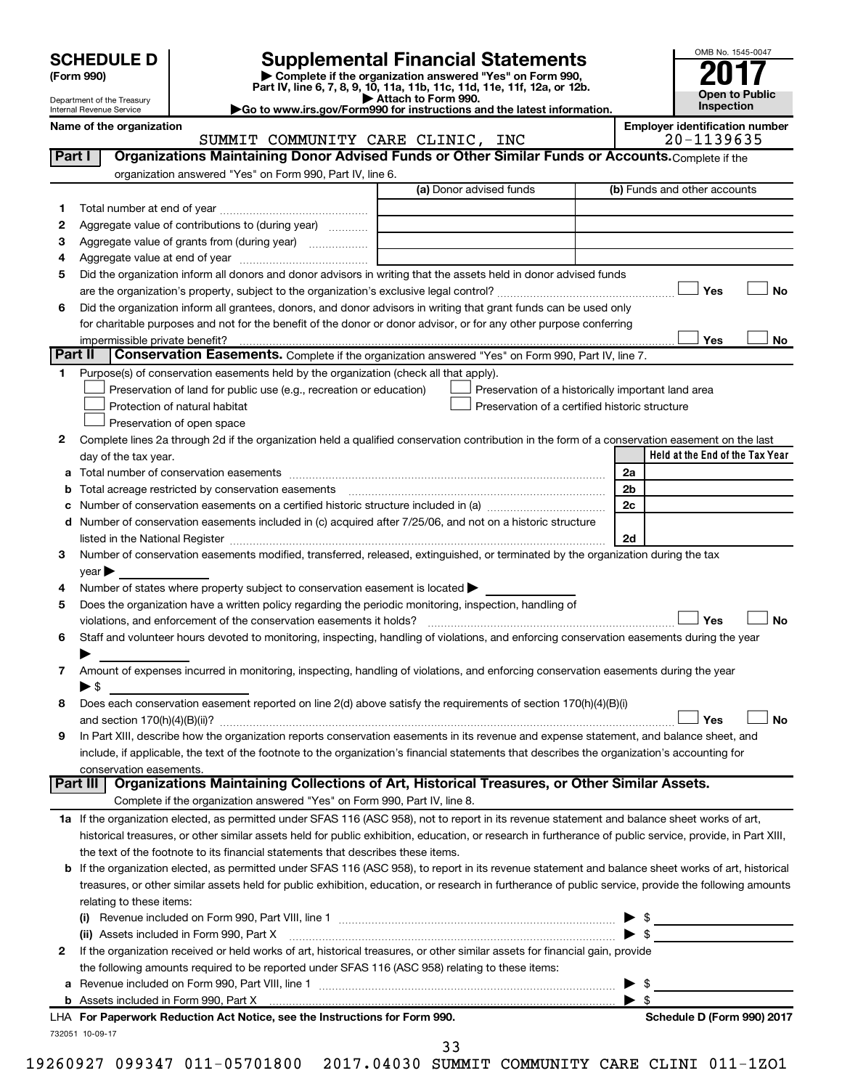| (Form 990) |  |
|------------|--|
|------------|--|

# **SCHEDULE D Supplemental Financial Statements**<br> **Form 990 2017**<br> **Part IV** line 6.7.8.9.10, 11a, 11b, 11d, 11d, 11d, 11d, 11d, 12a, 0r, 12b

**(Form 990) | Complete if the organization answered "Yes" on Form 990, Part IV, line 6, 7, 8, 9, 10, 11a, 11b, 11c, 11d, 11e, 11f, 12a, or 12b.**

**| Attach to Form 990. |Go to www.irs.gov/Form990 for instructions and the latest information.**



Department of the Treasury Internal Revenue Service

Name of the organization<br>**Employer identification number**<br>**Employer identification number**<br>**EMPLOYERE CLINIC, INC** SUMMIT COMMUNITY CARE CLINIC, INC

| Part I  | Organizations Maintaining Donor Advised Funds or Other Similar Funds or Accounts. Complete if the                                                                                                                             |                                                    |                                      |
|---------|-------------------------------------------------------------------------------------------------------------------------------------------------------------------------------------------------------------------------------|----------------------------------------------------|--------------------------------------|
|         | organization answered "Yes" on Form 990, Part IV, line 6.                                                                                                                                                                     |                                                    |                                      |
|         |                                                                                                                                                                                                                               | (a) Donor advised funds                            | (b) Funds and other accounts         |
| 1       |                                                                                                                                                                                                                               |                                                    |                                      |
| 2       | Aggregate value of contributions to (during year)                                                                                                                                                                             |                                                    |                                      |
| з       | Aggregate value of grants from (during year)                                                                                                                                                                                  |                                                    |                                      |
| 4       |                                                                                                                                                                                                                               |                                                    |                                      |
| 5       | Did the organization inform all donors and donor advisors in writing that the assets held in donor advised funds                                                                                                              |                                                    |                                      |
|         |                                                                                                                                                                                                                               |                                                    | Yes<br>No                            |
| 6       | Did the organization inform all grantees, donors, and donor advisors in writing that grant funds can be used only                                                                                                             |                                                    |                                      |
|         | for charitable purposes and not for the benefit of the donor or donor advisor, or for any other purpose conferring                                                                                                            |                                                    |                                      |
|         | impermissible private benefit?                                                                                                                                                                                                |                                                    | Yes<br>No                            |
| Part II | Conservation Easements. Complete if the organization answered "Yes" on Form 990, Part IV, line 7.                                                                                                                             |                                                    |                                      |
| 1       | Purpose(s) of conservation easements held by the organization (check all that apply).                                                                                                                                         |                                                    |                                      |
|         | Preservation of land for public use (e.g., recreation or education)                                                                                                                                                           | Preservation of a historically important land area |                                      |
|         | Protection of natural habitat                                                                                                                                                                                                 | Preservation of a certified historic structure     |                                      |
|         | Preservation of open space                                                                                                                                                                                                    |                                                    |                                      |
| 2       | Complete lines 2a through 2d if the organization held a qualified conservation contribution in the form of a conservation easement on the last                                                                                |                                                    |                                      |
|         | day of the tax year.                                                                                                                                                                                                          |                                                    | Held at the End of the Tax Year      |
|         |                                                                                                                                                                                                                               |                                                    | 2a                                   |
|         |                                                                                                                                                                                                                               |                                                    | 2b                                   |
|         |                                                                                                                                                                                                                               |                                                    | 2c                                   |
|         | d Number of conservation easements included in (c) acquired after 7/25/06, and not on a historic structure                                                                                                                    |                                                    |                                      |
|         | listed in the National Register [111] Marshall Register [11] Marshall Register [11] Marshall Register [11] Marshall Register [11] Marshall Register [11] Marshall Register [11] Marshall Register [11] Marshall Register [11] |                                                    | 2d                                   |
| 3       | Number of conservation easements modified, transferred, released, extinguished, or terminated by the organization during the tax                                                                                              |                                                    |                                      |
|         | year                                                                                                                                                                                                                          |                                                    |                                      |
| 4       | Number of states where property subject to conservation easement is located >                                                                                                                                                 |                                                    |                                      |
| 5       | Does the organization have a written policy regarding the periodic monitoring, inspection, handling of                                                                                                                        |                                                    |                                      |
|         | violations, and enforcement of the conservation easements it holds?                                                                                                                                                           |                                                    | Yes<br>No                            |
| 6       | Staff and volunteer hours devoted to monitoring, inspecting, handling of violations, and enforcing conservation easements during the year                                                                                     |                                                    |                                      |
|         |                                                                                                                                                                                                                               |                                                    |                                      |
| 7       | Amount of expenses incurred in monitoring, inspecting, handling of violations, and enforcing conservation easements during the year                                                                                           |                                                    |                                      |
|         | ► \$                                                                                                                                                                                                                          |                                                    |                                      |
| 8       | Does each conservation easement reported on line 2(d) above satisfy the requirements of section 170(h)(4)(B)(i)                                                                                                               |                                                    |                                      |
|         |                                                                                                                                                                                                                               |                                                    | No<br>Yes                            |
| 9       | In Part XIII, describe how the organization reports conservation easements in its revenue and expense statement, and balance sheet, and                                                                                       |                                                    |                                      |
|         | include, if applicable, the text of the footnote to the organization's financial statements that describes the organization's accounting for                                                                                  |                                                    |                                      |
|         | conservation easements.<br>Organizations Maintaining Collections of Art, Historical Treasures, or Other Similar Assets.<br>Part III                                                                                           |                                                    |                                      |
|         | Complete if the organization answered "Yes" on Form 990, Part IV, line 8.                                                                                                                                                     |                                                    |                                      |
|         | 1a If the organization elected, as permitted under SFAS 116 (ASC 958), not to report in its revenue statement and balance sheet works of art,                                                                                 |                                                    |                                      |
|         | historical treasures, or other similar assets held for public exhibition, education, or research in furtherance of public service, provide, in Part XIII,                                                                     |                                                    |                                      |
|         | the text of the footnote to its financial statements that describes these items.                                                                                                                                              |                                                    |                                      |
|         | <b>b</b> If the organization elected, as permitted under SFAS 116 (ASC 958), to report in its revenue statement and balance sheet works of art, historical                                                                    |                                                    |                                      |
|         | treasures, or other similar assets held for public exhibition, education, or research in furtherance of public service, provide the following amounts                                                                         |                                                    |                                      |
|         | relating to these items:                                                                                                                                                                                                      |                                                    |                                      |
|         |                                                                                                                                                                                                                               |                                                    |                                      |
|         | (ii) Assets included in Form 990, Part X                                                                                                                                                                                      |                                                    | $\frac{1}{2}$<br>$\triangleright$ \$ |
| 2       | If the organization received or held works of art, historical treasures, or other similar assets for financial gain, provide                                                                                                  |                                                    |                                      |
|         | the following amounts required to be reported under SFAS 116 (ASC 958) relating to these items:                                                                                                                               |                                                    |                                      |
| а       |                                                                                                                                                                                                                               |                                                    | \$<br>▶                              |
|         |                                                                                                                                                                                                                               |                                                    | $\blacktriangleright$ s              |
|         | LHA For Paperwork Reduction Act Notice, see the Instructions for Form 990.                                                                                                                                                    |                                                    | Schedule D (Form 990) 2017           |
|         | 732051 10-09-17                                                                                                                                                                                                               |                                                    |                                      |
|         |                                                                                                                                                                                                                               | 33                                                 |                                      |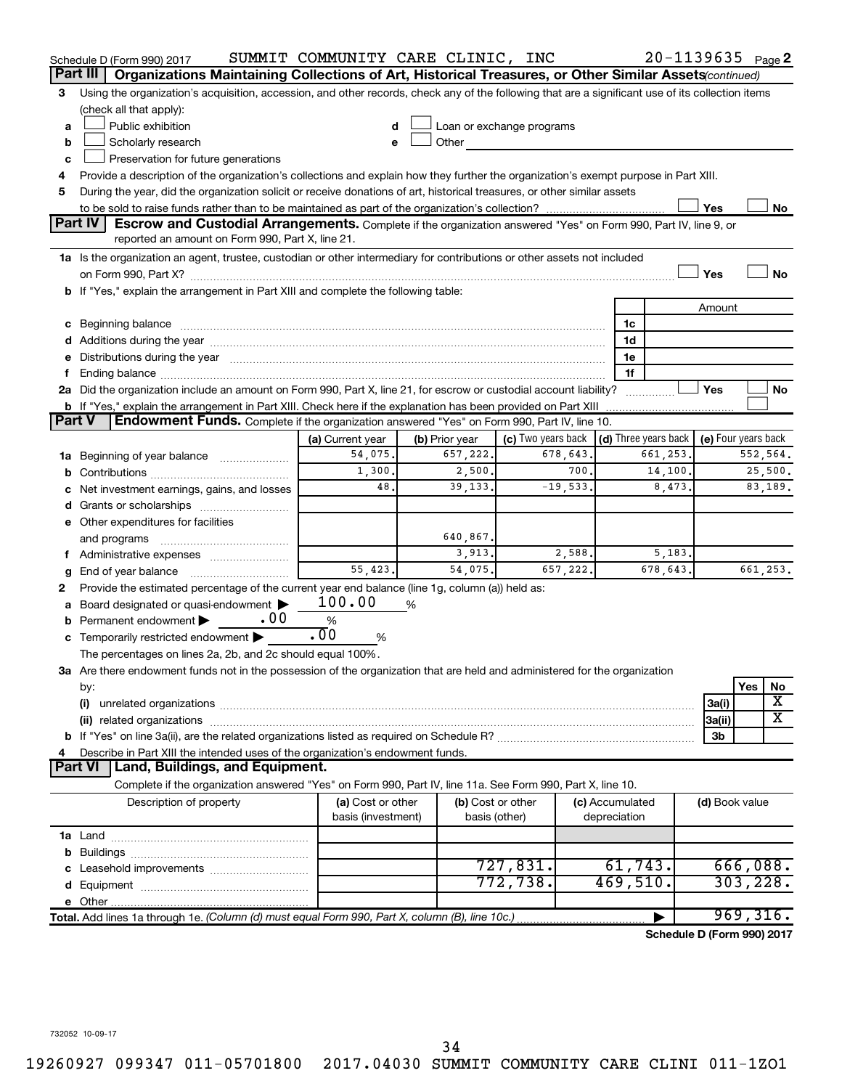|        | Schedule D (Form 990) 2017                                                                                                                                                                                                     | SUMMIT COMMUNITY CARE CLINIC, INC |                |                   |                                                         |          |                 | $20 - 1139635$ Page 2      |                     |           |          |
|--------|--------------------------------------------------------------------------------------------------------------------------------------------------------------------------------------------------------------------------------|-----------------------------------|----------------|-------------------|---------------------------------------------------------|----------|-----------------|----------------------------|---------------------|-----------|----------|
|        | Organizations Maintaining Collections of Art, Historical Treasures, or Other Similar Assets (continued)<br>Part III                                                                                                            |                                   |                |                   |                                                         |          |                 |                            |                     |           |          |
| 3      | Using the organization's acquisition, accession, and other records, check any of the following that are a significant use of its collection items                                                                              |                                   |                |                   |                                                         |          |                 |                            |                     |           |          |
|        | (check all that apply):                                                                                                                                                                                                        |                                   |                |                   |                                                         |          |                 |                            |                     |           |          |
| a      | Public exhibition                                                                                                                                                                                                              |                                   |                |                   | Loan or exchange programs                               |          |                 |                            |                     |           |          |
| b      | Scholarly research                                                                                                                                                                                                             |                                   | Other          |                   |                                                         |          |                 |                            |                     |           |          |
| c      | Preservation for future generations                                                                                                                                                                                            |                                   |                |                   |                                                         |          |                 |                            |                     |           |          |
| 4      | Provide a description of the organization's collections and explain how they further the organization's exempt purpose in Part XIII.                                                                                           |                                   |                |                   |                                                         |          |                 |                            |                     |           |          |
| 5      | During the year, did the organization solicit or receive donations of art, historical treasures, or other similar assets                                                                                                       |                                   |                |                   |                                                         |          |                 |                            |                     |           |          |
|        |                                                                                                                                                                                                                                |                                   |                |                   |                                                         |          |                 |                            | Yes                 |           | No       |
|        | Part IV<br><b>Escrow and Custodial Arrangements.</b> Complete if the organization answered "Yes" on Form 990, Part IV, line 9, or                                                                                              |                                   |                |                   |                                                         |          |                 |                            |                     |           |          |
|        | reported an amount on Form 990, Part X, line 21.                                                                                                                                                                               |                                   |                |                   |                                                         |          |                 |                            |                     |           |          |
|        | 1a Is the organization an agent, trustee, custodian or other intermediary for contributions or other assets not included                                                                                                       |                                   |                |                   |                                                         |          |                 |                            |                     |           |          |
|        |                                                                                                                                                                                                                                |                                   |                |                   |                                                         |          |                 |                            | Yes                 |           | No       |
|        | b If "Yes," explain the arrangement in Part XIII and complete the following table:                                                                                                                                             |                                   |                |                   |                                                         |          |                 |                            |                     |           |          |
|        |                                                                                                                                                                                                                                |                                   |                |                   |                                                         |          |                 |                            | Amount              |           |          |
|        |                                                                                                                                                                                                                                |                                   |                |                   |                                                         |          | 1c              |                            |                     |           |          |
|        |                                                                                                                                                                                                                                |                                   |                |                   |                                                         |          | 1d<br>1e        |                            |                     |           |          |
| f.     | e Distributions during the year manufactured and continuum and contained and the year manufactured and contained and the year manufactured and contained and contained and contained and contained and contained and contained |                                   |                |                   |                                                         |          | 1f              |                            |                     |           |          |
|        | 2a Did the organization include an amount on Form 990, Part X, line 21, for escrow or custodial account liability?                                                                                                             |                                   |                |                   |                                                         |          |                 |                            | Yes                 |           | No       |
|        | <b>b</b> If "Yes," explain the arrangement in Part XIII. Check here if the explanation has been provided on Part XIII                                                                                                          |                                   |                |                   |                                                         |          |                 |                            |                     |           |          |
| Part V | Endowment Funds. Complete if the organization answered "Yes" on Form 990, Part IV, line 10.                                                                                                                                    |                                   |                |                   |                                                         |          |                 |                            |                     |           |          |
|        |                                                                                                                                                                                                                                | (a) Current year                  | (b) Prior year |                   | (c) Two years back $\vert$ (d) Three years back $\vert$ |          |                 |                            | (e) Four years back |           |          |
|        | 1a Beginning of year balance                                                                                                                                                                                                   | 54,075.                           | 657,222.       |                   | 678,643.                                                |          |                 | 661,253.                   |                     |           | 552,564. |
| b      |                                                                                                                                                                                                                                | 1,300.                            |                | 2,500.            |                                                         | 700.     |                 | 14,100.                    |                     |           | 25,500.  |
|        | c Net investment earnings, gains, and losses                                                                                                                                                                                   | 48.                               | 39, 133.       |                   | $-19,533.$                                              |          |                 | 8,473.                     |                     |           | 83,189.  |
| d      | Grants or scholarships                                                                                                                                                                                                         |                                   |                |                   |                                                         |          |                 |                            |                     |           |          |
|        | e Other expenditures for facilities                                                                                                                                                                                            |                                   |                |                   |                                                         |          |                 |                            |                     |           |          |
|        | and programs                                                                                                                                                                                                                   |                                   | 640,867.       |                   |                                                         |          |                 |                            |                     |           |          |
|        |                                                                                                                                                                                                                                |                                   |                | 3,913.            |                                                         | 2,588.   |                 | 5,183.                     |                     |           |          |
| g      |                                                                                                                                                                                                                                | 55,423.                           | 54,075.        |                   |                                                         | 657,222. |                 | 678,643.                   |                     |           | 661,253. |
| 2      | Provide the estimated percentage of the current year end balance (line 1g, column (a)) held as:                                                                                                                                |                                   |                |                   |                                                         |          |                 |                            |                     |           |          |
|        | a Board designated or quasi-endowment >                                                                                                                                                                                        | 100.00                            | %              |                   |                                                         |          |                 |                            |                     |           |          |
| b      | . 00<br>Permanent endowment                                                                                                                                                                                                    | %                                 |                |                   |                                                         |          |                 |                            |                     |           |          |
|        | c Temporarily restricted endowment $\blacktriangleright$                                                                                                                                                                       | .00<br>%                          |                |                   |                                                         |          |                 |                            |                     |           |          |
|        | The percentages on lines 2a, 2b, and 2c should equal 100%.                                                                                                                                                                     |                                   |                |                   |                                                         |          |                 |                            |                     |           |          |
|        | 3a Are there endowment funds not in the possession of the organization that are held and administered for the organization                                                                                                     |                                   |                |                   |                                                         |          |                 |                            |                     |           |          |
|        | by:                                                                                                                                                                                                                            |                                   |                |                   |                                                         |          |                 |                            |                     | Yes       | No       |
|        | (i)                                                                                                                                                                                                                            |                                   |                |                   |                                                         |          |                 |                            | 3a(i)               |           | х<br>X   |
|        |                                                                                                                                                                                                                                |                                   |                |                   |                                                         |          |                 |                            | 3a(ii)              |           |          |
|        |                                                                                                                                                                                                                                |                                   |                |                   |                                                         |          |                 |                            | 3b                  |           |          |
| 4      | Describe in Part XIII the intended uses of the organization's endowment funds.<br><b>Part VI</b><br>  Land, Buildings, and Equipment.                                                                                          |                                   |                |                   |                                                         |          |                 |                            |                     |           |          |
|        | Complete if the organization answered "Yes" on Form 990, Part IV, line 11a. See Form 990, Part X, line 10.                                                                                                                     |                                   |                |                   |                                                         |          |                 |                            |                     |           |          |
|        | Description of property                                                                                                                                                                                                        | (a) Cost or other                 |                | (b) Cost or other |                                                         |          | (c) Accumulated |                            |                     |           |          |
|        |                                                                                                                                                                                                                                | basis (investment)                |                | basis (other)     |                                                         |          | depreciation    |                            | (d) Book value      |           |          |
|        |                                                                                                                                                                                                                                |                                   |                |                   |                                                         |          |                 |                            |                     |           |          |
| b      |                                                                                                                                                                                                                                |                                   |                |                   |                                                         |          |                 |                            |                     |           |          |
|        |                                                                                                                                                                                                                                |                                   |                |                   | 727,831.                                                |          | 61, 743.        |                            |                     |           | 666,088. |
| d      |                                                                                                                                                                                                                                |                                   |                |                   | 772,738.                                                |          | 469,510.        |                            |                     | 303, 228. |          |
|        |                                                                                                                                                                                                                                |                                   |                |                   |                                                         |          |                 |                            |                     |           |          |
|        | Total. Add lines 1a through 1e. (Column (d) must equal Form 990, Part X, column (B), line 10c.)                                                                                                                                |                                   |                |                   |                                                         |          |                 |                            |                     | 969, 316. |          |
|        |                                                                                                                                                                                                                                |                                   |                |                   |                                                         |          |                 | Schedule D (Form 990) 2017 |                     |           |          |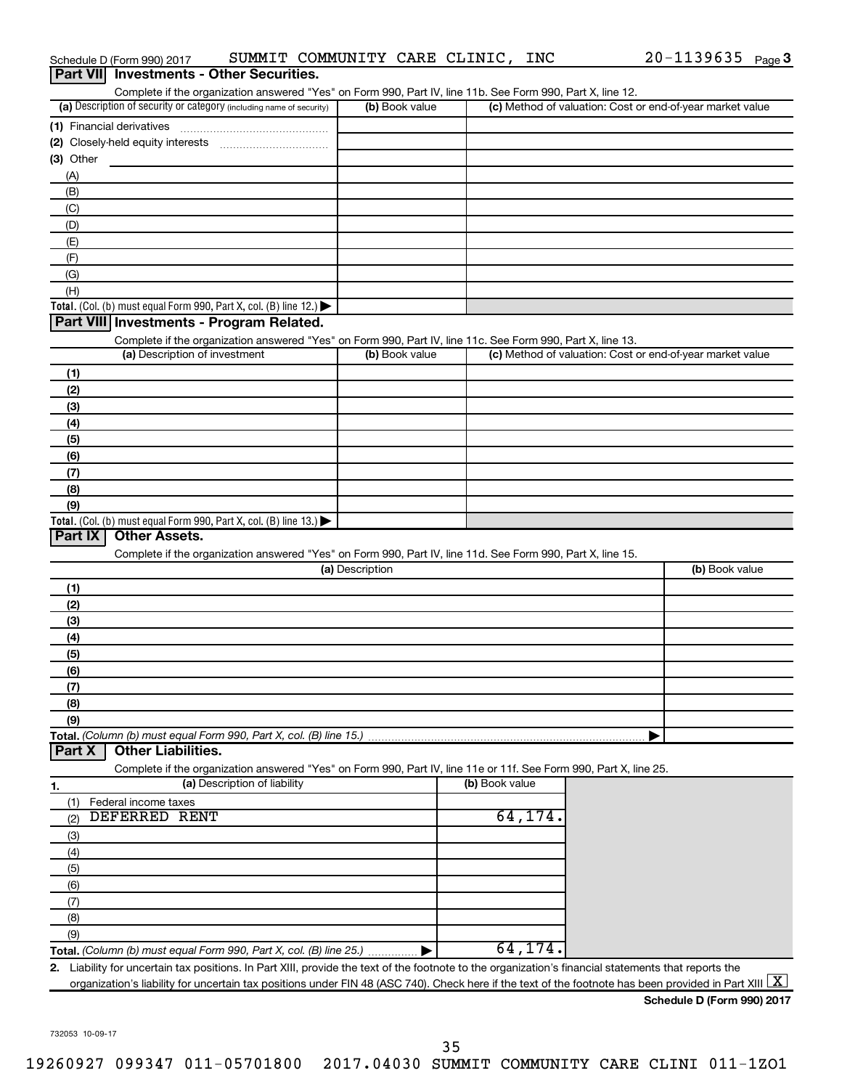| Part VII Investments - Other Securities.                                                                                                                                                                                                                                                                         |                 |                |                                                           |
|------------------------------------------------------------------------------------------------------------------------------------------------------------------------------------------------------------------------------------------------------------------------------------------------------------------|-----------------|----------------|-----------------------------------------------------------|
| Complete if the organization answered "Yes" on Form 990, Part IV, line 11b. See Form 990, Part X, line 12.<br>(a) Description of security or category (including name of security)                                                                                                                               | (b) Book value  |                | (c) Method of valuation: Cost or end-of-year market value |
|                                                                                                                                                                                                                                                                                                                  |                 |                |                                                           |
|                                                                                                                                                                                                                                                                                                                  |                 |                |                                                           |
| (3) Other                                                                                                                                                                                                                                                                                                        |                 |                |                                                           |
| (A)                                                                                                                                                                                                                                                                                                              |                 |                |                                                           |
| (B)                                                                                                                                                                                                                                                                                                              |                 |                |                                                           |
| (C)                                                                                                                                                                                                                                                                                                              |                 |                |                                                           |
| (D)                                                                                                                                                                                                                                                                                                              |                 |                |                                                           |
| (E)                                                                                                                                                                                                                                                                                                              |                 |                |                                                           |
| (F)                                                                                                                                                                                                                                                                                                              |                 |                |                                                           |
| (G)                                                                                                                                                                                                                                                                                                              |                 |                |                                                           |
| (H)                                                                                                                                                                                                                                                                                                              |                 |                |                                                           |
| Total. (Col. (b) must equal Form 990, Part X, col. (B) line 12.) $\blacktriangleright$                                                                                                                                                                                                                           |                 |                |                                                           |
| Part VIII Investments - Program Related.                                                                                                                                                                                                                                                                         |                 |                |                                                           |
| Complete if the organization answered "Yes" on Form 990, Part IV, line 11c. See Form 990, Part X, line 13.<br>(a) Description of investment                                                                                                                                                                      | (b) Book value  |                | (c) Method of valuation: Cost or end-of-year market value |
|                                                                                                                                                                                                                                                                                                                  |                 |                |                                                           |
| (1)                                                                                                                                                                                                                                                                                                              |                 |                |                                                           |
| (2)<br>(3)                                                                                                                                                                                                                                                                                                       |                 |                |                                                           |
| (4)                                                                                                                                                                                                                                                                                                              |                 |                |                                                           |
| (5)                                                                                                                                                                                                                                                                                                              |                 |                |                                                           |
| (6)                                                                                                                                                                                                                                                                                                              |                 |                |                                                           |
| (7)                                                                                                                                                                                                                                                                                                              |                 |                |                                                           |
| (8)                                                                                                                                                                                                                                                                                                              |                 |                |                                                           |
| (9)                                                                                                                                                                                                                                                                                                              |                 |                |                                                           |
| Total. (Col. (b) must equal Form 990, Part X, col. (B) line 13.) $\blacktriangleright$                                                                                                                                                                                                                           |                 |                |                                                           |
| Part IX<br><b>Other Assets.</b>                                                                                                                                                                                                                                                                                  |                 |                |                                                           |
| Complete if the organization answered "Yes" on Form 990, Part IV, line 11d. See Form 990, Part X, line 15.                                                                                                                                                                                                       |                 |                |                                                           |
|                                                                                                                                                                                                                                                                                                                  | (a) Description |                | (b) Book value                                            |
| (1)                                                                                                                                                                                                                                                                                                              |                 |                |                                                           |
| (2)                                                                                                                                                                                                                                                                                                              |                 |                |                                                           |
| (3)                                                                                                                                                                                                                                                                                                              |                 |                |                                                           |
| (4)                                                                                                                                                                                                                                                                                                              |                 |                |                                                           |
| (5)<br>(6)                                                                                                                                                                                                                                                                                                       |                 |                |                                                           |
| (7)                                                                                                                                                                                                                                                                                                              |                 |                |                                                           |
| (8)                                                                                                                                                                                                                                                                                                              |                 |                |                                                           |
| (9)                                                                                                                                                                                                                                                                                                              |                 |                |                                                           |
| Total. (Column (b) must equal Form 990, Part X, col. (B) line 15.)                                                                                                                                                                                                                                               |                 |                |                                                           |
| <b>Other Liabilities.</b><br>Part X                                                                                                                                                                                                                                                                              |                 |                |                                                           |
| Complete if the organization answered "Yes" on Form 990, Part IV, line 11e or 11f. See Form 990, Part X, line 25.                                                                                                                                                                                                |                 |                |                                                           |
| (a) Description of liability<br>1.                                                                                                                                                                                                                                                                               |                 | (b) Book value |                                                           |
| Federal income taxes<br>(1)                                                                                                                                                                                                                                                                                      |                 |                |                                                           |
| DEFERRED RENT<br>(2)                                                                                                                                                                                                                                                                                             |                 | 64,174.        |                                                           |
| (3)                                                                                                                                                                                                                                                                                                              |                 |                |                                                           |
| (4)                                                                                                                                                                                                                                                                                                              |                 |                |                                                           |
| (5)                                                                                                                                                                                                                                                                                                              |                 |                |                                                           |
| (6)                                                                                                                                                                                                                                                                                                              |                 |                |                                                           |
| (7)                                                                                                                                                                                                                                                                                                              |                 |                |                                                           |
| (8)                                                                                                                                                                                                                                                                                                              |                 |                |                                                           |
| (9)                                                                                                                                                                                                                                                                                                              |                 | 64,174.        |                                                           |
| Total. (Column (b) must equal Form 990, Part X, col. (B) line 25.)                                                                                                                                                                                                                                               |                 |                |                                                           |
| 2. Liability for uncertain tax positions. In Part XIII, provide the text of the footnote to the organization's financial statements that reports the<br>organization's liability for uncertain tax positions under FIN 48 (ASC 740). Check here if the text of the footnote has been provided in Part XIII $ X $ |                 |                |                                                           |
|                                                                                                                                                                                                                                                                                                                  |                 |                | Schedule D (Form 990) 2017                                |
|                                                                                                                                                                                                                                                                                                                  |                 |                |                                                           |

Schedule D (Form 990) 2017  $\;$  SUMMIT COMMUNITY CARE CLINIC, INC  $\;$  20-1139635  $\;$  Page

 $20 - 1139635$  Page 3

732053 10-09-17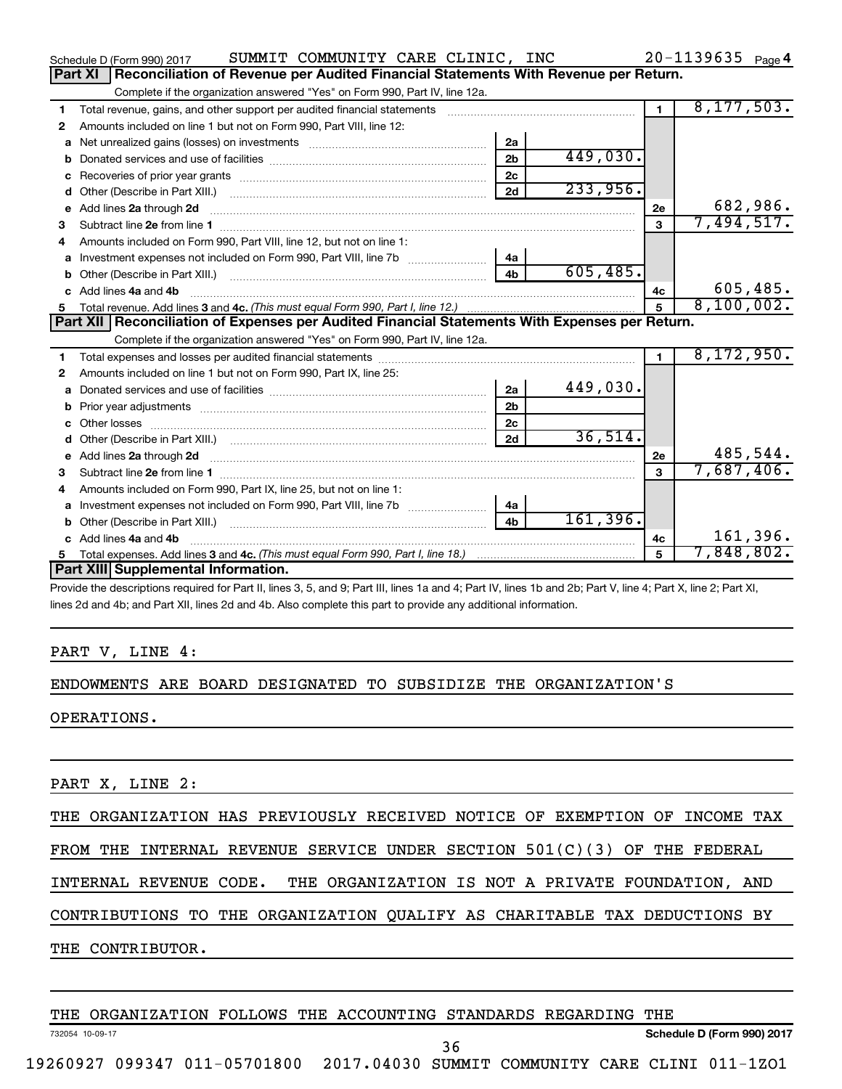|   | SUMMIT COMMUNITY CARE CLINIC, INC<br>Schedule D (Form 990) 2017                                  |                |          |                | $20 - 1139635$ Page 4 |
|---|--------------------------------------------------------------------------------------------------|----------------|----------|----------------|-----------------------|
|   | Reconciliation of Revenue per Audited Financial Statements With Revenue per Return.<br>Part XI   |                |          |                |                       |
|   | Complete if the organization answered "Yes" on Form 990, Part IV, line 12a.                      |                |          |                |                       |
| 1 | Total revenue, gains, and other support per audited financial statements                         |                |          | $\mathbf{1}$   | 8, 177, 503.          |
| 2 | Amounts included on line 1 but not on Form 990, Part VIII, line 12:                              |                |          |                |                       |
| a |                                                                                                  | 2a             |          |                |                       |
| b |                                                                                                  | 2 <sub>b</sub> | 449,030. |                |                       |
| c |                                                                                                  | 2c             |          |                |                       |
| d |                                                                                                  | 2d             | 233,956. |                |                       |
| е | Add lines 2a through 2d                                                                          |                |          | 2е             | 682,986.              |
| 3 |                                                                                                  |                |          | 3              | 7,494,517.            |
| 4 | Amounts included on Form 990, Part VIII, line 12, but not on line 1:                             |                |          |                |                       |
|   |                                                                                                  | 4a             |          |                |                       |
|   |                                                                                                  | 4 <sub>b</sub> | 605,485. |                |                       |
|   | c Add lines 4a and 4b                                                                            |                |          | 4с             | 605,485.              |
|   |                                                                                                  |                |          | 5              | 8,100,002.            |
|   |                                                                                                  |                |          |                |                       |
|   | Part XII   Reconciliation of Expenses per Audited Financial Statements With Expenses per Return. |                |          |                |                       |
|   | Complete if the organization answered "Yes" on Form 990, Part IV, line 12a.                      |                |          |                |                       |
| 1 |                                                                                                  |                |          | $\blacksquare$ | 8,172,950.            |
| 2 | Amounts included on line 1 but not on Form 990, Part IX, line 25:                                |                |          |                |                       |
| a |                                                                                                  | 2a             | 449,030. |                |                       |
| b |                                                                                                  | 2 <sub>b</sub> |          |                |                       |
|   |                                                                                                  | 2c             |          |                |                       |
| d |                                                                                                  | 2d             | 36,514.  |                |                       |
|   |                                                                                                  |                |          | 2е             | 485,544.              |
| 3 |                                                                                                  |                |          | $\mathbf{a}$   | 7,687,406.            |
| 4 | Amounts included on Form 990, Part IX, line 25, but not on line 1:                               |                |          |                |                       |
| a |                                                                                                  | 4a             |          |                |                       |
|   |                                                                                                  | 4 <sub>b</sub> | 161,396. |                |                       |
|   | c Add lines 4a and 4b                                                                            |                |          | 4c             | 161,396.              |
|   | Part XIII Supplemental Information.                                                              |                |          | 5              | 7,848,802.            |

Provide the descriptions required for Part II, lines 3, 5, and 9; Part III, lines 1a and 4; Part IV, lines 1b and 2b; Part V, line 4; Part X, line 2; Part XI, lines 2d and 4b; and Part XII, lines 2d and 4b. Also complete this part to provide any additional information.

#### PART V, LINE 4:

#### ENDOWMENTS ARE BOARD DESIGNATED TO SUBSIDIZE THE ORGANIZATION'S

OPERATIONS.

PART X, LINE 2:

THE ORGANIZATION HAS PREVIOUSLY RECEIVED NOTICE OF EXEMPTION OF INCOME TAX

FROM THE INTERNAL REVENUE SERVICE UNDER SECTION 501(C)(3) OF THE FEDERAL

INTERNAL REVENUE CODE. THE ORGANIZATION IS NOT A PRIVATE FOUNDATION, AND

CONTRIBUTIONS TO THE ORGANIZATION QUALIFY AS CHARITABLE TAX DEDUCTIONS BY

THE CONTRIBUTOR.

THE ORGANIZATION FOLLOWS THE ACCOUNTING STANDARDS REGARDING THE

732054 10-09-17

**Schedule D (Form 990) 2017**

19260927 099347 011-05701800 2017.04030 SUMMIT COMMUNITY CARE CLINI 011-1ZO1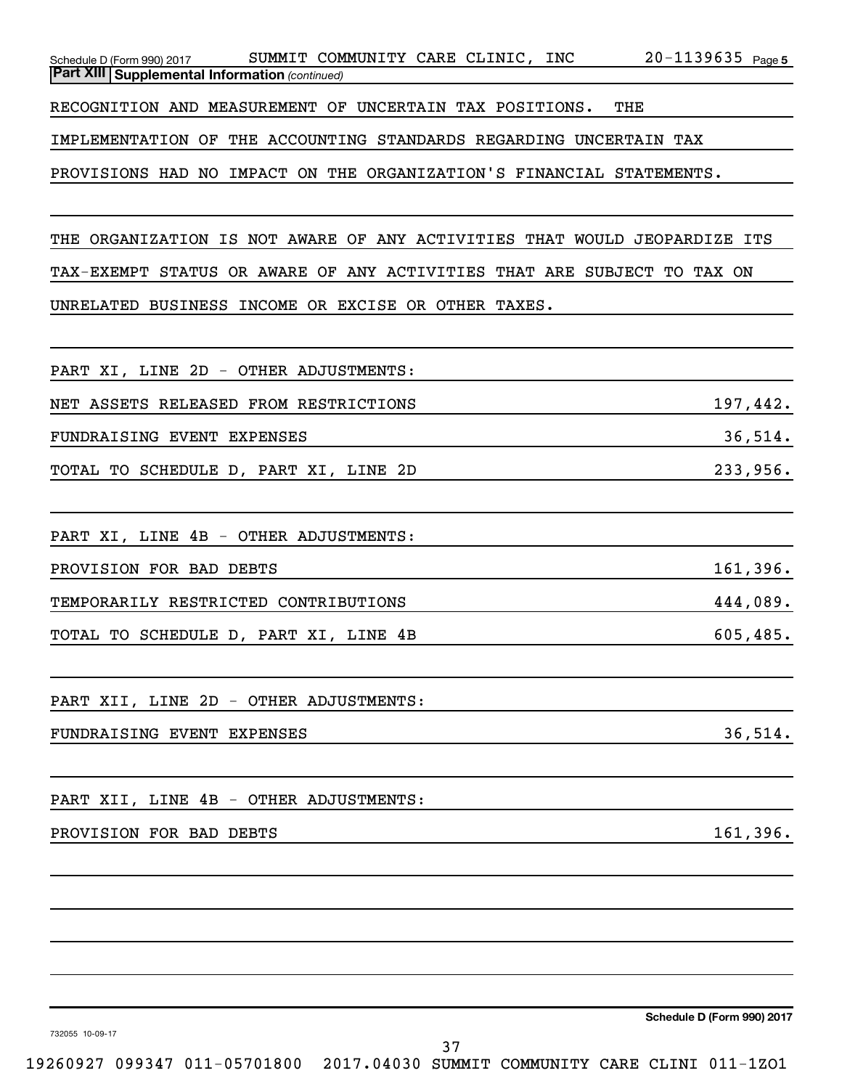| Schedule D (Form 990) 2017 |                                                         | SUMMIT COMMUNITY CARE CLINIC, |  | INC | 20-1139635 | Page 5 |
|----------------------------|---------------------------------------------------------|-------------------------------|--|-----|------------|--------|
|                            | <b>Part XIII   Supplemental Information (continued)</b> |                               |  |     |            |        |
|                            |                                                         |                               |  |     |            |        |

RECOGNITION AND MEASUREMENT OF UNCERTAIN TAX POSITIONS. THE

IMPLEMENTATION OF THE ACCOUNTING STANDARDS REGARDING UNCERTAIN TAX

PROVISIONS HAD NO IMPACT ON THE ORGANIZATION'S FINANCIAL STATEMENTS.

THE ORGANIZATION IS NOT AWARE OF ANY ACTIVITIES THAT WOULD JEOPARDIZE ITS TAX-EXEMPT STATUS OR AWARE OF ANY ACTIVITIES THAT ARE SUBJECT TO TAX ON UNRELATED BUSINESS INCOME OR EXCISE OR OTHER TAXES.

| FANI AI, DING ZD - OINGN ADOOSIMGNIS. |           |
|---------------------------------------|-----------|
| NET ASSETS RELEASED FROM RESTRICTIONS | 197,442.  |
| FUNDRAISING EVENT EXPENSES            | 36,514.   |
| TOTAL TO SCHEDULE D, PART XI, LINE 2D | 233,956.  |
|                                       |           |
| PART XI, LINE 4B - OTHER ADJUSTMENTS: |           |
| PROVISION FOR BAD DEBTS               | 161,396.  |
| TEMPORARILY RESTRICTED CONTRIBUTIONS  | 444,089.  |
| TOTAL TO SCHEDULE D, PART XI, LINE 4B | 605, 485. |

PART XII, LINE 2D - OTHER ADJUSTMENTS:

PART YT I LINE 2D OTHER ADJUSTMENTS:

FUNDRAISING EVENT EXPENSES 36,514.

PART XII, LINE 4B - OTHER ADJUSTMENTS:

#### PROVISION FOR BAD DEBTS 161,396.

**Schedule D (Form 990) 2017**

732055 10-09-17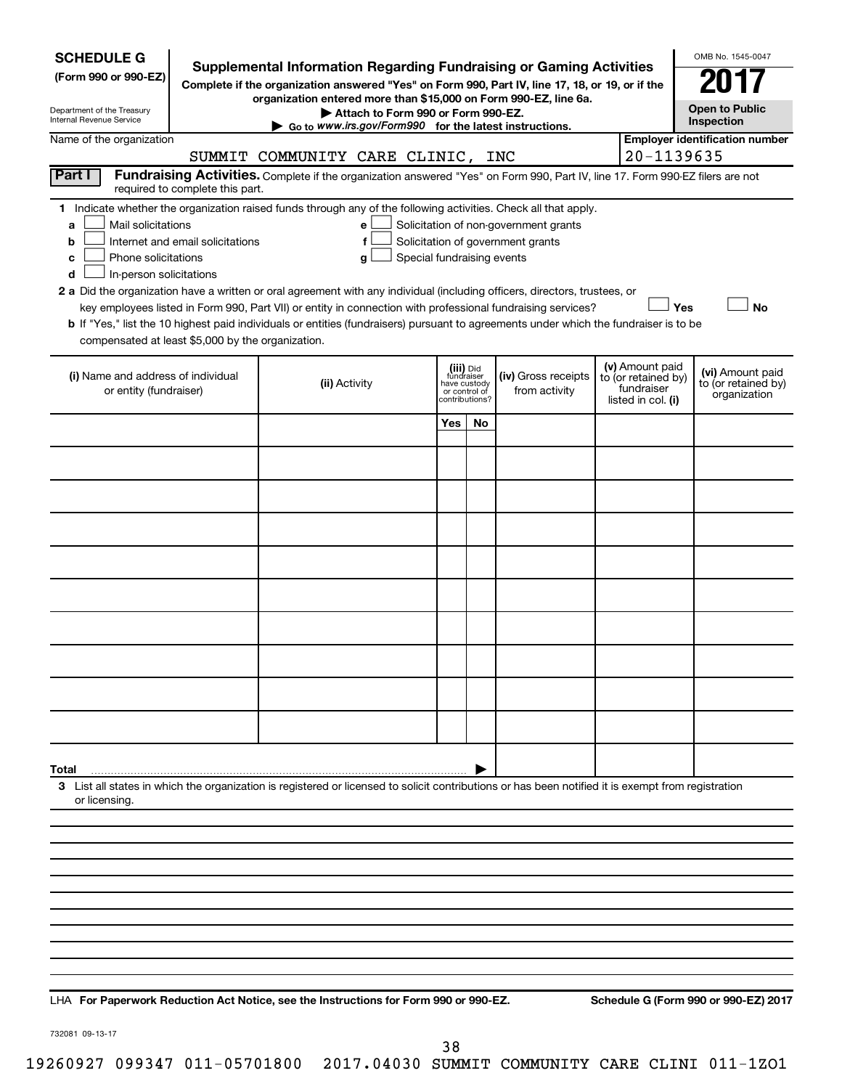| <b>SCHEDULE G</b><br><b>Supplemental Information Regarding Fundraising or Gaming Activities</b><br>(Form 990 or 990-EZ)<br>Complete if the organization answered "Yes" on Form 990, Part IV, line 17, 18, or 19, or if the<br>organization entered more than \$15,000 on Form 990-EZ, line 6a.<br>Department of the Treasury<br>Attach to Form 990 or Form 990-EZ.<br>Internal Revenue Service<br>Go to www.irs.gov/Form990 for the latest instructions.                                                 |  |                                                                                                                                                                                                                                                      |                                                          |                |                                      |  |                                                                            | OMB No. 1545-0047<br><b>Open to Public</b><br>Inspection |  |
|----------------------------------------------------------------------------------------------------------------------------------------------------------------------------------------------------------------------------------------------------------------------------------------------------------------------------------------------------------------------------------------------------------------------------------------------------------------------------------------------------------|--|------------------------------------------------------------------------------------------------------------------------------------------------------------------------------------------------------------------------------------------------------|----------------------------------------------------------|----------------|--------------------------------------|--|----------------------------------------------------------------------------|----------------------------------------------------------|--|
| Name of the organization                                                                                                                                                                                                                                                                                                                                                                                                                                                                                 |  |                                                                                                                                                                                                                                                      |                                                          |                |                                      |  |                                                                            | <b>Employer identification number</b>                    |  |
|                                                                                                                                                                                                                                                                                                                                                                                                                                                                                                          |  | SUMMIT COMMUNITY CARE CLINIC, INC                                                                                                                                                                                                                    |                                                          |                |                                      |  | 20-1139635                                                                 |                                                          |  |
| Part I<br>Fundraising Activities. Complete if the organization answered "Yes" on Form 990, Part IV, line 17. Form 990-EZ filers are not<br>required to complete this part.                                                                                                                                                                                                                                                                                                                               |  |                                                                                                                                                                                                                                                      |                                                          |                |                                      |  |                                                                            |                                                          |  |
| 1 Indicate whether the organization raised funds through any of the following activities. Check all that apply.<br>Mail solicitations<br>Solicitation of non-government grants<br>a<br>е<br>Solicitation of government grants<br>Internet and email solicitations<br>f<br>b<br>Phone solicitations<br>Special fundraising events<br>с<br>g<br>In-person solicitations<br>d<br>2 a Did the organization have a written or oral agreement with any individual (including officers, directors, trustees, or |  |                                                                                                                                                                                                                                                      |                                                          |                |                                      |  |                                                                            |                                                          |  |
| compensated at least \$5,000 by the organization.                                                                                                                                                                                                                                                                                                                                                                                                                                                        |  | key employees listed in Form 990, Part VII) or entity in connection with professional fundraising services?<br>b If "Yes," list the 10 highest paid individuals or entities (fundraisers) pursuant to agreements under which the fundraiser is to be |                                                          |                |                                      |  | Yes                                                                        | <b>No</b>                                                |  |
| (i) Name and address of individual<br>or entity (fundraiser)                                                                                                                                                                                                                                                                                                                                                                                                                                             |  | (ii) Activity                                                                                                                                                                                                                                        | (iii) Did<br>fundraiser<br>have custody<br>or control of | contributions? | (iv) Gross receipts<br>from activity |  | (v) Amount paid<br>to (or retained by)<br>fundraiser<br>listed in col. (i) | (vi) Amount paid<br>to (or retained by)<br>organization  |  |
|                                                                                                                                                                                                                                                                                                                                                                                                                                                                                                          |  |                                                                                                                                                                                                                                                      | Yes                                                      | No             |                                      |  |                                                                            |                                                          |  |
|                                                                                                                                                                                                                                                                                                                                                                                                                                                                                                          |  |                                                                                                                                                                                                                                                      |                                                          |                |                                      |  |                                                                            |                                                          |  |
|                                                                                                                                                                                                                                                                                                                                                                                                                                                                                                          |  |                                                                                                                                                                                                                                                      |                                                          |                |                                      |  |                                                                            |                                                          |  |
|                                                                                                                                                                                                                                                                                                                                                                                                                                                                                                          |  |                                                                                                                                                                                                                                                      |                                                          |                |                                      |  |                                                                            |                                                          |  |
|                                                                                                                                                                                                                                                                                                                                                                                                                                                                                                          |  |                                                                                                                                                                                                                                                      |                                                          |                |                                      |  |                                                                            |                                                          |  |
|                                                                                                                                                                                                                                                                                                                                                                                                                                                                                                          |  |                                                                                                                                                                                                                                                      |                                                          |                |                                      |  |                                                                            |                                                          |  |
|                                                                                                                                                                                                                                                                                                                                                                                                                                                                                                          |  |                                                                                                                                                                                                                                                      |                                                          |                |                                      |  |                                                                            |                                                          |  |
|                                                                                                                                                                                                                                                                                                                                                                                                                                                                                                          |  |                                                                                                                                                                                                                                                      |                                                          |                |                                      |  |                                                                            |                                                          |  |
|                                                                                                                                                                                                                                                                                                                                                                                                                                                                                                          |  |                                                                                                                                                                                                                                                      |                                                          |                |                                      |  |                                                                            |                                                          |  |
|                                                                                                                                                                                                                                                                                                                                                                                                                                                                                                          |  |                                                                                                                                                                                                                                                      |                                                          |                |                                      |  |                                                                            |                                                          |  |
| Total                                                                                                                                                                                                                                                                                                                                                                                                                                                                                                    |  |                                                                                                                                                                                                                                                      |                                                          |                |                                      |  |                                                                            |                                                          |  |
| or licensing.                                                                                                                                                                                                                                                                                                                                                                                                                                                                                            |  | 3 List all states in which the organization is registered or licensed to solicit contributions or has been notified it is exempt from registration                                                                                                   |                                                          |                |                                      |  |                                                                            |                                                          |  |
|                                                                                                                                                                                                                                                                                                                                                                                                                                                                                                          |  |                                                                                                                                                                                                                                                      |                                                          |                |                                      |  |                                                                            |                                                          |  |
|                                                                                                                                                                                                                                                                                                                                                                                                                                                                                                          |  |                                                                                                                                                                                                                                                      |                                                          |                |                                      |  |                                                                            |                                                          |  |
|                                                                                                                                                                                                                                                                                                                                                                                                                                                                                                          |  |                                                                                                                                                                                                                                                      |                                                          |                |                                      |  |                                                                            |                                                          |  |
|                                                                                                                                                                                                                                                                                                                                                                                                                                                                                                          |  |                                                                                                                                                                                                                                                      |                                                          |                |                                      |  |                                                                            |                                                          |  |
|                                                                                                                                                                                                                                                                                                                                                                                                                                                                                                          |  |                                                                                                                                                                                                                                                      |                                                          |                |                                      |  |                                                                            |                                                          |  |
|                                                                                                                                                                                                                                                                                                                                                                                                                                                                                                          |  |                                                                                                                                                                                                                                                      |                                                          |                |                                      |  |                                                                            |                                                          |  |
|                                                                                                                                                                                                                                                                                                                                                                                                                                                                                                          |  |                                                                                                                                                                                                                                                      |                                                          |                |                                      |  |                                                                            |                                                          |  |
|                                                                                                                                                                                                                                                                                                                                                                                                                                                                                                          |  |                                                                                                                                                                                                                                                      |                                                          |                |                                      |  |                                                                            |                                                          |  |

**For Paperwork Reduction Act Notice, see the Instructions for Form 990 or 990-EZ. Schedule G (Form 990 or 990-EZ) 2017** LHA

732081 09-13-17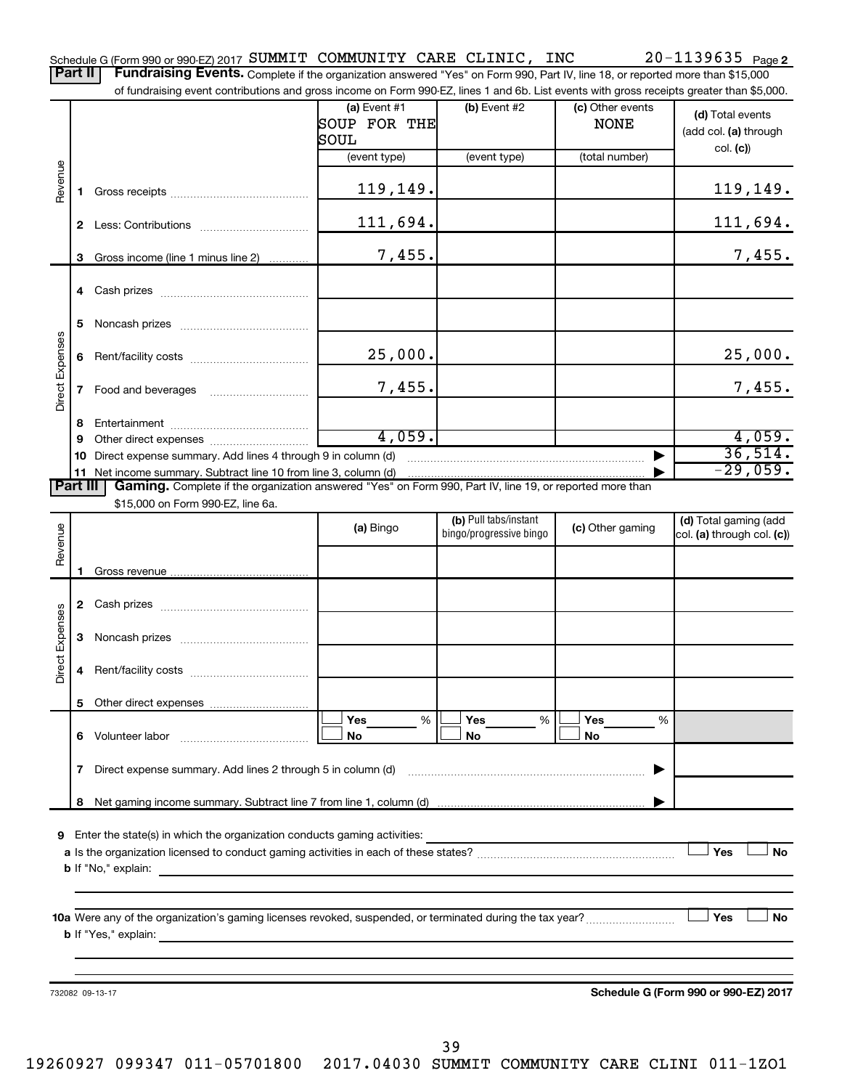Part II | Fundraising Events. Complete if the organization answered "Yes" on Form 990, Part IV, line 18, or reported more than \$15,000 of fundraising event contributions and gross income on Form 990-EZ, lines 1 and 6b. List events with gross receipts greater than \$5,000.

|                        |    | or iditionalshig event contributions and gross income on Form 990-EZ, lines T and 6D. Elst events with gross receipts greater than \$5,000.                                                                                                                                                                           | $(a)$ Event #1<br>SOUP FOR THE<br>SOUL | $(b)$ Event #2                                   | (c) Other events<br><b>NONE</b> | (d) Total events<br>(add col. (a) through           |
|------------------------|----|-----------------------------------------------------------------------------------------------------------------------------------------------------------------------------------------------------------------------------------------------------------------------------------------------------------------------|----------------------------------------|--------------------------------------------------|---------------------------------|-----------------------------------------------------|
|                        |    |                                                                                                                                                                                                                                                                                                                       | (event type)                           | (event type)                                     | (total number)                  | col. (c)                                            |
| Revenue                | 1. |                                                                                                                                                                                                                                                                                                                       | 119,149.                               |                                                  |                                 | 119, 149.                                           |
|                        |    |                                                                                                                                                                                                                                                                                                                       | 111,694.                               |                                                  |                                 | 111,694.                                            |
|                        | 3  | Gross income (line 1 minus line 2)                                                                                                                                                                                                                                                                                    | 7,455.                                 |                                                  |                                 | 7,455.                                              |
|                        |    |                                                                                                                                                                                                                                                                                                                       |                                        |                                                  |                                 |                                                     |
|                        | 5  |                                                                                                                                                                                                                                                                                                                       |                                        |                                                  |                                 |                                                     |
|                        | 6  |                                                                                                                                                                                                                                                                                                                       | 25,000.                                |                                                  |                                 | 25,000.                                             |
| Direct Expenses        |    |                                                                                                                                                                                                                                                                                                                       | 7,455.                                 |                                                  |                                 | 7,455.                                              |
|                        | 8  |                                                                                                                                                                                                                                                                                                                       |                                        |                                                  |                                 |                                                     |
|                        | 9  |                                                                                                                                                                                                                                                                                                                       | 4,059.                                 |                                                  |                                 | 4,059.                                              |
|                        | 10 | Direct expense summary. Add lines 4 through 9 in column (d)                                                                                                                                                                                                                                                           |                                        |                                                  |                                 | 36,514.                                             |
|                        | 11 |                                                                                                                                                                                                                                                                                                                       |                                        |                                                  |                                 | $-29,059.$                                          |
| Part III               |    | Gaming. Complete if the organization answered "Yes" on Form 990, Part IV, line 19, or reported more than<br>\$15,000 on Form 990-EZ, line 6a.                                                                                                                                                                         |                                        |                                                  |                                 |                                                     |
| Revenue                |    |                                                                                                                                                                                                                                                                                                                       | (a) Bingo                              | (b) Pull tabs/instant<br>bingo/progressive bingo | (c) Other gaming                | (d) Total gaming (add<br>col. (a) through col. (c)) |
|                        | 1  |                                                                                                                                                                                                                                                                                                                       |                                        |                                                  |                                 |                                                     |
|                        | 2  | Cash prizes [11] Cash prizes [11] Cash prizes [11] Cash prizes [11] [11] Casa Divideo [11] [11] 2010                                                                                                                                                                                                                  |                                        |                                                  |                                 |                                                     |
| <b>Direct Expenses</b> | 3  |                                                                                                                                                                                                                                                                                                                       |                                        |                                                  |                                 |                                                     |
|                        | 4  |                                                                                                                                                                                                                                                                                                                       |                                        |                                                  |                                 |                                                     |
|                        | 5  |                                                                                                                                                                                                                                                                                                                       |                                        |                                                  |                                 |                                                     |
|                        | 6. | Volunteer labor<br>and a strategic contract of the strategic contract of the strategic contract of the strategic contract of the                                                                                                                                                                                      | Yes<br>%<br>No                         | Yes<br>%<br>No                                   | Yes<br>%<br>No                  |                                                     |
|                        | 7  | Direct expense summary. Add lines 2 through 5 in column (d)                                                                                                                                                                                                                                                           |                                        |                                                  |                                 |                                                     |
|                        | 8  |                                                                                                                                                                                                                                                                                                                       |                                        |                                                  |                                 |                                                     |
|                        |    |                                                                                                                                                                                                                                                                                                                       |                                        |                                                  |                                 |                                                     |
| 9                      |    | Enter the state(s) in which the organization conducts gaming activities:<br><b>b</b> If "No," explain: <b>contract and the set of the set of the set of the set of the set of the set of the set of the set of the set of the set of the set of the set of the set of the set of the set of the set of the set of</b> |                                        |                                                  |                                 | Yes<br>No                                           |
|                        |    |                                                                                                                                                                                                                                                                                                                       |                                        |                                                  |                                 |                                                     |
|                        |    |                                                                                                                                                                                                                                                                                                                       |                                        |                                                  |                                 | Yes<br>No                                           |
|                        |    |                                                                                                                                                                                                                                                                                                                       |                                        |                                                  |                                 |                                                     |
|                        |    | 732082 09-13-17                                                                                                                                                                                                                                                                                                       |                                        |                                                  |                                 | Schedule G (Form 990 or 990-EZ) 2017                |

**Schedule G (Form 990 or 990-EZ) 2017**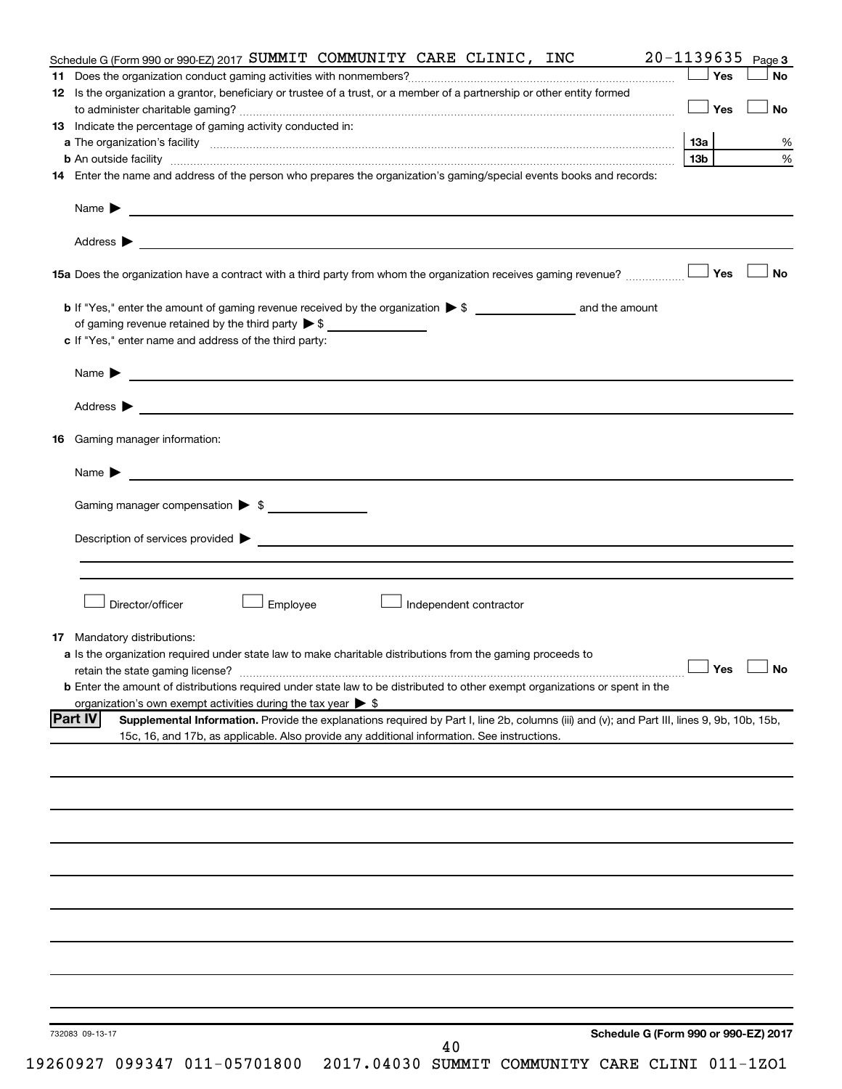| Schedule G (Form 990 or 990-EZ) 2017 SUMMIT COMMUNITY CARE CLINIC, INC                                                                                        | 20-1139635           | Page 3    |
|---------------------------------------------------------------------------------------------------------------------------------------------------------------|----------------------|-----------|
| 11.                                                                                                                                                           | ∫ Yes                | No        |
| 12 Is the organization a grantor, beneficiary or trustee of a trust, or a member of a partnership or other entity formed                                      |                      |           |
|                                                                                                                                                               | $\Box$ Yes           | <b>No</b> |
| 13 Indicate the percentage of gaming activity conducted in:                                                                                                   |                      |           |
|                                                                                                                                                               |                      | %         |
| b An outside facility www.communications.communications.com/internations.com/internations.com/internations.com/                                               | 13b l                | $\%$      |
| 14 Enter the name and address of the person who prepares the organization's gaming/special events books and records:                                          |                      |           |
|                                                                                                                                                               |                      |           |
|                                                                                                                                                               |                      |           |
|                                                                                                                                                               |                      | <b>No</b> |
|                                                                                                                                                               |                      |           |
| of gaming revenue retained by the third party $\triangleright$ \$                                                                                             |                      |           |
| c If "Yes," enter name and address of the third party:                                                                                                        |                      |           |
| Name $\blacktriangleright$                                                                                                                                    |                      |           |
|                                                                                                                                                               |                      |           |
|                                                                                                                                                               |                      |           |
| Gaming manager information:<br>16                                                                                                                             |                      |           |
| Name $\blacktriangleright$                                                                                                                                    |                      |           |
|                                                                                                                                                               |                      |           |
| Gaming manager compensation $\triangleright$ \$                                                                                                               |                      |           |
|                                                                                                                                                               |                      |           |
|                                                                                                                                                               |                      |           |
|                                                                                                                                                               |                      |           |
| Director/officer<br>Employee<br>Independent contractor                                                                                                        |                      |           |
|                                                                                                                                                               |                      |           |
| <b>17</b> Mandatory distributions:<br>a Is the organization required under state law to make charitable distributions from the gaming proceeds to             |                      |           |
|                                                                                                                                                               | $\Box$ Yes $\Box$ No |           |
| <b>b</b> Enter the amount of distributions required under state law to be distributed to other exempt organizations or spent in the                           |                      |           |
| organization's own exempt activities during the tax year > \$                                                                                                 |                      |           |
| <b>Part IV</b><br>Supplemental Information. Provide the explanations required by Part I, line 2b, columns (iii) and (v); and Part III, lines 9, 9b, 10b, 15b, |                      |           |
| 15c, 16, and 17b, as applicable. Also provide any additional information. See instructions.                                                                   |                      |           |
|                                                                                                                                                               |                      |           |
|                                                                                                                                                               |                      |           |
|                                                                                                                                                               |                      |           |
|                                                                                                                                                               |                      |           |
|                                                                                                                                                               |                      |           |
|                                                                                                                                                               |                      |           |
|                                                                                                                                                               |                      |           |
|                                                                                                                                                               |                      |           |
|                                                                                                                                                               |                      |           |
|                                                                                                                                                               |                      |           |
|                                                                                                                                                               |                      |           |
|                                                                                                                                                               |                      |           |
|                                                                                                                                                               |                      |           |
| Schedule G (Form 990 or 990-EZ) 2017<br>732083 09-13-17<br>40                                                                                                 |                      |           |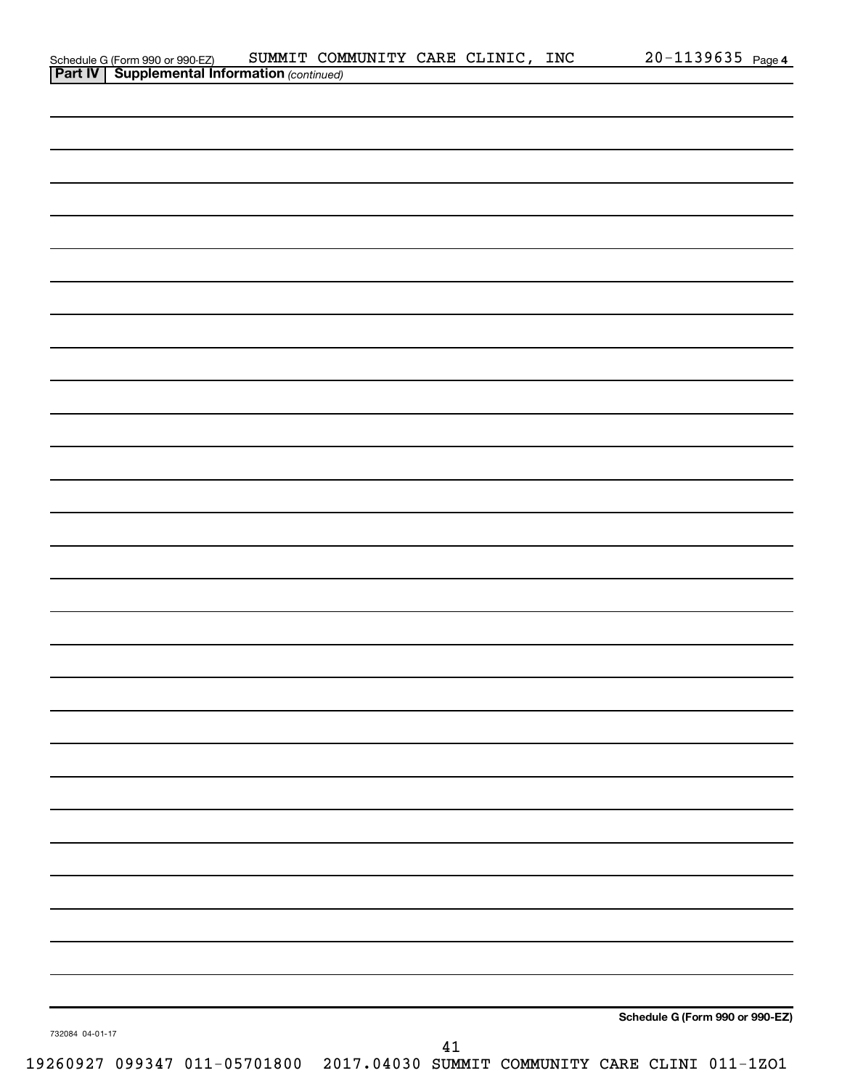|                 |                                                                              |        | Schedule G (Form 990 or 990-EZ) |  |
|-----------------|------------------------------------------------------------------------------|--------|---------------------------------|--|
| 732084 04-01-17 |                                                                              |        |                                 |  |
|                 | 19260927 099347 011-05701800 2017.04030 SUMMIT COMMUNITY CARE CLINI 011-1ZO1 | $41\,$ |                                 |  |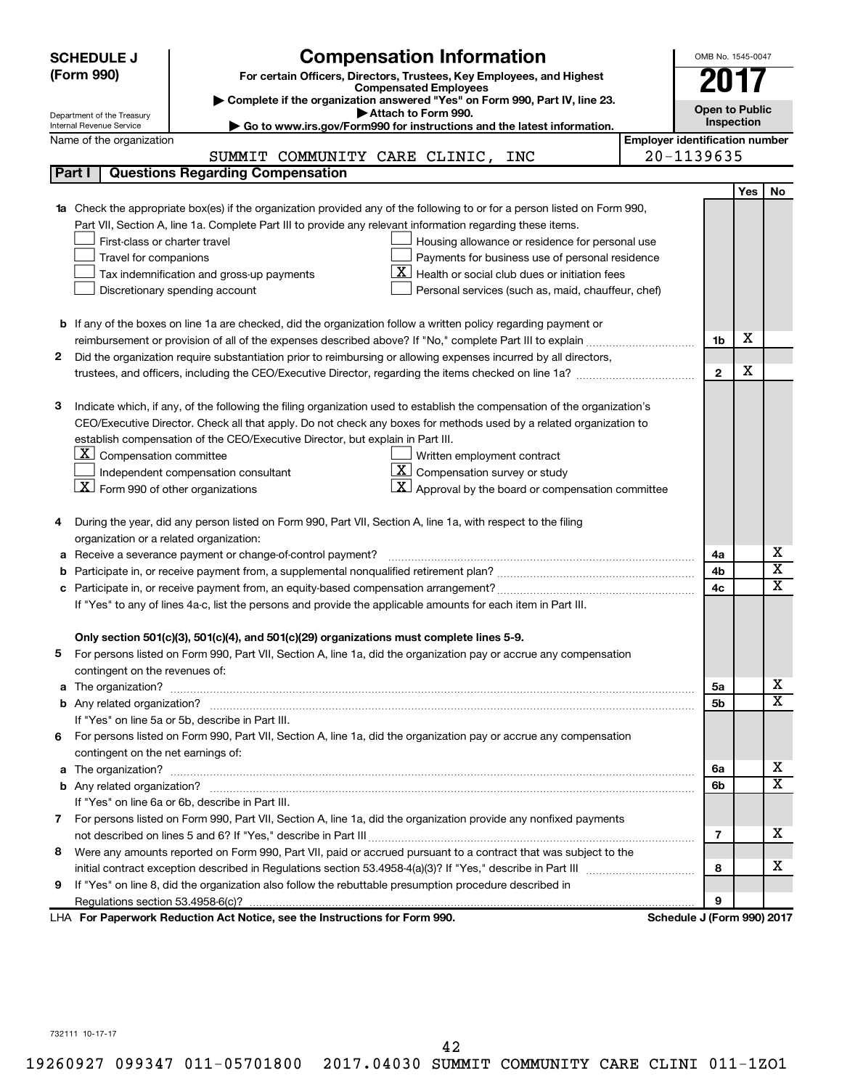|    | <b>Compensation Information</b><br><b>SCHEDULE J</b>                                                                             |                                       | OMB No. 1545-0047     |            |                              |
|----|----------------------------------------------------------------------------------------------------------------------------------|---------------------------------------|-----------------------|------------|------------------------------|
|    | (Form 990)<br>For certain Officers, Directors, Trustees, Key Employees, and Highest                                              |                                       |                       |            |                              |
|    | <b>Compensated Employees</b>                                                                                                     |                                       |                       |            |                              |
|    | Complete if the organization answered "Yes" on Form 990, Part IV, line 23.<br>Attach to Form 990.                                |                                       | <b>Open to Public</b> |            |                              |
|    | Department of the Treasury<br>Go to www.irs.gov/Form990 for instructions and the latest information.<br>Internal Revenue Service |                                       | Inspection            |            |                              |
|    | Name of the organization                                                                                                         | <b>Employer identification number</b> |                       |            |                              |
|    | SUMMIT COMMUNITY CARE CLINIC, INC                                                                                                | 20-1139635                            |                       |            |                              |
|    | <b>Questions Regarding Compensation</b><br>Part I                                                                                |                                       |                       |            |                              |
|    |                                                                                                                                  |                                       |                       | <b>Yes</b> | No                           |
|    | Check the appropriate box(es) if the organization provided any of the following to or for a person listed on Form 990,           |                                       |                       |            |                              |
|    | Part VII, Section A, line 1a. Complete Part III to provide any relevant information regarding these items.                       |                                       |                       |            |                              |
|    | First-class or charter travel<br>Housing allowance or residence for personal use                                                 |                                       |                       |            |                              |
|    | Payments for business use of personal residence<br>Travel for companions                                                         |                                       |                       |            |                              |
|    | Health or social club dues or initiation fees<br>Tax indemnification and gross-up payments                                       |                                       |                       |            |                              |
|    | Discretionary spending account<br>Personal services (such as, maid, chauffeur, chef)                                             |                                       |                       |            |                              |
|    |                                                                                                                                  |                                       |                       |            |                              |
|    | <b>b</b> If any of the boxes on line 1a are checked, did the organization follow a written policy regarding payment or           |                                       | 1b                    | X          |                              |
| 2  |                                                                                                                                  |                                       |                       |            |                              |
|    | Did the organization require substantiation prior to reimbursing or allowing expenses incurred by all directors,                 |                                       | $\mathbf{2}$          | х          |                              |
|    |                                                                                                                                  |                                       |                       |            |                              |
| з  | Indicate which, if any, of the following the filing organization used to establish the compensation of the organization's        |                                       |                       |            |                              |
|    | CEO/Executive Director. Check all that apply. Do not check any boxes for methods used by a related organization to               |                                       |                       |            |                              |
|    | establish compensation of the CEO/Executive Director, but explain in Part III.                                                   |                                       |                       |            |                              |
|    | $\lfloor \underline{X} \rfloor$ Compensation committee<br>Written employment contract                                            |                                       |                       |            |                              |
|    | $\boxed{\textbf{X}}$ Compensation survey or study<br>Independent compensation consultant                                         |                                       |                       |            |                              |
|    | $\lfloor \underline{X} \rfloor$ Form 990 of other organizations<br>Approval by the board or compensation committee               |                                       |                       |            |                              |
|    |                                                                                                                                  |                                       |                       |            |                              |
| 4  | During the year, did any person listed on Form 990, Part VII, Section A, line 1a, with respect to the filing                     |                                       |                       |            |                              |
|    | organization or a related organization:                                                                                          |                                       |                       |            |                              |
| а  | Receive a severance payment or change-of-control payment?                                                                        |                                       | 4a                    |            | х                            |
| b  |                                                                                                                                  |                                       | 4b                    |            | $\overline{\text{x}}$        |
| с  |                                                                                                                                  |                                       | 4c                    |            | $\overline{\textnormal{x}}$  |
|    | If "Yes" to any of lines 4a-c, list the persons and provide the applicable amounts for each item in Part III.                    |                                       |                       |            |                              |
|    |                                                                                                                                  |                                       |                       |            |                              |
|    | Only section 501(c)(3), 501(c)(4), and 501(c)(29) organizations must complete lines 5-9.                                         |                                       |                       |            |                              |
|    | For persons listed on Form 990, Part VII, Section A, line 1a, did the organization pay or accrue any compensation                |                                       |                       |            |                              |
|    | contingent on the revenues of:                                                                                                   |                                       |                       |            |                              |
| a  |                                                                                                                                  |                                       | 5a                    |            | х<br>$\overline{\mathbf{X}}$ |
|    |                                                                                                                                  |                                       | 5b                    |            |                              |
|    | If "Yes" on line 5a or 5b, describe in Part III.                                                                                 |                                       |                       |            |                              |
| 6. | For persons listed on Form 990, Part VII, Section A, line 1a, did the organization pay or accrue any compensation                |                                       |                       |            |                              |
|    | contingent on the net earnings of:                                                                                               |                                       |                       |            | х                            |
| a  |                                                                                                                                  |                                       | 6а                    |            | $\overline{\mathbf{X}}$      |
|    |                                                                                                                                  |                                       | 6b                    |            |                              |
|    | If "Yes" on line 6a or 6b, describe in Part III.                                                                                 |                                       |                       |            |                              |
|    | 7 For persons listed on Form 990, Part VII, Section A, line 1a, did the organization provide any nonfixed payments               |                                       | 7                     |            | x                            |
| 8  | Were any amounts reported on Form 990, Part VII, paid or accrued pursuant to a contract that was subject to the                  |                                       |                       |            |                              |
|    |                                                                                                                                  |                                       | 8                     |            | х                            |
| 9  | If "Yes" on line 8, did the organization also follow the rebuttable presumption procedure described in                           |                                       |                       |            |                              |
|    |                                                                                                                                  |                                       | 9                     |            |                              |
|    | LHA For Paperwork Reduction Act Notice, see the Instructions for Form 990.                                                       | Schedule J (Form 990) 2017            |                       |            |                              |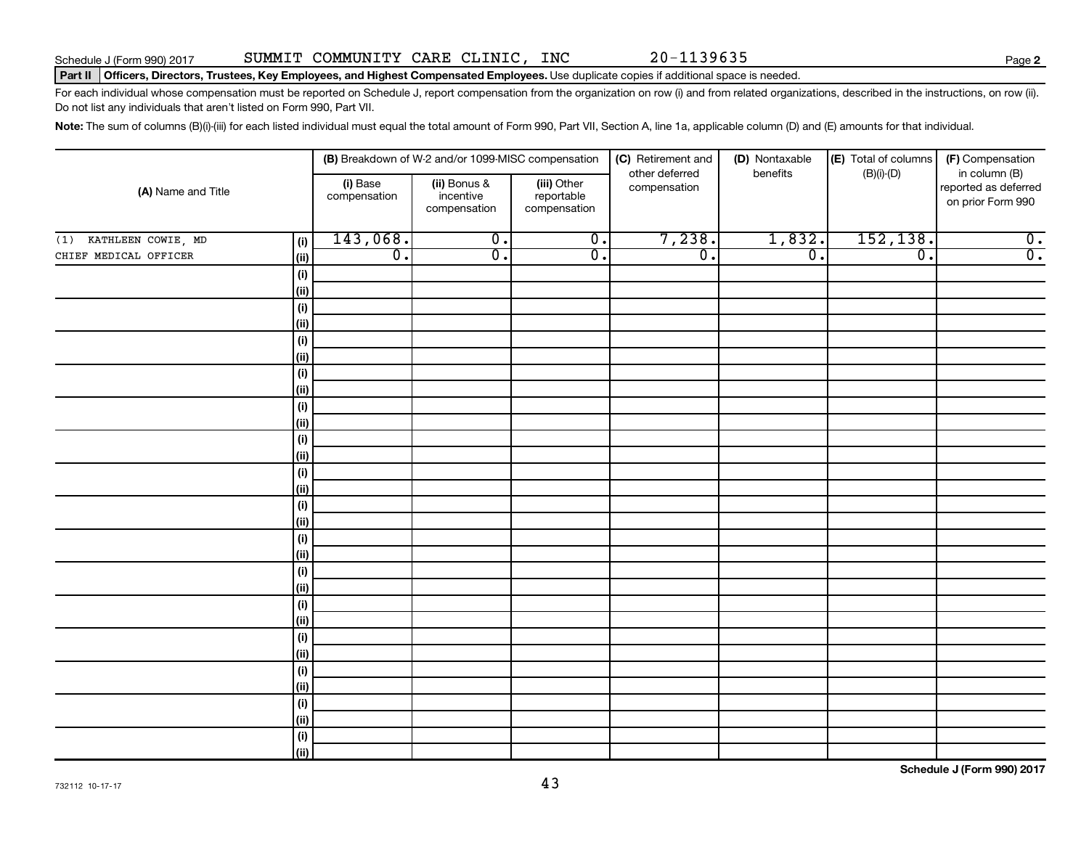**2**

#### Part II | Officers, Directors, Trustees, Key Employees, and Highest Compensated Employees. Use duplicate copies if additional space is needed.

For each individual whose compensation must be reported on Schedule J, report compensation from the organization on row (i) and from related organizations, described in the instructions, on row (ii). Do not list any individuals that aren't listed on Form 990, Part VII.

Note: The sum of columns (B)(i)-(iii) for each listed individual must equal the total amount of Form 990, Part VII, Section A, line 1a, applicable column (D) and (E) amounts for that individual.

| (A) Name and Title        |             |                          | (B) Breakdown of W-2 and/or 1099-MISC compensation |                                           | (C) Retirement and             | (D) Nontaxable   | (E) Total of columns | (F) Compensation                                           |
|---------------------------|-------------|--------------------------|----------------------------------------------------|-------------------------------------------|--------------------------------|------------------|----------------------|------------------------------------------------------------|
|                           |             | (i) Base<br>compensation | (ii) Bonus &<br>incentive<br>compensation          | (iii) Other<br>reportable<br>compensation | other deferred<br>compensation | benefits         | $(B)(i)-(D)$         | in column (B)<br>reported as deferred<br>on prior Form 990 |
| KATHLEEN COWIE, MD<br>(1) | (i)         | 143,068.                 | $\overline{0}$ .                                   | $\overline{0}$ .                          | 7,238.                         | 1,832.           | 152, 138.            | $\overline{\mathbf{0}}$ .                                  |
| CHIEF MEDICAL OFFICER     | (ii)        | $\overline{0}$ .         | $\overline{0}$ .                                   | $\overline{0}$ .                          | $\overline{\mathfrak{o}}$ .    | $\overline{0}$ . | $\overline{0}$ .     | $\overline{0}$ .                                           |
|                           | (i)         |                          |                                                    |                                           |                                |                  |                      |                                                            |
|                           | (ii)        |                          |                                                    |                                           |                                |                  |                      |                                                            |
|                           | (i)         |                          |                                                    |                                           |                                |                  |                      |                                                            |
|                           | (ii)        |                          |                                                    |                                           |                                |                  |                      |                                                            |
|                           | (i)         |                          |                                                    |                                           |                                |                  |                      |                                                            |
|                           | (ii)        |                          |                                                    |                                           |                                |                  |                      |                                                            |
|                           | (i)         |                          |                                                    |                                           |                                |                  |                      |                                                            |
|                           | (ii)        |                          |                                                    |                                           |                                |                  |                      |                                                            |
|                           | (i)         |                          |                                                    |                                           |                                |                  |                      |                                                            |
|                           | (ii)        |                          |                                                    |                                           |                                |                  |                      |                                                            |
|                           | (i)<br>(ii) |                          |                                                    |                                           |                                |                  |                      |                                                            |
|                           | (i)         |                          |                                                    |                                           |                                |                  |                      |                                                            |
|                           | (ii)        |                          |                                                    |                                           |                                |                  |                      |                                                            |
|                           | (i)         |                          |                                                    |                                           |                                |                  |                      |                                                            |
|                           | (ii)        |                          |                                                    |                                           |                                |                  |                      |                                                            |
|                           | (i)         |                          |                                                    |                                           |                                |                  |                      |                                                            |
|                           | (ii)        |                          |                                                    |                                           |                                |                  |                      |                                                            |
|                           | (i)         |                          |                                                    |                                           |                                |                  |                      |                                                            |
|                           | (ii)        |                          |                                                    |                                           |                                |                  |                      |                                                            |
|                           | (i)         |                          |                                                    |                                           |                                |                  |                      |                                                            |
|                           | (ii)        |                          |                                                    |                                           |                                |                  |                      |                                                            |
|                           | (i)         |                          |                                                    |                                           |                                |                  |                      |                                                            |
|                           | (ii)        |                          |                                                    |                                           |                                |                  |                      |                                                            |
|                           | (i)         |                          |                                                    |                                           |                                |                  |                      |                                                            |
|                           | (ii)        |                          |                                                    |                                           |                                |                  |                      |                                                            |
|                           | (i)         |                          |                                                    |                                           |                                |                  |                      |                                                            |
|                           | (ii)        |                          |                                                    |                                           |                                |                  |                      |                                                            |
|                           | $(\sf{i})$  |                          |                                                    |                                           |                                |                  |                      |                                                            |
|                           | (ii)        |                          |                                                    |                                           |                                |                  |                      |                                                            |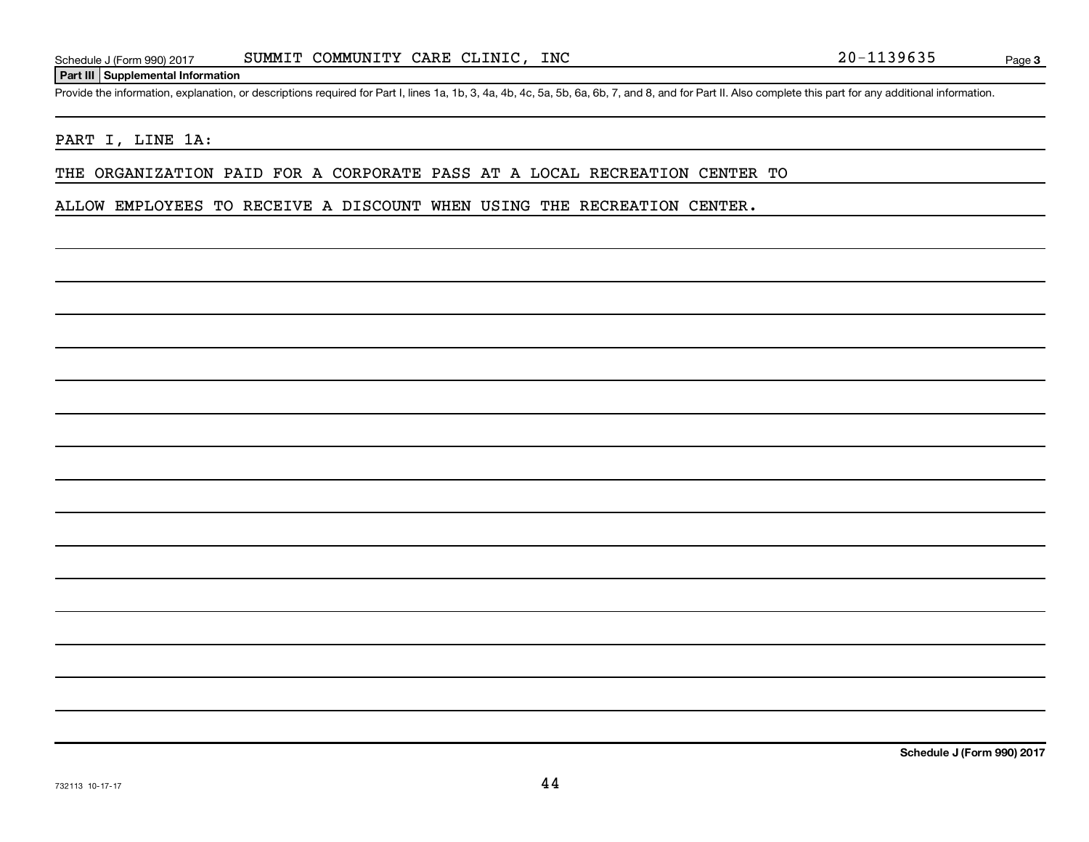#### **Part III Supplemental Information**

Provide the information, explanation, or descriptions required for Part I, lines 1a, 1b, 3, 4a, 4b, 4c, 5a, 5b, 6a, 6b, 7, and 8, and for Part II. Also complete this part for any additional information.

#### PART I, LINE 1A:

THE ORGANIZATION PAID FOR A CORPORATE PASS AT A LOCAL RECREATION CENTER TO

ALLOW EMPLOYEES TO RECEIVE A DISCOUNT WHEN USING THE RECREATION CENTER.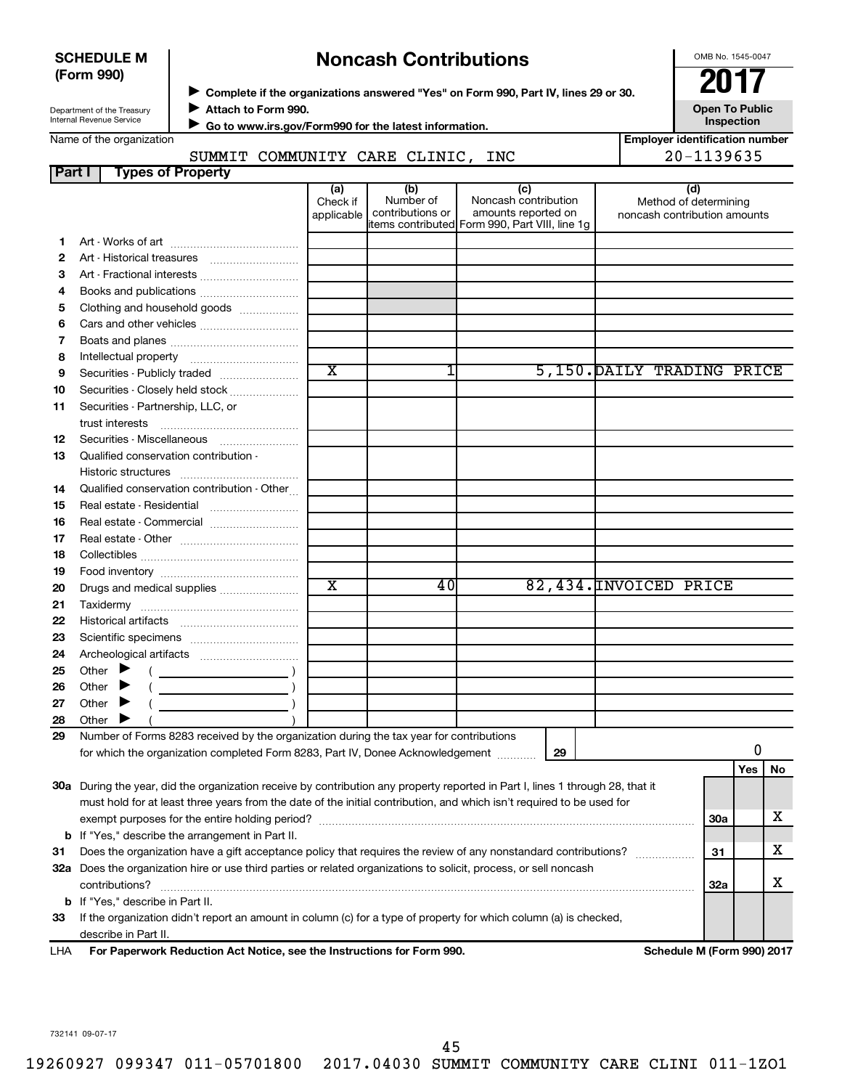| <b>SCHEDULE M</b> |  |
|-------------------|--|
| (Form 990)        |  |

# **Noncash Contributions**

OMB No. 1545-0047

| Department of the Treasury      |  |
|---------------------------------|--|
| <b>Internal Revenue Service</b> |  |

◆ Complete if the organizations answered "Yes" on Form 990, Part IV, lines 29 or 30.<br>▶ Complete if the organizations answered "Yes" on Form 990, Part IV, lines 29 or 30. **Attach to Form 990.**  $\blacktriangleright$ 

**Open To Public Inspection**

| Internal Revenue Service | ► Go to www.irs.gov/Form990 for the latest information. |
|--------------------------|---------------------------------------------------------|
| Name of the organization |                                                         |

#### SUMMIT COMMUNITY CARE CLINIC, INC  $\vert$  20-1139635

|  | <b>Employer identification number</b> |  |
|--|---------------------------------------|--|
|  | 00 1190 <i>c</i> 95                   |  |

|        | DOMMII COMMONIII CARE CHINIC,                                                                                                  |                       |                  |                                                |                              | - エエ J J V J J |          |   |
|--------|--------------------------------------------------------------------------------------------------------------------------------|-----------------------|------------------|------------------------------------------------|------------------------------|----------------|----------|---|
| Part I | <b>Types of Property</b>                                                                                                       |                       |                  |                                                |                              |                |          |   |
|        |                                                                                                                                | (a)<br>Check if       | (b)<br>Number of | (c)<br>Noncash contribution                    | (d)<br>Method of determining |                |          |   |
|        |                                                                                                                                | applicable            | contributions or | amounts reported on                            | noncash contribution amounts |                |          |   |
|        |                                                                                                                                |                       |                  | items contributed Form 990, Part VIII, line 1g |                              |                |          |   |
| 1.     |                                                                                                                                |                       |                  |                                                |                              |                |          |   |
| 2      |                                                                                                                                |                       |                  |                                                |                              |                |          |   |
| 3      |                                                                                                                                |                       |                  |                                                |                              |                |          |   |
| 4      |                                                                                                                                |                       |                  |                                                |                              |                |          |   |
| 5      | Clothing and household goods                                                                                                   |                       |                  |                                                |                              |                |          |   |
| 6      |                                                                                                                                |                       |                  |                                                |                              |                |          |   |
| 7      |                                                                                                                                |                       |                  |                                                |                              |                |          |   |
| 8      |                                                                                                                                |                       |                  |                                                |                              |                |          |   |
| 9      | Securities - Publicly traded                                                                                                   | $\overline{\text{x}}$ | 1                |                                                | 5,150. DAILY TRADING PRICE   |                |          |   |
| 10     | Securities - Closely held stock                                                                                                |                       |                  |                                                |                              |                |          |   |
| 11     | Securities - Partnership, LLC, or                                                                                              |                       |                  |                                                |                              |                |          |   |
|        | trust interests                                                                                                                |                       |                  |                                                |                              |                |          |   |
| 12     | Securities - Miscellaneous                                                                                                     |                       |                  |                                                |                              |                |          |   |
| 13     | Qualified conservation contribution -                                                                                          |                       |                  |                                                |                              |                |          |   |
|        | Historic structures                                                                                                            |                       |                  |                                                |                              |                |          |   |
| 14     | Qualified conservation contribution - Other                                                                                    |                       |                  |                                                |                              |                |          |   |
| 15     |                                                                                                                                |                       |                  |                                                |                              |                |          |   |
| 16     | Real estate - Commercial                                                                                                       |                       |                  |                                                |                              |                |          |   |
| 17     |                                                                                                                                |                       |                  |                                                |                              |                |          |   |
| 18     |                                                                                                                                |                       |                  |                                                |                              |                |          |   |
| 19     |                                                                                                                                |                       |                  |                                                |                              |                |          |   |
| 20     | Drugs and medical supplies                                                                                                     | $\overline{\text{x}}$ | 40               |                                                | 82,434. INVOICED PRICE       |                |          |   |
| 21     |                                                                                                                                |                       |                  |                                                |                              |                |          |   |
| 22     |                                                                                                                                |                       |                  |                                                |                              |                |          |   |
| 23     |                                                                                                                                |                       |                  |                                                |                              |                |          |   |
| 24     |                                                                                                                                |                       |                  |                                                |                              |                |          |   |
| 25     | Other $\blacktriangleright$                                                                                                    |                       |                  |                                                |                              |                |          |   |
| 26     | Other $\blacktriangleright$                                                                                                    |                       |                  |                                                |                              |                |          |   |
| 27     | Other $\blacktriangleright$                                                                                                    |                       |                  |                                                |                              |                |          |   |
| 28     | Other                                                                                                                          |                       |                  |                                                |                              |                |          |   |
| 29     | Number of Forms 8283 received by the organization during the tax year for contributions                                        |                       |                  |                                                |                              |                |          |   |
|        | for which the organization completed Form 8283, Part IV, Donee Acknowledgement                                                 |                       |                  | 29                                             |                              |                | 0        |   |
|        |                                                                                                                                |                       |                  |                                                |                              |                | Yes   No |   |
|        | 30a During the year, did the organization receive by contribution any property reported in Part I, lines 1 through 28, that it |                       |                  |                                                |                              |                |          |   |
|        | must hold for at least three years from the date of the initial contribution, and which isn't required to be used for          |                       |                  |                                                |                              |                |          |   |
|        |                                                                                                                                |                       |                  |                                                |                              | 30a            |          | х |
|        | <b>b</b> If "Yes," describe the arrangement in Part II.                                                                        |                       |                  |                                                |                              |                |          |   |
| 31     | Does the organization have a gift acceptance policy that requires the review of any nonstandard contributions?                 |                       |                  |                                                |                              | 31             |          | х |
|        | 32a Does the organization hire or use third parties or related organizations to solicit, process, or sell noncash              |                       |                  |                                                |                              |                |          |   |
|        | contributions?                                                                                                                 |                       |                  |                                                |                              | <b>32a</b>     |          | х |
|        | <b>b</b> If "Yes," describe in Part II.                                                                                        |                       |                  |                                                |                              |                |          |   |
| 33     | If the organization didn't report an amount in column (c) for a type of property for which column (a) is checked,              |                       |                  |                                                |                              |                |          |   |
|        | describe in Part II.                                                                                                           |                       |                  |                                                |                              |                |          |   |
| LHA    | For Paperwork Reduction Act Notice, see the Instructions for Form 990.                                                         |                       |                  |                                                | Schedule M (Form 990) 2017   |                |          |   |
|        |                                                                                                                                |                       |                  |                                                |                              |                |          |   |

732141 09-07-17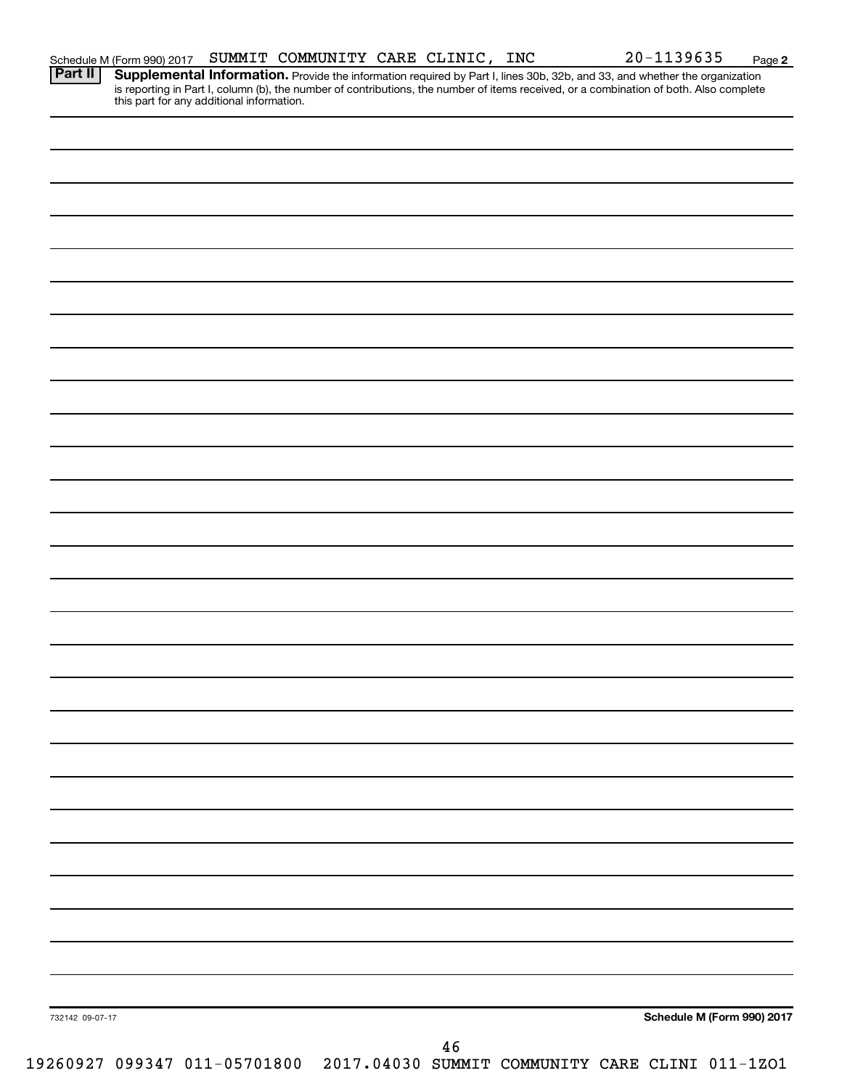| 732142 09-07-17 |  |  | Schedule M (Form 990) 2017 |  |
|-----------------|--|--|----------------------------|--|

Schedule M (Form 990) 2017 Page SUMMIT COMMUNITY CARE CLINIC, INC 20-1139635

Provide the information required by Part I, lines 30b, 32b, and 33, and whether the organization is reporting in Part I, column (b), the number of contributions, the number of items received, or a combination of both. Also complete **Part II Supplemental Information.**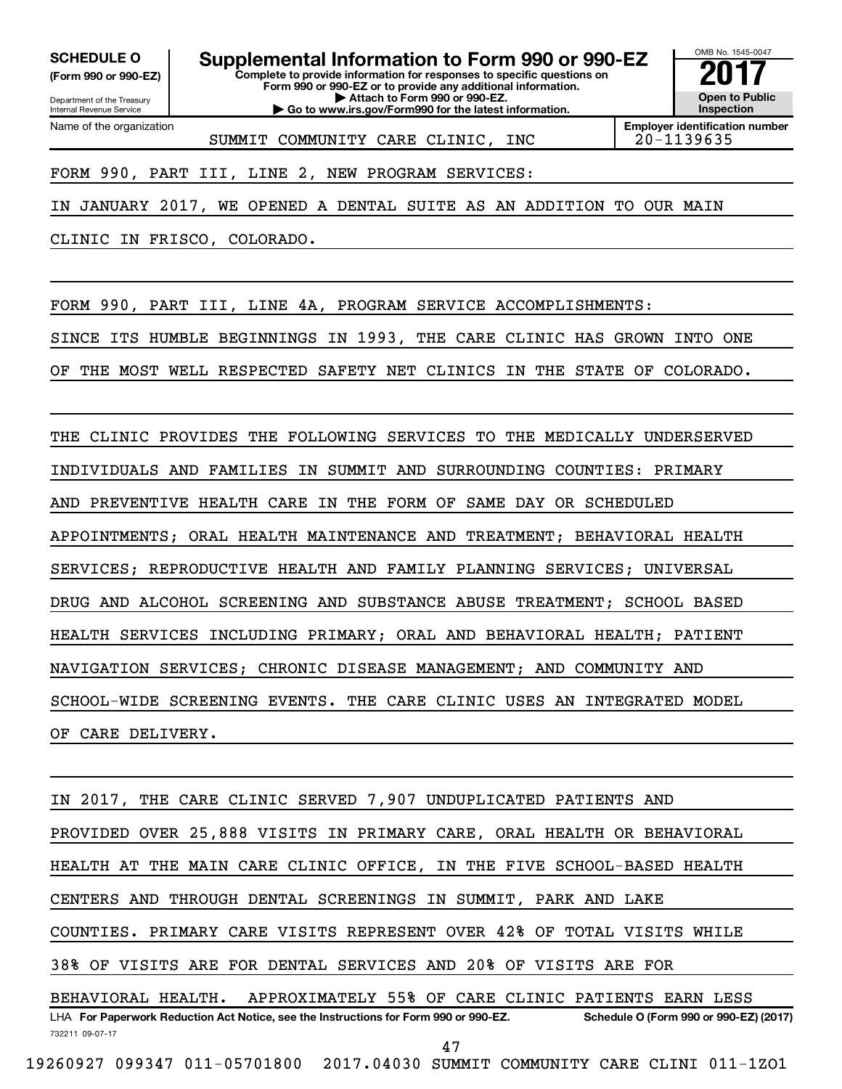Department of the Treasury **(Form 990 or 990-EZ)**

Name of the organization

Internal Revenue Service

**Complete to provide information for responses to specific questions on Form 990 or 990-EZ or to provide any additional information. SCHEDULE O Supplemental Information to Form 990 or 990-EZ** <br>(Form 990 or 990-EZ) Complete to provide information for responses to specific questions on

**| Attach to Form 990 or 990-EZ. | Go to www.irs.gov/Form990 for the latest information.** OMB No. 1545-0047 **Open to Public Inspection**

SUMMIT COMMUNITY CARE CLINIC, INC | 20-1139635

**Employer identification number**

FORM 990, PART III, LINE 2, NEW PROGRAM SERVICES:

IN JANUARY 2017, WE OPENED A DENTAL SUITE AS AN ADDITION TO OUR MAIN

CLINIC IN FRISCO, COLORADO.

FORM 990, PART III, LINE 4A, PROGRAM SERVICE ACCOMPLISHMENTS:

SINCE ITS HUMBLE BEGINNINGS IN 1993, THE CARE CLINIC HAS GROWN INTO ONE

OF THE MOST WELL RESPECTED SAFETY NET CLINICS IN THE STATE OF COLORADO.

THE CLINIC PROVIDES THE FOLLOWING SERVICES TO THE MEDICALLY UNDERSERVED INDIVIDUALS AND FAMILIES IN SUMMIT AND SURROUNDING COUNTIES: PRIMARY AND PREVENTIVE HEALTH CARE IN THE FORM OF SAME DAY OR SCHEDULED APPOINTMENTS; ORAL HEALTH MAINTENANCE AND TREATMENT; BEHAVIORAL HEALTH SERVICES; REPRODUCTIVE HEALTH AND FAMILY PLANNING SERVICES; UNIVERSAL DRUG AND ALCOHOL SCREENING AND SUBSTANCE ABUSE TREATMENT; SCHOOL BASED HEALTH SERVICES INCLUDING PRIMARY; ORAL AND BEHAVIORAL HEALTH; PATIENT NAVIGATION SERVICES; CHRONIC DISEASE MANAGEMENT; AND COMMUNITY AND SCHOOL-WIDE SCREENING EVENTS. THE CARE CLINIC USES AN INTEGRATED MODEL OF CARE DELIVERY.

732211 09-07-17 LHA For Paperwork Reduction Act Notice, see the Instructions for Form 990 or 990-EZ. Schedule O (Form 990 or 990-EZ) (2017) IN 2017, THE CARE CLINIC SERVED 7,907 UNDUPLICATED PATIENTS AND PROVIDED OVER 25,888 VISITS IN PRIMARY CARE, ORAL HEALTH OR BEHAVIORAL HEALTH AT THE MAIN CARE CLINIC OFFICE, IN THE FIVE SCHOOL-BASED HEALTH CENTERS AND THROUGH DENTAL SCREENINGS IN SUMMIT, PARK AND LAKE COUNTIES. PRIMARY CARE VISITS REPRESENT OVER 42% OF TOTAL VISITS WHILE 38% OF VISITS ARE FOR DENTAL SERVICES AND 20% OF VISITS ARE FOR BEHAVIORAL HEALTH. APPROXIMATELY 55% OF CARE CLINIC PATIENTS EARN LESS 47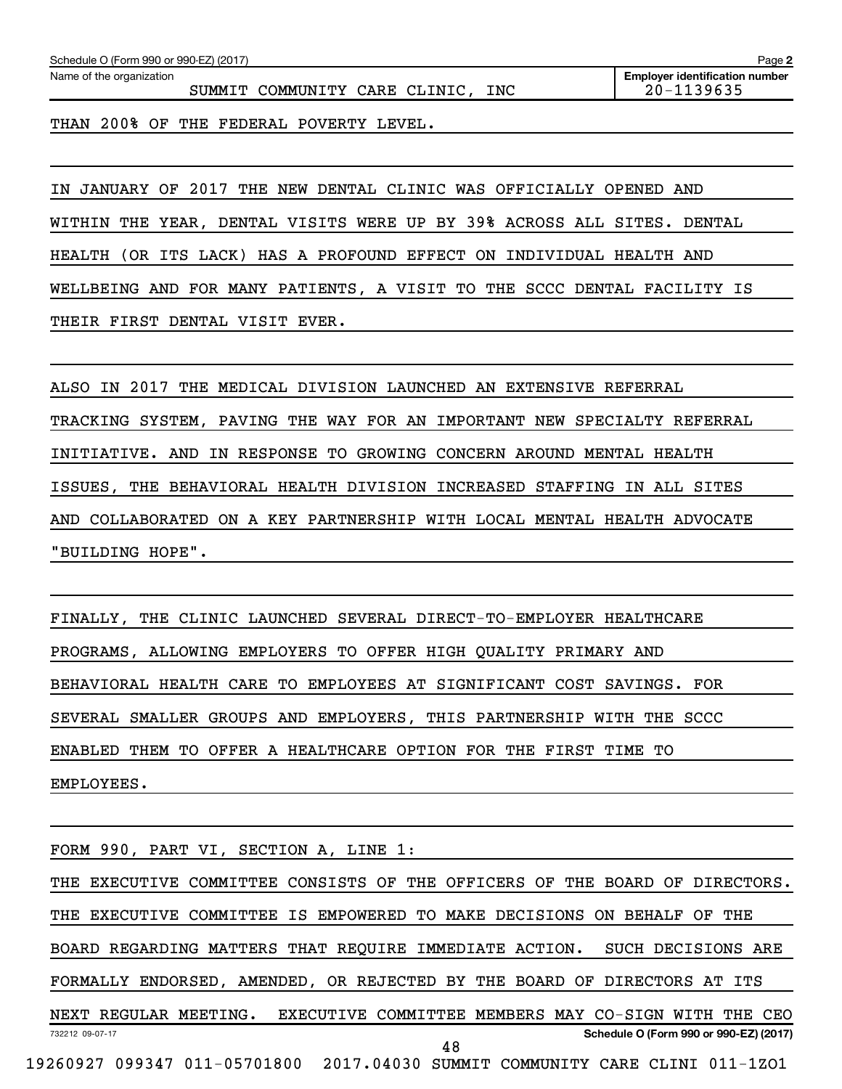| Schedule O (Form 990 or 990-EZ) (2017)  | Page $\geq$                           |
|-----------------------------------------|---------------------------------------|
| Name of the organization                | <b>Employer identification number</b> |
| INC<br>COMMUNITY CARE CLINIC,<br>SUMMIT | $20 - 1139635$                        |

THAN 200% OF THE FEDERAL POVERTY LEVEL.

IN JANUARY OF 2017 THE NEW DENTAL CLINIC WAS OFFICIALLY OPENED AND WITHIN THE YEAR, DENTAL VISITS WERE UP BY 39% ACROSS ALL SITES. DENTAL HEALTH (OR ITS LACK) HAS A PROFOUND EFFECT ON INDIVIDUAL HEALTH AND WELLBEING AND FOR MANY PATIENTS, A VISIT TO THE SCCC DENTAL FACILITY IS THEIR FIRST DENTAL VISIT EVER.

ALSO IN 2017 THE MEDICAL DIVISION LAUNCHED AN EXTENSIVE REFERRAL TRACKING SYSTEM, PAVING THE WAY FOR AN IMPORTANT NEW SPECIALTY REFERRAL INITIATIVE. AND IN RESPONSE TO GROWING CONCERN AROUND MENTAL HEALTH ISSUES, THE BEHAVIORAL HEALTH DIVISION INCREASED STAFFING IN ALL SITES AND COLLABORATED ON A KEY PARTNERSHIP WITH LOCAL MENTAL HEALTH ADVOCATE "BUILDING HOPE".

FINALLY, THE CLINIC LAUNCHED SEVERAL DIRECT-TO-EMPLOYER HEALTHCARE PROGRAMS, ALLOWING EMPLOYERS TO OFFER HIGH QUALITY PRIMARY AND BEHAVIORAL HEALTH CARE TO EMPLOYEES AT SIGNIFICANT COST SAVINGS. FOR SEVERAL SMALLER GROUPS AND EMPLOYERS, THIS PARTNERSHIP WITH THE SCCC ENABLED THEM TO OFFER A HEALTHCARE OPTION FOR THE FIRST TIME TO EMPLOYEES.

732212 09-07-17 **Schedule O (Form 990 or 990-EZ) (2017)** FORM 990, PART VI, SECTION A, LINE 1: THE EXECUTIVE COMMITTEE CONSISTS OF THE OFFICERS OF THE BOARD OF DIRECTORS. THE EXECUTIVE COMMITTEE IS EMPOWERED TO MAKE DECISIONS ON BEHALF OF THE BOARD REGARDING MATTERS THAT REQUIRE IMMEDIATE ACTION. SUCH DECISIONS ARE FORMALLY ENDORSED, AMENDED, OR REJECTED BY THE BOARD OF DIRECTORS AT ITS NEXT REGULAR MEETING. EXECUTIVE COMMITTEE MEMBERS MAY CO-SIGN WITH THE CEO 48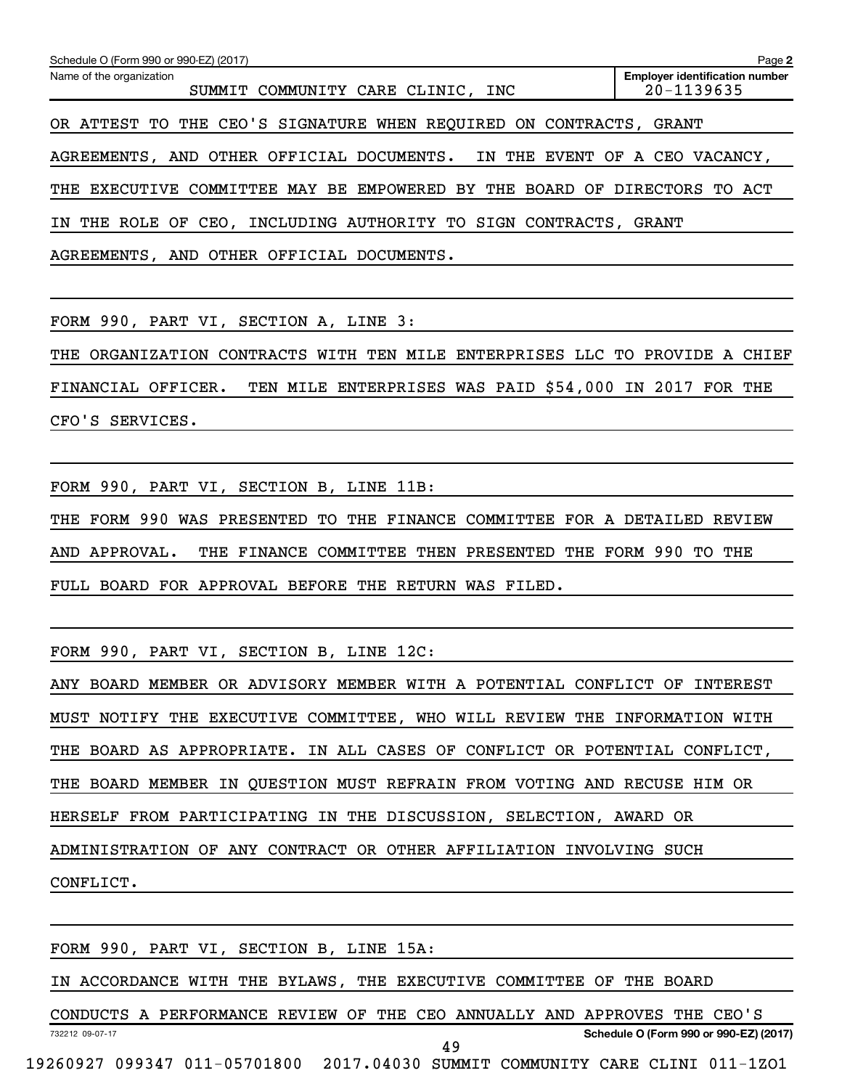| Schedule O (Form 990 or 990-EZ) (2017)                                    | Page 2                                              |
|---------------------------------------------------------------------------|-----------------------------------------------------|
| Name of the organization<br>SUMMIT COMMUNITY CARE CLINIC, INC             | <b>Employer identification number</b><br>20-1139635 |
| OR ATTEST TO THE CEO'S SIGNATURE WHEN REQUIRED ON CONTRACTS,              | GRANT                                               |
| AGREEMENTS, AND OTHER OFFICIAL DOCUMENTS. IN THE EVENT OF A CEO VACANCY,  |                                                     |
| THE EXECUTIVE COMMITTEE MAY BE EMPOWERED BY THE BOARD OF DIRECTORS TO ACT |                                                     |
| INCLUDING AUTHORITY TO SIGN CONTRACTS,<br>IN THE ROLE OF CEO,             | GRANT                                               |

AGREEMENTS, AND OTHER OFFICIAL DOCUMENTS.

FORM 990, PART VI, SECTION A, LINE 3:

THE ORGANIZATION CONTRACTS WITH TEN MILE ENTERPRISES LLC TO PROVIDE A CHIEF FINANCIAL OFFICER. TEN MILE ENTERPRISES WAS PAID \$54,000 IN 2017 FOR THE CFO'S SERVICES.

FORM 990, PART VI, SECTION B, LINE 11B:

THE FORM 990 WAS PRESENTED TO THE FINANCE COMMITTEE FOR A DETAILED REVIEW AND APPROVAL. THE FINANCE COMMITTEE THEN PRESENTED THE FORM 990 TO THE FULL BOARD FOR APPROVAL BEFORE THE RETURN WAS FILED.

FORM 990, PART VI, SECTION B, LINE 12C:

ANY BOARD MEMBER OR ADVISORY MEMBER WITH A POTENTIAL CONFLICT OF INTEREST MUST NOTIFY THE EXECUTIVE COMMITTEE, WHO WILL REVIEW THE INFORMATION WITH THE BOARD AS APPROPRIATE. IN ALL CASES OF CONFLICT OR POTENTIAL CONFLICT, THE BOARD MEMBER IN QUESTION MUST REFRAIN FROM VOTING AND RECUSE HIM OR HERSELF FROM PARTICIPATING IN THE DISCUSSION, SELECTION, AWARD OR ADMINISTRATION OF ANY CONTRACT OR OTHER AFFILIATION INVOLVING SUCH CONFLICT.

FORM 990, PART VI, SECTION B, LINE 15A:

IN ACCORDANCE WITH THE BYLAWS, THE EXECUTIVE COMMITTEE OF THE BOARD

732212 09-07-17 **Schedule O (Form 990 or 990-EZ) (2017)** CONDUCTS A PERFORMANCE REVIEW OF THE CEO ANNUALLY AND APPROVES THE CEO'S 49